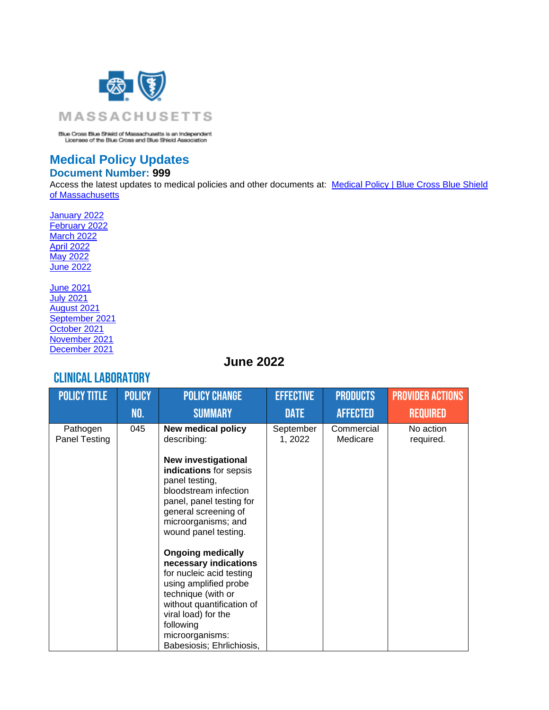

Blue Cross Blue Shield of Massachusetts is an Independent<br>Licensee of the Blue Cross and Blue Shield Association

#### **Medical Policy Updates Document Number: 999**

Access the latest updates to medical policies and other documents at: Medical Policy | Blue Cross Blue Shield [of Massachusetts](https://www.bluecrossma.org/medical-policies/)

[January 2022](#page-0-0) [February 2022](#page-0-0) [March 2022](#page-38-0) [April 2022](#page-38-0) [May 2022](#page-0-0) [June 2022](#page-0-0)

[June 2021](#page-107-0) [July 2021](#page-105-0) [August 2021](#page-103-0) [September 2021](#page-102-0) [October 2021](#page-72-0) [November 2021](#page-70-0) [December 2021](#page-50-0)

#### **June 2022**

#### <span id="page-0-0"></span>Clinical laboratory

| <b>POLICY TITLE</b>       | <b>POLICY</b> | <b>POLICY CHANGE</b>                                                                                                                                                                                                           | <b>EFFECTIVE</b>     | <b>PRODUCTS</b>        | <b>PROVIDER ACTIONS</b> |
|---------------------------|---------------|--------------------------------------------------------------------------------------------------------------------------------------------------------------------------------------------------------------------------------|----------------------|------------------------|-------------------------|
|                           | NO.           | <b>SUMMARY</b>                                                                                                                                                                                                                 | <b>DATE</b>          | <b>AFFECTED</b>        | <b>REQUIRED</b>         |
| Pathogen<br>Panel Testing | 045           | <b>New medical policy</b><br>describing:                                                                                                                                                                                       | September<br>1, 2022 | Commercial<br>Medicare | No action<br>required.  |
|                           |               | <b>New investigational</b><br>indications for sepsis<br>panel testing,<br>bloodstream infection<br>panel, panel testing for<br>general screening of<br>microorganisms; and<br>wound panel testing.<br><b>Ongoing medically</b> |                      |                        |                         |
|                           |               | necessary indications<br>for nucleic acid testing<br>using amplified probe<br>technique (with or<br>without quantification of<br>viral load) for the<br>following<br>microorganisms:<br>Babesiosis; Ehrlichiosis,              |                      |                        |                         |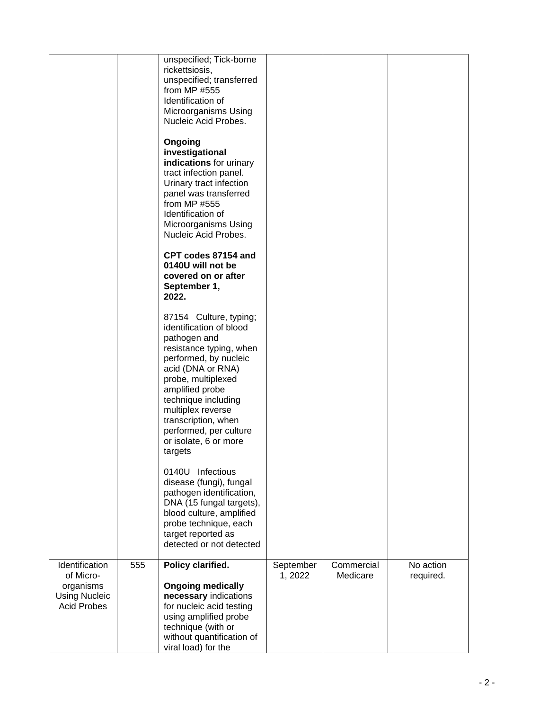|                                                                                        |     | unspecified; Tick-borne<br>rickettsiosis,<br>unspecified; transferred<br>from MP #555<br>Identification of<br>Microorganisms Using<br>Nucleic Acid Probes.                                                                                                                                                           |                      |                        |                        |
|----------------------------------------------------------------------------------------|-----|----------------------------------------------------------------------------------------------------------------------------------------------------------------------------------------------------------------------------------------------------------------------------------------------------------------------|----------------------|------------------------|------------------------|
|                                                                                        |     | Ongoing<br>investigational<br>indications for urinary<br>tract infection panel.<br>Urinary tract infection<br>panel was transferred<br>from MP #555<br>Identification of<br>Microorganisms Using<br>Nucleic Acid Probes.                                                                                             |                      |                        |                        |
|                                                                                        |     | CPT codes 87154 and<br>0140U will not be<br>covered on or after<br>September 1,<br>2022.                                                                                                                                                                                                                             |                      |                        |                        |
|                                                                                        |     | 87154 Culture, typing;<br>identification of blood<br>pathogen and<br>resistance typing, when<br>performed, by nucleic<br>acid (DNA or RNA)<br>probe, multiplexed<br>amplified probe<br>technique including<br>multiplex reverse<br>transcription, when<br>performed, per culture<br>or isolate, 6 or more<br>targets |                      |                        |                        |
|                                                                                        |     | 0140U Infectious<br>disease (fungi), fungal<br>pathogen identification,<br>DNA (15 fungal targets),<br>blood culture, amplified<br>probe technique, each<br>target reported as<br>detected or not detected                                                                                                           |                      |                        |                        |
| Identification<br>of Micro-<br>organisms<br><b>Using Nucleic</b><br><b>Acid Probes</b> | 555 | Policy clarified.<br><b>Ongoing medically</b><br>necessary indications<br>for nucleic acid testing<br>using amplified probe<br>technique (with or<br>without quantification of<br>viral load) for the                                                                                                                | September<br>1, 2022 | Commercial<br>Medicare | No action<br>required. |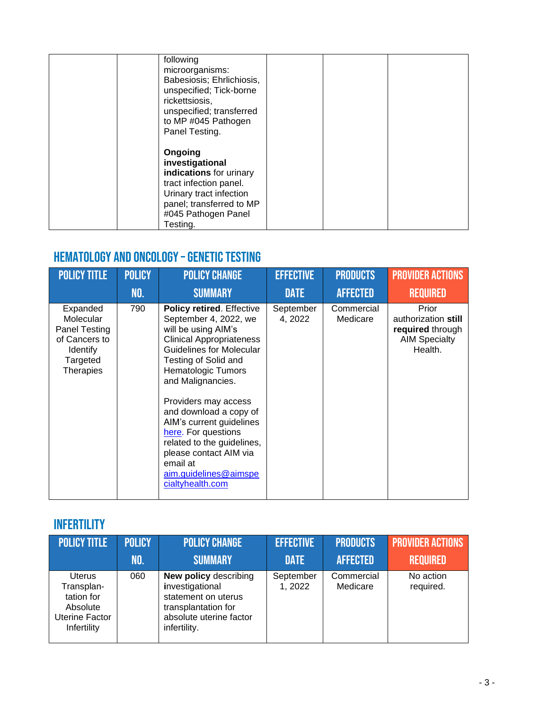| following<br>microorganisms:<br>Babesiosis; Ehrlichiosis,<br>unspecified; Tick-borne<br>rickettsiosis,<br>unspecified; transferred<br>to MP #045 Pathogen<br>Panel Testing. |  |  |
|-----------------------------------------------------------------------------------------------------------------------------------------------------------------------------|--|--|
| Ongoing<br>investigational<br>indications for urinary<br>tract infection panel.<br>Urinary tract infection<br>panel; transferred to MP<br>#045 Pathogen Panel<br>Testing.   |  |  |

### Hematology and Oncology –Genetic Testing

| <b>POLICY TITLE</b>                                                                                 | <b>POLICY</b> | <b>POLICY CHANGE</b>                                                                                                                                                                                                                                                                                                                                                                                                                            | <b>EFFECTIVE</b>     | <b>PRODUCTS</b>        | <b>PROVIDER ACTIONS</b>                                                             |
|-----------------------------------------------------------------------------------------------------|---------------|-------------------------------------------------------------------------------------------------------------------------------------------------------------------------------------------------------------------------------------------------------------------------------------------------------------------------------------------------------------------------------------------------------------------------------------------------|----------------------|------------------------|-------------------------------------------------------------------------------------|
|                                                                                                     | NO.           | <b>SUMMARY</b>                                                                                                                                                                                                                                                                                                                                                                                                                                  | <b>DATE</b>          | <b>AFFECTED</b>        | <b>REQUIRED</b>                                                                     |
| Expanded<br>Molecular<br>Panel Testing<br>of Cancers to<br>Identify<br>Targeted<br><b>Therapies</b> | 790           | <b>Policy retired. Effective</b><br>September 4, 2022, we<br>will be using AIM's<br><b>Clinical Appropriateness</b><br>Guidelines for Molecular<br>Testing of Solid and<br><b>Hematologic Tumors</b><br>and Malignancies.<br>Providers may access<br>and download a copy of<br>AIM's current guidelines<br>here. For questions<br>related to the guidelines,<br>please contact AIM via<br>email at<br>aim.guidelines@aimspe<br>cialtyhealth.com | September<br>4, 2022 | Commercial<br>Medicare | Prior<br>authorization still<br>required through<br><b>AIM Specialty</b><br>Health. |

### **INFERTILITY**

| <b>POLICY TITLE</b>                                                                    | <b>POLICY</b> | <b>POLICY CHANGE</b>                                                                                                                     | <b>EFFECTIVE</b>     | <b>PRODUCTS</b>        | <b>PROVIDER ACTIONS</b> |
|----------------------------------------------------------------------------------------|---------------|------------------------------------------------------------------------------------------------------------------------------------------|----------------------|------------------------|-------------------------|
|                                                                                        | NO.           | <b>SUMMARY</b>                                                                                                                           | <b>DATE</b>          | <b>AFFECTED</b>        | <b>REQUIRED</b>         |
| <b>Uterus</b><br>Transplan-<br>tation for<br>Absolute<br>Uterine Factor<br>Infertility | 060           | <b>New policy describing</b><br>investigational<br>statement on uterus<br>transplantation for<br>absolute uterine factor<br>infertility. | September<br>1, 2022 | Commercial<br>Medicare | No action<br>required.  |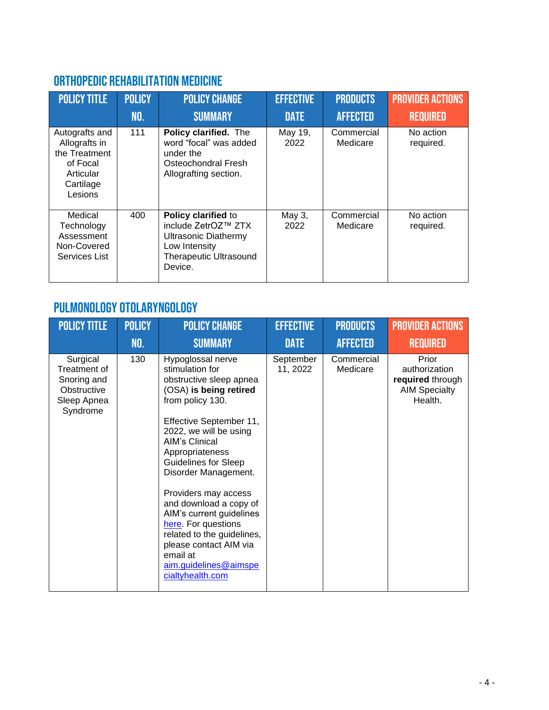## ORTHOPEDIC REHABILITATION MEDICINE

| <b>POLICY TITLE</b>                                                                               | <b>POLICY</b> | <b>POLICY CHANGE</b>                                                                                                                   | <b>EFFECTIVE</b>               | <b>PRODUCTS</b>                           | <b>PROVIDER ACTIONS</b>                   |
|---------------------------------------------------------------------------------------------------|---------------|----------------------------------------------------------------------------------------------------------------------------------------|--------------------------------|-------------------------------------------|-------------------------------------------|
| Autografts and<br>Allografts in<br>the Treatment<br>of Focal<br>Articular<br>Cartilage<br>Lesions | NO.<br>111    | <b>SUMMARY</b><br>Policy clarified. The<br>word "focal" was added<br>under the<br>Osteochondral Fresh<br>Allografting section.         | <b>DATE</b><br>May 19,<br>2022 | <b>AFFECTED</b><br>Commercial<br>Medicare | <b>REQUIRED</b><br>No action<br>required. |
| Medical<br>Technology<br>Assessment<br>Non-Covered<br>Services List                               | 400           | Policy clarified to<br>include ZetrOZ™ ZTX<br><b>Ultrasonic Diathermy</b><br>Low Intensity<br><b>Therapeutic Ultrasound</b><br>Device. | May 3,<br>2022                 | Commercial<br>Medicare                    | No action<br>required.                    |

### Pulmonology Otolaryngology

| <b>POLICY TITLE</b>                                                               | <b>POLICY</b> | <b>POLICY CHANGE</b>                                                                                                                                                                                                                                                                                                                                                                                                                                                                        | <b>EFFECTIVE</b>      | <b>PRODUCTS</b>        | <b>PROVIDER ACTIONS</b>                                                       |
|-----------------------------------------------------------------------------------|---------------|---------------------------------------------------------------------------------------------------------------------------------------------------------------------------------------------------------------------------------------------------------------------------------------------------------------------------------------------------------------------------------------------------------------------------------------------------------------------------------------------|-----------------------|------------------------|-------------------------------------------------------------------------------|
|                                                                                   | NO.           | <b>SUMMARY</b>                                                                                                                                                                                                                                                                                                                                                                                                                                                                              | <b>DATE</b>           | <b>AFFECTED</b>        | <b>REQUIRED</b>                                                               |
| Surgical<br>Treatment of<br>Snoring and<br>Obstructive<br>Sleep Apnea<br>Syndrome | 130           | Hypoglossal nerve<br>stimulation for<br>obstructive sleep apnea<br>(OSA) is being retired<br>from policy 130.<br>Effective September 11,<br>2022, we will be using<br><b>AIM's Clinical</b><br>Appropriateness<br><b>Guidelines for Sleep</b><br>Disorder Management.<br>Providers may access<br>and download a copy of<br>AIM's current guidelines<br>here. For questions<br>related to the guidelines,<br>please contact AIM via<br>email at<br>aim.guidelines@aimspe<br>cialtyhealth.com | September<br>11, 2022 | Commercial<br>Medicare | Prior<br>authorization<br>required through<br><b>AIM Specialty</b><br>Health. |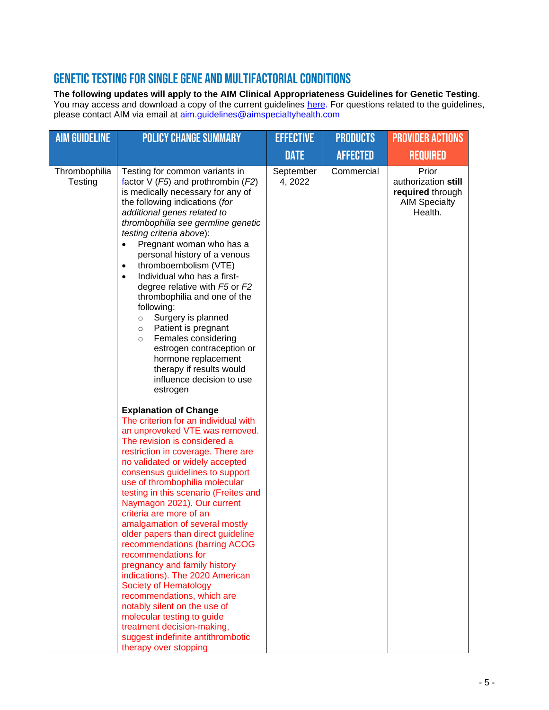#### Genetic testing for Single Gene and Multifactorial Conditions

#### **The following updates will apply to the AIM Clinical Appropriateness Guidelines for Genetic Testing**.

You may access and download a copy of the current guidelines [here.](https://aimspecialtyhealth.com/resources/clinical-guidelines/genetic-testing/) For questions related to the guidelines, please contact AIM via email at *aim.guidelines@aimspecialtyhealth.com* 

| <b>AIM GUIDELINE</b>     | <b>POLICY CHANGE SUMMARY</b>                                                                                                                                                                                                                                                                                                                                                                                                                                                                                                                                                                                                                                                                                                                                                                                       | <b>EFFECTIVE</b>     | <b>PRODUCTS</b> | <b>PROVIDER ACTIONS</b>                                                             |
|--------------------------|--------------------------------------------------------------------------------------------------------------------------------------------------------------------------------------------------------------------------------------------------------------------------------------------------------------------------------------------------------------------------------------------------------------------------------------------------------------------------------------------------------------------------------------------------------------------------------------------------------------------------------------------------------------------------------------------------------------------------------------------------------------------------------------------------------------------|----------------------|-----------------|-------------------------------------------------------------------------------------|
|                          |                                                                                                                                                                                                                                                                                                                                                                                                                                                                                                                                                                                                                                                                                                                                                                                                                    | <b>DATE</b>          | <b>AFFECTED</b> | <b>REQUIRED</b>                                                                     |
| Thrombophilia<br>Testing | Testing for common variants in<br>factor $V$ ( <i>F5</i> ) and prothrombin ( <i>F2</i> )<br>is medically necessary for any of<br>the following indications (for<br>additional genes related to<br>thrombophilia see germline genetic<br>testing criteria above):<br>Pregnant woman who has a<br>$\bullet$<br>personal history of a venous<br>thromboembolism (VTE)<br>$\bullet$<br>Individual who has a first-<br>$\bullet$<br>degree relative with F5 or F2<br>thrombophilia and one of the<br>following:<br>Surgery is planned<br>$\circ$<br>Patient is pregnant<br>$\circ$<br>Females considering<br>$\circ$<br>estrogen contraception or<br>hormone replacement<br>therapy if results would<br>influence decision to use<br>estrogen                                                                           | September<br>4, 2022 | Commercial      | Prior<br>authorization still<br>required through<br><b>AIM Specialty</b><br>Health. |
|                          | <b>Explanation of Change</b><br>The criterion for an individual with<br>an unprovoked VTE was removed.<br>The revision is considered a<br>restriction in coverage. There are<br>no validated or widely accepted<br>consensus guidelines to support<br>use of thrombophilia molecular<br>testing in this scenario (Freites and<br>Naymagon 2021). Our current<br>criteria are more of an<br>amalgamation of several mostly<br>older papers than direct guideline<br>recommendations (barring ACOG<br>recommendations for<br>pregnancy and family history<br>indications). The 2020 American<br><b>Society of Hematology</b><br>recommendations, which are<br>notably silent on the use of<br>molecular testing to guide<br>treatment decision-making,<br>suggest indefinite antithrombotic<br>therapy over stopping |                      |                 |                                                                                     |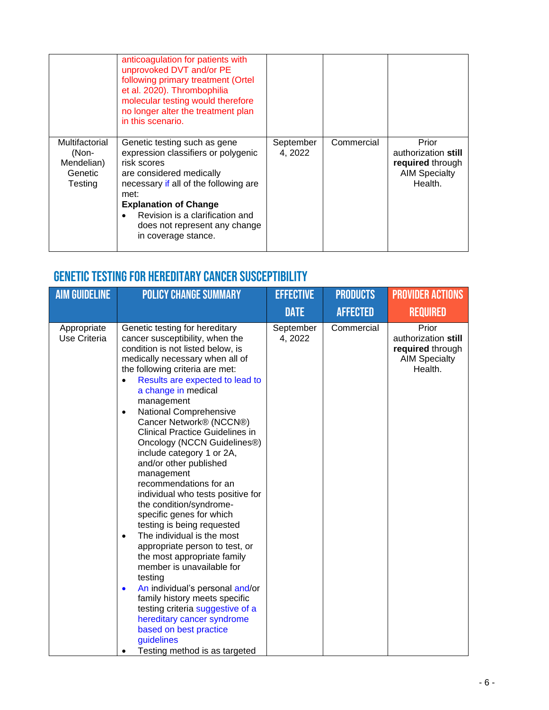|                                                                    | anticoagulation for patients with<br>unprovoked DVT and/or PE<br>following primary treatment (Ortel<br>et al. 2020). Thrombophilia<br>molecular testing would therefore<br>no longer alter the treatment plan<br>in this scenario.                                                         |                      |            |                                                                                     |
|--------------------------------------------------------------------|--------------------------------------------------------------------------------------------------------------------------------------------------------------------------------------------------------------------------------------------------------------------------------------------|----------------------|------------|-------------------------------------------------------------------------------------|
| Multifactorial<br>(Non-<br>Mendelian)<br>Genetic<br><b>Testing</b> | Genetic testing such as gene<br>expression classifiers or polygenic<br>risk scores<br>are considered medically<br>necessary if all of the following are<br>met:<br><b>Explanation of Change</b><br>Revision is a clarification and<br>does not represent any change<br>in coverage stance. | September<br>4, 2022 | Commercial | Prior<br>authorization still<br>required through<br><b>AIM Specialty</b><br>Health. |

# Genetic testing for Hereditary Cancer Susceptibility

| <b>AIM GUIDELINE</b>        | <b>POLICY CHANGE SUMMARY</b>                                                                                                                                                                                                                                                                                                                                                                                                                                                                                                                                                                                                                                                                                                                                                                                                                                                                                                                                                                             | <b>EFFECTIVE</b>     | <b>PRODUCTS</b> | <b>PROVIDER ACTIONS</b>                                                             |
|-----------------------------|----------------------------------------------------------------------------------------------------------------------------------------------------------------------------------------------------------------------------------------------------------------------------------------------------------------------------------------------------------------------------------------------------------------------------------------------------------------------------------------------------------------------------------------------------------------------------------------------------------------------------------------------------------------------------------------------------------------------------------------------------------------------------------------------------------------------------------------------------------------------------------------------------------------------------------------------------------------------------------------------------------|----------------------|-----------------|-------------------------------------------------------------------------------------|
|                             |                                                                                                                                                                                                                                                                                                                                                                                                                                                                                                                                                                                                                                                                                                                                                                                                                                                                                                                                                                                                          | <b>DATE</b>          | <b>AFFECTED</b> | <b>REQUIRED</b>                                                                     |
| Appropriate<br>Use Criteria | Genetic testing for hereditary<br>cancer susceptibility, when the<br>condition is not listed below, is<br>medically necessary when all of<br>the following criteria are met:<br>Results are expected to lead to<br>a change in medical<br>management<br>National Comprehensive<br>$\bullet$<br>Cancer Network® (NCCN®)<br><b>Clinical Practice Guidelines in</b><br>Oncology (NCCN Guidelines®)<br>include category 1 or 2A,<br>and/or other published<br>management<br>recommendations for an<br>individual who tests positive for<br>the condition/syndrome-<br>specific genes for which<br>testing is being requested<br>The individual is the most<br>$\bullet$<br>appropriate person to test, or<br>the most appropriate family<br>member is unavailable for<br>testing<br>An individual's personal and/or<br>$\bullet$<br>family history meets specific<br>testing criteria suggestive of a<br>hereditary cancer syndrome<br>based on best practice<br>guidelines<br>Testing method is as targeted | September<br>4, 2022 | Commercial      | Prior<br>authorization still<br>required through<br><b>AIM Specialty</b><br>Health. |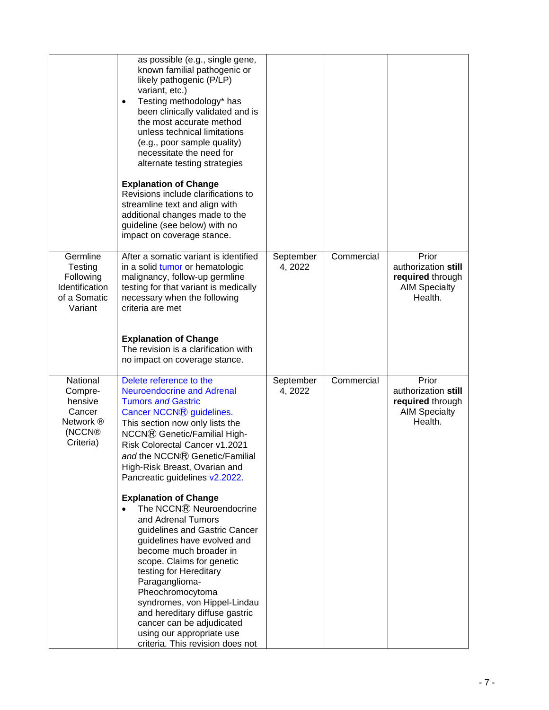|                                                                                          | as possible (e.g., single gene,<br>known familial pathogenic or<br>likely pathogenic (P/LP)<br>variant, etc.)<br>Testing methodology* has<br>$\bullet$<br>been clinically validated and is<br>the most accurate method<br>unless technical limitations<br>(e.g., poor sample quality)<br>necessitate the need for<br>alternate testing strategies<br><b>Explanation of Change</b><br>Revisions include clarifications to<br>streamline text and align with<br>additional changes made to the<br>guideline (see below) with no<br>impact on coverage stance.                                                                                                                                                                                                              |                      |            |                                                                                     |
|------------------------------------------------------------------------------------------|--------------------------------------------------------------------------------------------------------------------------------------------------------------------------------------------------------------------------------------------------------------------------------------------------------------------------------------------------------------------------------------------------------------------------------------------------------------------------------------------------------------------------------------------------------------------------------------------------------------------------------------------------------------------------------------------------------------------------------------------------------------------------|----------------------|------------|-------------------------------------------------------------------------------------|
| Germline<br><b>Testing</b><br>Following<br>Identification<br>of a Somatic<br>Variant     | After a somatic variant is identified<br>in a solid tumor or hematologic<br>malignancy, follow-up germline<br>testing for that variant is medically<br>necessary when the following<br>criteria are met<br><b>Explanation of Change</b><br>The revision is a clarification with<br>no impact on coverage stance.                                                                                                                                                                                                                                                                                                                                                                                                                                                         | September<br>4, 2022 | Commercial | Prior<br>authorization still<br>required through<br><b>AIM Specialty</b><br>Health. |
| National<br>Compre-<br>hensive<br>Cancer<br>Network ®<br>(NCCN <sup>®</sup><br>Criteria) | Delete reference to the<br><b>Neuroendocrine and Adrenal</b><br><b>Tumors and Gastric</b><br>Cancer NCCN® guidelines.<br>This section now only lists the<br>NCCN® Genetic/Familial High-<br>Risk Colorectal Cancer v1.2021<br>and the NCCN® Genetic/Familial<br>High-Risk Breast, Ovarian and<br>Pancreatic guidelines v2.2022.<br><b>Explanation of Change</b><br>The NCCN® Neuroendocrine<br>and Adrenal Tumors<br>guidelines and Gastric Cancer<br>guidelines have evolved and<br>become much broader in<br>scope. Claims for genetic<br>testing for Hereditary<br>Paraganglioma-<br>Pheochromocytoma<br>syndromes, von Hippel-Lindau<br>and hereditary diffuse gastric<br>cancer can be adjudicated<br>using our appropriate use<br>criteria. This revision does not | September<br>4, 2022 | Commercial | Prior<br>authorization still<br>required through<br><b>AIM Specialty</b><br>Health. |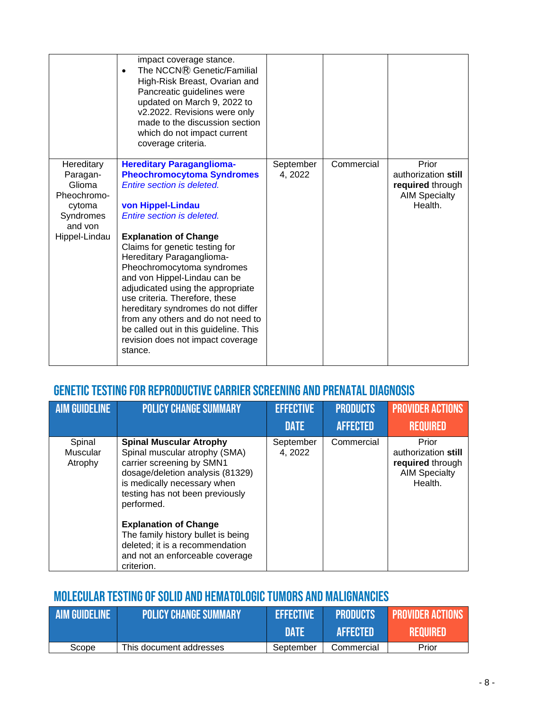|                                                                                   | impact coverage stance.<br>The NCCNR Genetic/Familial<br>$\bullet$<br>High-Risk Breast, Ovarian and<br>Pancreatic guidelines were<br>updated on March 9, 2022 to<br>v2.2022. Revisions were only<br>made to the discussion section<br>which do not impact current<br>coverage criteria.                                                                                                               |                      |            |                                                                                     |
|-----------------------------------------------------------------------------------|-------------------------------------------------------------------------------------------------------------------------------------------------------------------------------------------------------------------------------------------------------------------------------------------------------------------------------------------------------------------------------------------------------|----------------------|------------|-------------------------------------------------------------------------------------|
| Hereditary<br>Paragan-<br>Glioma<br>Pheochromo-<br>cytoma<br>Syndromes<br>and von | <b>Hereditary Paraganglioma-</b><br><b>Pheochromocytoma Syndromes</b><br>Entire section is deleted.<br>von Hippel-Lindau<br>Entire section is deleted.                                                                                                                                                                                                                                                | September<br>4, 2022 | Commercial | Prior<br>authorization still<br>required through<br><b>AIM Specialty</b><br>Health. |
| Hippel-Lindau                                                                     | <b>Explanation of Change</b><br>Claims for genetic testing for<br>Hereditary Paraganglioma-<br>Pheochromocytoma syndromes<br>and von Hippel-Lindau can be<br>adjudicated using the appropriate<br>use criteria. Therefore, these<br>hereditary syndromes do not differ<br>from any others and do not need to<br>be called out in this guideline. This<br>revision does not impact coverage<br>stance. |                      |            |                                                                                     |

### Genetic testing for Reproductive Carrier Screening and Prenatal Diagnosis

| <b>AIM GUIDELINE</b>          | <b>POLICY CHANGE SUMMARY</b>                                                                                                                                                                            | <b>EFFECTIVE</b>                    | <b>PRODUCTS</b>               | <b>PROVIDER ACTIONS</b>                                                                                |
|-------------------------------|---------------------------------------------------------------------------------------------------------------------------------------------------------------------------------------------------------|-------------------------------------|-------------------------------|--------------------------------------------------------------------------------------------------------|
| Spinal<br>Muscular<br>Atrophy | <b>Spinal Muscular Atrophy</b><br>Spinal muscular atrophy (SMA)<br>carrier screening by SMN1<br>dosage/deletion analysis (81329)<br>is medically necessary when                                         | <b>DATE</b><br>September<br>4, 2022 | <b>AFFECTED</b><br>Commercial | <b>REQUIRED</b><br>Prior<br>authorization still<br>required through<br><b>AIM Specialty</b><br>Health. |
|                               | testing has not been previously<br>performed.<br><b>Explanation of Change</b><br>The family history bullet is being<br>deleted; it is a recommendation<br>and not an enforceable coverage<br>criterion. |                                     |                               |                                                                                                        |

### Molecular Testing of Solid and Hematologic Tumors and Malignancies

| <b>AIM GUIDELINE</b> | <b>POLICY CHANGE SUMMARY !</b> | <b>EFFECTIVE</b> | <b>PRODUCTS</b> | <b>PROVIDER ACTIONS</b> |
|----------------------|--------------------------------|------------------|-----------------|-------------------------|
|                      |                                | DATE             | <b>AFFECTED</b> | REQUIRED                |
| Scope                | This document addresses        | September        | Commercial      | Prior                   |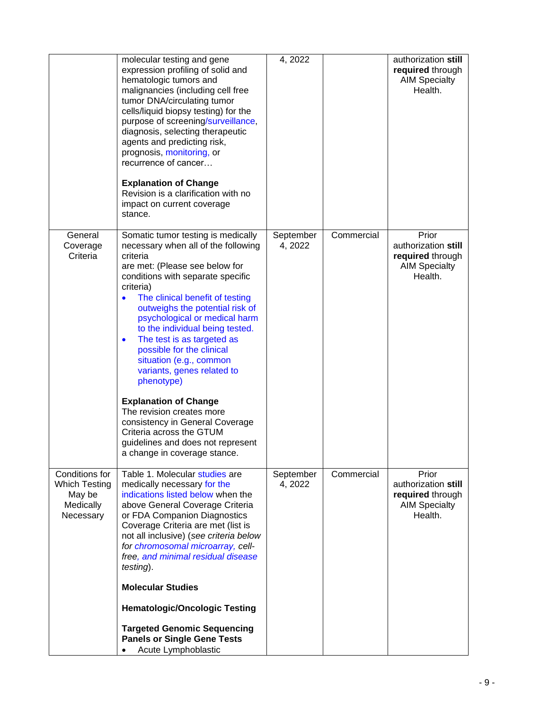|                                                                            | molecular testing and gene<br>expression profiling of solid and<br>hematologic tumors and<br>malignancies (including cell free<br>tumor DNA/circulating tumor<br>cells/liquid biopsy testing) for the<br>purpose of screening/surveillance,<br>diagnosis, selecting therapeutic<br>agents and predicting risk,<br>prognosis, monitoring, or<br>recurrence of cancer<br><b>Explanation of Change</b><br>Revision is a clarification with no<br>impact on current coverage<br>stance.                                                                                                                                                                                             | 4, 2022              |            | authorization still<br>required through<br><b>AIM Specialty</b><br>Health.          |
|----------------------------------------------------------------------------|---------------------------------------------------------------------------------------------------------------------------------------------------------------------------------------------------------------------------------------------------------------------------------------------------------------------------------------------------------------------------------------------------------------------------------------------------------------------------------------------------------------------------------------------------------------------------------------------------------------------------------------------------------------------------------|----------------------|------------|-------------------------------------------------------------------------------------|
| General<br>Coverage<br>Criteria                                            | Somatic tumor testing is medically<br>necessary when all of the following<br>criteria<br>are met: (Please see below for<br>conditions with separate specific<br>criteria)<br>The clinical benefit of testing<br>$\bullet$<br>outweighs the potential risk of<br>psychological or medical harm<br>to the individual being tested.<br>The test is as targeted as<br>$\bullet$<br>possible for the clinical<br>situation (e.g., common<br>variants, genes related to<br>phenotype)<br><b>Explanation of Change</b><br>The revision creates more<br>consistency in General Coverage<br>Criteria across the GTUM<br>guidelines and does not represent<br>a change in coverage stance | September<br>4, 2022 | Commercial | Prior<br>authorization still<br>required through<br><b>AIM Specialty</b><br>Health. |
| Conditions for<br><b>Which Testing</b><br>May be<br>Medically<br>Necessary | Table 1. Molecular studies are<br>medically necessary for the<br>indications listed below when the<br>above General Coverage Criteria<br>or FDA Companion Diagnostics<br>Coverage Criteria are met (list is<br>not all inclusive) (see criteria below<br>for chromosomal microarray, cell-<br>free, and minimal residual disease<br>testing).<br><b>Molecular Studies</b><br><b>Hematologic/Oncologic Testing</b><br><b>Targeted Genomic Sequencing</b><br><b>Panels or Single Gene Tests</b><br>Acute Lymphoblastic                                                                                                                                                            | September<br>4, 2022 | Commercial | Prior<br>authorization still<br>required through<br><b>AIM Specialty</b><br>Health. |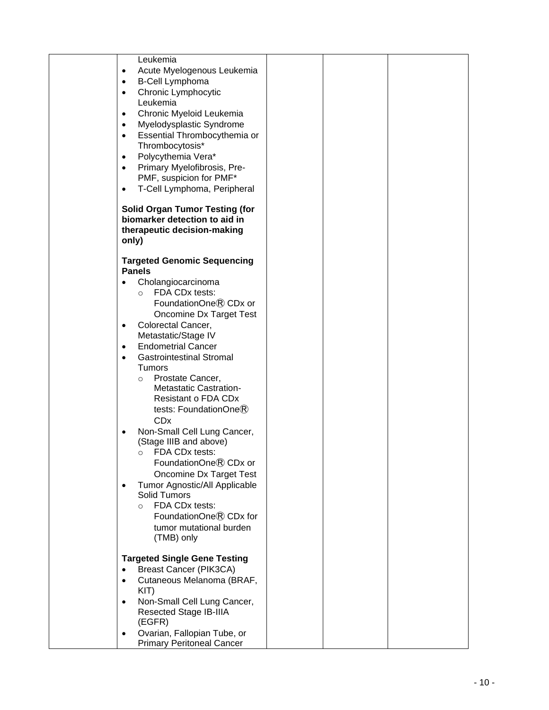| Leukemia                                                                                                       |  |  |
|----------------------------------------------------------------------------------------------------------------|--|--|
| Acute Myelogenous Leukemia<br>$\bullet$                                                                        |  |  |
| <b>B-Cell Lymphoma</b><br>$\bullet$                                                                            |  |  |
| Chronic Lymphocytic<br>$\bullet$                                                                               |  |  |
| Leukemia                                                                                                       |  |  |
|                                                                                                                |  |  |
| Chronic Myeloid Leukemia<br>$\bullet$                                                                          |  |  |
| Myelodysplastic Syndrome<br>$\bullet$                                                                          |  |  |
| Essential Thrombocythemia or<br>$\bullet$                                                                      |  |  |
| Thrombocytosis*                                                                                                |  |  |
| Polycythemia Vera*<br>$\bullet$                                                                                |  |  |
| Primary Myelofibrosis, Pre-<br>٠                                                                               |  |  |
| PMF, suspicion for PMF*                                                                                        |  |  |
| T-Cell Lymphoma, Peripheral<br>$\bullet$                                                                       |  |  |
| <b>Solid Organ Tumor Testing (for</b><br>biomarker detection to aid in<br>therapeutic decision-making<br>only) |  |  |
|                                                                                                                |  |  |
| <b>Targeted Genomic Sequencing</b>                                                                             |  |  |
| <b>Panels</b>                                                                                                  |  |  |
| Cholangiocarcinoma                                                                                             |  |  |
| FDA CDx tests:<br>$\circ$                                                                                      |  |  |
| FoundationOne® CDx or                                                                                          |  |  |
| Oncomine Dx Target Test                                                                                        |  |  |
| Colorectal Cancer,<br>$\bullet$                                                                                |  |  |
| Metastatic/Stage IV                                                                                            |  |  |
| <b>Endometrial Cancer</b><br>$\bullet$                                                                         |  |  |
| <b>Gastrointestinal Stromal</b><br>$\bullet$                                                                   |  |  |
| <b>Tumors</b>                                                                                                  |  |  |
| Prostate Cancer,<br>$\circ$                                                                                    |  |  |
| Metastatic Castration-                                                                                         |  |  |
| Resistant o FDA CDx                                                                                            |  |  |
| tests: FoundationOne®                                                                                          |  |  |
| <b>CD<sub>x</sub></b>                                                                                          |  |  |
| Non-Small Cell Lung Cancer,<br>$\bullet$                                                                       |  |  |
| (Stage IIIB and above)                                                                                         |  |  |
| FDA CDx tests:<br>$\circ$                                                                                      |  |  |
| FoundationOne® CDx or                                                                                          |  |  |
| Oncomine Dx Target Test                                                                                        |  |  |
| Tumor Agnostic/All Applicable                                                                                  |  |  |
| Solid Tumors                                                                                                   |  |  |
| FDA CDx tests:<br>$\Omega$                                                                                     |  |  |
| FoundationOne® CDx for                                                                                         |  |  |
| tumor mutational burden                                                                                        |  |  |
| (TMB) only                                                                                                     |  |  |
| <b>Targeted Single Gene Testing</b>                                                                            |  |  |
| <b>Breast Cancer (PIK3CA)</b>                                                                                  |  |  |
| Cutaneous Melanoma (BRAF,<br>$\bullet$                                                                         |  |  |
| KIT)                                                                                                           |  |  |
| Non-Small Cell Lung Cancer,<br>$\bullet$                                                                       |  |  |
| Resected Stage IB-IIIA                                                                                         |  |  |
| (EGFR)                                                                                                         |  |  |
| Ovarian, Fallopian Tube, or                                                                                    |  |  |
| <b>Primary Peritoneal Cancer</b>                                                                               |  |  |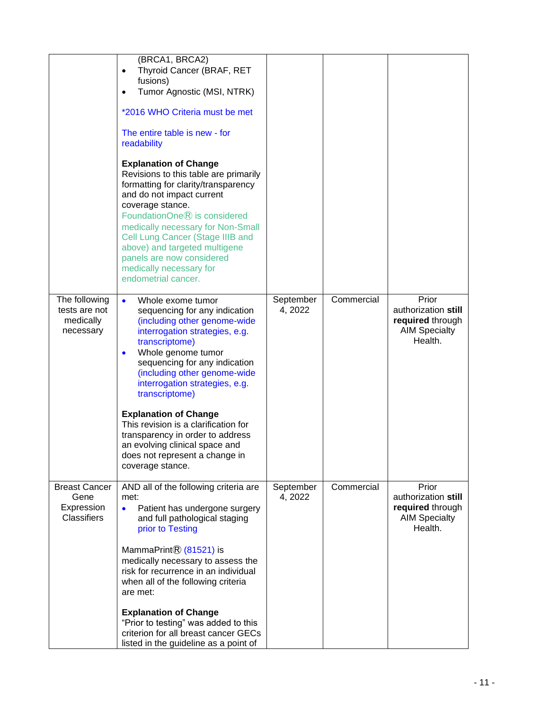|                                                                  | (BRCA1, BRCA2)<br>Thyroid Cancer (BRAF, RET<br>$\bullet$<br>fusions)<br>Tumor Agnostic (MSI, NTRK)                                                                                                                                                                                                                                                                                                                                                        |                      |            |                                                                                     |
|------------------------------------------------------------------|-----------------------------------------------------------------------------------------------------------------------------------------------------------------------------------------------------------------------------------------------------------------------------------------------------------------------------------------------------------------------------------------------------------------------------------------------------------|----------------------|------------|-------------------------------------------------------------------------------------|
|                                                                  | *2016 WHO Criteria must be met<br>The entire table is new - for<br>readability                                                                                                                                                                                                                                                                                                                                                                            |                      |            |                                                                                     |
|                                                                  | <b>Explanation of Change</b><br>Revisions to this table are primarily<br>formatting for clarity/transparency<br>and do not impact current<br>coverage stance.<br>FoundationOne® is considered<br>medically necessary for Non-Small<br>Cell Lung Cancer (Stage IIIB and<br>above) and targeted multigene<br>panels are now considered<br>medically necessary for<br>endometrial cancer.                                                                    |                      |            |                                                                                     |
| The following<br>tests are not<br>medically<br>necessary         | $\bullet$<br>Whole exome tumor<br>sequencing for any indication<br>(including other genome-wide<br>interrogation strategies, e.g.<br>transcriptome)<br>Whole genome tumor<br>$\bullet$<br>sequencing for any indication<br>(including other genome-wide<br>interrogation strategies, e.g.<br>transcriptome)<br><b>Explanation of Change</b><br>This revision is a clarification for<br>transparency in order to address<br>an evolving clinical space and | September<br>4, 2022 | Commercial | Prior<br>authorization still<br>required through<br><b>AIM Specialty</b><br>Health. |
|                                                                  | does not represent a change in<br>coverage stance.                                                                                                                                                                                                                                                                                                                                                                                                        |                      |            |                                                                                     |
| <b>Breast Cancer</b><br>Gene<br>Expression<br><b>Classifiers</b> | AND all of the following criteria are<br>met:<br>Patient has undergone surgery<br>$\bullet$<br>and full pathological staging<br>prior to Testing<br>MammaPrint $\mathbb{R}$ (81521) is                                                                                                                                                                                                                                                                    | September<br>4, 2022 | Commercial | Prior<br>authorization still<br>required through<br><b>AIM Specialty</b><br>Health. |
|                                                                  | medically necessary to assess the<br>risk for recurrence in an individual<br>when all of the following criteria<br>are met:                                                                                                                                                                                                                                                                                                                               |                      |            |                                                                                     |
|                                                                  | <b>Explanation of Change</b><br>"Prior to testing" was added to this<br>criterion for all breast cancer GECs<br>listed in the guideline as a point of                                                                                                                                                                                                                                                                                                     |                      |            |                                                                                     |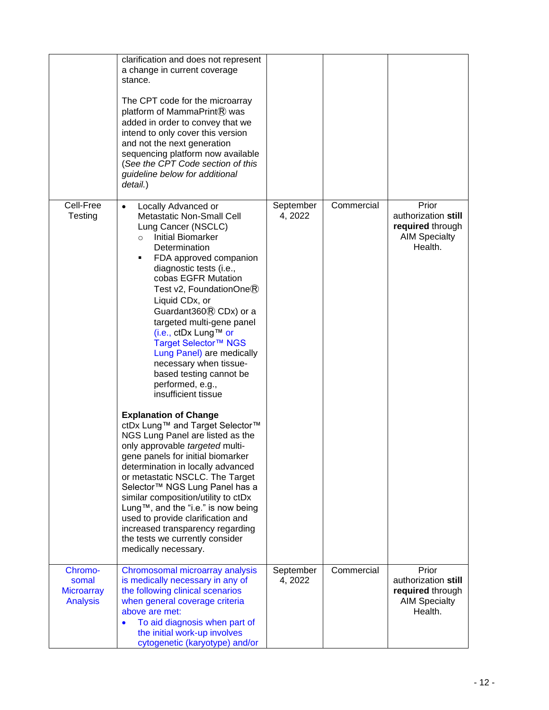|                                                          | clarification and does not represent<br>a change in current coverage<br>stance.<br>The CPT code for the microarray<br>platform of MammaPrint® was<br>added in order to convey that we<br>intend to only cover this version<br>and not the next generation<br>sequencing platform now available<br>(See the CPT Code section of this<br>guideline below for additional<br>detail.)                                                                                                                                                                                                                                                                                                                                                                                                                                                                                                                                                                                                                                                                                                |                      |            |                                                                                     |
|----------------------------------------------------------|----------------------------------------------------------------------------------------------------------------------------------------------------------------------------------------------------------------------------------------------------------------------------------------------------------------------------------------------------------------------------------------------------------------------------------------------------------------------------------------------------------------------------------------------------------------------------------------------------------------------------------------------------------------------------------------------------------------------------------------------------------------------------------------------------------------------------------------------------------------------------------------------------------------------------------------------------------------------------------------------------------------------------------------------------------------------------------|----------------------|------------|-------------------------------------------------------------------------------------|
| Cell-Free<br>Testing                                     | Locally Advanced or<br>$\bullet$<br><b>Metastatic Non-Small Cell</b><br>Lung Cancer (NSCLC)<br><b>Initial Biomarker</b><br>$\circ$<br>Determination<br>FDA approved companion<br>٠<br>diagnostic tests (i.e.,<br>cobas EGFR Mutation<br>Test $v2$ , FoundationOne $\circledR$<br>Liquid CD <sub>x</sub> , or<br>Guardant $360$ $\circ$ CDx) or a<br>targeted multi-gene panel<br>(i.e., ctDx Lung™ or<br>Target Selector™ NGS<br>Lung Panel) are medically<br>necessary when tissue-<br>based testing cannot be<br>performed, e.g.,<br>insufficient tissue<br><b>Explanation of Change</b><br>ctDx Lung™ and Target Selector™<br>NGS Lung Panel are listed as the<br>only approvable targeted multi-<br>gene panels for initial biomarker<br>determination in locally advanced<br>or metastatic NSCLC. The Target<br>Selector <sup>™</sup> NGS Lung Panel has a<br>similar composition/utility to ctDx<br>Lung™, and the "i.e." is now being<br>used to provide clarification and<br>increased transparency regarding<br>the tests we currently consider<br>medically necessary. | September<br>4, 2022 | Commercial | Prior<br>authorization still<br>required through<br><b>AIM Specialty</b><br>Health. |
| Chromo-<br>somal<br><b>Microarray</b><br><b>Analysis</b> | Chromosomal microarray analysis<br>is medically necessary in any of<br>the following clinical scenarios<br>when general coverage criteria<br>above are met:<br>To aid diagnosis when part of<br>$\bullet$<br>the initial work-up involves<br>cytogenetic (karyotype) and/or                                                                                                                                                                                                                                                                                                                                                                                                                                                                                                                                                                                                                                                                                                                                                                                                      | September<br>4, 2022 | Commercial | Prior<br>authorization still<br>required through<br><b>AIM Specialty</b><br>Health. |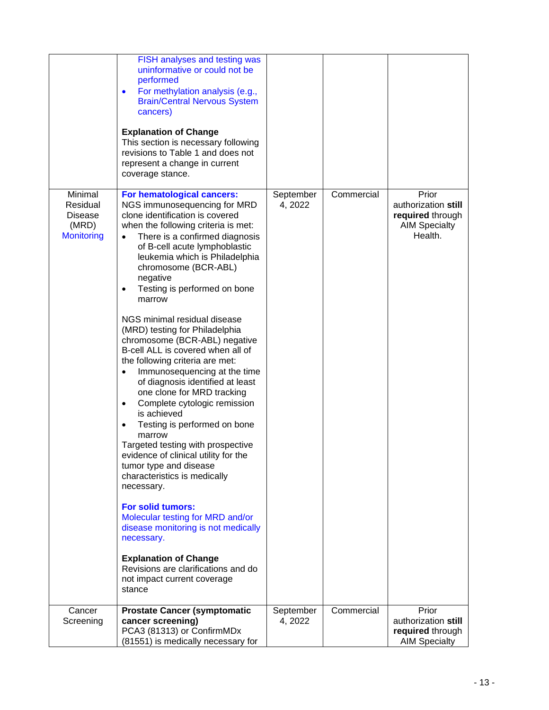|                                                              | FISH analyses and testing was<br>uninformative or could not be<br>performed<br>For methylation analysis (e.g.,<br>$\bullet$<br><b>Brain/Central Nervous System</b><br>cancers)<br><b>Explanation of Change</b><br>This section is necessary following<br>revisions to Table 1 and does not<br>represent a change in current<br>coverage stance.                                                                                                                                                                                                                                                                                                                                                                                                                                                                                                                                                                                                                                                                                                                                                                                                  |                      |            |                                                                                     |
|--------------------------------------------------------------|--------------------------------------------------------------------------------------------------------------------------------------------------------------------------------------------------------------------------------------------------------------------------------------------------------------------------------------------------------------------------------------------------------------------------------------------------------------------------------------------------------------------------------------------------------------------------------------------------------------------------------------------------------------------------------------------------------------------------------------------------------------------------------------------------------------------------------------------------------------------------------------------------------------------------------------------------------------------------------------------------------------------------------------------------------------------------------------------------------------------------------------------------|----------------------|------------|-------------------------------------------------------------------------------------|
| Minimal<br>Residual<br>Disease<br>(MRD)<br><b>Monitoring</b> | For hematological cancers:<br>NGS immunosequencing for MRD<br>clone identification is covered<br>when the following criteria is met:<br>There is a confirmed diagnosis<br>$\bullet$<br>of B-cell acute lymphoblastic<br>leukemia which is Philadelphia<br>chromosome (BCR-ABL)<br>negative<br>Testing is performed on bone<br>٠<br>marrow<br>NGS minimal residual disease<br>(MRD) testing for Philadelphia<br>chromosome (BCR-ABL) negative<br>B-cell ALL is covered when all of<br>the following criteria are met:<br>Immunosequencing at the time<br>$\bullet$<br>of diagnosis identified at least<br>one clone for MRD tracking<br>Complete cytologic remission<br>$\bullet$<br>is achieved<br>Testing is performed on bone<br>$\bullet$<br>marrow<br>Targeted testing with prospective<br>evidence of clinical utility for the<br>tumor type and disease<br>characteristics is medically<br>necessary.<br><b>For solid tumors:</b><br>Molecular testing for MRD and/or<br>disease monitoring is not medically<br>necessary.<br><b>Explanation of Change</b><br>Revisions are clarifications and do<br>not impact current coverage<br>stance | September<br>4, 2022 | Commercial | Prior<br>authorization still<br>required through<br><b>AIM Specialty</b><br>Health. |
| Cancer<br>Screening                                          | <b>Prostate Cancer (symptomatic</b><br>cancer screening)<br>PCA3 (81313) or ConfirmMDx<br>(81551) is medically necessary for                                                                                                                                                                                                                                                                                                                                                                                                                                                                                                                                                                                                                                                                                                                                                                                                                                                                                                                                                                                                                     | September<br>4, 2022 | Commercial | Prior<br>authorization still<br>required through<br><b>AIM Specialty</b>            |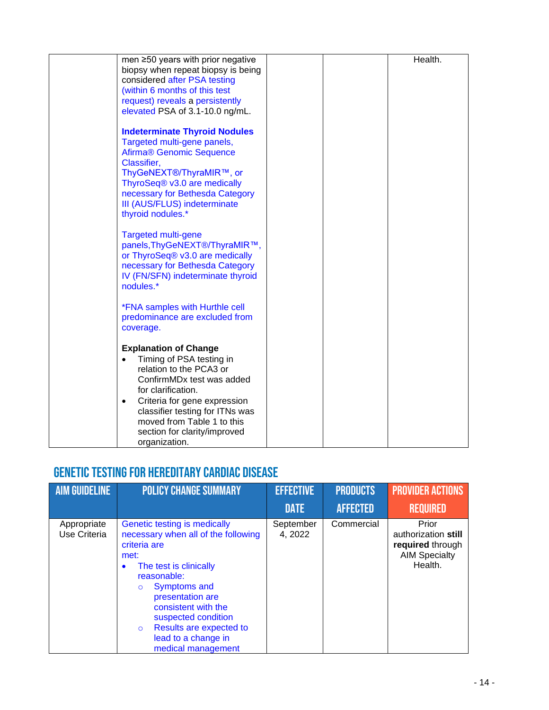| men ≥50 years with prior negative                                   | Health. |
|---------------------------------------------------------------------|---------|
| biopsy when repeat biopsy is being<br>considered after PSA testing  |         |
| (within 6 months of this test                                       |         |
| request) reveals a persistently                                     |         |
| elevated PSA of 3.1-10.0 ng/mL.                                     |         |
|                                                                     |         |
| <b>Indeterminate Thyroid Nodules</b>                                |         |
| Targeted multi-gene panels,<br>Afirma <sup>®</sup> Genomic Sequence |         |
| Classifier,                                                         |         |
| ThyGeNEXT®/ThyraMIR™, or                                            |         |
| ThyroSeq® v3.0 are medically                                        |         |
| necessary for Bethesda Category                                     |         |
| III (AUS/FLUS) indeterminate                                        |         |
| thyroid nodules.*                                                   |         |
| Targeted multi-gene                                                 |         |
| panels, ThyGeNEXT®/ThyraMIR™,                                       |         |
| or ThyroSeq® v3.0 are medically                                     |         |
| necessary for Bethesda Category                                     |         |
| IV (FN/SFN) indeterminate thyroid                                   |         |
| nodules.*                                                           |         |
| <i><b>*FNA samples with Hurthle cell</b></i>                        |         |
| predominance are excluded from                                      |         |
| coverage.                                                           |         |
|                                                                     |         |
| <b>Explanation of Change</b>                                        |         |
| Timing of PSA testing in<br>relation to the PCA3 or                 |         |
| ConfirmMDx test was added                                           |         |
| for clarification.                                                  |         |
| Criteria for gene expression<br>$\bullet$                           |         |
| classifier testing for ITNs was                                     |         |
| moved from Table 1 to this                                          |         |
| section for clarity/improved                                        |         |
| organization.                                                       |         |

### Genetic Testing for Hereditary Cardiac Disease

| <b>AIM GUIDELINE</b>        | <b>POLICY CHANGE SUMMARY</b>                                                                                                                                                                                                                                                                                                             | <b>EFFECTIVE</b>     | <b>PRODUCTS</b> | <b>PROVIDER ACTIONS</b>                                                             |
|-----------------------------|------------------------------------------------------------------------------------------------------------------------------------------------------------------------------------------------------------------------------------------------------------------------------------------------------------------------------------------|----------------------|-----------------|-------------------------------------------------------------------------------------|
|                             |                                                                                                                                                                                                                                                                                                                                          | <b>DATE</b>          | <b>AFFECTED</b> | <b>REQUIRED</b>                                                                     |
| Appropriate<br>Use Criteria | Genetic testing is medically<br>necessary when all of the following<br>criteria are<br>met:<br>The test is clinically<br>$\bullet$<br>reasonable:<br><b>Symptoms and</b><br>$\circ$<br>presentation are<br>consistent with the<br>suspected condition<br>Results are expected to<br>$\circ$<br>lead to a change in<br>medical management | September<br>4, 2022 | Commercial      | Prior<br>authorization still<br>required through<br><b>AIM Specialty</b><br>Health. |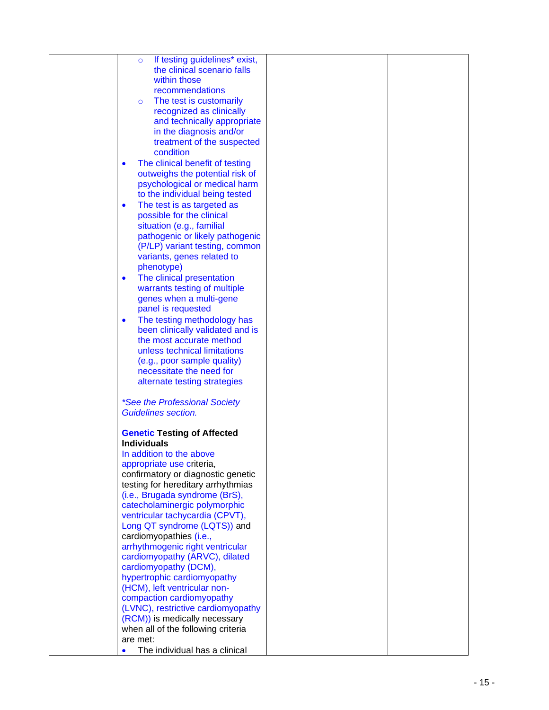| If testing guidelines* exist,<br>$\circ$     |  |
|----------------------------------------------|--|
| the clinical scenario falls                  |  |
| within those                                 |  |
| recommendations                              |  |
| The test is customarily<br>$\circ$           |  |
| recognized as clinically                     |  |
|                                              |  |
| and technically appropriate                  |  |
| in the diagnosis and/or                      |  |
| treatment of the suspected                   |  |
| condition                                    |  |
| The clinical benefit of testing<br>$\bullet$ |  |
| outweighs the potential risk of              |  |
| psychological or medical harm                |  |
| to the individual being tested               |  |
|                                              |  |
| The test is as targeted as<br>$\bullet$      |  |
| possible for the clinical                    |  |
| situation (e.g., familial                    |  |
| pathogenic or likely pathogenic              |  |
| (P/LP) variant testing, common               |  |
| variants, genes related to                   |  |
| phenotype)                                   |  |
| The clinical presentation<br>$\bullet$       |  |
| warrants testing of multiple                 |  |
| genes when a multi-gene                      |  |
| panel is requested                           |  |
|                                              |  |
| The testing methodology has<br>$\bullet$     |  |
| been clinically validated and is             |  |
| the most accurate method                     |  |
| unless technical limitations                 |  |
| (e.g., poor sample quality)                  |  |
| necessitate the need for                     |  |
| alternate testing strategies                 |  |
|                                              |  |
| <i>*See the Professional Society</i>         |  |
| <b>Guidelines section.</b>                   |  |
|                                              |  |
|                                              |  |
| <b>Genetic Testing of Affected</b>           |  |
| <b>Individuals</b>                           |  |
| In addition to the above                     |  |
| appropriate use criteria,                    |  |
| confirmatory or diagnostic genetic           |  |
| testing for hereditary arrhythmias           |  |
| (i.e., Brugada syndrome (BrS),               |  |
| catecholaminergic polymorphic                |  |
| ventricular tachycardia (CPVT),              |  |
| Long QT syndrome (LQTS)) and                 |  |
| cardiomyopathies (i.e.,                      |  |
|                                              |  |
| arrhythmogenic right ventricular             |  |
| cardiomyopathy (ARVC), dilated               |  |
| cardiomyopathy (DCM),                        |  |
| hypertrophic cardiomyopathy                  |  |
| (HCM), left ventricular non-                 |  |
| compaction cardiomyopathy                    |  |
| (LVNC), restrictive cardiomyopathy           |  |
| (RCM)) is medically necessary                |  |
| when all of the following criteria           |  |
| are met:                                     |  |
|                                              |  |
| The individual has a clinical                |  |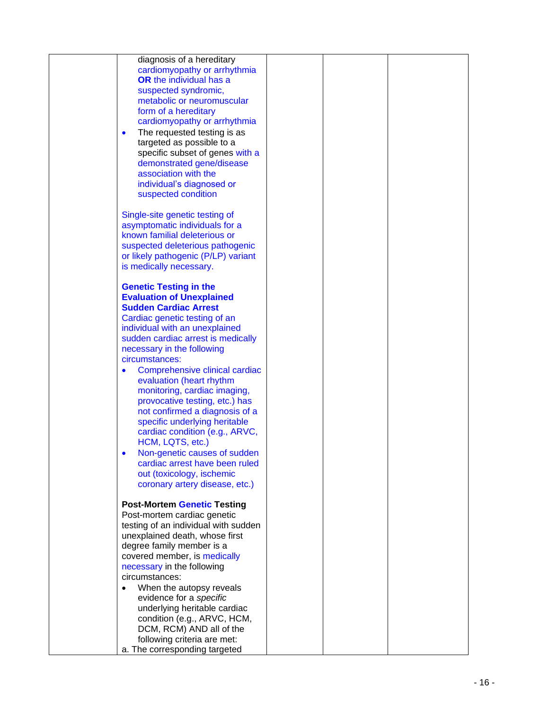| diagnosis of a hereditary                   |  |  |
|---------------------------------------------|--|--|
| cardiomyopathy or arrhythmia                |  |  |
| <b>OR</b> the individual has a              |  |  |
|                                             |  |  |
| suspected syndromic,                        |  |  |
| metabolic or neuromuscular                  |  |  |
| form of a hereditary                        |  |  |
|                                             |  |  |
| cardiomyopathy or arrhythmia                |  |  |
| The requested testing is as<br>$\bullet$    |  |  |
| targeted as possible to a                   |  |  |
| specific subset of genes with a             |  |  |
|                                             |  |  |
| demonstrated gene/disease                   |  |  |
| association with the                        |  |  |
| individual's diagnosed or                   |  |  |
| suspected condition                         |  |  |
|                                             |  |  |
|                                             |  |  |
| Single-site genetic testing of              |  |  |
| asymptomatic individuals for a              |  |  |
| known familial deleterious or               |  |  |
|                                             |  |  |
| suspected deleterious pathogenic            |  |  |
| or likely pathogenic (P/LP) variant         |  |  |
| is medically necessary.                     |  |  |
|                                             |  |  |
|                                             |  |  |
| <b>Genetic Testing in the</b>               |  |  |
| <b>Evaluation of Unexplained</b>            |  |  |
| <b>Sudden Cardiac Arrest</b>                |  |  |
| Cardiac genetic testing of an               |  |  |
|                                             |  |  |
| individual with an unexplained              |  |  |
| sudden cardiac arrest is medically          |  |  |
| necessary in the following                  |  |  |
| circumstances:                              |  |  |
|                                             |  |  |
| Comprehensive clinical cardiac<br>$\bullet$ |  |  |
| evaluation (heart rhythm                    |  |  |
| monitoring, cardiac imaging,                |  |  |
| provocative testing, etc.) has              |  |  |
| not confirmed a diagnosis of a              |  |  |
|                                             |  |  |
| specific underlying heritable               |  |  |
| cardiac condition (e.g., ARVC,              |  |  |
| HCM, LQTS, etc.)                            |  |  |
|                                             |  |  |
| Non-genetic causes of sudden                |  |  |
| cardiac arrest have been ruled              |  |  |
| out (toxicology, ischemic                   |  |  |
| coronary artery disease, etc.)              |  |  |
|                                             |  |  |
|                                             |  |  |
| <b>Post-Mortem Genetic Testing</b>          |  |  |
| Post-mortem cardiac genetic                 |  |  |
| testing of an individual with sudden        |  |  |
| unexplained death, whose first              |  |  |
|                                             |  |  |
| degree family member is a                   |  |  |
| covered member, is medically                |  |  |
| necessary in the following                  |  |  |
| circumstances:                              |  |  |
|                                             |  |  |
| When the autopsy reveals                    |  |  |
| evidence for a specific                     |  |  |
| underlying heritable cardiac                |  |  |
| condition (e.g., ARVC, HCM,                 |  |  |
| DCM, RCM) AND all of the                    |  |  |
|                                             |  |  |
| following criteria are met:                 |  |  |
| a. The corresponding targeted               |  |  |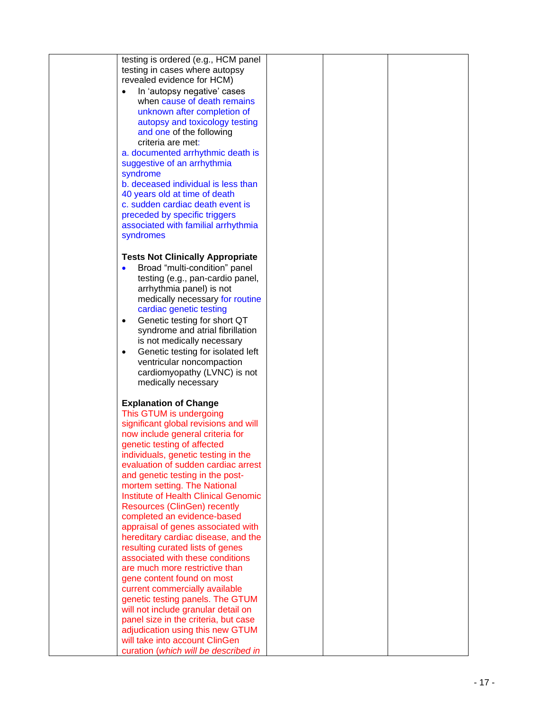| testing is ordered (e.g., HCM panel            |  |
|------------------------------------------------|--|
| testing in cases where autopsy                 |  |
| revealed evidence for HCM)                     |  |
| In 'autopsy negative' cases                    |  |
| when cause of death remains                    |  |
| unknown after completion of                    |  |
|                                                |  |
| autopsy and toxicology testing                 |  |
| and one of the following                       |  |
| criteria are met:                              |  |
| a. documented arrhythmic death is              |  |
| suggestive of an arrhythmia                    |  |
| syndrome                                       |  |
| b. deceased individual is less than            |  |
| 40 years old at time of death                  |  |
| c. sudden cardiac death event is               |  |
|                                                |  |
| preceded by specific triggers                  |  |
| associated with familial arrhythmia            |  |
| syndromes                                      |  |
|                                                |  |
| <b>Tests Not Clinically Appropriate</b>        |  |
| Broad "multi-condition" panel<br>$\bullet$     |  |
| testing (e.g., pan-cardio panel,               |  |
| arrhythmia panel) is not                       |  |
|                                                |  |
| medically necessary for routine                |  |
| cardiac genetic testing                        |  |
| Genetic testing for short QT<br>$\bullet$      |  |
| syndrome and atrial fibrillation               |  |
| is not medically necessary                     |  |
| Genetic testing for isolated left<br>$\bullet$ |  |
| ventricular noncompaction                      |  |
| cardiomyopathy (LVNC) is not                   |  |
| medically necessary                            |  |
|                                                |  |
|                                                |  |
| <b>Explanation of Change</b>                   |  |
| This GTUM is undergoing                        |  |
| significant global revisions and will          |  |
| now include general criteria for               |  |
| genetic testing of affected                    |  |
| individuals, genetic testing in the            |  |
| evaluation of sudden cardiac arrest            |  |
| and genetic testing in the post-               |  |
| mortem setting. The National                   |  |
| <b>Institute of Health Clinical Genomic</b>    |  |
| <b>Resources (ClinGen) recently</b>            |  |
| completed an evidence-based                    |  |
|                                                |  |
| appraisal of genes associated with             |  |
| hereditary cardiac disease, and the            |  |
| resulting curated lists of genes               |  |
| associated with these conditions               |  |
| are much more restrictive than                 |  |
| gene content found on most                     |  |
| current commercially available                 |  |
| genetic testing panels. The GTUM               |  |
| will not include granular detail on            |  |
| panel size in the criteria, but case           |  |
| adjudication using this new GTUM               |  |
|                                                |  |
| will take into account ClinGen                 |  |
| curation (which will be described in           |  |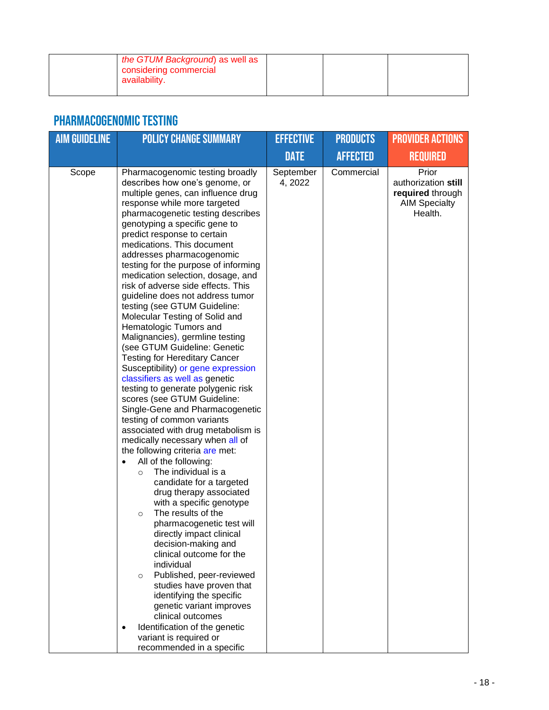| the GTUM Background) as well as<br>considering commercial<br>availability. |  |  |
|----------------------------------------------------------------------------|--|--|
|                                                                            |  |  |

### Pharmacogenomic Testing

| <b>AIM GUIDELINE</b> | <b>POLICY CHANGE SUMMARY</b>                                                                                                                                                                                                                                                                                                                                                                                                                                                                                                                                                                                                                                                                                                                                                                                                                                                                                                                                                                                                                                                                                                                                                                                                                                                                                                                                                                                                                                                                                                                                               | <b>EFFECTIVE</b>     | <b>PRODUCTS</b> | <b>PROVIDER ACTIONS</b>                                                             |
|----------------------|----------------------------------------------------------------------------------------------------------------------------------------------------------------------------------------------------------------------------------------------------------------------------------------------------------------------------------------------------------------------------------------------------------------------------------------------------------------------------------------------------------------------------------------------------------------------------------------------------------------------------------------------------------------------------------------------------------------------------------------------------------------------------------------------------------------------------------------------------------------------------------------------------------------------------------------------------------------------------------------------------------------------------------------------------------------------------------------------------------------------------------------------------------------------------------------------------------------------------------------------------------------------------------------------------------------------------------------------------------------------------------------------------------------------------------------------------------------------------------------------------------------------------------------------------------------------------|----------------------|-----------------|-------------------------------------------------------------------------------------|
|                      |                                                                                                                                                                                                                                                                                                                                                                                                                                                                                                                                                                                                                                                                                                                                                                                                                                                                                                                                                                                                                                                                                                                                                                                                                                                                                                                                                                                                                                                                                                                                                                            | <b>DATE</b>          | <b>AFFECTED</b> | <b>REQUIRED</b>                                                                     |
| Scope                | Pharmacogenomic testing broadly<br>describes how one's genome, or<br>multiple genes, can influence drug<br>response while more targeted<br>pharmacogenetic testing describes<br>genotyping a specific gene to<br>predict response to certain<br>medications. This document<br>addresses pharmacogenomic<br>testing for the purpose of informing<br>medication selection, dosage, and<br>risk of adverse side effects. This<br>guideline does not address tumor<br>testing (see GTUM Guideline:<br>Molecular Testing of Solid and<br>Hematologic Tumors and<br>Malignancies), germline testing<br>(see GTUM Guideline: Genetic<br><b>Testing for Hereditary Cancer</b><br>Susceptibility) or gene expression<br>classifiers as well as genetic<br>testing to generate polygenic risk<br>scores (see GTUM Guideline:<br>Single-Gene and Pharmacogenetic<br>testing of common variants<br>associated with drug metabolism is<br>medically necessary when all of<br>the following criteria are met:<br>All of the following:<br>$\bullet$<br>The individual is a<br>$\circ$<br>candidate for a targeted<br>drug therapy associated<br>with a specific genotype<br>The results of the<br>$\circ$<br>pharmacogenetic test will<br>directly impact clinical<br>decision-making and<br>clinical outcome for the<br>individual<br>Published, peer-reviewed<br>$\circ$<br>studies have proven that<br>identifying the specific<br>genetic variant improves<br>clinical outcomes<br>Identification of the genetic<br>$\bullet$<br>variant is required or<br>recommended in a specific | September<br>4, 2022 | Commercial      | Prior<br>authorization still<br>required through<br><b>AIM Specialty</b><br>Health. |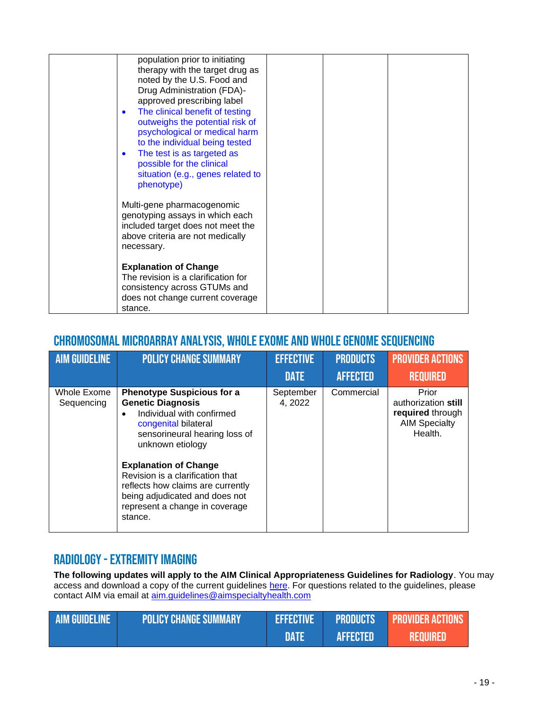| population prior to initiating<br>therapy with the target drug as<br>noted by the U.S. Food and<br>Drug Administration (FDA)-<br>approved prescribing label<br>The clinical benefit of testing<br>$\bullet$<br>outweighs the potential risk of<br>psychological or medical harm<br>to the individual being tested<br>The test is as targeted as<br>$\bullet$<br>possible for the clinical<br>situation (e.g., genes related to<br>phenotype) |  |
|----------------------------------------------------------------------------------------------------------------------------------------------------------------------------------------------------------------------------------------------------------------------------------------------------------------------------------------------------------------------------------------------------------------------------------------------|--|
| Multi-gene pharmacogenomic<br>genotyping assays in which each<br>included target does not meet the<br>above criteria are not medically<br>necessary.                                                                                                                                                                                                                                                                                         |  |
| <b>Explanation of Change</b><br>The revision is a clarification for<br>consistency across GTUMs and<br>does not change current coverage<br>stance.                                                                                                                                                                                                                                                                                           |  |

### Chromosomal Microarray Analysis, Whole Exome and Whole Genome Sequencing

| <b>AIM GUIDELINE</b>      | <b>POLICY CHANGE SUMMARY</b>                                                                                                                                                                                                                                                                                                                                                 | <b>EFFECTIVE</b>     | <b>PRODUCTS</b> | <b>PROVIDER ACTIONS</b>                                                             |
|---------------------------|------------------------------------------------------------------------------------------------------------------------------------------------------------------------------------------------------------------------------------------------------------------------------------------------------------------------------------------------------------------------------|----------------------|-----------------|-------------------------------------------------------------------------------------|
|                           |                                                                                                                                                                                                                                                                                                                                                                              | <b>DATE</b>          | <b>AFFECTED</b> | <b>REQUIRED</b>                                                                     |
| Whole Exome<br>Sequencing | <b>Phenotype Suspicious for a</b><br><b>Genetic Diagnosis</b><br>Individual with confirmed<br>$\bullet$<br>congenital bilateral<br>sensorineural hearing loss of<br>unknown etiology<br><b>Explanation of Change</b><br>Revision is a clarification that<br>reflects how claims are currently<br>being adjudicated and does not<br>represent a change in coverage<br>stance. | September<br>4, 2022 | Commercial      | Prior<br>authorization still<br>required through<br><b>AIM Specialty</b><br>Health. |

#### RADIOLOGY - EXTREMITY IMAGING

**The following updates will apply to the AIM Clinical Appropriateness Guidelines for Radiology**. You may access and download a copy of the current guidelines [here.](https://aimspecialtyhealth.com/resources/clinical-guidelines/radiology/) For questions related to the guidelines, please contact AIM via email at [aim.guidelines@aimspecialtyhealth.com](mailto:aim.guidelines@aimspecialtyhealth.com)

| <b>AIM GUIDELINE</b> | <b>POLICY CHANGE SUMMARY</b> | <b>EFFECTIVE</b> | <b>FRODUCTS</b> | <b>PROVIDER ACTIONS</b> |
|----------------------|------------------------------|------------------|-----------------|-------------------------|
|                      |                              | <b>DATA</b>      | <b>AFFECTED</b> | <b>REQUIRED</b>         |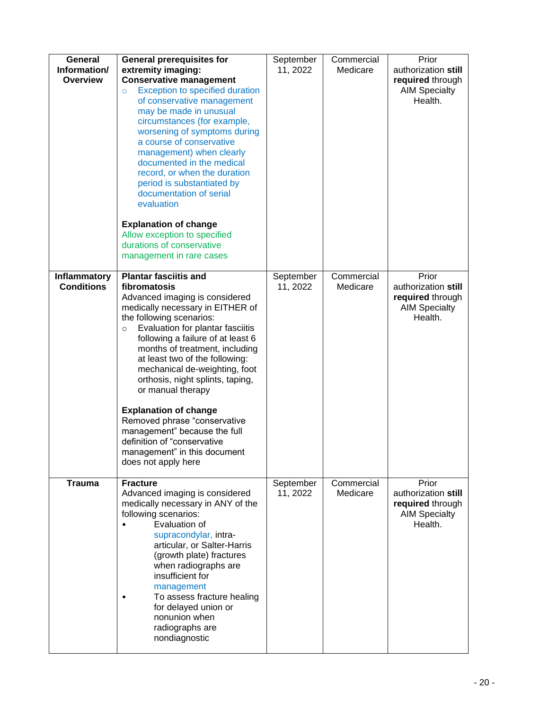| General<br>Information/<br><b>Overview</b> | <b>General prerequisites for</b><br>extremity imaging:<br><b>Conservative management</b><br><b>Exception to specified duration</b><br>$\circ$<br>of conservative management<br>may be made in unusual<br>circumstances (for example,<br>worsening of symptoms during<br>a course of conservative<br>management) when clearly<br>documented in the medical<br>record, or when the duration<br>period is substantiated by<br>documentation of serial<br>evaluation<br><b>Explanation of change</b><br>Allow exception to specified                                                       | September<br>11, 2022 | Commercial<br>Medicare | Prior<br>authorization still<br>required through<br><b>AIM Specialty</b><br>Health. |
|--------------------------------------------|----------------------------------------------------------------------------------------------------------------------------------------------------------------------------------------------------------------------------------------------------------------------------------------------------------------------------------------------------------------------------------------------------------------------------------------------------------------------------------------------------------------------------------------------------------------------------------------|-----------------------|------------------------|-------------------------------------------------------------------------------------|
|                                            | durations of conservative<br>management in rare cases                                                                                                                                                                                                                                                                                                                                                                                                                                                                                                                                  |                       |                        |                                                                                     |
| Inflammatory<br><b>Conditions</b>          | <b>Plantar fasciitis and</b><br>fibromatosis<br>Advanced imaging is considered<br>medically necessary in EITHER of<br>the following scenarios:<br>Evaluation for plantar fasciitis<br>$\circ$<br>following a failure of at least 6<br>months of treatment, including<br>at least two of the following:<br>mechanical de-weighting, foot<br>orthosis, night splints, taping,<br>or manual therapy<br><b>Explanation of change</b><br>Removed phrase "conservative<br>management" because the full<br>definition of "conservative<br>management" in this document<br>does not apply here | September<br>11, 2022 | Commercial<br>Medicare | Prior<br>authorization still<br>required through<br><b>AIM Specialty</b><br>Health. |
| <b>Trauma</b>                              | <b>Fracture</b><br>Advanced imaging is considered<br>medically necessary in ANY of the<br>following scenarios:<br>Evaluation of<br>supracondylar, intra-<br>articular, or Salter-Harris<br>(growth plate) fractures<br>when radiographs are<br>insufficient for<br>management<br>To assess fracture healing<br>for delayed union or<br>nonunion when<br>radiographs are<br>nondiagnostic                                                                                                                                                                                               | September<br>11, 2022 | Commercial<br>Medicare | Prior<br>authorization still<br>required through<br><b>AIM Specialty</b><br>Health. |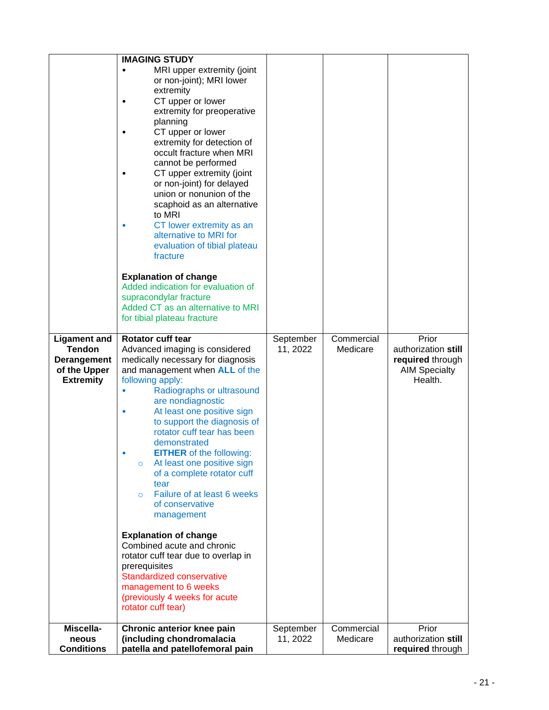|                                                                                                | <b>IMAGING STUDY</b><br>MRI upper extremity (joint<br>$\bullet$<br>or non-joint); MRI lower<br>extremity<br>CT upper or lower<br>extremity for preoperative<br>planning<br>CT upper or lower<br>extremity for detection of<br>occult fracture when MRI<br>cannot be performed<br>CT upper extremity (joint<br>or non-joint) for delayed<br>union or nonunion of the<br>scaphoid as an alternative<br>to MRI<br>CT lower extremity as an<br>alternative to MRI for<br>evaluation of tibial plateau<br>fracture<br><b>Explanation of change</b><br>Added indication for evaluation of<br>supracondylar fracture<br>Added CT as an alternative to MRI<br>for tibial plateau fracture                                                            |                       |                        |                                                                                     |
|------------------------------------------------------------------------------------------------|----------------------------------------------------------------------------------------------------------------------------------------------------------------------------------------------------------------------------------------------------------------------------------------------------------------------------------------------------------------------------------------------------------------------------------------------------------------------------------------------------------------------------------------------------------------------------------------------------------------------------------------------------------------------------------------------------------------------------------------------|-----------------------|------------------------|-------------------------------------------------------------------------------------|
| <b>Ligament and</b><br><b>Tendon</b><br><b>Derangement</b><br>of the Upper<br><b>Extremity</b> | Rotator cuff tear<br>Advanced imaging is considered<br>medically necessary for diagnosis<br>and management when ALL of the<br>following apply:<br>Radiographs or ultrasound<br>are nondiagnostic<br>At least one positive sign<br>to support the diagnosis of<br>rotator cuff tear has been<br>demonstrated<br><b>EITHER</b> of the following:<br>At least one positive sign<br>$\circ$<br>of a complete rotator cuff<br>tear<br>Failure of at least 6 weeks<br>$\Omega$<br>of conservative<br>management<br><b>Explanation of change</b><br>Combined acute and chronic<br>rotator cuff tear due to overlap in<br>prerequisites<br>Standardized conservative<br>management to 6 weeks<br>(previously 4 weeks for acute<br>rotator cuff tear) | September<br>11, 2022 | Commercial<br>Medicare | Prior<br>authorization still<br>required through<br><b>AIM Specialty</b><br>Health. |
| Miscella-<br>neous<br><b>Conditions</b>                                                        | Chronic anterior knee pain<br>(including chondromalacia<br>patella and patellofemoral pain                                                                                                                                                                                                                                                                                                                                                                                                                                                                                                                                                                                                                                                   | September<br>11, 2022 | Commercial<br>Medicare | Prior<br>authorization still<br>required through                                    |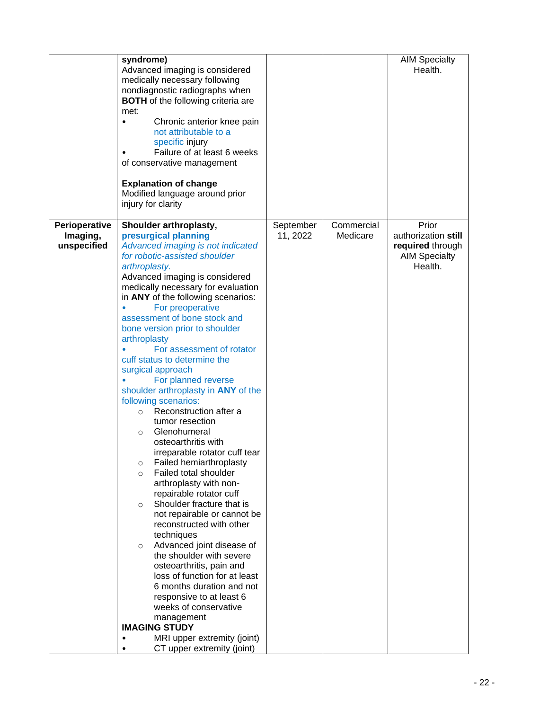|                                          | syndrome)<br>Advanced imaging is considered<br>medically necessary following<br>nondiagnostic radiographs when<br><b>BOTH</b> of the following criteria are<br>met:<br>Chronic anterior knee pain<br>$\bullet$<br>not attributable to a<br>specific injury<br>Failure of at least 6 weeks<br>of conservative management<br><b>Explanation of change</b><br>Modified language around prior<br>injury for clarity                                                                                                                                                                                                                                                                                                                                                                                                                                                                                                                                                                                                                                                                                                                                                                                                                                                 |                       |                        | <b>AIM Specialty</b><br>Health.                                                     |
|------------------------------------------|-----------------------------------------------------------------------------------------------------------------------------------------------------------------------------------------------------------------------------------------------------------------------------------------------------------------------------------------------------------------------------------------------------------------------------------------------------------------------------------------------------------------------------------------------------------------------------------------------------------------------------------------------------------------------------------------------------------------------------------------------------------------------------------------------------------------------------------------------------------------------------------------------------------------------------------------------------------------------------------------------------------------------------------------------------------------------------------------------------------------------------------------------------------------------------------------------------------------------------------------------------------------|-----------------------|------------------------|-------------------------------------------------------------------------------------|
| Perioperative<br>Imaging,<br>unspecified | Shoulder arthroplasty,<br>presurgical planning<br>Advanced imaging is not indicated<br>for robotic-assisted shoulder<br>arthroplasty.<br>Advanced imaging is considered<br>medically necessary for evaluation<br>in ANY of the following scenarios:<br>For preoperative<br>assessment of bone stock and<br>bone version prior to shoulder<br>arthroplasty<br>For assessment of rotator<br>cuff status to determine the<br>surgical approach<br>For planned reverse<br>shoulder arthroplasty in ANY of the<br>following scenarios:<br>Reconstruction after a<br>$\circ$<br>tumor resection<br>Glenohumeral<br>$\circ$<br>osteoarthritis with<br>irreparable rotator cuff tear<br>Failed hemiarthroplasty<br>$\circ$<br>Failed total shoulder<br>$\circ$<br>arthroplasty with non-<br>repairable rotator cuff<br>Shoulder fracture that is<br>$\circ$<br>not repairable or cannot be<br>reconstructed with other<br>techniques<br>Advanced joint disease of<br>$\circ$<br>the shoulder with severe<br>osteoarthritis, pain and<br>loss of function for at least<br>6 months duration and not<br>responsive to at least 6<br>weeks of conservative<br>management<br><b>IMAGING STUDY</b><br>MRI upper extremity (joint)<br>$\bullet$<br>CT upper extremity (joint) | September<br>11, 2022 | Commercial<br>Medicare | Prior<br>authorization still<br>required through<br><b>AIM Specialty</b><br>Health. |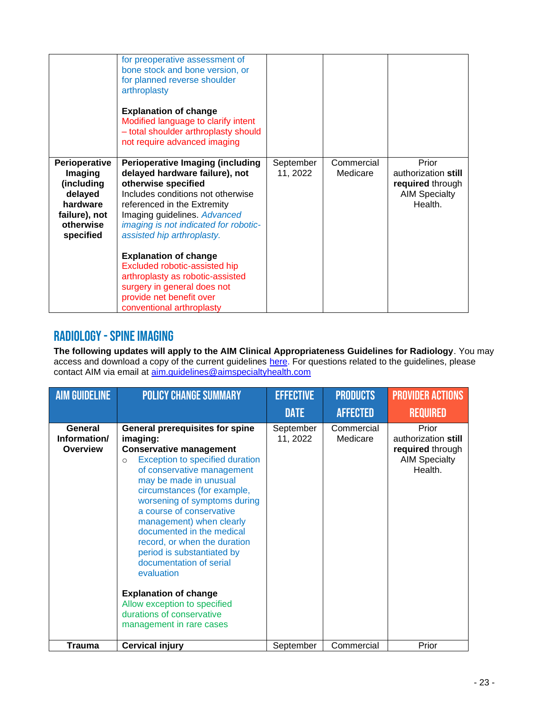|                                                                                                          | for preoperative assessment of<br>bone stock and bone version, or<br>for planned reverse shoulder<br>arthroplasty<br><b>Explanation of change</b><br>Modified language to clarify intent<br>- total shoulder arthroplasty should<br>not require advanced imaging                                                                                                                                                                                                         |                       |                        |                                                                                     |
|----------------------------------------------------------------------------------------------------------|--------------------------------------------------------------------------------------------------------------------------------------------------------------------------------------------------------------------------------------------------------------------------------------------------------------------------------------------------------------------------------------------------------------------------------------------------------------------------|-----------------------|------------------------|-------------------------------------------------------------------------------------|
| Perioperative<br>Imaging<br>(including<br>delayed<br>hardware<br>failure), not<br>otherwise<br>specified | <b>Perioperative Imaging (including</b><br>delayed hardware failure), not<br>otherwise specified<br>Includes conditions not otherwise<br>referenced in the Extremity<br>Imaging guidelines. Advanced<br>imaging is not indicated for robotic-<br>assisted hip arthroplasty.<br><b>Explanation of change</b><br>Excluded robotic-assisted hip<br>arthroplasty as robotic-assisted<br>surgery in general does not<br>provide net benefit over<br>conventional arthroplasty | September<br>11, 2022 | Commercial<br>Medicare | Prior<br>authorization still<br>required through<br><b>AIM Specialty</b><br>Health. |

#### Radiology -Spine imaging

**The following updates will apply to the AIM Clinical Appropriateness Guidelines for Radiology**. You may access and download a copy of the current guidelines [here.](https://aimspecialtyhealth.com/resources/clinical-guidelines/radiology/) For questions related to the guidelines, please contact AIM via email at [aim.guidelines@aimspecialtyhealth.com](mailto:aim.guidelines@aimspecialtyhealth.com)

| <b>AIM GUIDELINE</b>                       | <b>POLICY CHANGE SUMMARY</b>                                                                                                                                                                                                                                                                                                                                                                                                                                                                                                                                                          | <b>EFFECTIVE</b>      | <b>PRODUCTS</b>        | <b>PROVIDER ACTIONS</b>                                                             |
|--------------------------------------------|---------------------------------------------------------------------------------------------------------------------------------------------------------------------------------------------------------------------------------------------------------------------------------------------------------------------------------------------------------------------------------------------------------------------------------------------------------------------------------------------------------------------------------------------------------------------------------------|-----------------------|------------------------|-------------------------------------------------------------------------------------|
|                                            |                                                                                                                                                                                                                                                                                                                                                                                                                                                                                                                                                                                       | <b>DATE</b>           | <b>AFFECTED</b>        | <b>REQUIRED</b>                                                                     |
| General<br>Information/<br><b>Overview</b> | <b>General prerequisites for spine</b><br>imaging:<br><b>Conservative management</b><br><b>Exception to specified duration</b><br>$\circ$<br>of conservative management<br>may be made in unusual<br>circumstances (for example,<br>worsening of symptoms during<br>a course of conservative<br>management) when clearly<br>documented in the medical<br>record, or when the duration<br>period is substantiated by<br>documentation of serial<br>evaluation<br><b>Explanation of change</b><br>Allow exception to specified<br>durations of conservative<br>management in rare cases | September<br>11, 2022 | Commercial<br>Medicare | Prior<br>authorization still<br>required through<br><b>AIM Specialty</b><br>Health. |
| Trauma                                     | <b>Cervical injury</b>                                                                                                                                                                                                                                                                                                                                                                                                                                                                                                                                                                | September             | Commercial             | Prior                                                                               |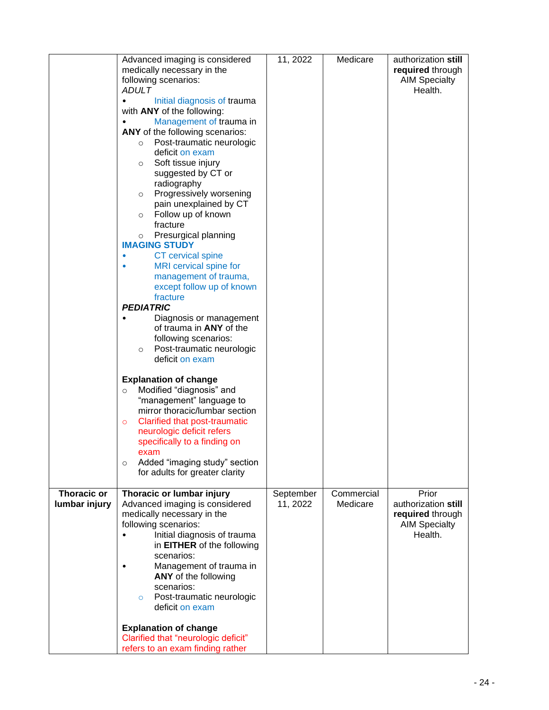|                                     | Advanced imaging is considered<br>medically necessary in the<br>following scenarios:<br>ADULT<br>Initial diagnosis of trauma<br>with ANY of the following:<br>Management of trauma in<br>ANY of the following scenarios:<br>Post-traumatic neurologic<br>$\circ$<br>deficit on exam<br>Soft tissue injury<br>$\circ$<br>suggested by CT or<br>radiography<br>Progressively worsening<br>$\circ$<br>pain unexplained by CT<br>Follow up of known<br>$\circ$<br>fracture<br>Presurgical planning<br>$\circ$<br><b>IMAGING STUDY</b><br>CT cervical spine<br>MRI cervical spine for<br>management of trauma,<br>except follow up of known<br>fracture<br><b>PEDIATRIC</b><br>Diagnosis or management<br>of trauma in <b>ANY</b> of the<br>following scenarios:<br>Post-traumatic neurologic<br>$\circ$<br>deficit on exam<br><b>Explanation of change</b><br>Modified "diagnosis" and<br>$\circ$<br>"management" language to<br>mirror thoracic/lumbar section<br>Clarified that post-traumatic<br>$\circ$<br>neurologic deficit refers<br>specifically to a finding on<br>exam | 11, 2022              | Medicare               | authorization still<br>required through<br><b>AIM Specialty</b><br>Health.          |
|-------------------------------------|------------------------------------------------------------------------------------------------------------------------------------------------------------------------------------------------------------------------------------------------------------------------------------------------------------------------------------------------------------------------------------------------------------------------------------------------------------------------------------------------------------------------------------------------------------------------------------------------------------------------------------------------------------------------------------------------------------------------------------------------------------------------------------------------------------------------------------------------------------------------------------------------------------------------------------------------------------------------------------------------------------------------------------------------------------------------------|-----------------------|------------------------|-------------------------------------------------------------------------------------|
|                                     | Added "imaging study" section<br>$\circ$<br>for adults for greater clarity                                                                                                                                                                                                                                                                                                                                                                                                                                                                                                                                                                                                                                                                                                                                                                                                                                                                                                                                                                                                   |                       |                        |                                                                                     |
| <b>Thoracic or</b><br>lumbar injury | Thoracic or lumbar injury<br>Advanced imaging is considered<br>medically necessary in the<br>following scenarios:<br>Initial diagnosis of trauma<br>in EITHER of the following<br>scenarios:<br>Management of trauma in<br>ANY of the following<br>scenarios:<br>Post-traumatic neurologic<br>$\circ$<br>deficit on exam<br><b>Explanation of change</b><br>Clarified that "neurologic deficit"                                                                                                                                                                                                                                                                                                                                                                                                                                                                                                                                                                                                                                                                              | September<br>11, 2022 | Commercial<br>Medicare | Prior<br>authorization still<br>required through<br><b>AIM Specialty</b><br>Health. |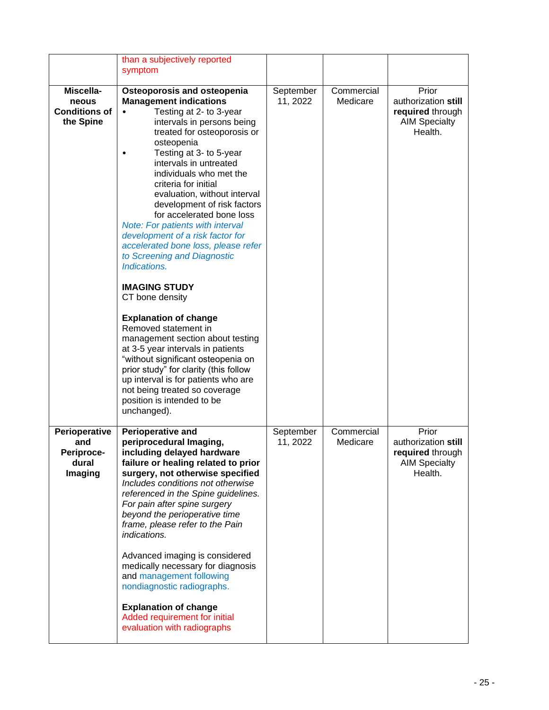|                                                         | than a subjectively reported<br>symptom                                                                                                                                                                                                                                                                                                                                                                                                                                                                                                                                                                                                                                                                                                                                                                                                                                                                                     |                       |                        |                                                                                     |
|---------------------------------------------------------|-----------------------------------------------------------------------------------------------------------------------------------------------------------------------------------------------------------------------------------------------------------------------------------------------------------------------------------------------------------------------------------------------------------------------------------------------------------------------------------------------------------------------------------------------------------------------------------------------------------------------------------------------------------------------------------------------------------------------------------------------------------------------------------------------------------------------------------------------------------------------------------------------------------------------------|-----------------------|------------------------|-------------------------------------------------------------------------------------|
| Miscella-<br>neous<br><b>Conditions of</b><br>the Spine | <b>Osteoporosis and osteopenia</b><br><b>Management indications</b><br>Testing at 2- to 3-year<br>intervals in persons being<br>treated for osteoporosis or<br>osteopenia<br>Testing at 3- to 5-year<br>intervals in untreated<br>individuals who met the<br>criteria for initial<br>evaluation, without interval<br>development of risk factors<br>for accelerated bone loss<br>Note: For patients with interval<br>development of a risk factor for<br>accelerated bone loss, please refer<br>to Screening and Diagnostic<br>Indications.<br><b>IMAGING STUDY</b><br>CT bone density<br><b>Explanation of change</b><br>Removed statement in<br>management section about testing<br>at 3-5 year intervals in patients<br>"without significant osteopenia on<br>prior study" for clarity (this follow<br>up interval is for patients who are<br>not being treated so coverage<br>position is intended to be<br>unchanged). | September<br>11, 2022 | Commercial<br>Medicare | Prior<br>authorization still<br>required through<br><b>AIM Specialty</b><br>Health. |
| Perioperative<br>and<br>Periproce-<br>dural<br>Imaging  | Perioperative and<br>periprocedural Imaging,<br>including delayed hardware<br>failure or healing related to prior<br>surgery, not otherwise specified<br>Includes conditions not otherwise<br>referenced in the Spine guidelines.<br>For pain after spine surgery<br>beyond the perioperative time<br>frame, please refer to the Pain<br>indications.<br>Advanced imaging is considered<br>medically necessary for diagnosis<br>and management following<br>nondiagnostic radiographs.<br><b>Explanation of change</b><br>Added requirement for initial<br>evaluation with radiographs                                                                                                                                                                                                                                                                                                                                      | September<br>11, 2022 | Commercial<br>Medicare | Prior<br>authorization still<br>required through<br><b>AIM Specialty</b><br>Health. |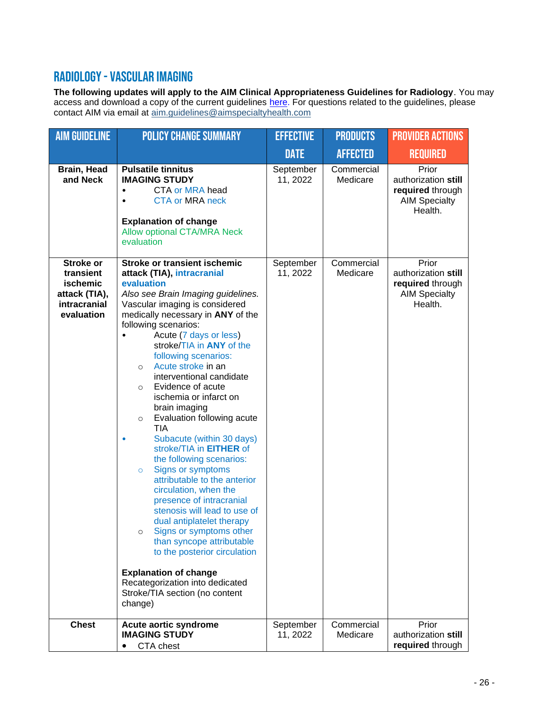#### Radiology -Vascular imaging

**The following updates will apply to the AIM Clinical Appropriateness Guidelines for Radiology**. You may access and download a copy of the current guidelines [here.](https://aimspecialtyhealth.com/resources/clinical-guidelines/radiology/) For questions related to the guidelines, please contact AIM via email at [aim.guidelines@aimspecialtyhealth.com](mailto:aim.guidelines@aimspecialtyhealth.com)

| <b>AIM GUIDELINE</b>                                                 | <b>POLICY CHANGE SUMMARY</b>                                                                                                                                                                                                                                                                                                                                                                                                                                                                                                                                                                                                                                                                                                                                                                                                                                                                                                                                     | <b>EFFECTIVE</b>                   | <b>PRODUCTS</b>                      | <b>PROVIDER ACTIONS</b>                                                                      |
|----------------------------------------------------------------------|------------------------------------------------------------------------------------------------------------------------------------------------------------------------------------------------------------------------------------------------------------------------------------------------------------------------------------------------------------------------------------------------------------------------------------------------------------------------------------------------------------------------------------------------------------------------------------------------------------------------------------------------------------------------------------------------------------------------------------------------------------------------------------------------------------------------------------------------------------------------------------------------------------------------------------------------------------------|------------------------------------|--------------------------------------|----------------------------------------------------------------------------------------------|
|                                                                      |                                                                                                                                                                                                                                                                                                                                                                                                                                                                                                                                                                                                                                                                                                                                                                                                                                                                                                                                                                  | <b>DATE</b>                        | <b>AFFECTED</b>                      | <b>REQUIRED</b>                                                                              |
| Brain, Head<br>and Neck<br><b>Stroke or</b>                          | <b>Pulsatile tinnitus</b><br><b>IMAGING STUDY</b><br><b>CTA or MRA head</b><br>$\bullet$<br><b>CTA or MRA neck</b><br>$\bullet$<br><b>Explanation of change</b><br><b>Allow optional CTA/MRA Neck</b><br>evaluation<br><b>Stroke or transient ischemic</b>                                                                                                                                                                                                                                                                                                                                                                                                                                                                                                                                                                                                                                                                                                       | September<br>11, 2022<br>September | Commercial<br>Medicare<br>Commercial | Prior<br>authorization still<br>required through<br><b>AIM Specialty</b><br>Health.<br>Prior |
| transient<br>ischemic<br>attack (TIA),<br>intracranial<br>evaluation | attack (TIA), intracranial<br>evaluation<br>Also see Brain Imaging guidelines.<br>Vascular imaging is considered<br>medically necessary in ANY of the<br>following scenarios:<br>Acute (7 days or less)<br>$\bullet$<br>stroke/TIA in ANY of the<br>following scenarios:<br>Acute stroke in an<br>$\circ$<br>interventional candidate<br>Evidence of acute<br>$\circ$<br>ischemia or infarct on<br>brain imaging<br>Evaluation following acute<br>$\circ$<br>TIA<br>Subacute (within 30 days)<br>stroke/TIA in <b>EITHER</b> of<br>the following scenarios:<br>Signs or symptoms<br>$\circ$<br>attributable to the anterior<br>circulation, when the<br>presence of intracranial<br>stenosis will lead to use of<br>dual antiplatelet therapy<br>Signs or symptoms other<br>$\circ$<br>than syncope attributable<br>to the posterior circulation<br><b>Explanation of change</b><br>Recategorization into dedicated<br>Stroke/TIA section (no content<br>change) | 11, 2022                           | Medicare                             | authorization still<br>required through<br><b>AIM Specialty</b><br>Health.                   |
| <b>Chest</b>                                                         | Acute aortic syndrome<br><b>IMAGING STUDY</b><br>CTA chest                                                                                                                                                                                                                                                                                                                                                                                                                                                                                                                                                                                                                                                                                                                                                                                                                                                                                                       | September<br>11, 2022              | Commercial<br>Medicare               | Prior<br>authorization still<br>required through                                             |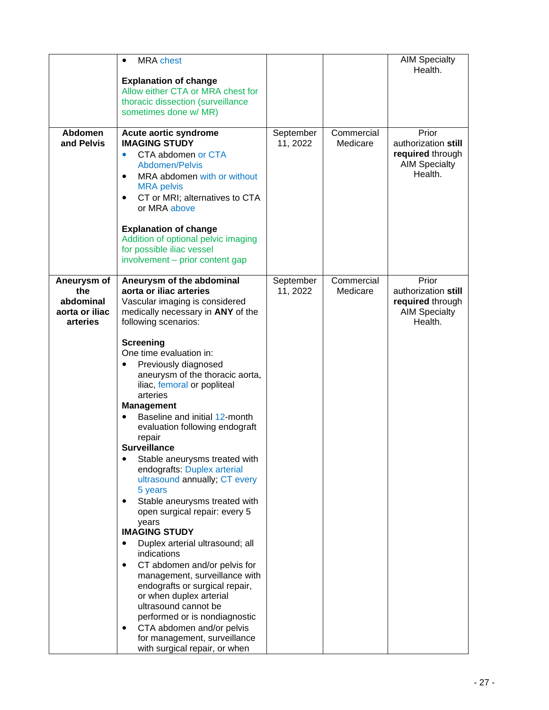|                                                               | <b>MRA</b> chest<br>$\bullet$<br><b>Explanation of change</b><br>Allow either CTA or MRA chest for<br>thoracic dissection (surveillance<br>sometimes done w/ MR)                                                                                                                                                                                                                                                                                                                                                                                                                                                                                                                                                                                                                                                                                                                                                                                                                                                            |                       |                        | <b>AIM Specialty</b><br>Health.                                                     |
|---------------------------------------------------------------|-----------------------------------------------------------------------------------------------------------------------------------------------------------------------------------------------------------------------------------------------------------------------------------------------------------------------------------------------------------------------------------------------------------------------------------------------------------------------------------------------------------------------------------------------------------------------------------------------------------------------------------------------------------------------------------------------------------------------------------------------------------------------------------------------------------------------------------------------------------------------------------------------------------------------------------------------------------------------------------------------------------------------------|-----------------------|------------------------|-------------------------------------------------------------------------------------|
| <b>Abdomen</b><br>and Pelvis                                  | Acute aortic syndrome<br><b>IMAGING STUDY</b><br>CTA abdomen or CTA<br>$\bullet$<br>Abdomen/Pelvis<br>MRA abdomen with or without<br>$\bullet$<br><b>MRA</b> pelvis<br>CT or MRI; alternatives to CTA<br>$\bullet$<br>or MRA above<br><b>Explanation of change</b><br>Addition of optional pelvic imaging<br>for possible iliac vessel<br>involvement - prior content gap                                                                                                                                                                                                                                                                                                                                                                                                                                                                                                                                                                                                                                                   | September<br>11, 2022 | Commercial<br>Medicare | Prior<br>authorization still<br>required through<br><b>AIM Specialty</b><br>Health. |
| Aneurysm of<br>the<br>abdominal<br>aorta or iliac<br>arteries | Aneurysm of the abdominal<br>aorta or iliac arteries<br>Vascular imaging is considered<br>medically necessary in ANY of the<br>following scenarios:<br><b>Screening</b><br>One time evaluation in:<br>Previously diagnosed<br>٠<br>aneurysm of the thoracic aorta,<br>iliac, femoral or popliteal<br>arteries<br><b>Management</b><br>Baseline and initial 12-month<br>evaluation following endograft<br>repair<br><b>Surveillance</b><br>Stable aneurysms treated with<br>endografts: Duplex arterial<br>ultrasound annually; CT every<br>5 years<br>Stable aneurysms treated with<br>open surgical repair: every 5<br>years<br><b>IMAGING STUDY</b><br>Duplex arterial ultrasound; all<br>$\bullet$<br>indications<br>CT abdomen and/or pelvis for<br>$\bullet$<br>management, surveillance with<br>endografts or surgical repair,<br>or when duplex arterial<br>ultrasound cannot be<br>performed or is nondiagnostic<br>CTA abdomen and/or pelvis<br>٠<br>for management, surveillance<br>with surgical repair, or when | September<br>11, 2022 | Commercial<br>Medicare | Prior<br>authorization still<br>required through<br><b>AIM Specialty</b><br>Health. |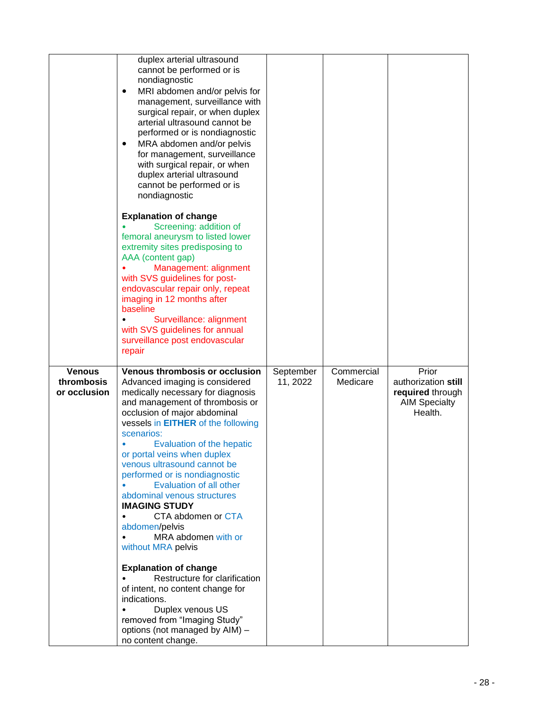|                                             | duplex arterial ultrasound<br>cannot be performed or is<br>nondiagnostic<br>MRI abdomen and/or pelvis for<br>$\bullet$<br>management, surveillance with<br>surgical repair, or when duplex<br>arterial ultrasound cannot be<br>performed or is nondiagnostic<br>MRA abdomen and/or pelvis<br>٠<br>for management, surveillance<br>with surgical repair, or when<br>duplex arterial ultrasound<br>cannot be performed or is<br>nondiagnostic<br><b>Explanation of change</b><br>Screening: addition of<br>femoral aneurysm to listed lower<br>extremity sites predisposing to<br>AAA (content gap)<br>Management: alignment<br>with SVS guidelines for post-<br>endovascular repair only, repeat<br>imaging in 12 months after<br>baseline<br>Surveillance: alignment<br>with SVS guidelines for annual<br>surveillance post endovascular<br>repair |                       |                        |                                                                                     |
|---------------------------------------------|----------------------------------------------------------------------------------------------------------------------------------------------------------------------------------------------------------------------------------------------------------------------------------------------------------------------------------------------------------------------------------------------------------------------------------------------------------------------------------------------------------------------------------------------------------------------------------------------------------------------------------------------------------------------------------------------------------------------------------------------------------------------------------------------------------------------------------------------------|-----------------------|------------------------|-------------------------------------------------------------------------------------|
| <b>Venous</b><br>thrombosis<br>or occlusion | <b>Venous thrombosis or occlusion</b><br>Advanced imaging is considered<br>medically necessary for diagnosis<br>and management of thrombosis or<br>occlusion of major abdominal<br>vessels in EITHER of the following<br>scenarios:<br>Evaluation of the hepatic<br>or portal veins when duplex<br>venous ultrasound cannot be<br>performed or is nondiagnostic<br><b>Evaluation of all other</b><br>abdominal venous structures<br><b>IMAGING STUDY</b><br>CTA abdomen or CTA<br>abdomen/pelvis<br>MRA abdomen with or<br>without MRA pelvis<br><b>Explanation of change</b><br>Restructure for clarification<br>of intent, no content change for<br>indications.<br>Duplex venous US<br>removed from "Imaging Study"<br>options (not managed by AIM) -<br>no content change.                                                                     | September<br>11, 2022 | Commercial<br>Medicare | Prior<br>authorization still<br>required through<br><b>AIM Specialty</b><br>Health. |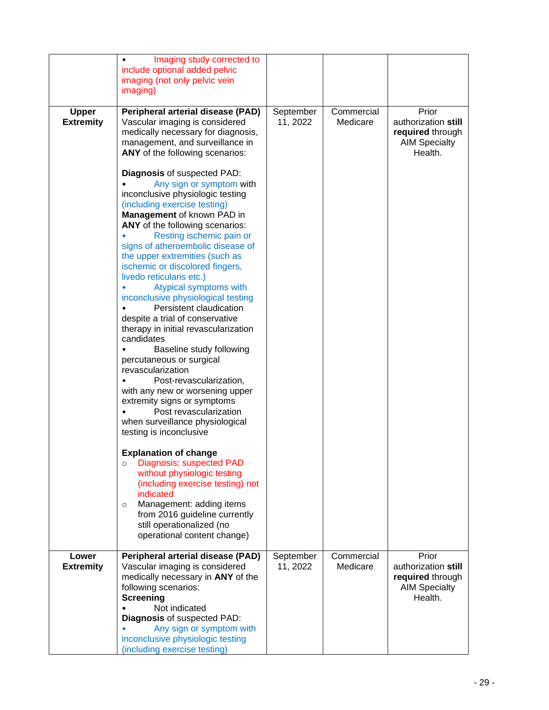|                                  | Imaging study corrected to<br>include optional added pelvic<br>imaging (not only pelvic vein<br>imaging)                                                                                                                                                                                                                                                                                                                                                                                                                                                                                                                                                                                                                                                                                                                    |                       |                        |                                                                                     |
|----------------------------------|-----------------------------------------------------------------------------------------------------------------------------------------------------------------------------------------------------------------------------------------------------------------------------------------------------------------------------------------------------------------------------------------------------------------------------------------------------------------------------------------------------------------------------------------------------------------------------------------------------------------------------------------------------------------------------------------------------------------------------------------------------------------------------------------------------------------------------|-----------------------|------------------------|-------------------------------------------------------------------------------------|
| <b>Upper</b><br><b>Extremity</b> | <b>Peripheral arterial disease (PAD)</b><br>Vascular imaging is considered<br>medically necessary for diagnosis,<br>management, and surveillance in<br>ANY of the following scenarios:                                                                                                                                                                                                                                                                                                                                                                                                                                                                                                                                                                                                                                      | September<br>11, 2022 | Commercial<br>Medicare | Prior<br>authorization still<br>required through<br><b>AIM Specialty</b><br>Health. |
|                                  | <b>Diagnosis of suspected PAD:</b><br>Any sign or symptom with<br>inconclusive physiologic testing<br>(including exercise testing)<br>Management of known PAD in<br>ANY of the following scenarios:<br>Resting ischemic pain or<br>signs of atheroembolic disease of<br>the upper extremities (such as<br>ischemic or discolored fingers,<br>livedo reticularis etc.)<br>Atypical symptoms with<br>inconclusive physiological testing<br>Persistent claudication<br>despite a trial of conservative<br>therapy in initial revascularization<br>candidates<br>Baseline study following<br>percutaneous or surgical<br>revascularization<br>Post-revascularization,<br>with any new or worsening upper<br>extremity signs or symptoms<br>Post revascularization<br>when surveillance physiological<br>testing is inconclusive |                       |                        |                                                                                     |
|                                  | <b>Explanation of change</b><br>Diagnosis: suspected PAD<br>$\circ$<br>without physiologic testing<br>(including exercise testing) not<br>indicated<br>Management: adding items<br>$\circ$<br>from 2016 guideline currently<br>still operationalized (no<br>operational content change)                                                                                                                                                                                                                                                                                                                                                                                                                                                                                                                                     |                       |                        |                                                                                     |
| Lower<br><b>Extremity</b>        | Peripheral arterial disease (PAD)<br>Vascular imaging is considered<br>medically necessary in ANY of the<br>following scenarios:<br>Screening<br>Not indicated<br><b>Diagnosis of suspected PAD:</b><br>Any sign or symptom with<br>inconclusive physiologic testing<br>(including exercise testing)                                                                                                                                                                                                                                                                                                                                                                                                                                                                                                                        | September<br>11, 2022 | Commercial<br>Medicare | Prior<br>authorization still<br>required through<br><b>AIM Specialty</b><br>Health. |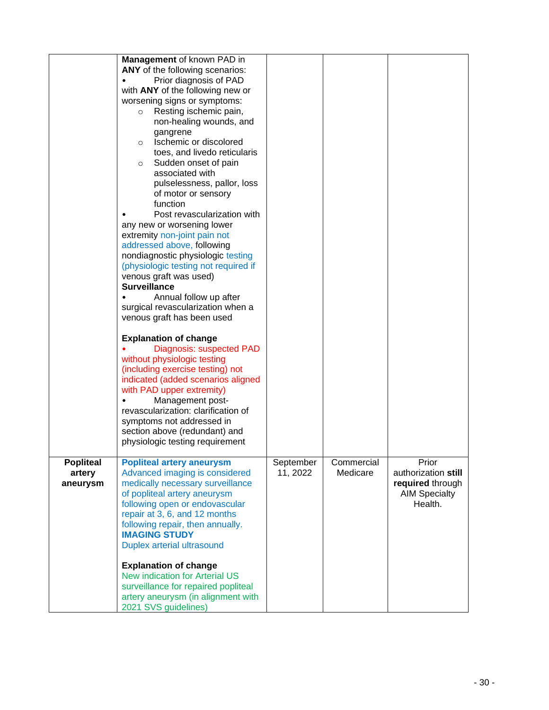|                    | Management of known PAD in                                                                                                                                                                                                                                             |           |            |                                                                            |
|--------------------|------------------------------------------------------------------------------------------------------------------------------------------------------------------------------------------------------------------------------------------------------------------------|-----------|------------|----------------------------------------------------------------------------|
|                    | ANY of the following scenarios:                                                                                                                                                                                                                                        |           |            |                                                                            |
|                    | Prior diagnosis of PAD                                                                                                                                                                                                                                                 |           |            |                                                                            |
|                    | with ANY of the following new or                                                                                                                                                                                                                                       |           |            |                                                                            |
|                    | worsening signs or symptoms:                                                                                                                                                                                                                                           |           |            |                                                                            |
|                    |                                                                                                                                                                                                                                                                        |           |            |                                                                            |
|                    | Resting ischemic pain,<br>$\circ$                                                                                                                                                                                                                                      |           |            |                                                                            |
|                    | non-healing wounds, and                                                                                                                                                                                                                                                |           |            |                                                                            |
|                    | gangrene                                                                                                                                                                                                                                                               |           |            |                                                                            |
|                    | Ischemic or discolored<br>$\circ$                                                                                                                                                                                                                                      |           |            |                                                                            |
|                    | toes, and livedo reticularis                                                                                                                                                                                                                                           |           |            |                                                                            |
|                    | Sudden onset of pain<br>$\circ$                                                                                                                                                                                                                                        |           |            |                                                                            |
|                    | associated with                                                                                                                                                                                                                                                        |           |            |                                                                            |
|                    | pulselessness, pallor, loss                                                                                                                                                                                                                                            |           |            |                                                                            |
|                    | of motor or sensory                                                                                                                                                                                                                                                    |           |            |                                                                            |
|                    | function                                                                                                                                                                                                                                                               |           |            |                                                                            |
|                    | Post revascularization with                                                                                                                                                                                                                                            |           |            |                                                                            |
|                    | any new or worsening lower                                                                                                                                                                                                                                             |           |            |                                                                            |
|                    | extremity non-joint pain not                                                                                                                                                                                                                                           |           |            |                                                                            |
|                    | addressed above, following                                                                                                                                                                                                                                             |           |            |                                                                            |
|                    | nondiagnostic physiologic testing                                                                                                                                                                                                                                      |           |            |                                                                            |
|                    | (physiologic testing not required if                                                                                                                                                                                                                                   |           |            |                                                                            |
|                    | venous graft was used)                                                                                                                                                                                                                                                 |           |            |                                                                            |
|                    | <b>Surveillance</b>                                                                                                                                                                                                                                                    |           |            |                                                                            |
|                    | Annual follow up after                                                                                                                                                                                                                                                 |           |            |                                                                            |
|                    | surgical revascularization when a                                                                                                                                                                                                                                      |           |            |                                                                            |
|                    | venous graft has been used                                                                                                                                                                                                                                             |           |            |                                                                            |
|                    | <b>Explanation of change</b><br>Diagnosis: suspected PAD<br>without physiologic testing<br>(including exercise testing) not<br>indicated (added scenarios aligned<br>with PAD upper extremity)<br>Management post-<br>$\bullet$<br>revascularization: clarification of |           |            |                                                                            |
|                    | symptoms not addressed in                                                                                                                                                                                                                                              |           |            |                                                                            |
|                    | section above (redundant) and<br>physiologic testing requirement                                                                                                                                                                                                       |           |            |                                                                            |
|                    |                                                                                                                                                                                                                                                                        |           |            |                                                                            |
| <b>Popliteal</b>   | <b>Popliteal artery aneurysm</b>                                                                                                                                                                                                                                       | September | Commercial | Prior                                                                      |
| artery<br>aneurysm | Advanced imaging is considered<br>medically necessary surveillance<br>of popliteal artery aneurysm<br>following open or endovascular<br>repair at 3, 6, and 12 months                                                                                                  | 11, 2022  | Medicare   | authorization still<br>required through<br><b>AIM Specialty</b><br>Health. |
|                    | following repair, then annually.                                                                                                                                                                                                                                       |           |            |                                                                            |
|                    | <b>IMAGING STUDY</b>                                                                                                                                                                                                                                                   |           |            |                                                                            |
|                    | Duplex arterial ultrasound                                                                                                                                                                                                                                             |           |            |                                                                            |
|                    | <b>Explanation of change</b>                                                                                                                                                                                                                                           |           |            |                                                                            |
|                    | <b>New indication for Arterial US</b>                                                                                                                                                                                                                                  |           |            |                                                                            |
|                    | surveillance for repaired popliteal                                                                                                                                                                                                                                    |           |            |                                                                            |
|                    | artery aneurysm (in alignment with                                                                                                                                                                                                                                     |           |            |                                                                            |
|                    | 2021 SVS guidelines)                                                                                                                                                                                                                                                   |           |            |                                                                            |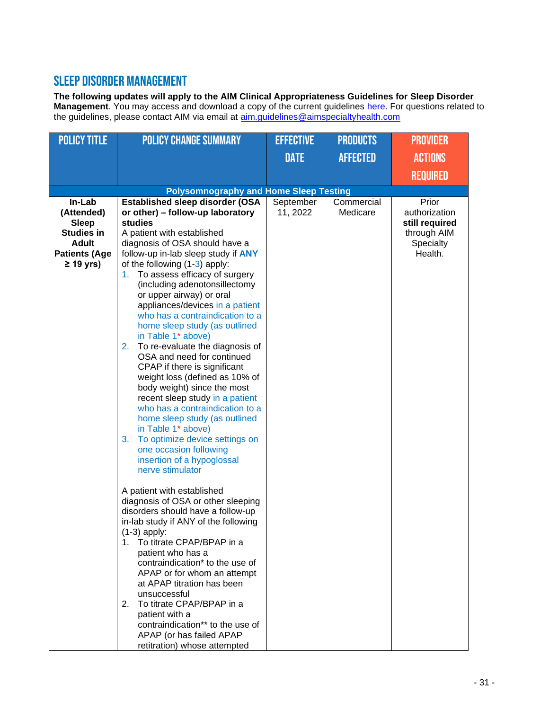#### Sleep Disorder Management

**The following updates will apply to the AIM Clinical Appropriateness Guidelines for Sleep Disorder Management**. You may access and download a copy of the current guidelines [here.](https://aimspecialtyhealth.com/resources/clinical-guidelines/sleep/) For questions related to the guidelines, please contact AIM via email at **aim.guidelines@aimspecialtyhealth.com** 

| <b>POLICY TITLE</b>  | <b>POLICY CHANGE SUMMARY</b>                                         | <b>EFFECTIVE</b> | <b>PRODUCTS</b> | <b>PROVIDER</b> |
|----------------------|----------------------------------------------------------------------|------------------|-----------------|-----------------|
|                      |                                                                      | <b>DATE</b>      | <b>AFFECTED</b> | <b>ACTIONS</b>  |
|                      |                                                                      |                  |                 | <b>REQUIRED</b> |
|                      | <b>Polysomnography and Home Sleep Testing</b>                        |                  |                 |                 |
| In-Lab               | <b>Established sleep disorder (OSA</b>                               | September        | Commercial      | Prior           |
| (Attended)           | or other) - follow-up laboratory                                     | 11, 2022         | Medicare        | authorization   |
| <b>Sleep</b>         | studies                                                              |                  |                 | still required  |
| <b>Studies in</b>    | A patient with established                                           |                  |                 | through AIM     |
| <b>Adult</b>         | diagnosis of OSA should have a                                       |                  |                 | Specialty       |
| <b>Patients (Age</b> | follow-up in-lab sleep study if ANY                                  |                  |                 | Health.         |
| $\geq$ 19 yrs)       | of the following (1-3) apply:                                        |                  |                 |                 |
|                      | To assess efficacy of surgery<br>1.<br>(including adenotonsillectomy |                  |                 |                 |
|                      | or upper airway) or oral                                             |                  |                 |                 |
|                      | appliances/devices in a patient                                      |                  |                 |                 |
|                      | who has a contraindication to a                                      |                  |                 |                 |
|                      | home sleep study (as outlined                                        |                  |                 |                 |
|                      | in Table 1* above)                                                   |                  |                 |                 |
|                      | To re-evaluate the diagnosis of<br>2.                                |                  |                 |                 |
|                      | OSA and need for continued                                           |                  |                 |                 |
|                      | CPAP if there is significant                                         |                  |                 |                 |
|                      | weight loss (defined as 10% of<br>body weight) since the most        |                  |                 |                 |
|                      | recent sleep study in a patient                                      |                  |                 |                 |
|                      | who has a contraindication to a                                      |                  |                 |                 |
|                      | home sleep study (as outlined                                        |                  |                 |                 |
|                      | in Table 1* above)                                                   |                  |                 |                 |
|                      | 3.<br>To optimize device settings on                                 |                  |                 |                 |
|                      | one occasion following                                               |                  |                 |                 |
|                      | insertion of a hypoglossal                                           |                  |                 |                 |
|                      | nerve stimulator                                                     |                  |                 |                 |
|                      |                                                                      |                  |                 |                 |
|                      | A patient with established<br>diagnosis of OSA or other sleeping     |                  |                 |                 |
|                      | disorders should have a follow-up                                    |                  |                 |                 |
|                      | in-lab study if ANY of the following                                 |                  |                 |                 |
|                      | $(1-3)$ apply:                                                       |                  |                 |                 |
|                      | 1. To titrate CPAP/BPAP in a                                         |                  |                 |                 |
|                      | patient who has a                                                    |                  |                 |                 |
|                      | contraindication* to the use of                                      |                  |                 |                 |
|                      | APAP or for whom an attempt                                          |                  |                 |                 |
|                      | at APAP titration has been                                           |                  |                 |                 |
|                      | unsuccessful                                                         |                  |                 |                 |
|                      | 2. To titrate CPAP/BPAP in a                                         |                  |                 |                 |
|                      | patient with a<br>contraindication** to the use of                   |                  |                 |                 |
|                      | APAP (or has failed APAP                                             |                  |                 |                 |
|                      | retitration) whose attempted                                         |                  |                 |                 |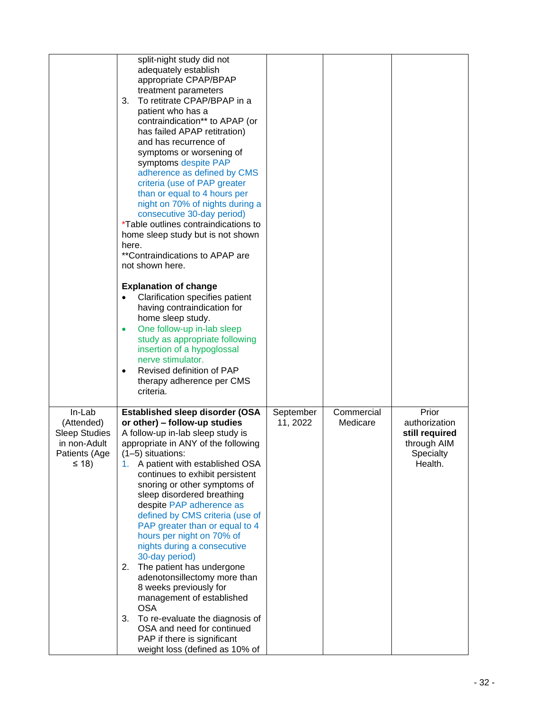|                                                                                             | split-night study did not<br>adequately establish<br>appropriate CPAP/BPAP<br>treatment parameters<br>To retitrate CPAP/BPAP in a<br>3.<br>patient who has a<br>contraindication** to APAP (or<br>has failed APAP retitration)<br>and has recurrence of<br>symptoms or worsening of<br>symptoms despite PAP<br>adherence as defined by CMS<br>criteria (use of PAP greater<br>than or equal to 4 hours per<br>night on 70% of nights during a<br>consecutive 30-day period)<br><i>*Table outlines contraindications to</i><br>home sleep study but is not shown<br>here.<br>**Contraindications to APAP are<br>not shown here.<br><b>Explanation of change</b><br>Clarification specifies patient<br>having contraindication for<br>home sleep study.<br>One follow-up in-lab sleep<br>$\bullet$<br>study as appropriate following<br>insertion of a hypoglossal<br>nerve stimulator.<br>Revised definition of PAP<br>therapy adherence per CMS<br>criteria. |                       |                        |                                                                                 |
|---------------------------------------------------------------------------------------------|--------------------------------------------------------------------------------------------------------------------------------------------------------------------------------------------------------------------------------------------------------------------------------------------------------------------------------------------------------------------------------------------------------------------------------------------------------------------------------------------------------------------------------------------------------------------------------------------------------------------------------------------------------------------------------------------------------------------------------------------------------------------------------------------------------------------------------------------------------------------------------------------------------------------------------------------------------------|-----------------------|------------------------|---------------------------------------------------------------------------------|
| In-Lab<br>(Attended)<br><b>Sleep Studies</b><br>in non-Adult<br>Patients (Age<br>$\leq$ 18) | Established sleep disorder (OSA<br>or other) - follow-up studies<br>A follow-up in-lab sleep study is<br>appropriate in ANY of the following<br>$(1-5)$ situations:<br>1. A patient with established OSA<br>continues to exhibit persistent<br>snoring or other symptoms of<br>sleep disordered breathing<br>despite PAP adherence as<br>defined by CMS criteria (use of<br>PAP greater than or equal to 4<br>hours per night on 70% of<br>nights during a consecutive<br>30-day period)<br>The patient has undergone<br>2.<br>adenotonsillectomy more than<br>8 weeks previously for<br>management of established<br><b>OSA</b><br>3.<br>To re-evaluate the diagnosis of<br>OSA and need for continued<br>PAP if there is significant<br>weight loss (defined as 10% of                                                                                                                                                                                     | September<br>11, 2022 | Commercial<br>Medicare | Prior<br>authorization<br>still required<br>through AIM<br>Specialty<br>Health. |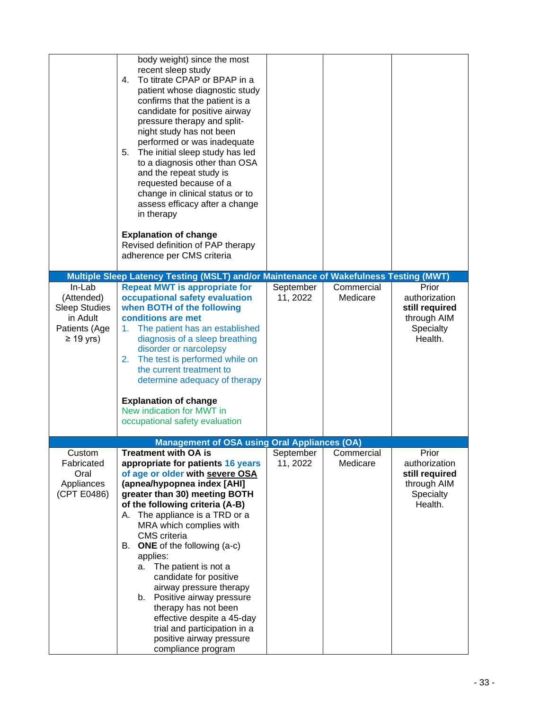|                                                                                             | body weight) since the most<br>recent sleep study<br>To titrate CPAP or BPAP in a<br>4.<br>patient whose diagnostic study<br>confirms that the patient is a<br>candidate for positive airway<br>pressure therapy and split-<br>night study has not been<br>performed or was inadequate<br>The initial sleep study has led<br>5.<br>to a diagnosis other than OSA<br>and the repeat study is<br>requested because of a<br>change in clinical status or to<br>assess efficacy after a change<br>in therapy<br><b>Explanation of change</b><br>Revised definition of PAP therapy<br>adherence per CMS criteria       |                       |                        |                                                                                 |
|---------------------------------------------------------------------------------------------|-------------------------------------------------------------------------------------------------------------------------------------------------------------------------------------------------------------------------------------------------------------------------------------------------------------------------------------------------------------------------------------------------------------------------------------------------------------------------------------------------------------------------------------------------------------------------------------------------------------------|-----------------------|------------------------|---------------------------------------------------------------------------------|
|                                                                                             | Multiple Sleep Latency Testing (MSLT) and/or Maintenance of Wakefulness Testing (MWT)                                                                                                                                                                                                                                                                                                                                                                                                                                                                                                                             |                       |                        |                                                                                 |
| In-Lab<br>(Attended)<br><b>Sleep Studies</b><br>in Adult<br>Patients (Age<br>$\geq$ 19 yrs) | <b>Repeat MWT is appropriate for</b><br>occupational safety evaluation<br>when BOTH of the following<br>conditions are met<br>The patient has an established<br>1.<br>diagnosis of a sleep breathing<br>disorder or narcolepsy<br>The test is performed while on<br>2.<br>the current treatment to<br>determine adequacy of therapy<br><b>Explanation of change</b><br>New indication for MWT in<br>occupational safety evaluation                                                                                                                                                                                | September<br>11, 2022 | Commercial<br>Medicare | Prior<br>authorization<br>still required<br>through AIM<br>Specialty<br>Health. |
|                                                                                             | <b>Management of OSA using Oral Appliances (OA)</b>                                                                                                                                                                                                                                                                                                                                                                                                                                                                                                                                                               |                       |                        |                                                                                 |
| Custom<br>Fabricated<br>Oral<br>Appliances<br>(CPT E0486)                                   | <b>Treatment with OA is</b><br>appropriate for patients 16 years<br>of age or older with severe OSA<br>(apnea/hypopnea index [AHI]<br>greater than 30) meeting BOTH<br>of the following criteria (A-B)<br>The appliance is a TRD or a<br>А.<br>MRA which complies with<br><b>CMS</b> criteria<br><b>ONE</b> of the following (a-c)<br>В.<br>applies:<br>The patient is not a<br>а.<br>candidate for positive<br>airway pressure therapy<br>Positive airway pressure<br>b.<br>therapy has not been<br>effective despite a 45-day<br>trial and participation in a<br>positive airway pressure<br>compliance program | September<br>11, 2022 | Commercial<br>Medicare | Prior<br>authorization<br>still required<br>through AIM<br>Specialty<br>Health. |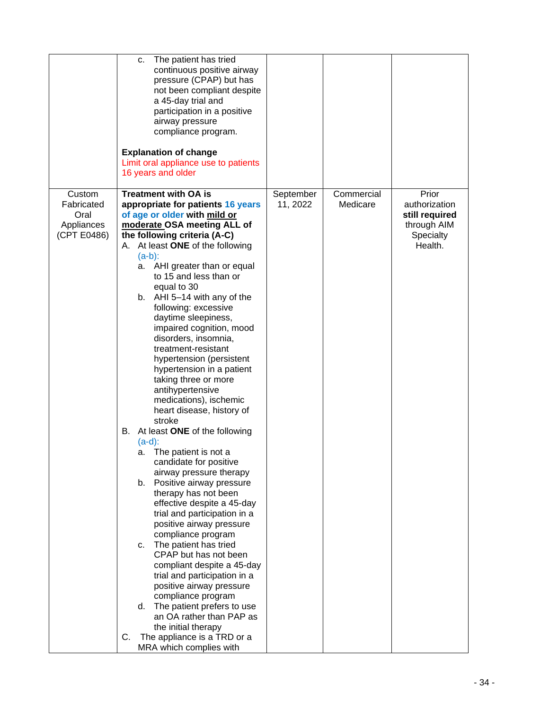|                                                           | The patient has tried<br>c.<br>continuous positive airway<br>pressure (CPAP) but has<br>not been compliant despite<br>a 45-day trial and<br>participation in a positive<br>airway pressure<br>compliance program.<br><b>Explanation of change</b><br>Limit oral appliance use to patients<br>16 years and older                                                                                                                                                                                                                                                                                                                                                                                                                                                                                                                                                                                                                                                                                                                                                                                                                                                                                                                                                          |                       |                        |                                                                                 |
|-----------------------------------------------------------|--------------------------------------------------------------------------------------------------------------------------------------------------------------------------------------------------------------------------------------------------------------------------------------------------------------------------------------------------------------------------------------------------------------------------------------------------------------------------------------------------------------------------------------------------------------------------------------------------------------------------------------------------------------------------------------------------------------------------------------------------------------------------------------------------------------------------------------------------------------------------------------------------------------------------------------------------------------------------------------------------------------------------------------------------------------------------------------------------------------------------------------------------------------------------------------------------------------------------------------------------------------------------|-----------------------|------------------------|---------------------------------------------------------------------------------|
| Custom<br>Fabricated<br>Oral<br>Appliances<br>(CPT E0486) | <b>Treatment with OA is</b><br>appropriate for patients 16 years<br>of age or older with mild or<br>moderate OSA meeting ALL of<br>the following criteria (A-C)<br>A. At least ONE of the following<br>$(a-b)$ :<br>a. AHI greater than or equal<br>to 15 and less than or<br>equal to 30<br>AHI 5-14 with any of the<br>b.<br>following: excessive<br>daytime sleepiness,<br>impaired cognition, mood<br>disorders, insomnia,<br>treatment-resistant<br>hypertension (persistent<br>hypertension in a patient<br>taking three or more<br>antihypertensive<br>medications), ischemic<br>heart disease, history of<br>stroke<br>At least ONE of the following<br>В.<br>$(a-d)$ :<br>a. The patient is not a<br>candidate for positive<br>airway pressure therapy<br>b.<br>Positive airway pressure<br>therapy has not been<br>effective despite a 45-day<br>trial and participation in a<br>positive airway pressure<br>compliance program<br>The patient has tried<br>C.<br>CPAP but has not been<br>compliant despite a 45-day<br>trial and participation in a<br>positive airway pressure<br>compliance program<br>The patient prefers to use<br>d.<br>an OA rather than PAP as<br>the initial therapy<br>The appliance is a TRD or a<br>C.<br>MRA which complies with | September<br>11, 2022 | Commercial<br>Medicare | Prior<br>authorization<br>still required<br>through AIM<br>Specialty<br>Health. |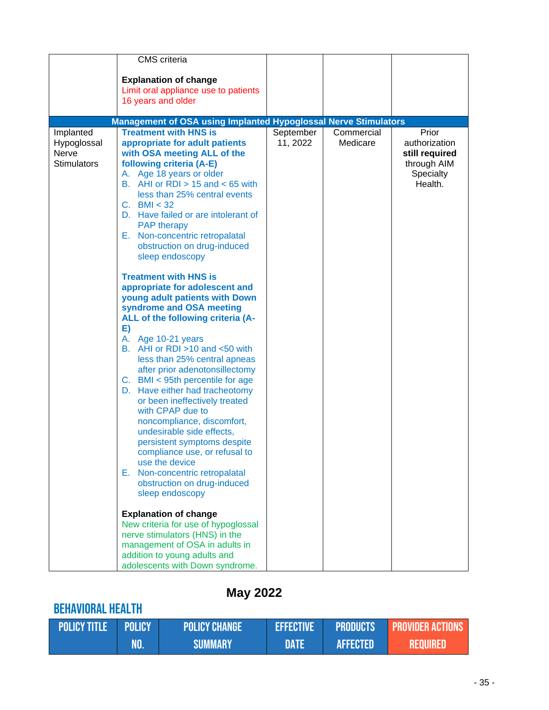|                                                         | <b>CMS</b> criteria<br><b>Explanation of change</b><br>Limit oral appliance use to patients<br>16 years and older                                                                                                                                                                                                                                                                                                                                                                                                                                                                                                                                                                                                                                                                                                                                                                                                                                                                                                                                                                                                                                                                                                                                                                     |                       |                        |                                                                                        |
|---------------------------------------------------------|---------------------------------------------------------------------------------------------------------------------------------------------------------------------------------------------------------------------------------------------------------------------------------------------------------------------------------------------------------------------------------------------------------------------------------------------------------------------------------------------------------------------------------------------------------------------------------------------------------------------------------------------------------------------------------------------------------------------------------------------------------------------------------------------------------------------------------------------------------------------------------------------------------------------------------------------------------------------------------------------------------------------------------------------------------------------------------------------------------------------------------------------------------------------------------------------------------------------------------------------------------------------------------------|-----------------------|------------------------|----------------------------------------------------------------------------------------|
|                                                         | <b>Management of OSA using Implanted Hypoglossal Nerve Stimulators</b>                                                                                                                                                                                                                                                                                                                                                                                                                                                                                                                                                                                                                                                                                                                                                                                                                                                                                                                                                                                                                                                                                                                                                                                                                |                       |                        |                                                                                        |
| Implanted<br>Hypoglossal<br>Nerve<br><b>Stimulators</b> | <b>Treatment with HNS is</b><br>appropriate for adult patients<br>with OSA meeting ALL of the<br>following criteria (A-E)<br>A. Age 18 years or older<br>B. AHI or RDI $> 15$ and $< 65$ with<br>less than 25% central events<br>C. BMI $<$ 32<br>D. Have failed or are intolerant of<br><b>PAP</b> therapy<br>E. Non-concentric retropalatal<br>obstruction on drug-induced<br>sleep endoscopy<br><b>Treatment with HNS is</b><br>appropriate for adolescent and<br>young adult patients with Down<br>syndrome and OSA meeting<br>ALL of the following criteria (A-<br>E)<br>A. Age 10-21 years<br>B. AHI or RDI $>10$ and $<50$ with<br>less than 25% central apneas<br>after prior adenotonsillectomy<br>C. BMI < 95th percentile for age<br>D. Have either had tracheotomy<br>or been ineffectively treated<br>with CPAP due to<br>noncompliance, discomfort,<br>undesirable side effects,<br>persistent symptoms despite<br>compliance use, or refusal to<br>use the device<br>Non-concentric retropalatal<br>Е.<br>obstruction on drug-induced<br>sleep endoscopy<br><b>Explanation of change</b><br>New criteria for use of hypoglossal<br>nerve stimulators (HNS) in the<br>management of OSA in adults in<br>addition to young adults and<br>adolescents with Down syndrome. | September<br>11, 2022 | Commercial<br>Medicare | Prior<br>authorization<br>still required<br>through AIM<br><b>Specialty</b><br>Health. |

# **May 2022**

# Behavioral Health

| <b>POLICY TITLE POLICY</b> |     | <b>POLICY CHANGE</b> | <b>EFFECTIVE</b> | <b>PRODUCTS</b> | <b>Express PROVIDER ACTIONS</b> |
|----------------------------|-----|----------------------|------------------|-----------------|---------------------------------|
|                            | MO. | <b>SUMMARY</b>       | DATE             | <b>AFFECTED</b> | <b>REQUIRED</b>                 |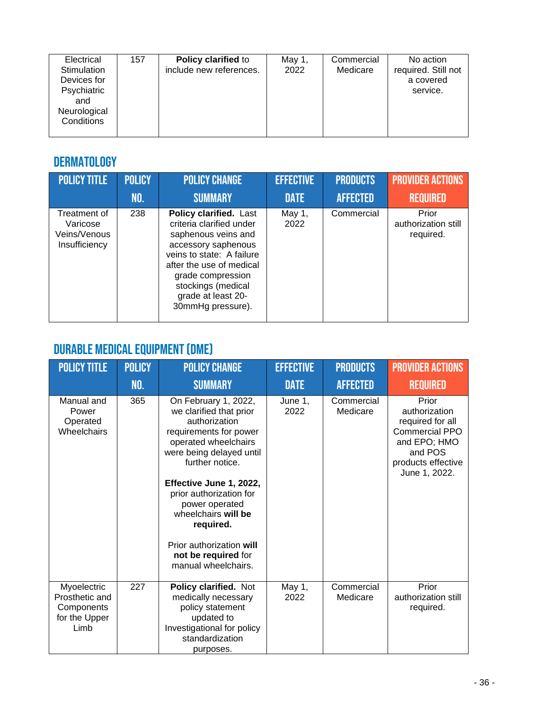| Electrical<br>Stimulation         | 157 | <b>Policy clarified to</b><br>include new references. | May 1,<br>2022 | Commercial<br>Medicare | No action<br>required. Still not |
|-----------------------------------|-----|-------------------------------------------------------|----------------|------------------------|----------------------------------|
| Devices for<br>Psychiatric        |     |                                                       |                |                        | a covered<br>service.            |
| and<br>Neurological<br>Conditions |     |                                                       |                |                        |                                  |
|                                   |     |                                                       |                |                        |                                  |

### DERMATOLOGY

| <b>POLICY TITLE</b>                                       | <b>POLICY</b> | <b>POLICY CHANGE</b>                                                                                                                                                                                                                                   | <b>EFFECTIVE</b> | <b>PRODUCTS</b> | <b>PROVIDER ACTIONS</b>                   |
|-----------------------------------------------------------|---------------|--------------------------------------------------------------------------------------------------------------------------------------------------------------------------------------------------------------------------------------------------------|------------------|-----------------|-------------------------------------------|
|                                                           | NO.           | <b>SUMMARY</b>                                                                                                                                                                                                                                         | <b>DATE</b>      | <b>AFFECTED</b> | <b>REQUIRED</b>                           |
| Treatment of<br>Varicose<br>Veins/Venous<br>Insufficiency | 238           | <b>Policy clarified.</b> Last<br>criteria clarified under<br>saphenous veins and<br>accessory saphenous<br>veins to state: A failure<br>after the use of medical<br>grade compression<br>stockings (medical<br>grade at least 20-<br>30mmHg pressure). | May 1,<br>2022   | Commercial      | Prior<br>authorization still<br>required. |

# Durable Medical Equipment (DME)

| <b>POLICY TITLE</b>                                                  | <b>POLICY</b> | <b>POLICY CHANGE</b>                                                                                                                                                                                                                                                                                                                                    | <b>EFFECTIVE</b> | <b>PRODUCTS</b>        | <b>PROVIDER ACTIONS</b>                                                                                                               |
|----------------------------------------------------------------------|---------------|---------------------------------------------------------------------------------------------------------------------------------------------------------------------------------------------------------------------------------------------------------------------------------------------------------------------------------------------------------|------------------|------------------------|---------------------------------------------------------------------------------------------------------------------------------------|
|                                                                      | <b>NO.</b>    | <b>SUMMARY</b>                                                                                                                                                                                                                                                                                                                                          | <b>DATE</b>      | <b>AFFECTED</b>        | <b>REQUIRED</b>                                                                                                                       |
| Manual and<br>Power<br>Operated<br>Wheelchairs                       | 365           | On February 1, 2022,<br>we clarified that prior<br>authorization<br>requirements for power<br>operated wheelchairs<br>were being delayed until<br>further notice.<br>Effective June 1, 2022,<br>prior authorization for<br>power operated<br>wheelchairs will be<br>required.<br>Prior authorization will<br>not be required for<br>manual wheelchairs. | June 1,<br>2022  | Commercial<br>Medicare | Prior<br>authorization<br>required for all<br><b>Commercial PPO</b><br>and EPO; HMO<br>and POS<br>products effective<br>June 1, 2022. |
| Myoelectric<br>Prosthetic and<br>Components<br>for the Upper<br>Limb | 227           | Policy clarified. Not<br>medically necessary<br>policy statement<br>updated to<br>Investigational for policy<br>standardization<br>purposes.                                                                                                                                                                                                            | May 1,<br>2022   | Commercial<br>Medicare | Prior<br>authorization still<br>required.                                                                                             |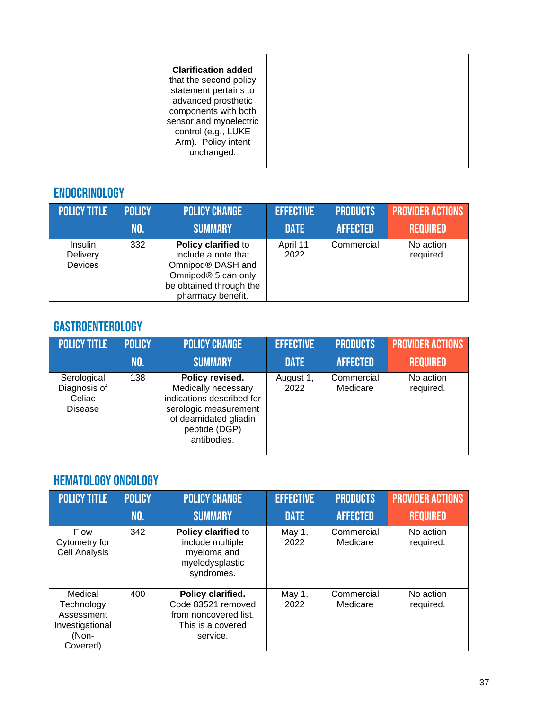| <b>Clarification added</b><br>that the second policy<br>statement pertains to<br>advanced prosthetic<br>components with both<br>sensor and myoelectric<br>control (e.g., LUKE<br>Arm). Policy intent<br>unchanged. |  |  |  |
|--------------------------------------------------------------------------------------------------------------------------------------------------------------------------------------------------------------------|--|--|--|
|--------------------------------------------------------------------------------------------------------------------------------------------------------------------------------------------------------------------|--|--|--|

### Endocrinology

| POLICY TITLE                   | <b>POLICY</b> | <b>POLICY CHANGE</b>                                                                                                                   | <b>EFFECTIVE</b>  | <b>PRODUCTS</b> | <b>PROVIDER ACTIONS</b> |
|--------------------------------|---------------|----------------------------------------------------------------------------------------------------------------------------------------|-------------------|-----------------|-------------------------|
|                                | NO.           | <b>SUMMARY</b>                                                                                                                         | <b>DATE</b>       | <b>AFFECTED</b> | <b>REQUIRED</b>         |
| Insulin<br>Delivery<br>Devices | 332           | Policy clarified to<br>include a note that<br>Omnipod® DASH and<br>Omnipod® 5 can only<br>be obtained through the<br>pharmacy benefit. | April 11,<br>2022 | Commercial      | No action<br>required.  |

#### Gastroenterology

| <b>POLICY TITLE</b>                                     | <b>POLICY</b> | <b>POLICY CHANGE</b>                                                                                                                                  | <b>EFFECTIVE</b>  | <b>PRODUCTS</b>        | <b>PROVIDER ACTIONS</b> |
|---------------------------------------------------------|---------------|-------------------------------------------------------------------------------------------------------------------------------------------------------|-------------------|------------------------|-------------------------|
|                                                         | NO.           | <b>SUMMARY</b>                                                                                                                                        | <b>DATE</b>       | <b>AFFECTED</b>        | <b>REQUIRED</b>         |
| Serological<br>Diagnosis of<br>Celiac<br><b>Disease</b> | 138           | Policy revised.<br>Medically necessary<br>indications described for<br>serologic measurement<br>of deamidated gliadin<br>peptide (DGP)<br>antibodies. | August 1,<br>2022 | Commercial<br>Medicare | No action<br>required.  |

### Hematology Oncology

| <b>POLICY TITLE</b>                                                         | <b>POLICY</b><br>NO. | <b>POLICY CHANGE</b><br><b>SUMMARY</b>                                                            | <b>EFFECTIVE</b><br><b>DATE</b> | <b>PRODUCTS</b><br><b>AFFECTED</b> | <b>PROVIDER ACTIONS</b><br><b>REQUIRED</b> |
|-----------------------------------------------------------------------------|----------------------|---------------------------------------------------------------------------------------------------|---------------------------------|------------------------------------|--------------------------------------------|
| <b>Flow</b><br>Cytometry for<br><b>Cell Analysis</b>                        | 342                  | Policy clarified to<br>include multiple<br>myeloma and<br>myelodysplastic<br>syndromes.           | May 1,<br>2022                  | Commercial<br>Medicare             | No action<br>required.                     |
| Medical<br>Technology<br>Assessment<br>Investigational<br>(Non-<br>Covered) | 400                  | Policy clarified.<br>Code 83521 removed<br>from noncovered list.<br>This is a covered<br>service. | May 1,<br>2022                  | Commercial<br>Medicare             | No action<br>required.                     |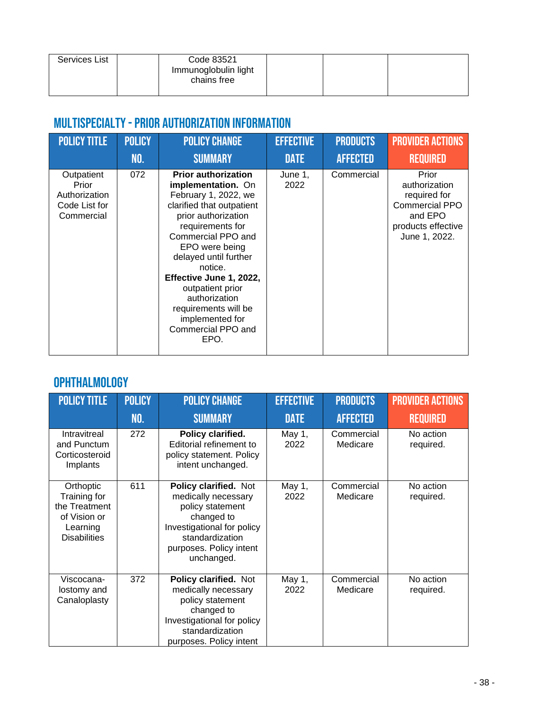| Services List | Code 83521<br>Immunoglobulin light<br>chains free |  |  |
|---------------|---------------------------------------------------|--|--|
|               |                                                   |  |  |

## Multispecialty -Prior Authorization Information

| <b>POLICY TITLE</b>                                                 | <b>POLICY</b> | <b>POLICY CHANGE</b>                                                                                                                                                                                                                                                                                                                                                  | <b>EFFECTIVE</b> | <b>PRODUCTS</b> | <b>PROVIDER ACTIONS</b>                                                                                           |
|---------------------------------------------------------------------|---------------|-----------------------------------------------------------------------------------------------------------------------------------------------------------------------------------------------------------------------------------------------------------------------------------------------------------------------------------------------------------------------|------------------|-----------------|-------------------------------------------------------------------------------------------------------------------|
|                                                                     | NO.           | <b>SUMMARY</b>                                                                                                                                                                                                                                                                                                                                                        | <b>DATE</b>      | <b>AFFECTED</b> | <b>REQUIRED</b>                                                                                                   |
| Outpatient<br>Prior<br>Authorization<br>Code List for<br>Commercial | 072           | <b>Prior authorization</b><br>implementation. On<br>February 1, 2022, we<br>clarified that outpatient<br>prior authorization<br>requirements for<br>Commercial PPO and<br>EPO were being<br>delayed until further<br>notice.<br>Effective June 1, 2022,<br>outpatient prior<br>authorization<br>requirements will be<br>implemented for<br>Commercial PPO and<br>EPO. | June 1,<br>2022  | Commercial      | Prior<br>authorization<br>required for<br><b>Commercial PPO</b><br>and EPO<br>products effective<br>June 1, 2022. |

### Ophthalmology

| <b>POLICY TITLE</b>                                                                           | <b>POLICY</b><br><b>NO.</b> | <b>POLICY CHANGE</b><br><b>SUMMARY</b>                                                                                                                                   | <b>EFFECTIVE</b><br><b>DATE</b> | <b>PRODUCTS</b><br><b>AFFECTED</b> | <b>PROVIDER ACTIONS</b><br><b>REQUIRED</b> |
|-----------------------------------------------------------------------------------------------|-----------------------------|--------------------------------------------------------------------------------------------------------------------------------------------------------------------------|---------------------------------|------------------------------------|--------------------------------------------|
| Intravitreal<br>and Punctum<br>Corticosteroid<br>Implants                                     | 272                         | Policy clarified.<br>Editorial refinement to<br>policy statement. Policy<br>intent unchanged.                                                                            | May 1,<br>2022                  | Commercial<br>Medicare             | No action<br>required.                     |
| Orthoptic<br>Training for<br>the Treatment<br>of Vision or<br>Learning<br><b>Disabilities</b> | 611                         | Policy clarified. Not<br>medically necessary<br>policy statement<br>changed to<br>Investigational for policy<br>standardization<br>purposes. Policy intent<br>unchanged. | May 1,<br>2022                  | Commercial<br>Medicare             | No action<br>required.                     |
| Viscocana-<br>lostomy and<br>Canaloplasty                                                     | 372                         | Policy clarified. Not<br>medically necessary<br>policy statement<br>changed to<br>Investigational for policy<br>standardization<br>purposes. Policy intent               | May 1,<br>2022                  | Commercial<br>Medicare             | No action<br>required.                     |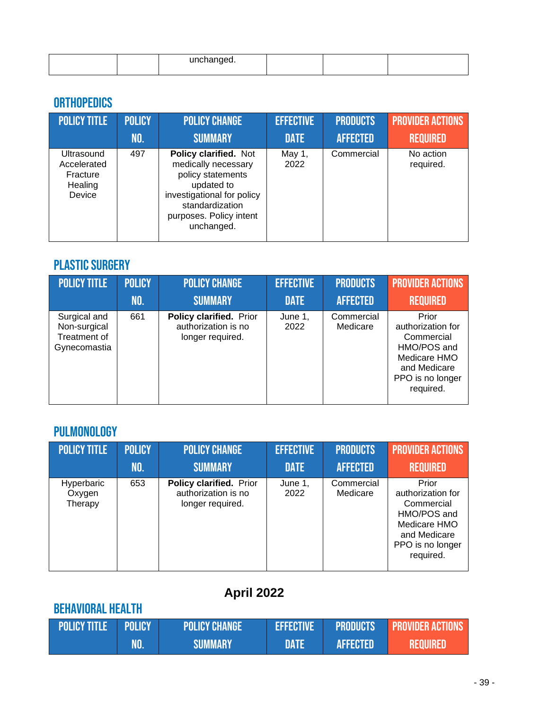| 1.00000000000<br>. |  |  |
|--------------------|--|--|

## **ORTHOPEDICS**

| <b>POLICY TITLE</b>                                        | <b>POLICY</b> | <b>POLICY CHANGE</b>                                                                                                                                                      | <b>EFFECTIVE</b> | <b>PRODUCTS</b> | <b>PROVIDER ACTIONS</b> |
|------------------------------------------------------------|---------------|---------------------------------------------------------------------------------------------------------------------------------------------------------------------------|------------------|-----------------|-------------------------|
|                                                            | NO.           | <b>SUMMARY</b>                                                                                                                                                            | <b>DATE</b>      | <b>AFFECTED</b> | <b>REQUIRED</b>         |
| Ultrasound<br>Accelerated<br>Fracture<br>Healing<br>Device | 497           | Policy clarified. Not<br>medically necessary<br>policy statements<br>updated to<br>investigational for policy<br>standardization<br>purposes. Policy intent<br>unchanged. | May 1,<br>2022   | Commercial      | No action<br>required.  |

## PLASTIC SURGERY

| <b>POLICY TITLE</b>                                          | <b>POLICY</b> | <b>POLICY CHANGE</b>                                               | <b>EFFECTIVE</b> | <b>PRODUCTS</b>        | <b>PROVIDER ACTIONS</b>                                                                                                  |
|--------------------------------------------------------------|---------------|--------------------------------------------------------------------|------------------|------------------------|--------------------------------------------------------------------------------------------------------------------------|
|                                                              | NO.           | <b>SUMMARY</b>                                                     | <b>DATE</b>      | <b>AFFECTED</b>        | <b>REQUIRED</b>                                                                                                          |
| Surgical and<br>Non-surgical<br>Treatment of<br>Gynecomastia | 661           | Policy clarified. Prior<br>authorization is no<br>longer required. | June 1,<br>2022  | Commercial<br>Medicare | Prior<br>authorization for<br>Commercial<br>HMO/POS and<br>Medicare HMO<br>and Medicare<br>PPO is no longer<br>required. |

### Pulmonology

| <b>POLICY TITLE</b>             | <b>POLICY</b> | <b>POLICY CHANGE</b>                                               | <b>EFFECTIVE</b> | <b>PRODUCTS</b>        | <b>PROVIDER ACTIONS'</b>                                                                                                 |
|---------------------------------|---------------|--------------------------------------------------------------------|------------------|------------------------|--------------------------------------------------------------------------------------------------------------------------|
|                                 | NO.           | <b>SUMMARY</b>                                                     | <b>DATE</b>      | <b>AFFECTED</b>        | <b>REQUIRED</b>                                                                                                          |
| Hyperbaric<br>Oxygen<br>Therapy | 653           | Policy clarified. Prior<br>authorization is no<br>longer required. | June 1,<br>2022  | Commercial<br>Medicare | Prior<br>authorization for<br>Commercial<br>HMO/POS and<br>Medicare HMO<br>and Medicare<br>PPO is no longer<br>required. |

# **April 2022**

# Behavioral health

| <b>POLICY TITLE POLICY</b> | <b>POLICY CHANGE</b> | <b>EFFECTIVE</b> | <b>PRODUCTS</b> | <b>PROVIDER ACTIONS</b> |
|----------------------------|----------------------|------------------|-----------------|-------------------------|
|                            | <b>SUMMARY</b>       | <b>DATE</b>      | <b>AFFECTED</b> | <b>.REQUIRED</b>        |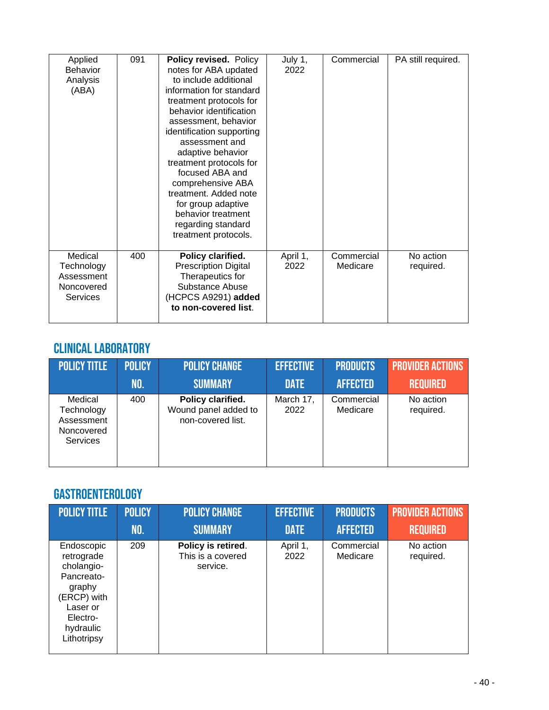| Applied<br><b>Behavior</b><br>Analysis<br>(ABA)               | 091 | Policy revised. Policy<br>notes for ABA updated<br>to include additional<br>information for standard<br>treatment protocols for<br>behavior identification<br>assessment, behavior<br>identification supporting<br>assessment and<br>adaptive behavior<br>treatment protocols for<br>focused ABA and<br>comprehensive ABA<br>treatment. Added note<br>for group adaptive<br>behavior treatment<br>regarding standard<br>treatment protocols. | July 1,<br>2022  | Commercial             | PA still required.     |
|---------------------------------------------------------------|-----|----------------------------------------------------------------------------------------------------------------------------------------------------------------------------------------------------------------------------------------------------------------------------------------------------------------------------------------------------------------------------------------------------------------------------------------------|------------------|------------------------|------------------------|
| Medical<br>Technology<br>Assessment<br>Noncovered<br>Services | 400 | Policy clarified.<br><b>Prescription Digital</b><br>Therapeutics for<br>Substance Abuse<br>(HCPCS A9291) added<br>to non-covered list.                                                                                                                                                                                                                                                                                                       | April 1,<br>2022 | Commercial<br>Medicare | No action<br>required. |

## Clinical Laboratory

| <b>POLICY TITLE</b>                                                  | <b>POLICY</b> | <b>POLICY CHANGE</b>                                           | <b>EFFECTIVE</b>  | <b>PRODUCTS</b>        | <b>PROVIDER ACTIONS</b> |
|----------------------------------------------------------------------|---------------|----------------------------------------------------------------|-------------------|------------------------|-------------------------|
|                                                                      | NO.           | <b>SUMMARY</b>                                                 | <b>DATE</b>       | <b>AFFECTED</b>        | <b>REQUIRED</b>         |
| Medical<br>Technology<br>Assessment<br>Noncovered<br><b>Services</b> | 400           | Policy clarified.<br>Wound panel added to<br>non-covered list. | March 17,<br>2022 | Commercial<br>Medicare | No action<br>required.  |

### Gastroenterology

| <b>POLICY TITLE</b>                                                                                                               | <b>POLICY</b> | <b>POLICY CHANGE</b>                                | <b>EFFECTIVE</b> | <b>PRODUCTS</b>        | <b>PROVIDER ACTIONS</b> |
|-----------------------------------------------------------------------------------------------------------------------------------|---------------|-----------------------------------------------------|------------------|------------------------|-------------------------|
|                                                                                                                                   | <b>NO.</b>    | <b>SUMMARY</b>                                      | <b>DATE</b>      | <b>AFFECTED</b>        | <b>REQUIRED</b>         |
| Endoscopic<br>retrograde<br>cholangio-<br>Pancreato-<br>graphy<br>(ERCP) with<br>Laser or<br>Electro-<br>hydraulic<br>Lithotripsy | 209           | Policy is retired.<br>This is a covered<br>service. | April 1,<br>2022 | Commercial<br>Medicare | No action<br>required.  |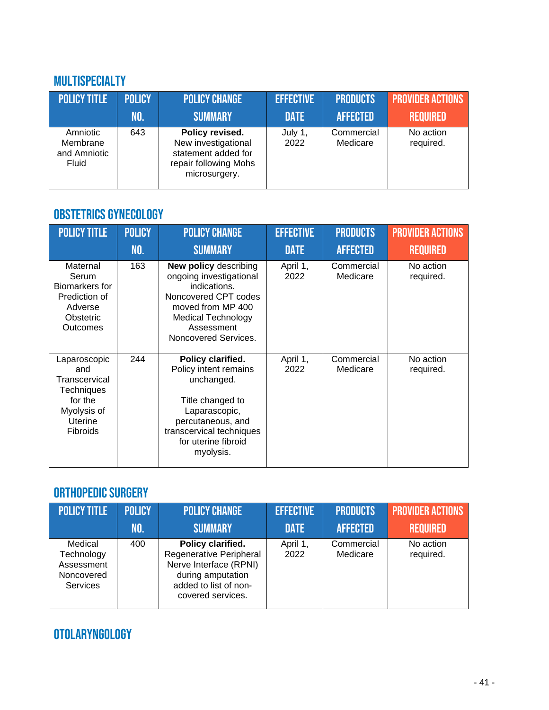#### Multispecialty

| <b>POLICY TITLE</b>                           | <b>POLICY</b> | <b>POLICY CHANGE</b>                                                                                    | <b>EFFECTIVE</b> | <b>PRODUCTS</b>        | <b>PROVIDER ACTIONS</b> |
|-----------------------------------------------|---------------|---------------------------------------------------------------------------------------------------------|------------------|------------------------|-------------------------|
|                                               | NO.           | <b>SUMMARY</b>                                                                                          | <b>DATE</b>      | <b>AFFECTED</b>        | <b>REQUIRED</b>         |
| Amniotic<br>Membrane<br>and Amniotic<br>Fluid | 643           | Policy revised.<br>New investigational<br>statement added for<br>repair following Mohs<br>microsurgery. | July 1,<br>2022  | Commercial<br>Medicare | No action<br>required.  |

### Obstetrics Gynecology

| <b>POLICY TITLE</b>                                                                                        | <b>POLICY</b> | <b>POLICY CHANGE</b>                                                                                                                                                                    | <b>EFFECTIVE</b> | <b>PRODUCTS</b>        | <b>PROVIDER ACTIONS</b> |
|------------------------------------------------------------------------------------------------------------|---------------|-----------------------------------------------------------------------------------------------------------------------------------------------------------------------------------------|------------------|------------------------|-------------------------|
|                                                                                                            | NO.           | <b>SUMMARY</b>                                                                                                                                                                          | <b>DATE</b>      | <b>AFFECTED</b>        | <b>REQUIRED</b>         |
| Maternal<br>Serum<br>Biomarkers for<br>Prediction of<br>Adverse<br>Obstetric<br>Outcomes                   | 163           | <b>New policy describing</b><br>ongoing investigational<br>indications.<br>Noncovered CPT codes<br>moved from MP 400<br><b>Medical Technology</b><br>Assessment<br>Noncovered Services. | April 1,<br>2022 | Commercial<br>Medicare | No action<br>required.  |
| Laparoscopic<br>and<br>Transcervical<br>Techniques<br>for the<br>Myolysis of<br><b>Uterine</b><br>Fibroids | 244           | Policy clarified.<br>Policy intent remains<br>unchanged.<br>Title changed to<br>Laparascopic,<br>percutaneous, and<br>transcervical techniques<br>for uterine fibroid<br>myolysis.      | April 1,<br>2022 | Commercial<br>Medicare | No action<br>required.  |

#### ORTHOPEDIC SURGERY

| <b>POLICY TITLE</b>                                                  | <b>POLICY</b> | <b>POLICY CHANGE</b>                                                                                                                      | <b>EFFECTIVE</b> | <b>PRODUCTS</b>        | <b>PROVIDER ACTIONS</b> |
|----------------------------------------------------------------------|---------------|-------------------------------------------------------------------------------------------------------------------------------------------|------------------|------------------------|-------------------------|
|                                                                      | INO.          | <b>SUMMARY</b>                                                                                                                            | <b>DATE</b>      | <b>AFFECTED</b>        | <b>REQUIRED</b>         |
| Medical<br>Technology<br>Assessment<br>Noncovered<br><b>Services</b> | 400           | Policy clarified.<br>Regenerative Peripheral<br>Nerve Interface (RPNI)<br>during amputation<br>added to list of non-<br>covered services. | April 1,<br>2022 | Commercial<br>Medicare | No action<br>required.  |

# Otolaryngology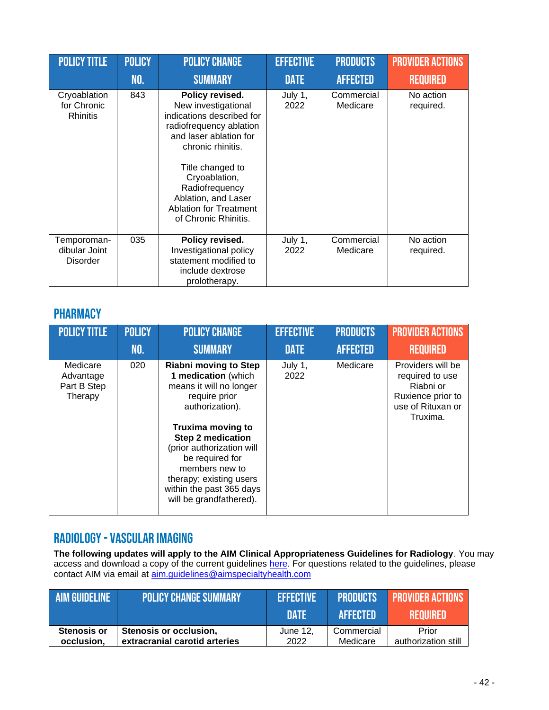| <b>POLICY TITLE</b>                             | <b>POLICY</b><br>NO. | <b>POLICY CHANGE</b><br><b>SUMMARY</b>                                                                                                                                                                                                                                               | <b>EFFECTIVE</b><br><b>DATE</b> | <b>PRODUCTS</b><br><b>AFFECTED</b> | <b>PROVIDER ACTIONS</b><br><b>REQUIRED</b> |
|-------------------------------------------------|----------------------|--------------------------------------------------------------------------------------------------------------------------------------------------------------------------------------------------------------------------------------------------------------------------------------|---------------------------------|------------------------------------|--------------------------------------------|
| Cryoablation<br>for Chronic<br><b>Rhinitis</b>  | 843                  | Policy revised.<br>New investigational<br>indications described for<br>radiofrequency ablation<br>and laser ablation for<br>chronic rhinitis.<br>Title changed to<br>Cryoablation,<br>Radiofrequency<br>Ablation, and Laser<br><b>Ablation for Treatment</b><br>of Chronic Rhinitis. | July 1,<br>2022                 | Commercial<br>Medicare             | No action<br>required.                     |
| Temporoman-<br>dibular Joint<br><b>Disorder</b> | 035                  | Policy revised.<br>Investigational policy<br>statement modified to<br>include dextrose<br>prolotherapy.                                                                                                                                                                              | July 1,<br>2022                 | Commercial<br>Medicare             | No action<br>required.                     |

#### **PHARMACY**

| <b>POLICY TITLE</b>                             | <b>POLICY</b> | <b>POLICY CHANGE</b>                                                                                                                                                                                                                                                                                                           | <b>EFFECTIVE</b> | <b>PRODUCTS</b> | <b>PROVIDER ACTIONS</b>                                                                                 |
|-------------------------------------------------|---------------|--------------------------------------------------------------------------------------------------------------------------------------------------------------------------------------------------------------------------------------------------------------------------------------------------------------------------------|------------------|-----------------|---------------------------------------------------------------------------------------------------------|
|                                                 | NO.           | <b>SUMMARY</b>                                                                                                                                                                                                                                                                                                                 | <b>DATE</b>      | <b>AFFECTED</b> | <b>REQUIRED</b>                                                                                         |
| Medicare<br>Advantage<br>Part B Step<br>Therapy | 020           | <b>Riabni moving to Step</b><br>1 medication (which<br>means it will no longer<br>require prior<br>authorization).<br><b>Truxima moving to</b><br><b>Step 2 medication</b><br>(prior authorization will<br>be required for<br>members new to<br>therapy; existing users<br>within the past 365 days<br>will be grandfathered). | July 1,<br>2022  | Medicare        | Providers will be<br>required to use<br>Riabni or<br>Ruxience prior to<br>use of Rituxan or<br>Truxima. |

#### Radiology-Vascular imaging

**The following updates will apply to the AIM Clinical Appropriateness Guidelines for Radiology**. You may access and download a copy of the current guidelines [here.](https://aimspecialtyhealth.com/resources/clinical-guidelines/radiology/) For questions related to the guidelines, please contact AIM via email at [aim.guidelines@aimspecialtyhealth.com](mailto:aim.guidelines@aimspecialtyhealth.com)

| <b>AIM GUIDELINE</b> | <b>POLICY CHANGE SUMMARY</b>  | <b>EFFECTIVE</b> | <b>APRODUCTS</b> | <b>PROVIDER ACTIONS</b> |
|----------------------|-------------------------------|------------------|------------------|-------------------------|
|                      |                               | <b>DATE</b>      | <b>AFFECTED</b>  | <b>REQUIRED</b>         |
| <b>Stenosis or</b>   | Stenosis or occlusion,        | June 12,         | Commercial       | Prior                   |
| occlusion.           | extracranial carotid arteries | 2022             | Medicare         | authorization still     |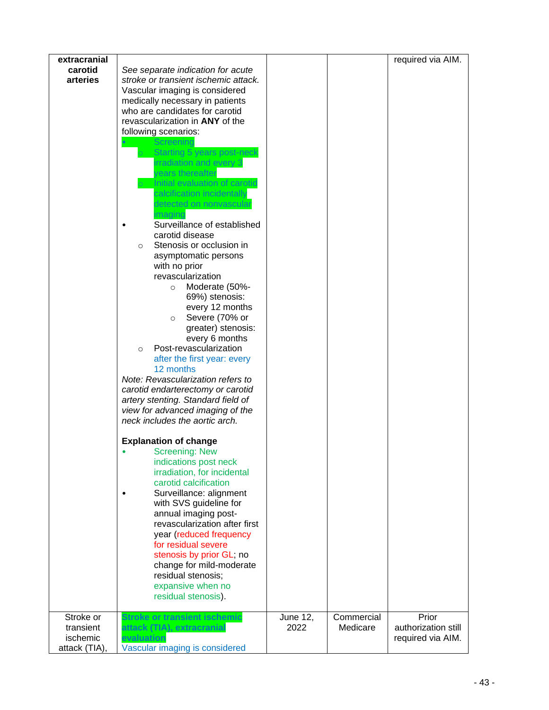| extracranial<br>carotid<br>arteries    | See separate indication for acute<br>stroke or transient ischemic attack.<br>Vascular imaging is considered<br>medically necessary in patients<br>who are candidates for carotid<br>revascularization in ANY of the<br>following scenarios:<br>Screenind<br>Starting 5 years post-neck<br>irradiation and every 3<br>vears thereafter<br>Initial evaluation of carotid<br>calcification incidentally<br>detected on nonvasculaı<br>Surveillance of established<br>carotid disease<br>Stenosis or occlusion in<br>O<br>asymptomatic persons<br>with no prior<br>revascularization<br>Moderate (50%-<br>$\circ$<br>69%) stenosis:<br>every 12 months<br>Severe (70% or<br>$\circ$<br>greater) stenosis:<br>every 6 months<br>Post-revascularization<br>$\circ$<br>after the first year: every<br>12 months<br>Note: Revascularization refers to<br>carotid endarterectomy or carotid<br>artery stenting. Standard field of<br>view for advanced imaging of the<br>neck includes the aortic arch.<br><b>Explanation of change</b><br><b>Screening: New</b><br>indications post neck<br>irradiation, for incidental<br>carotid calcification<br>Surveillance: alignment<br>with SVS guideline for<br>annual imaging post-<br>revascularization after first<br>year (reduced frequency<br>for residual severe<br>stenosis by prior GL; no<br>change for mild-moderate<br>residual stenosis;<br>expansive when no |          |            | required via AIM.                        |
|----------------------------------------|-------------------------------------------------------------------------------------------------------------------------------------------------------------------------------------------------------------------------------------------------------------------------------------------------------------------------------------------------------------------------------------------------------------------------------------------------------------------------------------------------------------------------------------------------------------------------------------------------------------------------------------------------------------------------------------------------------------------------------------------------------------------------------------------------------------------------------------------------------------------------------------------------------------------------------------------------------------------------------------------------------------------------------------------------------------------------------------------------------------------------------------------------------------------------------------------------------------------------------------------------------------------------------------------------------------------------------------------------------------------------------------------------------------|----------|------------|------------------------------------------|
|                                        | residual stenosis).                                                                                                                                                                                                                                                                                                                                                                                                                                                                                                                                                                                                                                                                                                                                                                                                                                                                                                                                                                                                                                                                                                                                                                                                                                                                                                                                                                                         |          |            |                                          |
| Stroke or                              | Stroke or transient ischemic                                                                                                                                                                                                                                                                                                                                                                                                                                                                                                                                                                                                                                                                                                                                                                                                                                                                                                                                                                                                                                                                                                                                                                                                                                                                                                                                                                                | June 12, | Commercial | Prior                                    |
| transient<br>ischemic<br>attack (TIA), | attack (TIA), extracranial<br>evaluation<br>Vascular imaging is considered                                                                                                                                                                                                                                                                                                                                                                                                                                                                                                                                                                                                                                                                                                                                                                                                                                                                                                                                                                                                                                                                                                                                                                                                                                                                                                                                  | 2022     | Medicare   | authorization still<br>required via AIM. |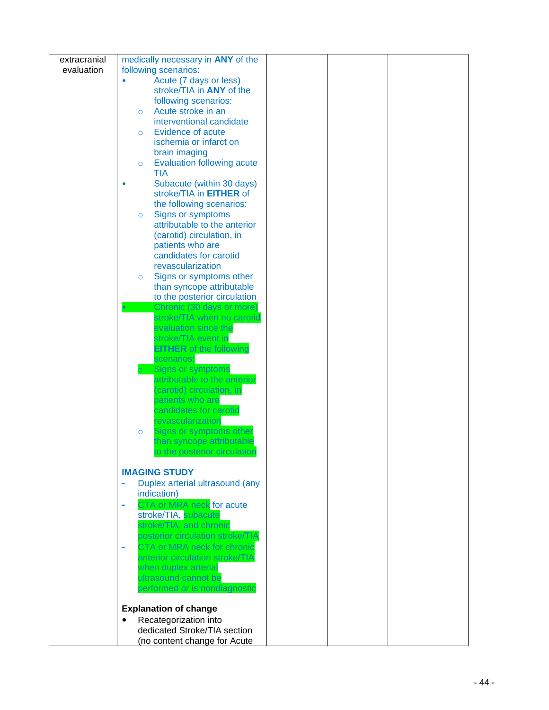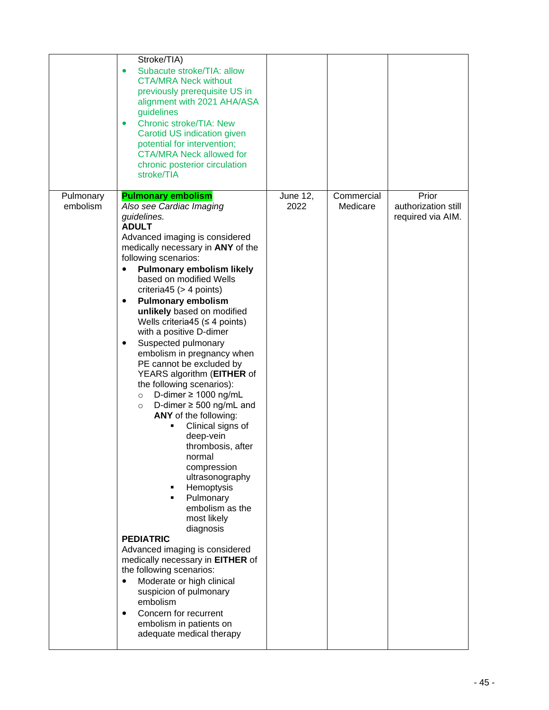|                       | Stroke/TIA)<br>Subacute stroke/TIA: allow<br>$\bullet$<br><b>CTA/MRA Neck without</b><br>previously prerequisite US in<br>alignment with 2021 AHA/ASA<br>guidelines<br><b>Chronic stroke/TIA: New</b><br>$\bullet$<br>Carotid US indication given<br>potential for intervention;<br><b>CTA/MRA Neck allowed for</b><br>chronic posterior circulation<br>stroke/TIA                                                                                                                                                                                                                                                                                                                                                                                                                                                                                                                                                                                                                                                                                                                                                                                                                |                         |                        |                                                   |
|-----------------------|-----------------------------------------------------------------------------------------------------------------------------------------------------------------------------------------------------------------------------------------------------------------------------------------------------------------------------------------------------------------------------------------------------------------------------------------------------------------------------------------------------------------------------------------------------------------------------------------------------------------------------------------------------------------------------------------------------------------------------------------------------------------------------------------------------------------------------------------------------------------------------------------------------------------------------------------------------------------------------------------------------------------------------------------------------------------------------------------------------------------------------------------------------------------------------------|-------------------------|------------------------|---------------------------------------------------|
| Pulmonary<br>embolism | <b>Pulmonary embolism</b><br>Also see Cardiac Imaging<br>guidelines.<br><b>ADULT</b><br>Advanced imaging is considered<br>medically necessary in ANY of the<br>following scenarios:<br><b>Pulmonary embolism likely</b><br>$\bullet$<br>based on modified Wells<br>criteria45 ( $>$ 4 points)<br><b>Pulmonary embolism</b><br>٠<br>unlikely based on modified<br>Wells criteria45 ( $\leq$ 4 points)<br>with a positive D-dimer<br>Suspected pulmonary<br>٠<br>embolism in pregnancy when<br>PE cannot be excluded by<br>YEARS algorithm (EITHER of<br>the following scenarios):<br>D-dimer $\geq$ 1000 ng/mL<br>$\circ$<br>D-dimer $\geq$ 500 ng/mL and<br>$\circ$<br>ANY of the following:<br>Clinical signs of<br>deep-vein<br>thrombosis, after<br>normal<br>compression<br>ultrasonography<br>Hemoptysis<br>Pulmonary<br>٠<br>embolism as the<br>most likely<br>diagnosis<br><b>PEDIATRIC</b><br>Advanced imaging is considered<br>medically necessary in EITHER of<br>the following scenarios:<br>Moderate or high clinical<br>$\bullet$<br>suspicion of pulmonary<br>embolism<br>Concern for recurrent<br>$\bullet$<br>embolism in patients on<br>adequate medical therapy | <b>June 12,</b><br>2022 | Commercial<br>Medicare | Prior<br>authorization still<br>required via AIM. |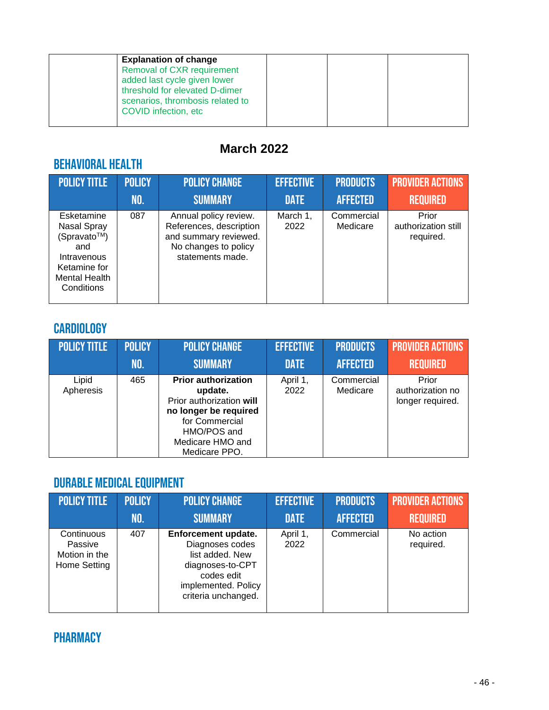| <b>Explanation of change</b><br><b>Removal of CXR requirement</b><br>added last cycle given lower<br>threshold for elevated D-dimer |  |  |
|-------------------------------------------------------------------------------------------------------------------------------------|--|--|
| scenarios, thrombosis related to<br>COVID infection, etc                                                                            |  |  |

## **March 2022**

# Behavioral Health

| <b>POLICY TITLE</b>                                                                                                  | <b>POLICY</b> | <b>POLICY CHANGE</b>                                                                                                  | <b>EFFECTIVE</b> | <b>PRODUCTS</b>        | <b>PROVIDER ACTIONS</b>                   |
|----------------------------------------------------------------------------------------------------------------------|---------------|-----------------------------------------------------------------------------------------------------------------------|------------------|------------------------|-------------------------------------------|
|                                                                                                                      | NO.           | <b>SUMMARY</b>                                                                                                        | <b>DATE</b>      | <b>AFFECTED</b>        | <b>REQUIRED</b>                           |
| Esketamine<br>Nasal Spray<br>(Spravato™)<br>and<br>Intravenous<br>Ketamine for<br><b>Mental Health</b><br>Conditions | 087           | Annual policy review.<br>References, description<br>and summary reviewed.<br>No changes to policy<br>statements made. | March 1,<br>2022 | Commercial<br>Medicare | Prior<br>authorization still<br>required. |

# **CARDIOLOGY**

| <b>POLICY TITLE</b> | <b>POLICY</b> | <b>POLICY CHANGE</b>                                                                                                                                             | <b>EFFECTIVE</b> | <b>PRODUCTS</b>        | <b>PROVIDER ACTIONS</b>                       |
|---------------------|---------------|------------------------------------------------------------------------------------------------------------------------------------------------------------------|------------------|------------------------|-----------------------------------------------|
|                     | NO.           | <b>SUMMARY</b>                                                                                                                                                   | <b>DATE</b>      | <b>AFFECTED</b>        | <b>REQUIRED</b>                               |
| Lipid<br>Apheresis  | 465           | <b>Prior authorization</b><br>update.<br>Prior authorization will<br>no longer be required<br>for Commercial<br>HMO/POS and<br>Medicare HMO and<br>Medicare PPO. | April 1,<br>2022 | Commercial<br>Medicare | Prior<br>authorization no<br>longer required. |

# Durable Medical Equipment

| <b>POLICY TITLE</b>                                    | <b>POLICY</b> | <b>POLICY CHANGE</b>                                                                                                                      | <b>EFFECTIVE</b> | <b>PRODUCTS</b> | <b>PROVIDER ACTIONS</b> |
|--------------------------------------------------------|---------------|-------------------------------------------------------------------------------------------------------------------------------------------|------------------|-----------------|-------------------------|
|                                                        | NO.           | <b>SUMMARY</b>                                                                                                                            | <b>DATE</b>      | <b>AFFECTED</b> | <b>REQUIRED</b>         |
| Continuous<br>Passive<br>Motion in the<br>Home Setting | 407           | Enforcement update.<br>Diagnoses codes<br>list added. New<br>diagnoses-to-CPT<br>codes edit<br>implemented. Policy<br>criteria unchanged. | April 1,<br>2022 | Commercial      | No action<br>required.  |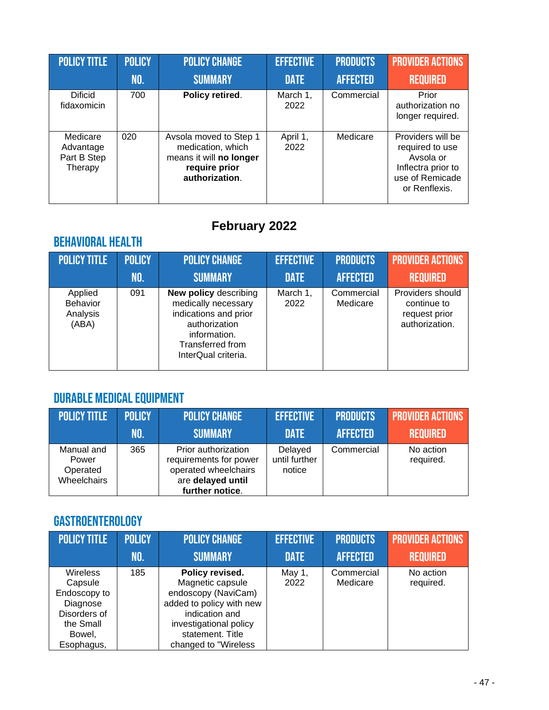| <b>POLICY TITLE</b>                             | <b>POLICY</b> | <b>POLICY CHANGE</b>                                                                                      | <b>EFFECTIVE</b> | <b>PRODUCTS</b> | <b>PROVIDER ACTIONS</b>                                                                                     |
|-------------------------------------------------|---------------|-----------------------------------------------------------------------------------------------------------|------------------|-----------------|-------------------------------------------------------------------------------------------------------------|
|                                                 | NO.           | <b>SUMMARY</b>                                                                                            | <b>DATE</b>      | <b>AFFECTED</b> | <b>REQUIRED</b>                                                                                             |
| <b>Dificid</b><br>fidaxomicin                   | 700           | Policy retired.                                                                                           | March 1,<br>2022 | Commercial      | Prior<br>authorization no<br>longer required.                                                               |
| Medicare<br>Advantage<br>Part B Step<br>Therapy | 020           | Avsola moved to Step 1<br>medication, which<br>means it will no longer<br>require prior<br>authorization. | April 1,<br>2022 | Medicare        | Providers will be<br>required to use<br>Avsola or<br>Inflectra prior to<br>use of Remicade<br>or Renflexis. |

# **February 2022**

# Behavioral Health

| <b>POLICY TITLE</b>                             | <b>POLICY</b> | <b>POLICY CHANGE</b>                                                                                                                                     | <b>EFFECTIVE</b> | <b>PRODUCTS</b>        | <b>PROVIDER ACTIONS</b>                                            |
|-------------------------------------------------|---------------|----------------------------------------------------------------------------------------------------------------------------------------------------------|------------------|------------------------|--------------------------------------------------------------------|
|                                                 | NO.           | <b>SUMMARY</b>                                                                                                                                           | <b>DATE</b>      | <b>AFFECTED</b>        | <b>REQUIRED</b>                                                    |
| Applied<br><b>Behavior</b><br>Analysis<br>(ABA) | 091           | <b>New policy describing</b><br>medically necessary<br>indications and prior<br>authorization<br>information.<br>Transferred from<br>InterQual criteria. | March 1,<br>2022 | Commercial<br>Medicare | Providers should<br>continue to<br>request prior<br>authorization. |

## Durable Medical Equipment

| POLICY TITLE                                   | <b>POLICY</b> | <b>POLICY CHANGE</b>                                                                                          | <b>EFFECTIVE</b>                   | <b>PRODUCTS</b> | <b>PROVIDER ACTIONS</b> |
|------------------------------------------------|---------------|---------------------------------------------------------------------------------------------------------------|------------------------------------|-----------------|-------------------------|
|                                                | NO.           | <b>SUMMARY</b>                                                                                                | <b>DATE</b>                        | <b>AFFECTED</b> | <b>REQUIRED</b>         |
| Manual and<br>Power<br>Operated<br>Wheelchairs | 365           | Prior authorization<br>requirements for power<br>operated wheelchairs<br>are delayed until<br>further notice. | Delayed<br>until further<br>notice | Commercial      | No action<br>required.  |

## Gastroenterology

| <b>POLICY TITLE</b> | <b>POLICY</b> | <b>POLICY CHANGE</b>     | <b>EFFECTIVE</b> | <b>PRODUCTS</b> | <b>PROVIDER ACTIONS</b> |
|---------------------|---------------|--------------------------|------------------|-----------------|-------------------------|
|                     | NO.           | <b>SUMMARY</b>           | <b>DATE</b>      | <b>AFFECTED</b> | <b>REQUIRED</b>         |
| <b>Wireless</b>     | 185           | Policy revised.          | May 1,           | Commercial      | No action               |
| Capsule             |               | Magnetic capsule         | 2022             | Medicare        | required.               |
| Endoscopy to        |               | endoscopy (NaviCam)      |                  |                 |                         |
| Diagnose            |               | added to policy with new |                  |                 |                         |
| Disorders of        |               | indication and           |                  |                 |                         |
| the Small           |               | investigational policy   |                  |                 |                         |
| Bowel,              |               | statement. Title         |                  |                 |                         |
| Esophagus,          |               | changed to "Wireless"    |                  |                 |                         |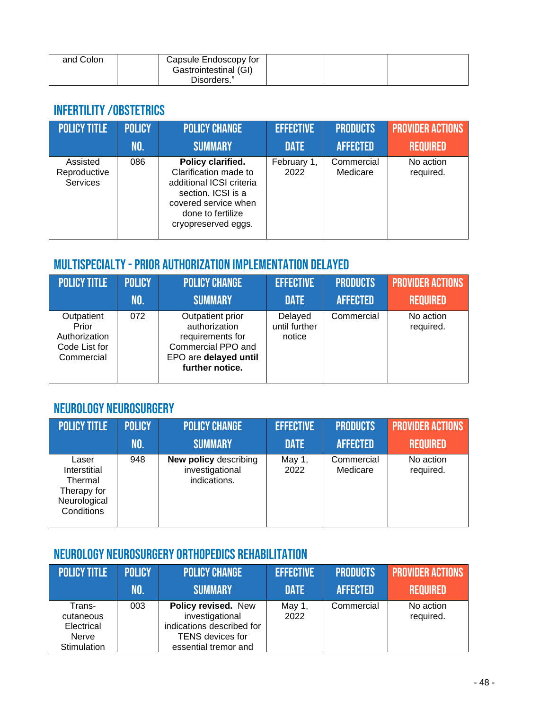| and Colon | Capsule Endoscopy for |  |  |
|-----------|-----------------------|--|--|
|           | Gastrointestinal (GI) |  |  |
|           | Disorders."           |  |  |

#### Infertility/Obstetrics

| <b>POLICY TITLE</b>                         | <b>POLICY</b> | <b>POLICY CHANGE</b>                                                                                                                                             | <b>EFFECTIVE</b>    | <b>PRODUCTS</b>        | <b>PROVIDER ACTIONS</b> |
|---------------------------------------------|---------------|------------------------------------------------------------------------------------------------------------------------------------------------------------------|---------------------|------------------------|-------------------------|
|                                             | INO.          | <b>SUMMARY</b>                                                                                                                                                   | <b>DATE</b>         | <b>AFFECTED</b>        | <b>REQUIRED</b>         |
| Assisted<br>Reproductive<br><b>Services</b> | 086           | Policy clarified.<br>Clarification made to<br>additional ICSI criteria<br>section. ICSI is a<br>covered service when<br>done to fertilize<br>cryopreserved eggs. | February 1,<br>2022 | Commercial<br>Medicare | No action<br>required.  |

#### Multispecialty-Prior Authorization Implementation Delayed

| <b>POLICY TITLE</b>                                                 | <b>POLICY</b> | <b>POLICY CHANGE</b>                                                                                                    | <b>EFFECTIVE</b>                   | <b>PRODUCTS</b> | <b>PROVIDER ACTIONS</b> |
|---------------------------------------------------------------------|---------------|-------------------------------------------------------------------------------------------------------------------------|------------------------------------|-----------------|-------------------------|
|                                                                     | NO.           | <b>SUMMARY</b>                                                                                                          | <b>DATE</b>                        | <b>AFFECTED</b> | <b>REQUIRED</b>         |
| Outpatient<br>Prior<br>Authorization<br>Code List for<br>Commercial | 072           | Outpatient prior<br>authorization<br>requirements for<br>Commercial PPO and<br>EPO are delayed until<br>further notice. | Delayed<br>until further<br>notice | Commercial      | No action<br>required.  |

#### Neurology Neurosurgery

| POLICY TITLE                                                                  | <b>POLICY</b> | <b>POLICY CHANGE</b>                                            | <b>EFFECTIVE</b> | <b>PRODUCTS</b>        | <b>PROVIDER ACTIONS</b> |
|-------------------------------------------------------------------------------|---------------|-----------------------------------------------------------------|------------------|------------------------|-------------------------|
|                                                                               | NO.           | <b>SUMMARY</b>                                                  | <b>DATE</b>      | <b>AFFECTED</b>        | <b>REQUIRED</b>         |
| Laser<br>Interstitial<br>Thermal<br>Therapy for<br>Neurological<br>Conditions | 948           | <b>New policy describing</b><br>investigational<br>indications. | May 1,<br>2022   | Commercial<br>Medicare | No action<br>required.  |

### Neurology Neurosurgery Orthopedics Rehabilitation

| <b>POLICY TITLE</b>                                              | <b>POLICY</b> | <b>POLICY CHANGE</b>                                                                                                   | <b>EFFECTIVE</b> | <b>PRODUCTS</b> | <b>PROVIDER ACTIONS</b> |
|------------------------------------------------------------------|---------------|------------------------------------------------------------------------------------------------------------------------|------------------|-----------------|-------------------------|
|                                                                  | NO.           | <b>SUMMARY</b>                                                                                                         | <b>DATE</b>      | <b>AFFECTED</b> | <b>REQUIRED</b>         |
| Trans-<br>cutaneous<br>Electrical<br><b>Nerve</b><br>Stimulation | 003           | Policy revised. New<br>investigational<br>indications described for<br><b>TENS</b> devices for<br>essential tremor and | May 1,<br>2022   | Commercial      | No action<br>required.  |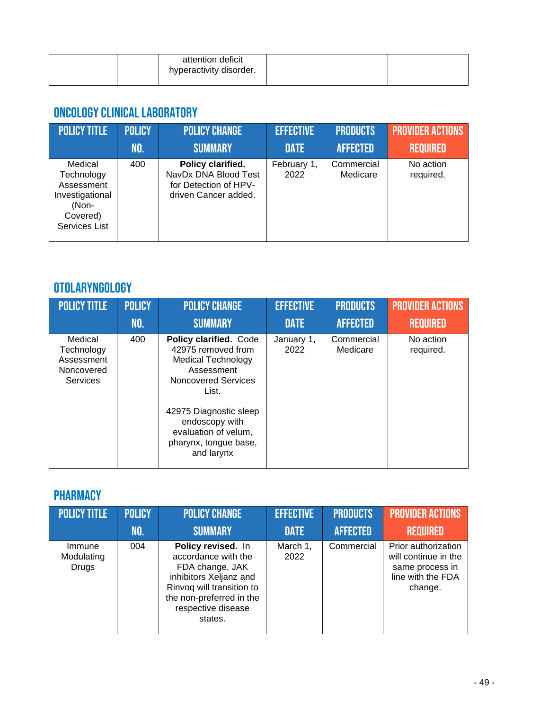|  | attention deficit<br>hyperactivity disorder. |  |  |
|--|----------------------------------------------|--|--|
|  |                                              |  |  |

#### Oncology Clinical laboratory

| <b>POLICY TITLE</b>                                                                          | <b>POLICY</b> | <b>POLICY CHANGE</b>                                                                       | <b>EFFECTIVE</b>    | <b>PRODUCTS</b>        | <b>PROVIDER ACTIONS</b> |
|----------------------------------------------------------------------------------------------|---------------|--------------------------------------------------------------------------------------------|---------------------|------------------------|-------------------------|
|                                                                                              | NO.           | <b>SUMMARY</b>                                                                             | <b>DATE</b>         | <b>AFFECTED</b>        | <b>REQUIRED</b>         |
| Medical<br>Technology<br>Assessment<br>Investigational<br>(Non-<br>Covered)<br>Services List | 400           | Policy clarified.<br>NavDx DNA Blood Test<br>for Detection of HPV-<br>driven Cancer added. | February 1,<br>2022 | Commercial<br>Medicare | No action<br>required.  |

### Otolaryngology

| <b>POLICY TITLE</b>                                                  | <b>POLICY</b> | <b>POLICY CHANGE</b>                                                                                                                                                                                                                      | <b>EFFECTIVE</b>   | <b>PRODUCTS</b>        | <b>PROVIDER ACTIONS</b> |
|----------------------------------------------------------------------|---------------|-------------------------------------------------------------------------------------------------------------------------------------------------------------------------------------------------------------------------------------------|--------------------|------------------------|-------------------------|
|                                                                      | <b>NO.</b>    | <b>SUMMARY</b>                                                                                                                                                                                                                            | <b>DATE</b>        | <b>AFFECTED</b>        | <b>REQUIRED</b>         |
| Medical<br>Technology<br>Assessment<br>Noncovered<br><b>Services</b> | 400           | Policy clarified. Code<br>42975 removed from<br><b>Medical Technology</b><br>Assessment<br><b>Noncovered Services</b><br>List.<br>42975 Diagnostic sleep<br>endoscopy with<br>evaluation of velum,<br>pharynx, tongue base,<br>and larynx | January 1,<br>2022 | Commercial<br>Medicare | No action<br>required.  |

### **PHARMACY**

| <b>POLICY TITLE</b>           | <b>POLICY</b> | <b>POLICY CHANGE</b>                                                                                                                                                             | <b>EFFECTIVE</b> | <b>PRODUCTS</b> | <b>PROVIDER ACTIONS</b>                                                                        |
|-------------------------------|---------------|----------------------------------------------------------------------------------------------------------------------------------------------------------------------------------|------------------|-----------------|------------------------------------------------------------------------------------------------|
|                               | NO.           | <b>SUMMARY</b>                                                                                                                                                                   | <b>DATE</b>      | <b>AFFECTED</b> | <b>REQUIRED</b>                                                                                |
| Immune<br>Modulating<br>Drugs | 004           | Policy revised. In<br>accordance with the<br>FDA change, JAK<br>inhibitors Xeljanz and<br>Rinvoq will transition to<br>the non-preferred in the<br>respective disease<br>states. | March 1,<br>2022 | Commercial      | Prior authorization<br>will continue in the<br>same process in<br>line with the FDA<br>change. |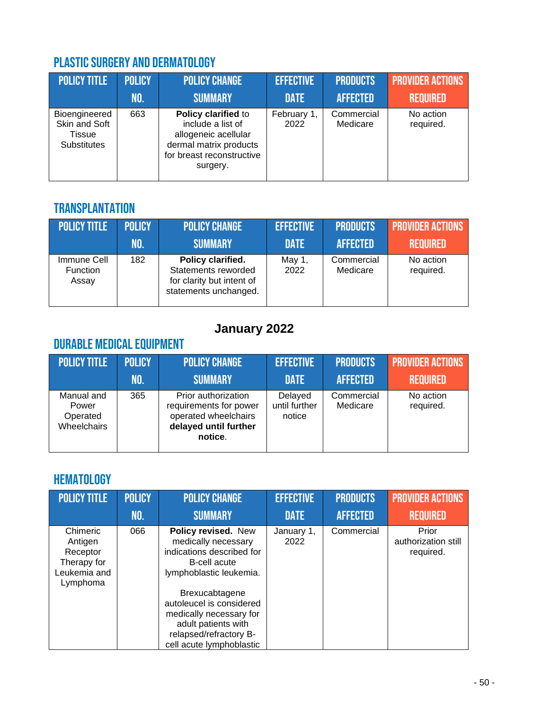# Plastic Surgery and Dermatology

| POLICY TITLE                                                   | <b>POLICY</b> | <b>POLICY CHANGE</b>                                                                                                                | <b>EFFECTIVE</b>    | <b>PRODUCTS</b>        | <b>PROVIDER ACTIONS</b> |
|----------------------------------------------------------------|---------------|-------------------------------------------------------------------------------------------------------------------------------------|---------------------|------------------------|-------------------------|
|                                                                | NO.           | <b>SUMMARY</b>                                                                                                                      | <b>DATE</b>         | <b>AFFECTED</b>        | <b>REQUIRED</b>         |
| Bioengineered<br>Skin and Soft<br>Tissue<br><b>Substitutes</b> | 663           | Policy clarified to<br>include a list of<br>allogeneic acellular<br>dermal matrix products<br>for breast reconstructive<br>surgery. | February 1,<br>2022 | Commercial<br>Medicare | No action<br>required.  |

#### **TRANSPLANTATION**

| <b>POLICY TITLE</b>              | <b>POLICY</b> | <b>POLICY CHANGE</b>                                                                           | <b>EFFECTIVE</b> | <b>PRODUCTS</b>        | <b>PROVIDER ACTIONS</b> |
|----------------------------------|---------------|------------------------------------------------------------------------------------------------|------------------|------------------------|-------------------------|
|                                  | NO.           | <b>SUMMARY</b>                                                                                 | <b>DATE</b>      | <b>AFFECTED</b>        | <b>REQUIRED</b>         |
| Immune Cell<br>Function<br>Assay | 182           | Policy clarified.<br>Statements reworded<br>for clarity but intent of<br>statements unchanged. | May 1,<br>2022   | Commercial<br>Medicare | No action<br>required.  |

# **January 2022**

## Durable Medical Equipment

| <b>POLICY TITLE</b>                            | <b>POLICY</b> | <b>POLICY CHANGE</b>                                                                                      | <b>EFFECTIVE</b>                   | <b>PRODUCTS</b>        | <b>PROVIDER ACTIONS</b> |
|------------------------------------------------|---------------|-----------------------------------------------------------------------------------------------------------|------------------------------------|------------------------|-------------------------|
|                                                | NO.           | <b>SUMMARY</b>                                                                                            | <b>DATE</b>                        | <b>AFFECTED</b>        | <b>REQUIRED</b>         |
| Manual and<br>Power<br>Operated<br>Wheelchairs | 365           | Prior authorization<br>requirements for power<br>operated wheelchairs<br>delayed until further<br>notice. | Delayed<br>until further<br>notice | Commercial<br>Medicare | No action<br>required.  |

### **HEMATOLOGY**

| <b>POLICY TITLE</b>                                                        | <b>POLICY</b> | <b>POLICY CHANGE</b>                                                                                                                               | <b>EFFECTIVE</b>   | <b>PRODUCTS</b> | <b>PROVIDER ACTIONS</b>                   |
|----------------------------------------------------------------------------|---------------|----------------------------------------------------------------------------------------------------------------------------------------------------|--------------------|-----------------|-------------------------------------------|
|                                                                            | NO.           | <b>SUMMARY</b>                                                                                                                                     | <b>DATE</b>        | <b>AFFECTED</b> | <b>REQUIRED</b>                           |
| Chimeric<br>Antigen<br>Receptor<br>Therapy for<br>Leukemia and<br>Lymphoma | 066           | Policy revised. New<br>medically necessary<br>indications described for<br>B-cell acute<br>lymphoblastic leukemia.                                 | January 1,<br>2022 | Commercial      | Prior<br>authorization still<br>required. |
|                                                                            |               | Brexucabtagene<br>autoleucel is considered<br>medically necessary for<br>adult patients with<br>relapsed/refractory B-<br>cell acute lymphoblastic |                    |                 |                                           |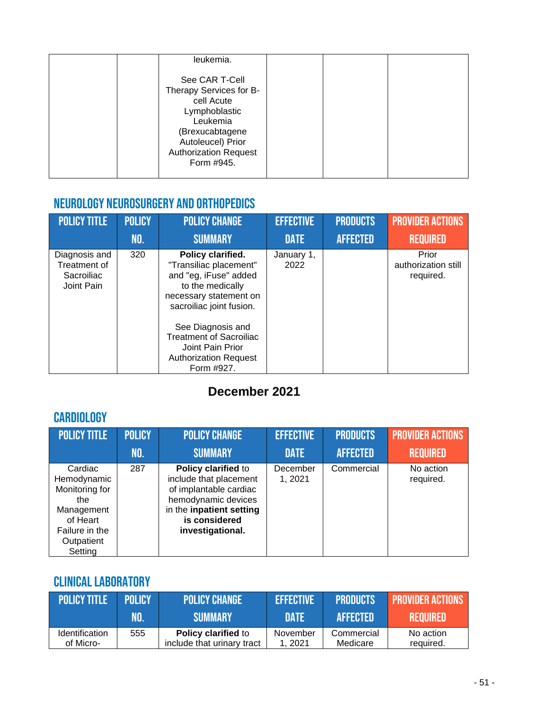|  | leukemia.                                                                                                                                                                  |  |  |
|--|----------------------------------------------------------------------------------------------------------------------------------------------------------------------------|--|--|
|  | See CAR T-Cell<br>Therapy Services for B-<br>cell Acute<br>Lymphoblastic<br>Leukemia<br>(Brexucabtagene<br>Autoleucel) Prior<br><b>Authorization Request</b><br>Form #945. |  |  |
|  |                                                                                                                                                                            |  |  |

#### Neurology Neurosurgery and Orthopedics

| <b>POLICY TITLE</b>                                       | <b>POLICY</b> | <b>POLICY CHANGE</b>                                                                                                                                                                                                                                                    | <b>EFFECTIVE</b>   | <b>PRODUCTS</b> | <b>PROVIDER ACTIONS</b>                   |
|-----------------------------------------------------------|---------------|-------------------------------------------------------------------------------------------------------------------------------------------------------------------------------------------------------------------------------------------------------------------------|--------------------|-----------------|-------------------------------------------|
|                                                           | NO.           | <b>SUMMARY</b>                                                                                                                                                                                                                                                          | <b>DATE</b>        | <b>AFFECTED</b> | <b>REQUIRED</b>                           |
| Diagnosis and<br>Treatment of<br>Sacroiliac<br>Joint Pain | 320           | Policy clarified.<br>"Transiliac placement"<br>and "eg, iFuse" added<br>to the medically<br>necessary statement on<br>sacroiliac joint fusion.<br>See Diagnosis and<br><b>Treatment of Sacroiliac</b><br>Joint Pain Prior<br><b>Authorization Request</b><br>Form #927. | January 1,<br>2022 |                 | Prior<br>authorization still<br>required. |

## **December 2021**

## **CARDIOLOGY**

| <b>POLICY TITLE</b>                                                                                                  | <b>POLICY</b> | <b>POLICY CHANGE</b>                                                                                                                                            | <b>EFFECTIVE</b>   | <b>PRODUCTS</b> | <b>PROVIDER ACTIONS</b> |
|----------------------------------------------------------------------------------------------------------------------|---------------|-----------------------------------------------------------------------------------------------------------------------------------------------------------------|--------------------|-----------------|-------------------------|
|                                                                                                                      | <b>NO.</b>    | <b>SUMMARY</b>                                                                                                                                                  | <b>DATE</b>        | <b>AFFECTED</b> | <b>REQUIRED</b>         |
| Cardiac<br>Hemodynamic<br>Monitoring for<br>the<br>Management<br>of Heart<br>Failure in the<br>Outpatient<br>Setting | 287           | Policy clarified to<br>include that placement<br>of implantable cardiac<br>hemodynamic devices<br>in the inpatient setting<br>is considered<br>investigational. | December<br>1,2021 | Commercial      | No action<br>required.  |

## Clinical laboratory

| <b>POLICY TITLE</b>         | <b>POLICY</b> | <b>POLICY CHANGE</b>                                     | <b>EFFECTIVE</b>   | <b>PRODUCTS</b>        | <b>EPROVIDER ACTIONS</b> |
|-----------------------------|---------------|----------------------------------------------------------|--------------------|------------------------|--------------------------|
|                             | NO.           | <b>ISUMMARY</b>                                          | <b>DATE</b>        | <b>AFFECTED</b>        | <b>REQUIRED</b>          |
| Identification<br>of Micro- | 555           | <b>Policy clarified to</b><br>include that urinary tract | November<br>. 2021 | Commercial<br>Medicare | No action<br>required.   |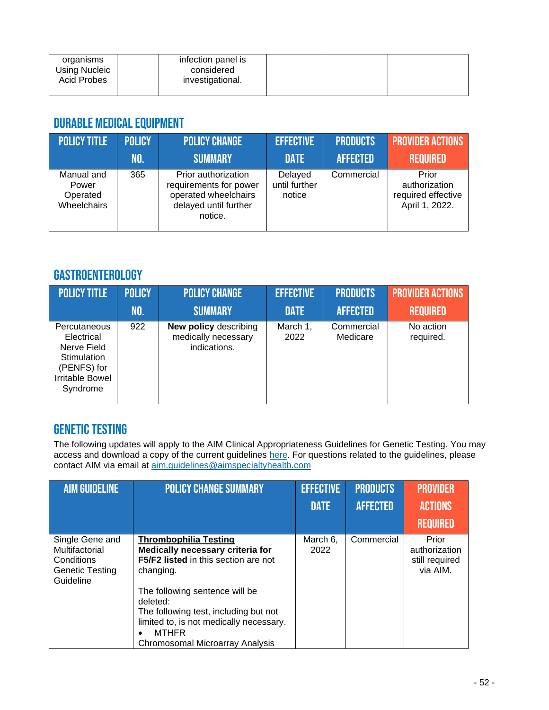| organisms<br><b>Using Nucleic</b><br>Acid Probes | infection panel is<br>considered<br>investigational. |  |  |
|--------------------------------------------------|------------------------------------------------------|--|--|
|                                                  |                                                      |  |  |

#### Durable Medical Equipment

| POLICY TITLE                                   | <b>POLICY</b> | <b>POLICY CHANGE</b>                                                                                      | <b>EFFECTIVE</b>                   | <b>PRODUCTS</b> | <b>PROVIDER ACTIONS</b>                                        |
|------------------------------------------------|---------------|-----------------------------------------------------------------------------------------------------------|------------------------------------|-----------------|----------------------------------------------------------------|
|                                                | INO.          | <b>SUMMARY</b>                                                                                            | <b>DATE</b>                        | <b>AFFECTED</b> | <b>REQUIRED</b>                                                |
| Manual and<br>Power<br>Operated<br>Wheelchairs | 365           | Prior authorization<br>requirements for power<br>operated wheelchairs<br>delayed until further<br>notice. | Delayed<br>until further<br>notice | Commercial      | Prior<br>authorization<br>required effective<br>April 1, 2022. |

#### Gastroenterology

| <b>POLICY TITLE</b>                                                                                           | <b>POLICY</b> | <b>POLICY CHANGE</b>                                                | <b>EFFECTIVE</b> | <b>PRODUCTS</b>        | <b>PROVIDER ACTIONS</b> |
|---------------------------------------------------------------------------------------------------------------|---------------|---------------------------------------------------------------------|------------------|------------------------|-------------------------|
|                                                                                                               | NO.           | <b>SUMMARY</b>                                                      | <b>DATE</b>      | <b>AFFECTED</b>        | <b>REQUIRED</b>         |
| Percutaneous<br>Electrical<br>Nerve Field<br>Stimulation<br>(PENFS) for<br><b>Irritable Bowel</b><br>Syndrome | 922           | <b>New policy describing</b><br>medically necessary<br>indications. | March 1,<br>2022 | Commercial<br>Medicare | No action<br>required.  |

#### Genetic testing

The following updates will apply to the AIM Clinical Appropriateness Guidelines for Genetic Testing. You may access and download a copy of the current guidelines [here.](https://aimspecialtyhealth.com/resources/clinical-guidelines/genetic-testing/) For questions related to the guidelines, please contact AIM via email at [aim.guidelines@aimspecialtyhealth.com](mailto:aim.guidelines@aimspecialtyhealth.com/)

| <b>AIM GUIDELINE</b>                                                            | <b>POLICY CHANGE SUMMARY</b>                                                                                                                                                           | <b>EFFECTIVE</b> | <b>PRODUCTS</b> | <b>PROVIDER</b>                                      |
|---------------------------------------------------------------------------------|----------------------------------------------------------------------------------------------------------------------------------------------------------------------------------------|------------------|-----------------|------------------------------------------------------|
|                                                                                 |                                                                                                                                                                                        | <b>DATE</b>      | <b>AFFECTED</b> | <b>ACTIONS</b>                                       |
|                                                                                 |                                                                                                                                                                                        |                  |                 | <b>REQUIRED</b>                                      |
| Single Gene and<br>Multifactorial<br>Conditions<br>Genetic Testing<br>Guideline | <b>Thrombophilia Testing</b><br>Medically necessary criteria for<br>F5/F2 listed in this section are not<br>changing.                                                                  | March 6,<br>2022 | Commercial      | Prior<br>authorization<br>still required<br>via AIM. |
|                                                                                 | The following sentence will be<br>deleted:<br>The following test, including but not<br>limited to, is not medically necessary.<br><b>MTHFR</b><br>٠<br>Chromosomal Microarray Analysis |                  |                 |                                                      |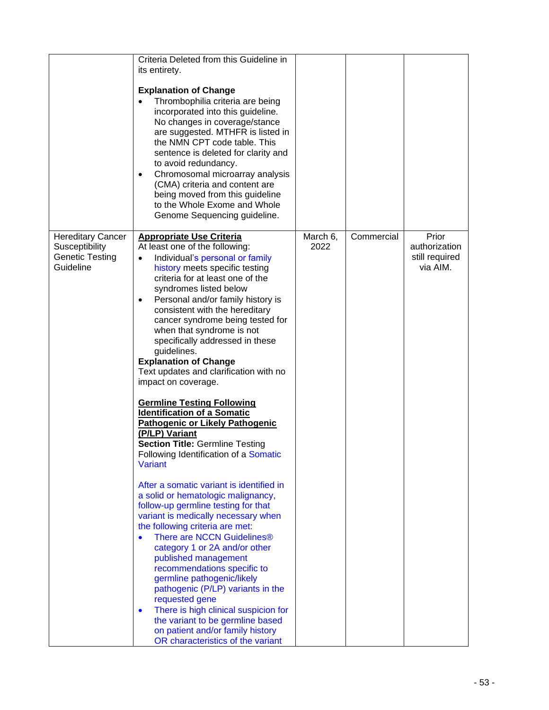|                                                                                   | Criteria Deleted from this Guideline in<br>its entirety.<br><b>Explanation of Change</b><br>Thrombophilia criteria are being<br>incorporated into this guideline.<br>No changes in coverage/stance<br>are suggested. MTHFR is listed in<br>the NMN CPT code table. This<br>sentence is deleted for clarity and<br>to avoid redundancy.<br>Chromosomal microarray analysis<br>$\bullet$<br>(CMA) criteria and content are<br>being moved from this guideline<br>to the Whole Exome and Whole<br>Genome Sequencing guideline.                                                                                                                                                                                                                                                                                                                                                                                                                                                                                                                                                                                                                                                                                                                                                                                                |                  |            |                                                      |
|-----------------------------------------------------------------------------------|----------------------------------------------------------------------------------------------------------------------------------------------------------------------------------------------------------------------------------------------------------------------------------------------------------------------------------------------------------------------------------------------------------------------------------------------------------------------------------------------------------------------------------------------------------------------------------------------------------------------------------------------------------------------------------------------------------------------------------------------------------------------------------------------------------------------------------------------------------------------------------------------------------------------------------------------------------------------------------------------------------------------------------------------------------------------------------------------------------------------------------------------------------------------------------------------------------------------------------------------------------------------------------------------------------------------------|------------------|------------|------------------------------------------------------|
| <b>Hereditary Cancer</b><br>Susceptibility<br><b>Genetic Testing</b><br>Guideline | <b>Appropriate Use Criteria</b><br>At least one of the following:<br>Individual's personal or family<br>history meets specific testing<br>criteria for at least one of the<br>syndromes listed below<br>Personal and/or family history is<br>$\bullet$<br>consistent with the hereditary<br>cancer syndrome being tested for<br>when that syndrome is not<br>specifically addressed in these<br>guidelines.<br><b>Explanation of Change</b><br>Text updates and clarification with no<br>impact on coverage.<br><b>Germline Testing Following</b><br><b>Identification of a Somatic</b><br>Pathogenic or Likely Pathogenic<br>(P/LP) Variant<br><b>Section Title: Germline Testing</b><br>Following Identification of a Somatic<br>Variant<br>After a somatic variant is identified in<br>a solid or hematologic malignancy,<br>follow-up germline testing for that<br>variant is medically necessary when<br>the following criteria are met:<br>There are NCCN Guidelines®<br>category 1 or 2A and/or other<br>published management<br>recommendations specific to<br>germline pathogenic/likely<br>pathogenic (P/LP) variants in the<br>requested gene<br>There is high clinical suspicion for<br>$\bullet$<br>the variant to be germline based<br>on patient and/or family history<br>OR characteristics of the variant | March 6,<br>2022 | Commercial | Prior<br>authorization<br>still required<br>via AIM. |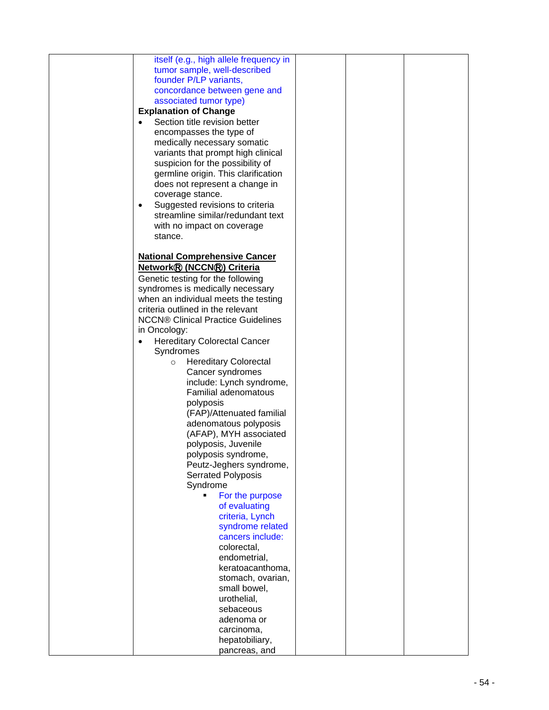| itself (e.g., high allele frequency in           |  |  |
|--------------------------------------------------|--|--|
| tumor sample, well-described                     |  |  |
| founder P/LP variants,                           |  |  |
| concordance between gene and                     |  |  |
| associated tumor type)                           |  |  |
| <b>Explanation of Change</b>                     |  |  |
| Section title revision better                    |  |  |
| encompasses the type of                          |  |  |
| medically necessary somatic                      |  |  |
| variants that prompt high clinical               |  |  |
| suspicion for the possibility of                 |  |  |
| germline origin. This clarification              |  |  |
| does not represent a change in                   |  |  |
| coverage stance.                                 |  |  |
| Suggested revisions to criteria<br>$\bullet$     |  |  |
| streamline similar/redundant text                |  |  |
| with no impact on coverage                       |  |  |
| stance.                                          |  |  |
|                                                  |  |  |
|                                                  |  |  |
| <b>National Comprehensive Cancer</b>             |  |  |
| Network® (NCCN®) Criteria                        |  |  |
| Genetic testing for the following                |  |  |
| syndromes is medically necessary                 |  |  |
| when an individual meets the testing             |  |  |
| criteria outlined in the relevant                |  |  |
| <b>NCCN® Clinical Practice Guidelines</b>        |  |  |
| in Oncology:                                     |  |  |
| <b>Hereditary Colorectal Cancer</b><br>$\bullet$ |  |  |
| Syndromes                                        |  |  |
| <b>Hereditary Colorectal</b><br>$\circ$          |  |  |
| Cancer syndromes                                 |  |  |
| include: Lynch syndrome,                         |  |  |
| <b>Familial adenomatous</b>                      |  |  |
| polyposis                                        |  |  |
| (FAP)/Attenuated familial                        |  |  |
| adenomatous polyposis                            |  |  |
| (AFAP), MYH associated                           |  |  |
| polyposis, Juvenile                              |  |  |
| polyposis syndrome,                              |  |  |
| Peutz-Jeghers syndrome,                          |  |  |
| <b>Serrated Polyposis</b>                        |  |  |
| Syndrome                                         |  |  |
| For the purpose<br>Ξ                             |  |  |
| of evaluating                                    |  |  |
| criteria, Lynch                                  |  |  |
| syndrome related                                 |  |  |
| cancers include:                                 |  |  |
| colorectal,                                      |  |  |
| endometrial,                                     |  |  |
| keratoacanthoma,                                 |  |  |
| stomach, ovarian,                                |  |  |
| small bowel,                                     |  |  |
| urothelial,                                      |  |  |
| sebaceous                                        |  |  |
| adenoma or                                       |  |  |
| carcinoma,                                       |  |  |
| hepatobiliary,                                   |  |  |
| pancreas, and                                    |  |  |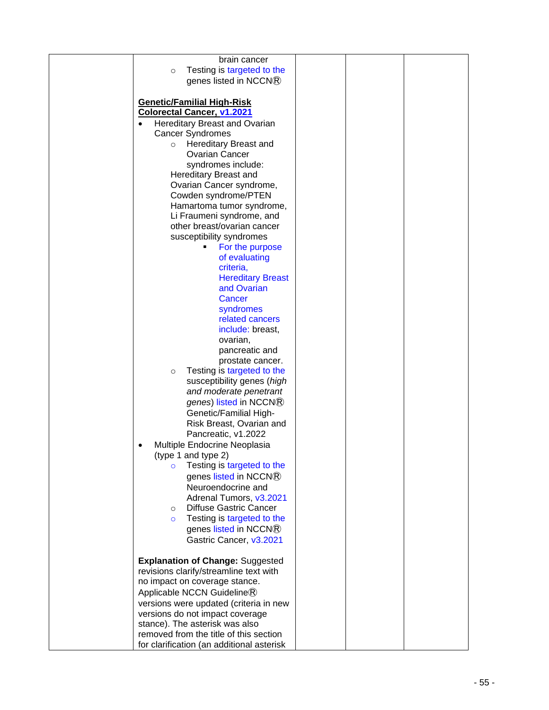| brain cancer                              |  |  |
|-------------------------------------------|--|--|
| Testing is targeted to the<br>$\circ$     |  |  |
| genes listed in NCCN®                     |  |  |
|                                           |  |  |
|                                           |  |  |
| <b>Genetic/Familial High-Risk</b>         |  |  |
| <b>Colorectal Cancer, v1.2021</b>         |  |  |
|                                           |  |  |
| Hereditary Breast and Ovarian             |  |  |
| <b>Cancer Syndromes</b>                   |  |  |
| Hereditary Breast and<br>$\circ$          |  |  |
| <b>Ovarian Cancer</b>                     |  |  |
|                                           |  |  |
| syndromes include:                        |  |  |
| Hereditary Breast and                     |  |  |
| Ovarian Cancer syndrome,                  |  |  |
| Cowden syndrome/PTEN                      |  |  |
| Hamartoma tumor syndrome,                 |  |  |
|                                           |  |  |
| Li Fraumeni syndrome, and                 |  |  |
| other breast/ovarian cancer               |  |  |
| susceptibility syndromes                  |  |  |
| For the purpose<br>٠                      |  |  |
|                                           |  |  |
| of evaluating                             |  |  |
| criteria,                                 |  |  |
| <b>Hereditary Breast</b>                  |  |  |
| and Ovarian                               |  |  |
| Cancer                                    |  |  |
|                                           |  |  |
| syndromes                                 |  |  |
| related cancers                           |  |  |
| include: breast,                          |  |  |
| ovarian,                                  |  |  |
| pancreatic and                            |  |  |
|                                           |  |  |
| prostate cancer.                          |  |  |
| Testing is targeted to the<br>$\circ$     |  |  |
| susceptibility genes (high                |  |  |
| and moderate penetrant                    |  |  |
|                                           |  |  |
| genes) listed in NCCN®                    |  |  |
| Genetic/Familial High-                    |  |  |
| Risk Breast, Ovarian and                  |  |  |
| Pancreatic, v1.2022                       |  |  |
|                                           |  |  |
| Multiple Endocrine Neoplasia              |  |  |
| (type 1 and type 2)                       |  |  |
| Testing is targeted to the<br>$\circ$     |  |  |
| genes listed in NCCN®                     |  |  |
| Neuroendocrine and                        |  |  |
|                                           |  |  |
| Adrenal Tumors, v3.2021                   |  |  |
| <b>Diffuse Gastric Cancer</b><br>$\circ$  |  |  |
| Testing is targeted to the<br>$\circ$     |  |  |
| genes listed in NCCN®                     |  |  |
|                                           |  |  |
| Gastric Cancer, v3.2021                   |  |  |
|                                           |  |  |
| <b>Explanation of Change: Suggested</b>   |  |  |
| revisions clarify/streamline text with    |  |  |
| no impact on coverage stance.             |  |  |
|                                           |  |  |
| Applicable NCCN Guideline®                |  |  |
| versions were updated (criteria in new    |  |  |
| versions do not impact coverage           |  |  |
| stance). The asterisk was also            |  |  |
|                                           |  |  |
| removed from the title of this section    |  |  |
| for clarification (an additional asterisk |  |  |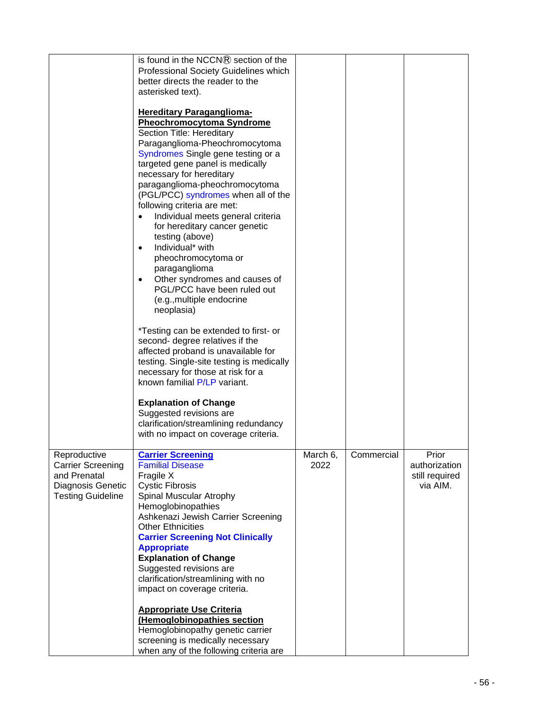|                                                                                           | is found in the NCCN® section of the<br>Professional Society Guidelines which<br>better directs the reader to the<br>asterisked text).                                                                                                                                                                                                                                                                                                                                                                                                                                                                                                                                                                                                                                                                                                                                                                                                                                                            |          |            |                                             |
|-------------------------------------------------------------------------------------------|---------------------------------------------------------------------------------------------------------------------------------------------------------------------------------------------------------------------------------------------------------------------------------------------------------------------------------------------------------------------------------------------------------------------------------------------------------------------------------------------------------------------------------------------------------------------------------------------------------------------------------------------------------------------------------------------------------------------------------------------------------------------------------------------------------------------------------------------------------------------------------------------------------------------------------------------------------------------------------------------------|----------|------------|---------------------------------------------|
|                                                                                           | <b>Hereditary Paraganglioma-</b><br><b>Pheochromocytoma Syndrome</b><br>Section Title: Hereditary<br>Paraganglioma-Pheochromocytoma<br>Syndromes Single gene testing or a<br>targeted gene panel is medically<br>necessary for hereditary<br>paraganglioma-pheochromocytoma<br>(PGL/PCC) syndromes when all of the<br>following criteria are met:<br>Individual meets general criteria<br>$\bullet$<br>for hereditary cancer genetic<br>testing (above)<br>Individual* with<br>$\bullet$<br>pheochromocytoma or<br>paraganglioma<br>Other syndromes and causes of<br>$\bullet$<br>PGL/PCC have been ruled out<br>(e.g., multiple endocrine<br>neoplasia)<br>*Testing can be extended to first- or<br>second- degree relatives if the<br>affected proband is unavailable for<br>testing. Single-site testing is medically<br>necessary for those at risk for a<br>known familial P/LP variant.<br><b>Explanation of Change</b><br>Suggested revisions are<br>clarification/streamlining redundancy |          |            |                                             |
| Reproductive                                                                              | with no impact on coverage criteria.<br><b>Carrier Screening</b>                                                                                                                                                                                                                                                                                                                                                                                                                                                                                                                                                                                                                                                                                                                                                                                                                                                                                                                                  | March 6, | Commercial | Prior                                       |
| <b>Carrier Screening</b><br>and Prenatal<br>Diagnosis Genetic<br><b>Testing Guideline</b> | <b>Familial Disease</b><br>Fragile X<br><b>Cystic Fibrosis</b><br>Spinal Muscular Atrophy<br>Hemoglobinopathies<br>Ashkenazi Jewish Carrier Screening<br><b>Other Ethnicities</b><br><b>Carrier Screening Not Clinically</b><br><b>Appropriate</b><br><b>Explanation of Change</b><br>Suggested revisions are<br>clarification/streamlining with no<br>impact on coverage criteria.<br><b>Appropriate Use Criteria</b><br>(Hemoglobinopathies section<br>Hemoglobinopathy genetic carrier<br>screening is medically necessary                                                                                                                                                                                                                                                                                                                                                                                                                                                                     | 2022     |            | authorization<br>still required<br>via AIM. |
|                                                                                           | when any of the following criteria are                                                                                                                                                                                                                                                                                                                                                                                                                                                                                                                                                                                                                                                                                                                                                                                                                                                                                                                                                            |          |            |                                             |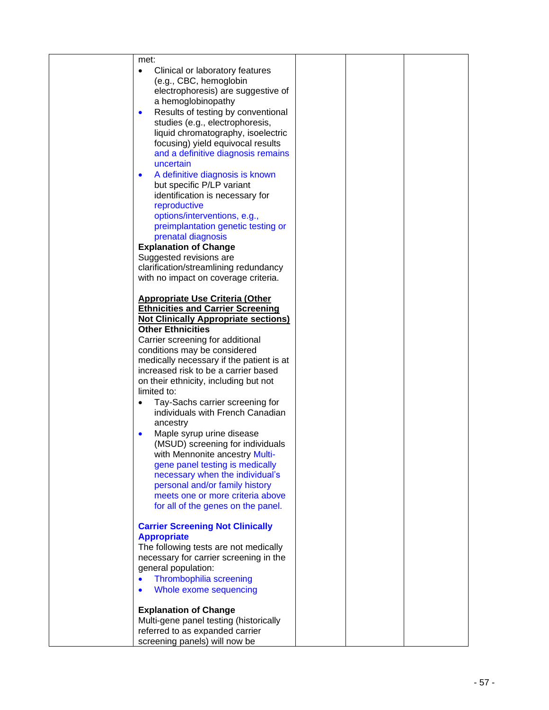| met:                                                                    |  |  |
|-------------------------------------------------------------------------|--|--|
| Clinical or laboratory features<br>$\bullet$                            |  |  |
| (e.g., CBC, hemoglobin                                                  |  |  |
| electrophoresis) are suggestive of                                      |  |  |
| a hemoglobinopathy                                                      |  |  |
| Results of testing by conventional<br>$\bullet$                         |  |  |
| studies (e.g., electrophoresis,                                         |  |  |
| liquid chromatography, isoelectric                                      |  |  |
| focusing) yield equivocal results                                       |  |  |
| and a definitive diagnosis remains                                      |  |  |
| uncertain                                                               |  |  |
| A definitive diagnosis is known<br>$\bullet$                            |  |  |
| but specific P/LP variant<br>identification is necessary for            |  |  |
| reproductive                                                            |  |  |
| options/interventions, e.g.,                                            |  |  |
| preimplantation genetic testing or                                      |  |  |
| prenatal diagnosis                                                      |  |  |
| <b>Explanation of Change</b>                                            |  |  |
| Suggested revisions are                                                 |  |  |
| clarification/streamlining redundancy                                   |  |  |
| with no impact on coverage criteria.                                    |  |  |
|                                                                         |  |  |
| <b>Appropriate Use Criteria (Other</b>                                  |  |  |
| <b>Ethnicities and Carrier Screening</b>                                |  |  |
| <b>Not Clinically Appropriate sections)</b><br><b>Other Ethnicities</b> |  |  |
| Carrier screening for additional                                        |  |  |
| conditions may be considered                                            |  |  |
| medically necessary if the patient is at                                |  |  |
| increased risk to be a carrier based                                    |  |  |
| on their ethnicity, including but not                                   |  |  |
| limited to:                                                             |  |  |
| Tay-Sachs carrier screening for<br>$\bullet$                            |  |  |
| individuals with French Canadian                                        |  |  |
| ancestry                                                                |  |  |
| Maple syrup urine disease<br>$\bullet$                                  |  |  |
| (MSUD) screening for individuals                                        |  |  |
| with Mennonite ancestry Multi-                                          |  |  |
| gene panel testing is medically                                         |  |  |
| necessary when the individual's                                         |  |  |
| personal and/or family history                                          |  |  |
| meets one or more criteria above<br>for all of the genes on the panel.  |  |  |
|                                                                         |  |  |
| <b>Carrier Screening Not Clinically</b>                                 |  |  |
| <b>Appropriate</b>                                                      |  |  |
| The following tests are not medically                                   |  |  |
| necessary for carrier screening in the                                  |  |  |
| general population:                                                     |  |  |
| Thrombophilia screening<br>$\bullet$                                    |  |  |
| Whole exome sequencing<br>$\bullet$                                     |  |  |
|                                                                         |  |  |
| <b>Explanation of Change</b>                                            |  |  |
| Multi-gene panel testing (historically                                  |  |  |
| referred to as expanded carrier<br>screening panels) will now be        |  |  |
|                                                                         |  |  |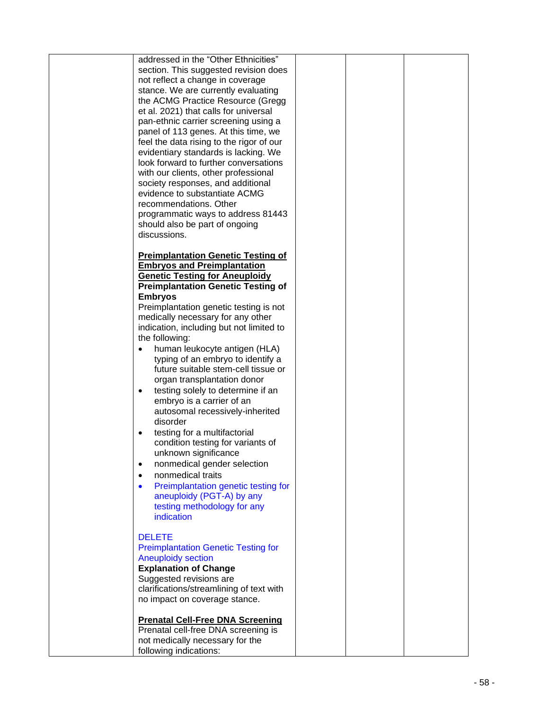| addressed in the "Other Ethnicities"<br>section. This suggested revision does<br>not reflect a change in coverage<br>stance. We are currently evaluating<br>the ACMG Practice Resource (Gregg<br>et al. 2021) that calls for universal<br>pan-ethnic carrier screening using a<br>panel of 113 genes. At this time, we<br>feel the data rising to the rigor of our<br>evidentiary standards is lacking. We<br>look forward to further conversations<br>with our clients, other professional<br>society responses, and additional<br>evidence to substantiate ACMG<br>recommendations. Other<br>programmatic ways to address 81443<br>should also be part of ongoing<br>discussions. |  |  |
|-------------------------------------------------------------------------------------------------------------------------------------------------------------------------------------------------------------------------------------------------------------------------------------------------------------------------------------------------------------------------------------------------------------------------------------------------------------------------------------------------------------------------------------------------------------------------------------------------------------------------------------------------------------------------------------|--|--|
| <b>Preimplantation Genetic Testing of</b>                                                                                                                                                                                                                                                                                                                                                                                                                                                                                                                                                                                                                                           |  |  |
| <b>Embryos and Preimplantation</b>                                                                                                                                                                                                                                                                                                                                                                                                                                                                                                                                                                                                                                                  |  |  |
| <b>Genetic Testing for Aneuploidy</b><br><b>Preimplantation Genetic Testing of</b>                                                                                                                                                                                                                                                                                                                                                                                                                                                                                                                                                                                                  |  |  |
| <b>Embryos</b>                                                                                                                                                                                                                                                                                                                                                                                                                                                                                                                                                                                                                                                                      |  |  |
| Preimplantation genetic testing is not<br>medically necessary for any other                                                                                                                                                                                                                                                                                                                                                                                                                                                                                                                                                                                                         |  |  |
| indication, including but not limited to                                                                                                                                                                                                                                                                                                                                                                                                                                                                                                                                                                                                                                            |  |  |
| the following:                                                                                                                                                                                                                                                                                                                                                                                                                                                                                                                                                                                                                                                                      |  |  |
| human leukocyte antigen (HLA)<br>typing of an embryo to identify a<br>future suitable stem-cell tissue or<br>organ transplantation donor                                                                                                                                                                                                                                                                                                                                                                                                                                                                                                                                            |  |  |
| testing solely to determine if an<br>$\bullet$<br>embryo is a carrier of an<br>autosomal recessively-inherited<br>disorder                                                                                                                                                                                                                                                                                                                                                                                                                                                                                                                                                          |  |  |
| testing for a multifactorial<br>condition testing for variants of<br>unknown significance                                                                                                                                                                                                                                                                                                                                                                                                                                                                                                                                                                                           |  |  |
| nonmedical gender selection<br>٠<br>nonmedical traits                                                                                                                                                                                                                                                                                                                                                                                                                                                                                                                                                                                                                               |  |  |
| $\bullet$<br>Preimplantation genetic testing for<br>$\bullet$                                                                                                                                                                                                                                                                                                                                                                                                                                                                                                                                                                                                                       |  |  |
| aneuploidy (PGT-A) by any<br>testing methodology for any<br>indication                                                                                                                                                                                                                                                                                                                                                                                                                                                                                                                                                                                                              |  |  |
| <b>DELETE</b>                                                                                                                                                                                                                                                                                                                                                                                                                                                                                                                                                                                                                                                                       |  |  |
| <b>Preimplantation Genetic Testing for</b>                                                                                                                                                                                                                                                                                                                                                                                                                                                                                                                                                                                                                                          |  |  |
| <b>Aneuploidy section</b>                                                                                                                                                                                                                                                                                                                                                                                                                                                                                                                                                                                                                                                           |  |  |
| <b>Explanation of Change</b><br>Suggested revisions are                                                                                                                                                                                                                                                                                                                                                                                                                                                                                                                                                                                                                             |  |  |
| clarifications/streamlining of text with                                                                                                                                                                                                                                                                                                                                                                                                                                                                                                                                                                                                                                            |  |  |
| no impact on coverage stance.                                                                                                                                                                                                                                                                                                                                                                                                                                                                                                                                                                                                                                                       |  |  |
| <b>Prenatal Cell-Free DNA Screening</b>                                                                                                                                                                                                                                                                                                                                                                                                                                                                                                                                                                                                                                             |  |  |
| Prenatal cell-free DNA screening is                                                                                                                                                                                                                                                                                                                                                                                                                                                                                                                                                                                                                                                 |  |  |
| not medically necessary for the<br>following indications:                                                                                                                                                                                                                                                                                                                                                                                                                                                                                                                                                                                                                           |  |  |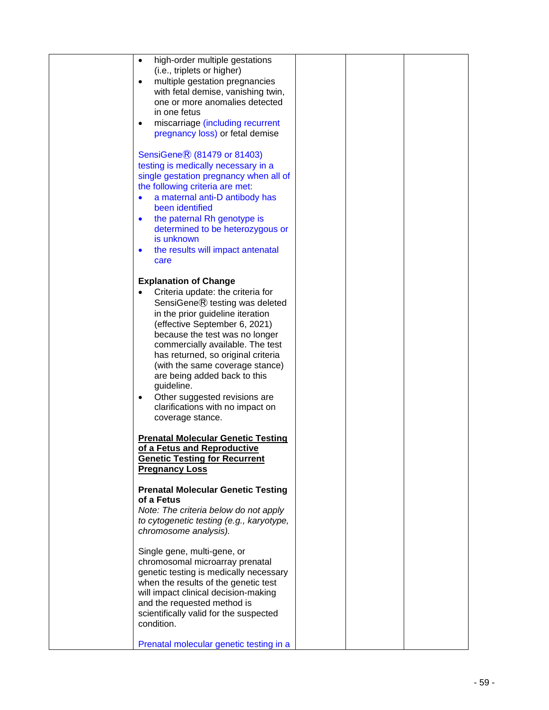| high-order multiple gestations<br>$\bullet$<br>(i.e., triplets or higher)<br>multiple gestation pregnancies<br>$\bullet$<br>with fetal demise, vanishing twin,<br>one or more anomalies detected                                                                                                                                                                                                                                                                    |  |  |
|---------------------------------------------------------------------------------------------------------------------------------------------------------------------------------------------------------------------------------------------------------------------------------------------------------------------------------------------------------------------------------------------------------------------------------------------------------------------|--|--|
| in one fetus<br>miscarriage (including recurrent<br>$\bullet$<br>pregnancy loss) or fetal demise                                                                                                                                                                                                                                                                                                                                                                    |  |  |
| SensiGene® (81479 or 81403)<br>testing is medically necessary in a<br>single gestation pregnancy when all of<br>the following criteria are met:<br>a maternal anti-D antibody has<br>$\bullet$<br>been identified<br>the paternal Rh genotype is<br>$\bullet$<br>determined to be heterozygous or<br>is unknown<br>the results will impact antenatal<br>$\bullet$<br>care                                                                                           |  |  |
| <b>Explanation of Change</b><br>Criteria update: the criteria for<br>SensiGene® testing was deleted<br>in the prior guideline iteration<br>(effective September 6, 2021)<br>because the test was no longer<br>commercially available. The test<br>has returned, so original criteria<br>(with the same coverage stance)<br>are being added back to this<br>guideline.<br>Other suggested revisions are<br>٠<br>clarifications with no impact on<br>coverage stance. |  |  |
| <b>Prenatal Molecular Genetic Testing</b><br>of a Fetus and Reproductive<br><b>Genetic Testing for Recurrent</b><br><b>Pregnancy Loss</b>                                                                                                                                                                                                                                                                                                                           |  |  |
| <b>Prenatal Molecular Genetic Testing</b><br>of a Fetus<br>Note: The criteria below do not apply<br>to cytogenetic testing (e.g., karyotype,<br>chromosome analysis).                                                                                                                                                                                                                                                                                               |  |  |
| Single gene, multi-gene, or<br>chromosomal microarray prenatal<br>genetic testing is medically necessary<br>when the results of the genetic test<br>will impact clinical decision-making<br>and the requested method is<br>scientifically valid for the suspected<br>condition.                                                                                                                                                                                     |  |  |
| Prenatal molecular genetic testing in a                                                                                                                                                                                                                                                                                                                                                                                                                             |  |  |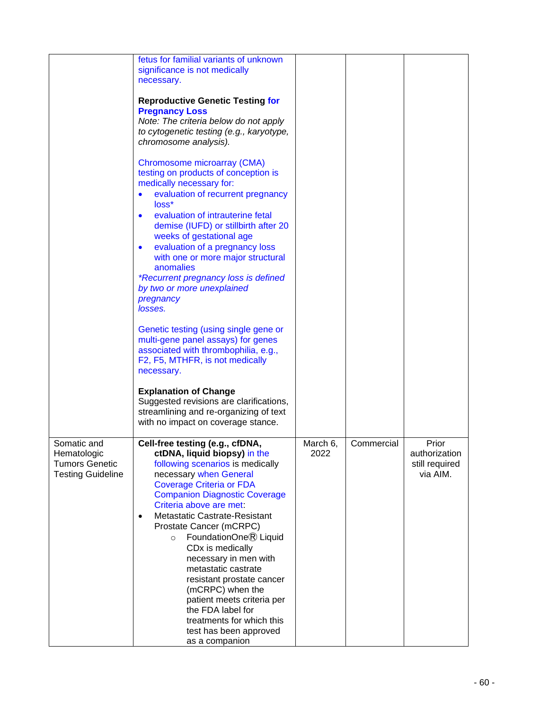|                                                                                 | fetus for familial variants of unknown<br>significance is not medically<br>necessary.                                                                                                                                                                                                                                                                                                                                                                                                                                                                                                                         |                  |            |                                                      |
|---------------------------------------------------------------------------------|---------------------------------------------------------------------------------------------------------------------------------------------------------------------------------------------------------------------------------------------------------------------------------------------------------------------------------------------------------------------------------------------------------------------------------------------------------------------------------------------------------------------------------------------------------------------------------------------------------------|------------------|------------|------------------------------------------------------|
|                                                                                 | <b>Reproductive Genetic Testing for</b><br><b>Pregnancy Loss</b><br>Note: The criteria below do not apply<br>to cytogenetic testing (e.g., karyotype,<br>chromosome analysis).                                                                                                                                                                                                                                                                                                                                                                                                                                |                  |            |                                                      |
|                                                                                 | Chromosome microarray (CMA)<br>testing on products of conception is<br>medically necessary for:<br>evaluation of recurrent pregnancy<br>loss*<br>evaluation of intrauterine fetal<br>$\bullet$<br>demise (IUFD) or stillbirth after 20<br>weeks of gestational age<br>evaluation of a pregnancy loss<br>$\bullet$<br>with one or more major structural<br>anomalies<br><i>*Recurrent pregnancy loss is defined</i><br>by two or more unexplained<br>pregnancy<br>losses.                                                                                                                                      |                  |            |                                                      |
|                                                                                 | Genetic testing (using single gene or<br>multi-gene panel assays) for genes<br>associated with thrombophilia, e.g.,<br>F2, F5, MTHFR, is not medically<br>necessary.<br><b>Explanation of Change</b>                                                                                                                                                                                                                                                                                                                                                                                                          |                  |            |                                                      |
|                                                                                 | Suggested revisions are clarifications,<br>streamlining and re-organizing of text<br>with no impact on coverage stance.                                                                                                                                                                                                                                                                                                                                                                                                                                                                                       |                  |            |                                                      |
| Somatic and<br>Hematologic<br><b>Tumors Genetic</b><br><b>Testing Guideline</b> | Cell-free testing (e.g., cfDNA,<br>ctDNA, liquid biopsy) in the<br>following scenarios is medically<br>necessary when General<br><b>Coverage Criteria or FDA</b><br><b>Companion Diagnostic Coverage</b><br>Criteria above are met:<br>Metastatic Castrate-Resistant<br>$\bullet$<br>Prostate Cancer (mCRPC)<br>FoundationOne® Liquid<br>$\circ$<br>CD <sub>x</sub> is medically<br>necessary in men with<br>metastatic castrate<br>resistant prostate cancer<br>(mCRPC) when the<br>patient meets criteria per<br>the FDA label for<br>treatments for which this<br>test has been approved<br>as a companion | March 6,<br>2022 | Commercial | Prior<br>authorization<br>still required<br>via AIM. |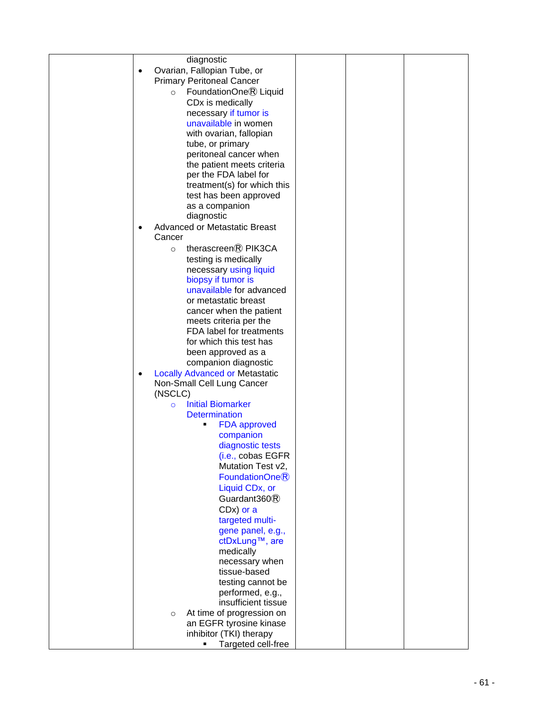| diagnostic                                        |  |
|---------------------------------------------------|--|
| Ovarian, Fallopian Tube, or<br>$\bullet$          |  |
| <b>Primary Peritoneal Cancer</b>                  |  |
|                                                   |  |
| FoundationOne® Liquid<br>$\circ$                  |  |
| CD <sub>x</sub> is medically                      |  |
| necessary if tumor is                             |  |
| unavailable in women                              |  |
|                                                   |  |
| with ovarian, fallopian                           |  |
| tube, or primary                                  |  |
| peritoneal cancer when                            |  |
| the patient meets criteria                        |  |
| per the FDA label for                             |  |
| treatment(s) for which this                       |  |
|                                                   |  |
| test has been approved                            |  |
| as a companion                                    |  |
| diagnostic                                        |  |
| <b>Advanced or Metastatic Breast</b><br>$\bullet$ |  |
| Cancer                                            |  |
| therascreen® PIK3CA<br>$\circ$                    |  |
| testing is medically                              |  |
|                                                   |  |
| necessary using liquid                            |  |
| biopsy if tumor is                                |  |
| unavailable for advanced                          |  |
| or metastatic breast                              |  |
| cancer when the patient                           |  |
| meets criteria per the                            |  |
| FDA label for treatments                          |  |
|                                                   |  |
| for which this test has                           |  |
| been approved as a                                |  |
| companion diagnostic                              |  |
| <b>Locally Advanced or Metastatic</b>             |  |
| Non-Small Cell Lung Cancer                        |  |
| (NSCLC)                                           |  |
|                                                   |  |
| <b>Initial Biomarker</b><br>$\circ$               |  |
| <b>Determination</b>                              |  |
| <b>FDA</b> approved<br>٠                          |  |
| companion                                         |  |
| diagnostic tests                                  |  |
| (i.e., cobas EGFR                                 |  |
| Mutation Test v2,                                 |  |
| FoundationOne <sup>®</sup>                        |  |
|                                                   |  |
| Liquid CD <sub>x</sub> , or                       |  |
| Guardant360 <sup>(R)</sup>                        |  |
| $CDx)$ or a                                       |  |
| targeted multi-                                   |  |
| gene panel, e.g.,                                 |  |
|                                                   |  |
| ctDxLung™, are                                    |  |
| medically                                         |  |
| necessary when                                    |  |
| tissue-based                                      |  |
| testing cannot be                                 |  |
| performed, e.g.,                                  |  |
| insufficient tissue                               |  |
|                                                   |  |
| At time of progression on<br>$\circ$              |  |
| an EGFR tyrosine kinase                           |  |
| inhibitor (TKI) therapy                           |  |
| Targeted cell-free                                |  |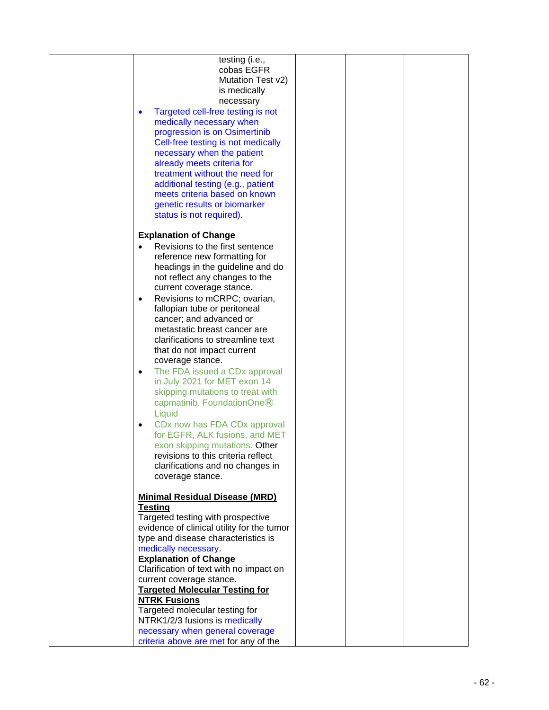| cobas EGFR<br>Mutation Test v2)<br>is medically<br>necessary<br>Targeted cell-free testing is not<br>$\bullet$<br>medically necessary when<br>progression is on Osimertinib<br>Cell-free testing is not medically<br>necessary when the patient<br>already meets criteria for<br>treatment without the need for<br>additional testing (e.g., patient<br>meets criteria based on known<br>genetic results or biomarker<br>status is not required).<br><b>Explanation of Change</b><br>Revisions to the first sentence<br>reference new formatting for<br>headings in the guideline and do<br>not reflect any changes to the<br>current coverage stance.<br>Revisions to mCRPC; ovarian,<br>$\bullet$<br>fallopian tube or peritoneal<br>cancer; and advanced or<br>metastatic breast cancer are<br>clarifications to streamline text<br>that do not impact current<br>coverage stance.<br>The FDA issued a CDx approval<br>$\bullet$<br>in July 2021 for MET exon 14<br>skipping mutations to treat with<br>capmatinib. Foundation $One$ $R$<br>Liquid<br>CD <sub>x</sub> now has FDA CD <sub>x</sub> approval<br>$\bullet$<br>for EGFR, ALK fusions, and MET<br>exon skipping mutations. Other<br>revisions to this criteria reflect<br>clarifications and no changes in<br>coverage stance.<br><b>Minimal Residual Disease (MRD)</b><br><b>Testing</b><br>Targeted testing with prospective<br>evidence of clinical utility for the tumor<br>type and disease characteristics is<br>medically necessary.<br><b>Explanation of Change</b><br>Clarification of text with no impact on<br>current coverage stance.<br><b>Targeted Molecular Testing for</b><br><b>NTRK Fusions</b><br>Targeted molecular testing for<br>NTRK1/2/3 fusions is medically<br>necessary when general coverage |                                       |  |  |
|-----------------------------------------------------------------------------------------------------------------------------------------------------------------------------------------------------------------------------------------------------------------------------------------------------------------------------------------------------------------------------------------------------------------------------------------------------------------------------------------------------------------------------------------------------------------------------------------------------------------------------------------------------------------------------------------------------------------------------------------------------------------------------------------------------------------------------------------------------------------------------------------------------------------------------------------------------------------------------------------------------------------------------------------------------------------------------------------------------------------------------------------------------------------------------------------------------------------------------------------------------------------------------------------------------------------------------------------------------------------------------------------------------------------------------------------------------------------------------------------------------------------------------------------------------------------------------------------------------------------------------------------------------------------------------------------------------------------------------------------------------------------------------------------|---------------------------------------|--|--|
|                                                                                                                                                                                                                                                                                                                                                                                                                                                                                                                                                                                                                                                                                                                                                                                                                                                                                                                                                                                                                                                                                                                                                                                                                                                                                                                                                                                                                                                                                                                                                                                                                                                                                                                                                                                         | testing (i.e.,                        |  |  |
|                                                                                                                                                                                                                                                                                                                                                                                                                                                                                                                                                                                                                                                                                                                                                                                                                                                                                                                                                                                                                                                                                                                                                                                                                                                                                                                                                                                                                                                                                                                                                                                                                                                                                                                                                                                         |                                       |  |  |
|                                                                                                                                                                                                                                                                                                                                                                                                                                                                                                                                                                                                                                                                                                                                                                                                                                                                                                                                                                                                                                                                                                                                                                                                                                                                                                                                                                                                                                                                                                                                                                                                                                                                                                                                                                                         |                                       |  |  |
|                                                                                                                                                                                                                                                                                                                                                                                                                                                                                                                                                                                                                                                                                                                                                                                                                                                                                                                                                                                                                                                                                                                                                                                                                                                                                                                                                                                                                                                                                                                                                                                                                                                                                                                                                                                         |                                       |  |  |
|                                                                                                                                                                                                                                                                                                                                                                                                                                                                                                                                                                                                                                                                                                                                                                                                                                                                                                                                                                                                                                                                                                                                                                                                                                                                                                                                                                                                                                                                                                                                                                                                                                                                                                                                                                                         |                                       |  |  |
|                                                                                                                                                                                                                                                                                                                                                                                                                                                                                                                                                                                                                                                                                                                                                                                                                                                                                                                                                                                                                                                                                                                                                                                                                                                                                                                                                                                                                                                                                                                                                                                                                                                                                                                                                                                         |                                       |  |  |
|                                                                                                                                                                                                                                                                                                                                                                                                                                                                                                                                                                                                                                                                                                                                                                                                                                                                                                                                                                                                                                                                                                                                                                                                                                                                                                                                                                                                                                                                                                                                                                                                                                                                                                                                                                                         |                                       |  |  |
|                                                                                                                                                                                                                                                                                                                                                                                                                                                                                                                                                                                                                                                                                                                                                                                                                                                                                                                                                                                                                                                                                                                                                                                                                                                                                                                                                                                                                                                                                                                                                                                                                                                                                                                                                                                         |                                       |  |  |
|                                                                                                                                                                                                                                                                                                                                                                                                                                                                                                                                                                                                                                                                                                                                                                                                                                                                                                                                                                                                                                                                                                                                                                                                                                                                                                                                                                                                                                                                                                                                                                                                                                                                                                                                                                                         |                                       |  |  |
|                                                                                                                                                                                                                                                                                                                                                                                                                                                                                                                                                                                                                                                                                                                                                                                                                                                                                                                                                                                                                                                                                                                                                                                                                                                                                                                                                                                                                                                                                                                                                                                                                                                                                                                                                                                         |                                       |  |  |
|                                                                                                                                                                                                                                                                                                                                                                                                                                                                                                                                                                                                                                                                                                                                                                                                                                                                                                                                                                                                                                                                                                                                                                                                                                                                                                                                                                                                                                                                                                                                                                                                                                                                                                                                                                                         |                                       |  |  |
|                                                                                                                                                                                                                                                                                                                                                                                                                                                                                                                                                                                                                                                                                                                                                                                                                                                                                                                                                                                                                                                                                                                                                                                                                                                                                                                                                                                                                                                                                                                                                                                                                                                                                                                                                                                         |                                       |  |  |
|                                                                                                                                                                                                                                                                                                                                                                                                                                                                                                                                                                                                                                                                                                                                                                                                                                                                                                                                                                                                                                                                                                                                                                                                                                                                                                                                                                                                                                                                                                                                                                                                                                                                                                                                                                                         |                                       |  |  |
|                                                                                                                                                                                                                                                                                                                                                                                                                                                                                                                                                                                                                                                                                                                                                                                                                                                                                                                                                                                                                                                                                                                                                                                                                                                                                                                                                                                                                                                                                                                                                                                                                                                                                                                                                                                         |                                       |  |  |
|                                                                                                                                                                                                                                                                                                                                                                                                                                                                                                                                                                                                                                                                                                                                                                                                                                                                                                                                                                                                                                                                                                                                                                                                                                                                                                                                                                                                                                                                                                                                                                                                                                                                                                                                                                                         |                                       |  |  |
|                                                                                                                                                                                                                                                                                                                                                                                                                                                                                                                                                                                                                                                                                                                                                                                                                                                                                                                                                                                                                                                                                                                                                                                                                                                                                                                                                                                                                                                                                                                                                                                                                                                                                                                                                                                         |                                       |  |  |
|                                                                                                                                                                                                                                                                                                                                                                                                                                                                                                                                                                                                                                                                                                                                                                                                                                                                                                                                                                                                                                                                                                                                                                                                                                                                                                                                                                                                                                                                                                                                                                                                                                                                                                                                                                                         |                                       |  |  |
|                                                                                                                                                                                                                                                                                                                                                                                                                                                                                                                                                                                                                                                                                                                                                                                                                                                                                                                                                                                                                                                                                                                                                                                                                                                                                                                                                                                                                                                                                                                                                                                                                                                                                                                                                                                         |                                       |  |  |
|                                                                                                                                                                                                                                                                                                                                                                                                                                                                                                                                                                                                                                                                                                                                                                                                                                                                                                                                                                                                                                                                                                                                                                                                                                                                                                                                                                                                                                                                                                                                                                                                                                                                                                                                                                                         |                                       |  |  |
|                                                                                                                                                                                                                                                                                                                                                                                                                                                                                                                                                                                                                                                                                                                                                                                                                                                                                                                                                                                                                                                                                                                                                                                                                                                                                                                                                                                                                                                                                                                                                                                                                                                                                                                                                                                         |                                       |  |  |
|                                                                                                                                                                                                                                                                                                                                                                                                                                                                                                                                                                                                                                                                                                                                                                                                                                                                                                                                                                                                                                                                                                                                                                                                                                                                                                                                                                                                                                                                                                                                                                                                                                                                                                                                                                                         |                                       |  |  |
|                                                                                                                                                                                                                                                                                                                                                                                                                                                                                                                                                                                                                                                                                                                                                                                                                                                                                                                                                                                                                                                                                                                                                                                                                                                                                                                                                                                                                                                                                                                                                                                                                                                                                                                                                                                         |                                       |  |  |
|                                                                                                                                                                                                                                                                                                                                                                                                                                                                                                                                                                                                                                                                                                                                                                                                                                                                                                                                                                                                                                                                                                                                                                                                                                                                                                                                                                                                                                                                                                                                                                                                                                                                                                                                                                                         |                                       |  |  |
|                                                                                                                                                                                                                                                                                                                                                                                                                                                                                                                                                                                                                                                                                                                                                                                                                                                                                                                                                                                                                                                                                                                                                                                                                                                                                                                                                                                                                                                                                                                                                                                                                                                                                                                                                                                         |                                       |  |  |
|                                                                                                                                                                                                                                                                                                                                                                                                                                                                                                                                                                                                                                                                                                                                                                                                                                                                                                                                                                                                                                                                                                                                                                                                                                                                                                                                                                                                                                                                                                                                                                                                                                                                                                                                                                                         |                                       |  |  |
|                                                                                                                                                                                                                                                                                                                                                                                                                                                                                                                                                                                                                                                                                                                                                                                                                                                                                                                                                                                                                                                                                                                                                                                                                                                                                                                                                                                                                                                                                                                                                                                                                                                                                                                                                                                         |                                       |  |  |
|                                                                                                                                                                                                                                                                                                                                                                                                                                                                                                                                                                                                                                                                                                                                                                                                                                                                                                                                                                                                                                                                                                                                                                                                                                                                                                                                                                                                                                                                                                                                                                                                                                                                                                                                                                                         |                                       |  |  |
|                                                                                                                                                                                                                                                                                                                                                                                                                                                                                                                                                                                                                                                                                                                                                                                                                                                                                                                                                                                                                                                                                                                                                                                                                                                                                                                                                                                                                                                                                                                                                                                                                                                                                                                                                                                         |                                       |  |  |
|                                                                                                                                                                                                                                                                                                                                                                                                                                                                                                                                                                                                                                                                                                                                                                                                                                                                                                                                                                                                                                                                                                                                                                                                                                                                                                                                                                                                                                                                                                                                                                                                                                                                                                                                                                                         |                                       |  |  |
|                                                                                                                                                                                                                                                                                                                                                                                                                                                                                                                                                                                                                                                                                                                                                                                                                                                                                                                                                                                                                                                                                                                                                                                                                                                                                                                                                                                                                                                                                                                                                                                                                                                                                                                                                                                         |                                       |  |  |
|                                                                                                                                                                                                                                                                                                                                                                                                                                                                                                                                                                                                                                                                                                                                                                                                                                                                                                                                                                                                                                                                                                                                                                                                                                                                                                                                                                                                                                                                                                                                                                                                                                                                                                                                                                                         |                                       |  |  |
|                                                                                                                                                                                                                                                                                                                                                                                                                                                                                                                                                                                                                                                                                                                                                                                                                                                                                                                                                                                                                                                                                                                                                                                                                                                                                                                                                                                                                                                                                                                                                                                                                                                                                                                                                                                         |                                       |  |  |
|                                                                                                                                                                                                                                                                                                                                                                                                                                                                                                                                                                                                                                                                                                                                                                                                                                                                                                                                                                                                                                                                                                                                                                                                                                                                                                                                                                                                                                                                                                                                                                                                                                                                                                                                                                                         |                                       |  |  |
|                                                                                                                                                                                                                                                                                                                                                                                                                                                                                                                                                                                                                                                                                                                                                                                                                                                                                                                                                                                                                                                                                                                                                                                                                                                                                                                                                                                                                                                                                                                                                                                                                                                                                                                                                                                         |                                       |  |  |
|                                                                                                                                                                                                                                                                                                                                                                                                                                                                                                                                                                                                                                                                                                                                                                                                                                                                                                                                                                                                                                                                                                                                                                                                                                                                                                                                                                                                                                                                                                                                                                                                                                                                                                                                                                                         |                                       |  |  |
|                                                                                                                                                                                                                                                                                                                                                                                                                                                                                                                                                                                                                                                                                                                                                                                                                                                                                                                                                                                                                                                                                                                                                                                                                                                                                                                                                                                                                                                                                                                                                                                                                                                                                                                                                                                         |                                       |  |  |
|                                                                                                                                                                                                                                                                                                                                                                                                                                                                                                                                                                                                                                                                                                                                                                                                                                                                                                                                                                                                                                                                                                                                                                                                                                                                                                                                                                                                                                                                                                                                                                                                                                                                                                                                                                                         |                                       |  |  |
|                                                                                                                                                                                                                                                                                                                                                                                                                                                                                                                                                                                                                                                                                                                                                                                                                                                                                                                                                                                                                                                                                                                                                                                                                                                                                                                                                                                                                                                                                                                                                                                                                                                                                                                                                                                         |                                       |  |  |
|                                                                                                                                                                                                                                                                                                                                                                                                                                                                                                                                                                                                                                                                                                                                                                                                                                                                                                                                                                                                                                                                                                                                                                                                                                                                                                                                                                                                                                                                                                                                                                                                                                                                                                                                                                                         |                                       |  |  |
|                                                                                                                                                                                                                                                                                                                                                                                                                                                                                                                                                                                                                                                                                                                                                                                                                                                                                                                                                                                                                                                                                                                                                                                                                                                                                                                                                                                                                                                                                                                                                                                                                                                                                                                                                                                         |                                       |  |  |
|                                                                                                                                                                                                                                                                                                                                                                                                                                                                                                                                                                                                                                                                                                                                                                                                                                                                                                                                                                                                                                                                                                                                                                                                                                                                                                                                                                                                                                                                                                                                                                                                                                                                                                                                                                                         |                                       |  |  |
|                                                                                                                                                                                                                                                                                                                                                                                                                                                                                                                                                                                                                                                                                                                                                                                                                                                                                                                                                                                                                                                                                                                                                                                                                                                                                                                                                                                                                                                                                                                                                                                                                                                                                                                                                                                         |                                       |  |  |
|                                                                                                                                                                                                                                                                                                                                                                                                                                                                                                                                                                                                                                                                                                                                                                                                                                                                                                                                                                                                                                                                                                                                                                                                                                                                                                                                                                                                                                                                                                                                                                                                                                                                                                                                                                                         |                                       |  |  |
|                                                                                                                                                                                                                                                                                                                                                                                                                                                                                                                                                                                                                                                                                                                                                                                                                                                                                                                                                                                                                                                                                                                                                                                                                                                                                                                                                                                                                                                                                                                                                                                                                                                                                                                                                                                         |                                       |  |  |
|                                                                                                                                                                                                                                                                                                                                                                                                                                                                                                                                                                                                                                                                                                                                                                                                                                                                                                                                                                                                                                                                                                                                                                                                                                                                                                                                                                                                                                                                                                                                                                                                                                                                                                                                                                                         |                                       |  |  |
|                                                                                                                                                                                                                                                                                                                                                                                                                                                                                                                                                                                                                                                                                                                                                                                                                                                                                                                                                                                                                                                                                                                                                                                                                                                                                                                                                                                                                                                                                                                                                                                                                                                                                                                                                                                         |                                       |  |  |
|                                                                                                                                                                                                                                                                                                                                                                                                                                                                                                                                                                                                                                                                                                                                                                                                                                                                                                                                                                                                                                                                                                                                                                                                                                                                                                                                                                                                                                                                                                                                                                                                                                                                                                                                                                                         |                                       |  |  |
|                                                                                                                                                                                                                                                                                                                                                                                                                                                                                                                                                                                                                                                                                                                                                                                                                                                                                                                                                                                                                                                                                                                                                                                                                                                                                                                                                                                                                                                                                                                                                                                                                                                                                                                                                                                         |                                       |  |  |
|                                                                                                                                                                                                                                                                                                                                                                                                                                                                                                                                                                                                                                                                                                                                                                                                                                                                                                                                                                                                                                                                                                                                                                                                                                                                                                                                                                                                                                                                                                                                                                                                                                                                                                                                                                                         |                                       |  |  |
|                                                                                                                                                                                                                                                                                                                                                                                                                                                                                                                                                                                                                                                                                                                                                                                                                                                                                                                                                                                                                                                                                                                                                                                                                                                                                                                                                                                                                                                                                                                                                                                                                                                                                                                                                                                         |                                       |  |  |
|                                                                                                                                                                                                                                                                                                                                                                                                                                                                                                                                                                                                                                                                                                                                                                                                                                                                                                                                                                                                                                                                                                                                                                                                                                                                                                                                                                                                                                                                                                                                                                                                                                                                                                                                                                                         |                                       |  |  |
|                                                                                                                                                                                                                                                                                                                                                                                                                                                                                                                                                                                                                                                                                                                                                                                                                                                                                                                                                                                                                                                                                                                                                                                                                                                                                                                                                                                                                                                                                                                                                                                                                                                                                                                                                                                         |                                       |  |  |
|                                                                                                                                                                                                                                                                                                                                                                                                                                                                                                                                                                                                                                                                                                                                                                                                                                                                                                                                                                                                                                                                                                                                                                                                                                                                                                                                                                                                                                                                                                                                                                                                                                                                                                                                                                                         |                                       |  |  |
|                                                                                                                                                                                                                                                                                                                                                                                                                                                                                                                                                                                                                                                                                                                                                                                                                                                                                                                                                                                                                                                                                                                                                                                                                                                                                                                                                                                                                                                                                                                                                                                                                                                                                                                                                                                         |                                       |  |  |
|                                                                                                                                                                                                                                                                                                                                                                                                                                                                                                                                                                                                                                                                                                                                                                                                                                                                                                                                                                                                                                                                                                                                                                                                                                                                                                                                                                                                                                                                                                                                                                                                                                                                                                                                                                                         |                                       |  |  |
|                                                                                                                                                                                                                                                                                                                                                                                                                                                                                                                                                                                                                                                                                                                                                                                                                                                                                                                                                                                                                                                                                                                                                                                                                                                                                                                                                                                                                                                                                                                                                                                                                                                                                                                                                                                         |                                       |  |  |
|                                                                                                                                                                                                                                                                                                                                                                                                                                                                                                                                                                                                                                                                                                                                                                                                                                                                                                                                                                                                                                                                                                                                                                                                                                                                                                                                                                                                                                                                                                                                                                                                                                                                                                                                                                                         |                                       |  |  |
|                                                                                                                                                                                                                                                                                                                                                                                                                                                                                                                                                                                                                                                                                                                                                                                                                                                                                                                                                                                                                                                                                                                                                                                                                                                                                                                                                                                                                                                                                                                                                                                                                                                                                                                                                                                         |                                       |  |  |
|                                                                                                                                                                                                                                                                                                                                                                                                                                                                                                                                                                                                                                                                                                                                                                                                                                                                                                                                                                                                                                                                                                                                                                                                                                                                                                                                                                                                                                                                                                                                                                                                                                                                                                                                                                                         |                                       |  |  |
|                                                                                                                                                                                                                                                                                                                                                                                                                                                                                                                                                                                                                                                                                                                                                                                                                                                                                                                                                                                                                                                                                                                                                                                                                                                                                                                                                                                                                                                                                                                                                                                                                                                                                                                                                                                         |                                       |  |  |
|                                                                                                                                                                                                                                                                                                                                                                                                                                                                                                                                                                                                                                                                                                                                                                                                                                                                                                                                                                                                                                                                                                                                                                                                                                                                                                                                                                                                                                                                                                                                                                                                                                                                                                                                                                                         |                                       |  |  |
|                                                                                                                                                                                                                                                                                                                                                                                                                                                                                                                                                                                                                                                                                                                                                                                                                                                                                                                                                                                                                                                                                                                                                                                                                                                                                                                                                                                                                                                                                                                                                                                                                                                                                                                                                                                         | criteria above are met for any of the |  |  |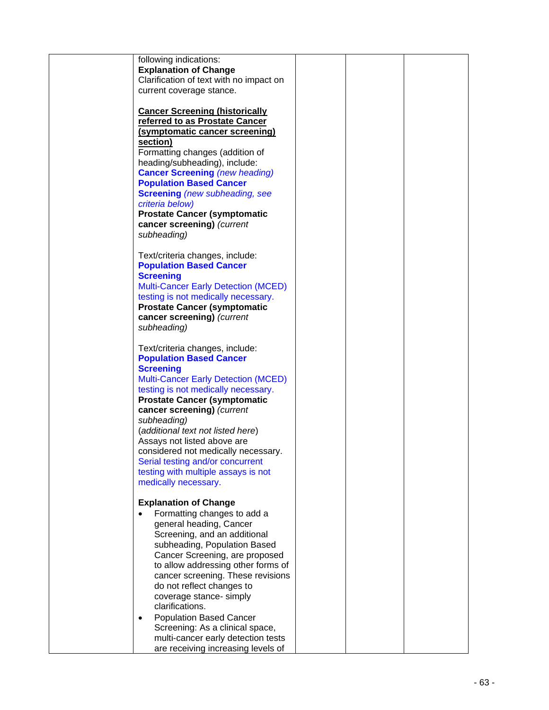| following indications:<br><b>Explanation of Change</b><br>Clarification of text with no impact on<br>current coverage stance.                                                                                                                                                                                                                                                                                                                                                                        |  |  |
|------------------------------------------------------------------------------------------------------------------------------------------------------------------------------------------------------------------------------------------------------------------------------------------------------------------------------------------------------------------------------------------------------------------------------------------------------------------------------------------------------|--|--|
| <b>Cancer Screening (historically</b><br>referred to as Prostate Cancer<br>(symptomatic cancer screening)<br>section)<br>Formatting changes (addition of<br>heading/subheading), include:<br><b>Cancer Screening (new heading)</b><br><b>Population Based Cancer</b><br><b>Screening</b> (new subheading, see<br>criteria below)<br><b>Prostate Cancer (symptomatic</b><br>cancer screening) (current<br>subheading)                                                                                 |  |  |
| Text/criteria changes, include:<br><b>Population Based Cancer</b><br><b>Screening</b><br><b>Multi-Cancer Early Detection (MCED)</b><br>testing is not medically necessary.<br><b>Prostate Cancer (symptomatic</b><br>cancer screening) (current<br>subheading)                                                                                                                                                                                                                                       |  |  |
| Text/criteria changes, include:<br><b>Population Based Cancer</b><br><b>Screening</b><br><b>Multi-Cancer Early Detection (MCED)</b><br>testing is not medically necessary.<br><b>Prostate Cancer (symptomatic</b><br>cancer screening) (current<br>subheading)<br>(additional text not listed here)<br>Assays not listed above are<br>considered not medically necessary.<br>Serial testing and/or concurrent<br>testing with multiple assays is not<br>medically necessary.                         |  |  |
| <b>Explanation of Change</b><br>Formatting changes to add a<br>general heading, Cancer<br>Screening, and an additional<br>subheading, Population Based<br>Cancer Screening, are proposed<br>to allow addressing other forms of<br>cancer screening. These revisions<br>do not reflect changes to<br>coverage stance- simply<br>clarifications.<br><b>Population Based Cancer</b><br>٠<br>Screening: As a clinical space,<br>multi-cancer early detection tests<br>are receiving increasing levels of |  |  |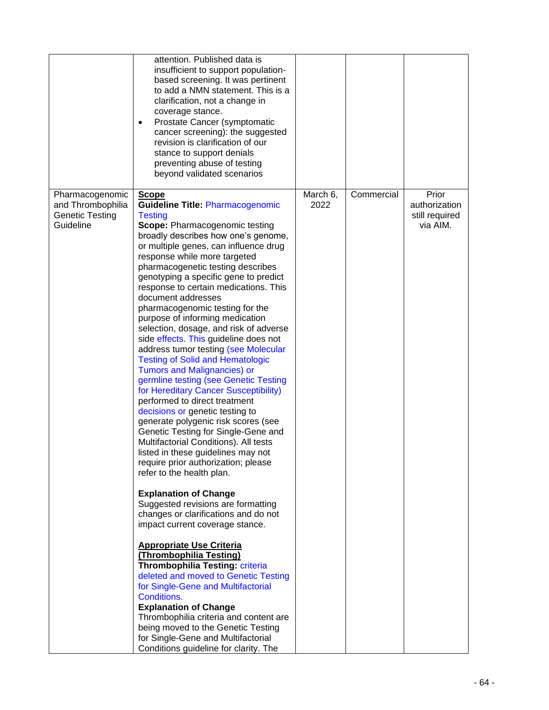|                                                                             | attention. Published data is<br>insufficient to support population-<br>based screening. It was pertinent<br>to add a NMN statement. This is a<br>clarification, not a change in<br>coverage stance.<br>Prostate Cancer (symptomatic<br>$\bullet$<br>cancer screening): the suggested<br>revision is clarification of our<br>stance to support denials<br>preventing abuse of testing<br>beyond validated scenarios                                                                                                                                                                                                                                                                                                                                                                                                                                                                                                                                                                                                                                                                                                                                                                                                                                                                                                                                                                                                                                                                                                                                                                                     |                  |            |                                                      |
|-----------------------------------------------------------------------------|--------------------------------------------------------------------------------------------------------------------------------------------------------------------------------------------------------------------------------------------------------------------------------------------------------------------------------------------------------------------------------------------------------------------------------------------------------------------------------------------------------------------------------------------------------------------------------------------------------------------------------------------------------------------------------------------------------------------------------------------------------------------------------------------------------------------------------------------------------------------------------------------------------------------------------------------------------------------------------------------------------------------------------------------------------------------------------------------------------------------------------------------------------------------------------------------------------------------------------------------------------------------------------------------------------------------------------------------------------------------------------------------------------------------------------------------------------------------------------------------------------------------------------------------------------------------------------------------------------|------------------|------------|------------------------------------------------------|
| Pharmacogenomic<br>and Thrombophilia<br><b>Genetic Testing</b><br>Guideline | <b>Scope</b><br><b>Guideline Title: Pharmacogenomic</b><br><b>Testing</b><br><b>Scope: Pharmacogenomic testing</b><br>broadly describes how one's genome,<br>or multiple genes, can influence drug<br>response while more targeted<br>pharmacogenetic testing describes<br>genotyping a specific gene to predict<br>response to certain medications. This<br>document addresses<br>pharmacogenomic testing for the<br>purpose of informing medication<br>selection, dosage, and risk of adverse<br>side effects. This guideline does not<br>address tumor testing (see Molecular<br><b>Testing of Solid and Hematologic</b><br><b>Tumors and Malignancies) or</b><br>germline testing (see Genetic Testing<br>for Hereditary Cancer Susceptibility)<br>performed to direct treatment<br>decisions or genetic testing to<br>generate polygenic risk scores (see<br>Genetic Testing for Single-Gene and<br>Multifactorial Conditions). All tests<br>listed in these guidelines may not<br>require prior authorization; please<br>refer to the health plan.<br><b>Explanation of Change</b><br>Suggested revisions are formatting<br>changes or clarifications and do not<br>impact current coverage stance.<br><b>Appropriate Use Criteria</b><br>(Thrombophilia Testing)<br>Thrombophilia Testing: criteria<br>deleted and moved to Genetic Testing<br>for Single-Gene and Multifactorial<br>Conditions.<br><b>Explanation of Change</b><br>Thrombophilia criteria and content are<br>being moved to the Genetic Testing<br>for Single-Gene and Multifactorial<br>Conditions guideline for clarity. The | March 6,<br>2022 | Commercial | Prior<br>authorization<br>still required<br>via AIM. |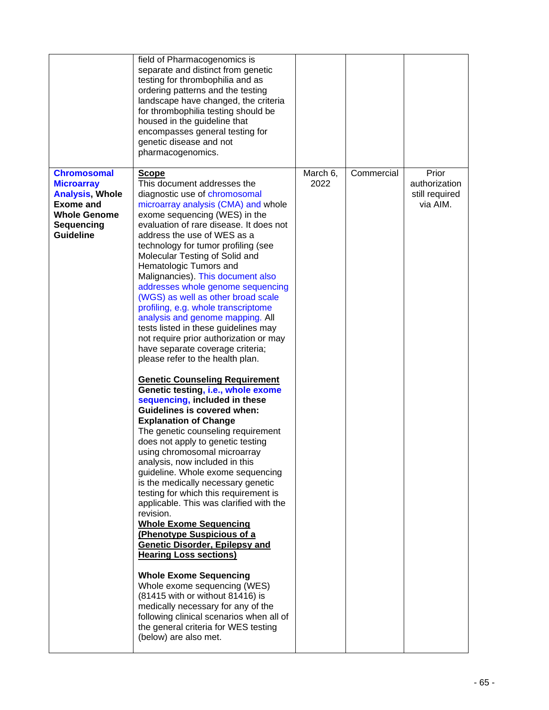|                                                                                                                                                | field of Pharmacogenomics is<br>separate and distinct from genetic<br>testing for thrombophilia and as<br>ordering patterns and the testing<br>landscape have changed, the criteria<br>for thrombophilia testing should be<br>housed in the guideline that<br>encompasses general testing for<br>genetic disease and not<br>pharmacogenomics.                                                                                                                                                                                                                                                                                                                                                                                                                                                                                                                                                                                                                                                                                                                                                                                                                                                                                                                                                                                                                                                                                                                                                                                                                                            |                  |            |                                                      |
|------------------------------------------------------------------------------------------------------------------------------------------------|------------------------------------------------------------------------------------------------------------------------------------------------------------------------------------------------------------------------------------------------------------------------------------------------------------------------------------------------------------------------------------------------------------------------------------------------------------------------------------------------------------------------------------------------------------------------------------------------------------------------------------------------------------------------------------------------------------------------------------------------------------------------------------------------------------------------------------------------------------------------------------------------------------------------------------------------------------------------------------------------------------------------------------------------------------------------------------------------------------------------------------------------------------------------------------------------------------------------------------------------------------------------------------------------------------------------------------------------------------------------------------------------------------------------------------------------------------------------------------------------------------------------------------------------------------------------------------------|------------------|------------|------------------------------------------------------|
| <b>Chromosomal</b><br><b>Microarray</b><br><b>Analysis, Whole</b><br><b>Exome and</b><br><b>Whole Genome</b><br>Sequencing<br><b>Guideline</b> | Scope<br>This document addresses the<br>diagnostic use of chromosomal<br>microarray analysis (CMA) and whole<br>exome sequencing (WES) in the<br>evaluation of rare disease. It does not<br>address the use of WES as a<br>technology for tumor profiling (see<br>Molecular Testing of Solid and<br>Hematologic Tumors and<br>Malignancies). This document also<br>addresses whole genome sequencing<br>(WGS) as well as other broad scale<br>profiling, e.g. whole transcriptome<br>analysis and genome mapping. All<br>tests listed in these guidelines may<br>not require prior authorization or may<br>have separate coverage criteria;<br>please refer to the health plan.<br><b>Genetic Counseling Requirement</b><br>Genetic testing, i.e., whole exome<br>sequencing, included in these<br><b>Guidelines is covered when:</b><br><b>Explanation of Change</b><br>The genetic counseling requirement<br>does not apply to genetic testing<br>using chromosomal microarray<br>analysis, now included in this<br>guideline. Whole exome sequencing<br>is the medically necessary genetic<br>testing for which this requirement is<br>applicable. This was clarified with the<br>revision.<br><b>Whole Exome Sequencing</b><br>(Phenotype Suspicious of a<br>Genetic Disorder, Epilepsy and<br><b>Hearing Loss sections)</b><br><b>Whole Exome Sequencing</b><br>Whole exome sequencing (WES)<br>(81415 with or without 81416) is<br>medically necessary for any of the<br>following clinical scenarios when all of<br>the general criteria for WES testing<br>(below) are also met. | March 6,<br>2022 | Commercial | Prior<br>authorization<br>still required<br>via AIM. |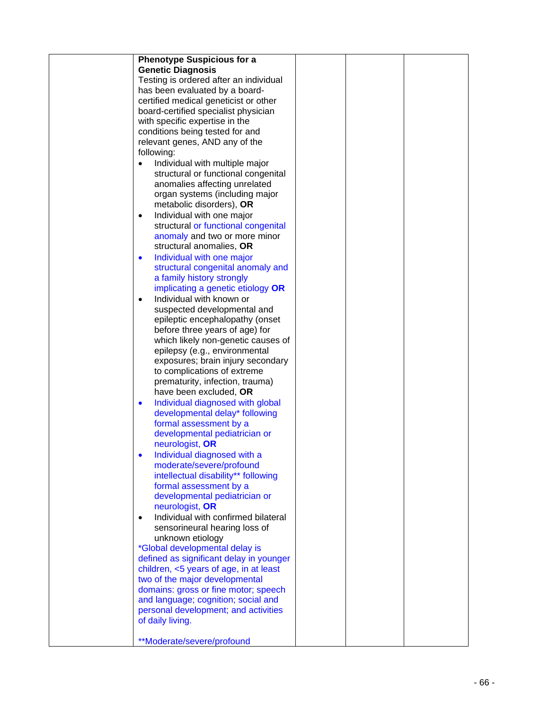| <b>Phenotype Suspicious for a</b>                |  |  |
|--------------------------------------------------|--|--|
| <b>Genetic Diagnosis</b>                         |  |  |
| Testing is ordered after an individual           |  |  |
| has been evaluated by a board-                   |  |  |
| certified medical geneticist or other            |  |  |
| board-certified specialist physician             |  |  |
| with specific expertise in the                   |  |  |
| conditions being tested for and                  |  |  |
| relevant genes, AND any of the                   |  |  |
| following:                                       |  |  |
| Individual with multiple major<br>$\bullet$      |  |  |
| structural or functional congenital              |  |  |
| anomalies affecting unrelated                    |  |  |
| organ systems (including major                   |  |  |
| metabolic disorders), OR                         |  |  |
| Individual with one major<br>$\bullet$           |  |  |
| structural or functional congenital              |  |  |
| anomaly and two or more minor                    |  |  |
| structural anomalies, OR                         |  |  |
| Individual with one major<br>$\bullet$           |  |  |
| structural congenital anomaly and                |  |  |
| a family history strongly                        |  |  |
| implicating a genetic etiology OR                |  |  |
| Individual with known or<br>$\bullet$            |  |  |
| suspected developmental and                      |  |  |
| epileptic encephalopathy (onset                  |  |  |
| before three years of age) for                   |  |  |
| which likely non-genetic causes of               |  |  |
| epilepsy (e.g., environmental                    |  |  |
| exposures; brain injury secondary                |  |  |
| to complications of extreme                      |  |  |
| prematurity, infection, trauma)                  |  |  |
| have been excluded, OR                           |  |  |
| Individual diagnosed with global<br>$\bullet$    |  |  |
| developmental delay* following                   |  |  |
| formal assessment by a                           |  |  |
| developmental pediatrician or                    |  |  |
| neurologist, OR                                  |  |  |
| Individual diagnosed with a                      |  |  |
| moderate/severe/profound                         |  |  |
| intellectual disability** following              |  |  |
| formal assessment by a                           |  |  |
| developmental pediatrician or                    |  |  |
| neurologist, OR                                  |  |  |
| Individual with confirmed bilateral<br>$\bullet$ |  |  |
| sensorineural hearing loss of                    |  |  |
| unknown etiology                                 |  |  |
| <i>*Global developmental delay is</i>            |  |  |
| defined as significant delay in younger          |  |  |
| children, <5 years of age, in at least           |  |  |
| two of the major developmental                   |  |  |
| domains: gross or fine motor; speech             |  |  |
| and language; cognition; social and              |  |  |
| personal development; and activities             |  |  |
| of daily living.                                 |  |  |
|                                                  |  |  |
| **Moderate/severe/profound                       |  |  |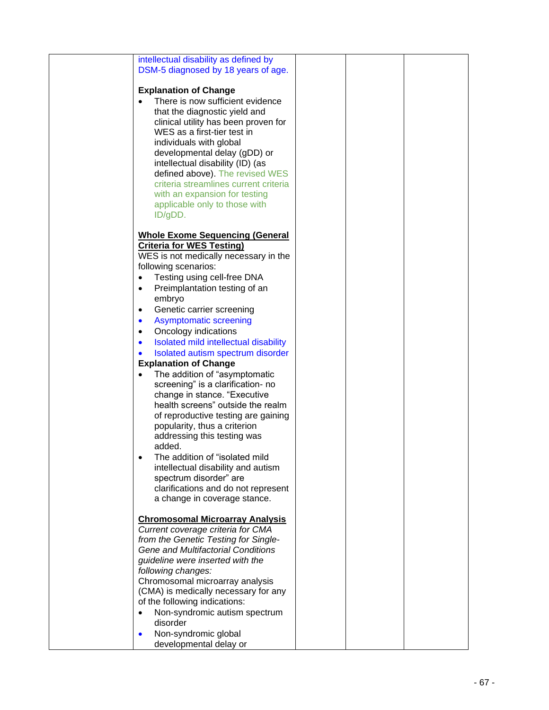| intellectual disability as defined by<br>DSM-5 diagnosed by 18 years of age.                                                                                                                                                                                                                                                                                                                                                     |  |  |
|----------------------------------------------------------------------------------------------------------------------------------------------------------------------------------------------------------------------------------------------------------------------------------------------------------------------------------------------------------------------------------------------------------------------------------|--|--|
| <b>Explanation of Change</b><br>There is now sufficient evidence<br>that the diagnostic yield and<br>clinical utility has been proven for<br>WES as a first-tier test in<br>individuals with global<br>developmental delay (gDD) or<br>intellectual disability (ID) (as<br>defined above). The revised WES<br>criteria streamlines current criteria<br>with an expansion for testing<br>applicable only to those with<br>ID/gDD. |  |  |
| <b>Whole Exome Sequencing (General</b><br><b>Criteria for WES Testing)</b><br>WES is not medically necessary in the<br>following scenarios:                                                                                                                                                                                                                                                                                      |  |  |
| Testing using cell-free DNA<br>$\bullet$<br>Preimplantation testing of an<br>$\bullet$<br>embryo                                                                                                                                                                                                                                                                                                                                 |  |  |
| Genetic carrier screening<br>$\bullet$<br><b>Asymptomatic screening</b><br>$\bullet$                                                                                                                                                                                                                                                                                                                                             |  |  |
| Oncology indications<br>$\bullet$<br>Isolated mild intellectual disability<br>$\bullet$<br>Isolated autism spectrum disorder<br>$\bullet$                                                                                                                                                                                                                                                                                        |  |  |
| <b>Explanation of Change</b>                                                                                                                                                                                                                                                                                                                                                                                                     |  |  |
| The addition of "asymptomatic<br>screening" is a clarification- no<br>change in stance. "Executive<br>health screens" outside the realm<br>of reproductive testing are gaining<br>popularity, thus a criterion<br>addressing this testing was<br>added.                                                                                                                                                                          |  |  |
| The addition of "isolated mild<br>intellectual disability and autism<br>spectrum disorder" are<br>clarifications and do not represent<br>a change in coverage stance.                                                                                                                                                                                                                                                            |  |  |
| <b>Chromosomal Microarray Analysis</b><br>Current coverage criteria for CMA<br>from the Genetic Testing for Single-<br>Gene and Multifactorial Conditions<br>guideline were inserted with the<br>following changes:<br>Chromosomal microarray analysis                                                                                                                                                                           |  |  |
| (CMA) is medically necessary for any<br>of the following indications:<br>Non-syndromic autism spectrum<br>$\bullet$<br>disorder                                                                                                                                                                                                                                                                                                  |  |  |
| Non-syndromic global<br>$\bullet$<br>developmental delay or                                                                                                                                                                                                                                                                                                                                                                      |  |  |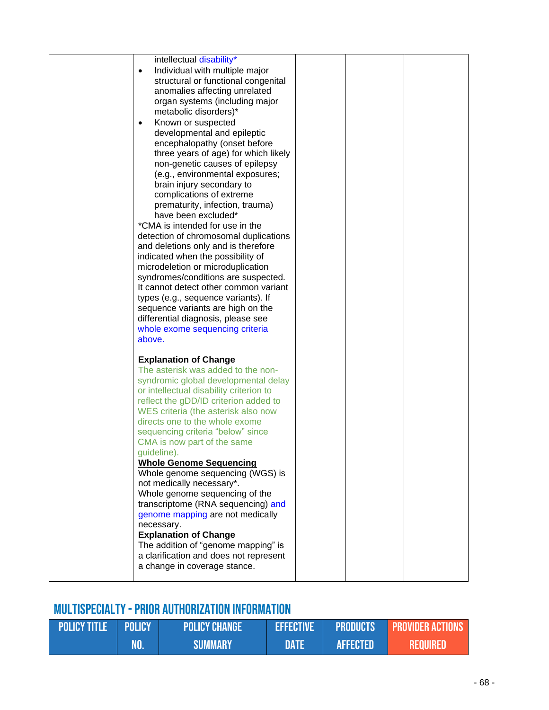| intellectual disability*<br>Individual with multiple major<br>$\bullet$<br>structural or functional congenital<br>anomalies affecting unrelated<br>organ systems (including major<br>metabolic disorders)*<br>Known or suspected<br>$\bullet$<br>developmental and epileptic<br>encephalopathy (onset before<br>three years of age) for which likely<br>non-genetic causes of epilepsy<br>(e.g., environmental exposures;<br>brain injury secondary to<br>complications of extreme<br>prematurity, infection, trauma)<br>have been excluded*<br>*CMA is intended for use in the<br>detection of chromosomal duplications<br>and deletions only and is therefore<br>indicated when the possibility of<br>microdeletion or microduplication<br>syndromes/conditions are suspected.<br>It cannot detect other common variant<br>types (e.g., sequence variants). If<br>sequence variants are high on the<br>differential diagnosis, please see<br>whole exome sequencing criteria |  |  |
|--------------------------------------------------------------------------------------------------------------------------------------------------------------------------------------------------------------------------------------------------------------------------------------------------------------------------------------------------------------------------------------------------------------------------------------------------------------------------------------------------------------------------------------------------------------------------------------------------------------------------------------------------------------------------------------------------------------------------------------------------------------------------------------------------------------------------------------------------------------------------------------------------------------------------------------------------------------------------------|--|--|
| above.<br><b>Explanation of Change</b><br>The asterisk was added to the non-<br>syndromic global developmental delay<br>or intellectual disability criterion to<br>reflect the gDD/ID criterion added to<br>WES criteria (the asterisk also now<br>directs one to the whole exome<br>sequencing criteria "below" since<br>CMA is now part of the same<br>guideline).<br><b>Whole Genome Sequencing</b><br>Whole genome sequencing (WGS) is<br>not medically necessary*.<br>Whole genome sequencing of the<br>transcriptome (RNA sequencing) and<br>genome mapping are not medically<br>necessary.<br><b>Explanation of Change</b><br>The addition of "genome mapping" is<br>a clarification and does not represent<br>a change in coverage stance.                                                                                                                                                                                                                             |  |  |

# Multispecialty -Prior Authorization Information

| <b>POLICY TITLE POLICY</b> |     | <b>POLICY CHANGE</b> | <b>EFFECTIVE</b> |                 | <b>PRODUCTS PROVIDER ACTIONS</b> |
|----------------------------|-----|----------------------|------------------|-----------------|----------------------------------|
|                            | WO. | <b>SUMMARY</b>       | VMTA             | <b>AFFECTED</b> | Required                         |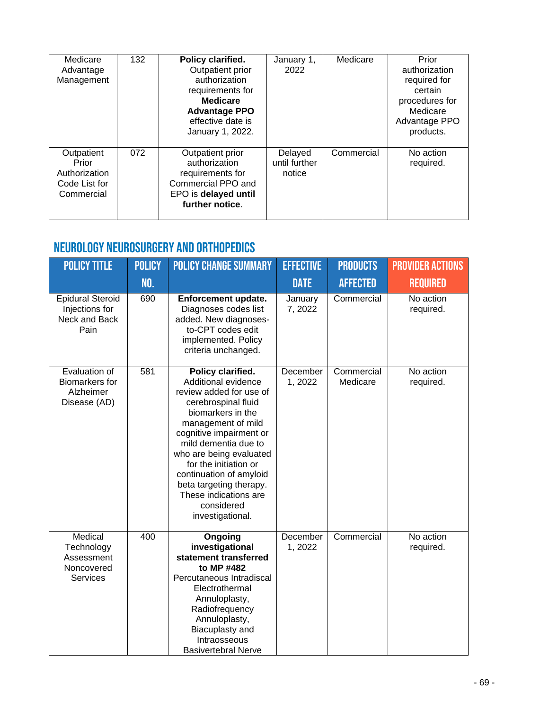| Medicare<br>Advantage<br>Management                                 | 132 | Policy clarified.<br>Outpatient prior<br>authorization<br>requirements for<br><b>Medicare</b><br><b>Advantage PPO</b><br>effective date is<br>January 1, 2022. | January 1,<br>2022                 | Medicare   | Prior<br>authorization<br>required for<br>certain<br>procedures for<br>Medicare<br>Advantage PPO<br>products. |
|---------------------------------------------------------------------|-----|----------------------------------------------------------------------------------------------------------------------------------------------------------------|------------------------------------|------------|---------------------------------------------------------------------------------------------------------------|
| Outpatient<br>Prior<br>Authorization<br>Code List for<br>Commercial | 072 | Outpatient prior<br>authorization<br>requirements for<br>Commercial PPO and<br>EPO is delayed until<br>further notice.                                         | Delayed<br>until further<br>notice | Commercial | No action<br>required.                                                                                        |

#### Neurology Neurosurgery and Orthopedics

| <b>POLICY TITLE</b>                                                  | <b>POLICY</b> | <b>POLICY CHANGE SUMMARY</b>                                                                                                                                                                                                                                                                                                                                  | <b>EFFECTIVE</b>    | <b>PRODUCTS</b>        | <b>PROVIDER ACTIONS</b> |
|----------------------------------------------------------------------|---------------|---------------------------------------------------------------------------------------------------------------------------------------------------------------------------------------------------------------------------------------------------------------------------------------------------------------------------------------------------------------|---------------------|------------------------|-------------------------|
|                                                                      | <b>NO.</b>    |                                                                                                                                                                                                                                                                                                                                                               | <b>DATE</b>         | <b>AFFECTED</b>        | <b>REQUIRED</b>         |
| <b>Epidural Steroid</b><br>Injections for<br>Neck and Back<br>Pain   | 690           | Enforcement update.<br>Diagnoses codes list<br>added. New diagnoses-<br>to-CPT codes edit<br>implemented. Policy<br>criteria unchanged.                                                                                                                                                                                                                       | January<br>7,2022   | Commercial             | No action<br>required.  |
| Evaluation of<br><b>Biomarkers for</b><br>Alzheimer<br>Disease (AD)  | 581           | Policy clarified.<br>Additional evidence<br>review added for use of<br>cerebrospinal fluid<br>biomarkers in the<br>management of mild<br>cognitive impairment or<br>mild dementia due to<br>who are being evaluated<br>for the initiation or<br>continuation of amyloid<br>beta targeting therapy.<br>These indications are<br>considered<br>investigational. | December<br>1,2022  | Commercial<br>Medicare | No action<br>required.  |
| Medical<br>Technology<br>Assessment<br>Noncovered<br><b>Services</b> | 400           | Ongoing<br>investigational<br>statement transferred<br>to MP #482<br>Percutaneous Intradiscal<br>Electrothermal<br>Annuloplasty,<br>Radiofrequency<br>Annuloplasty,<br>Biacuplasty and<br>Intraosseous<br><b>Basivertebral Nerve</b>                                                                                                                          | December<br>1, 2022 | Commercial             | No action<br>required.  |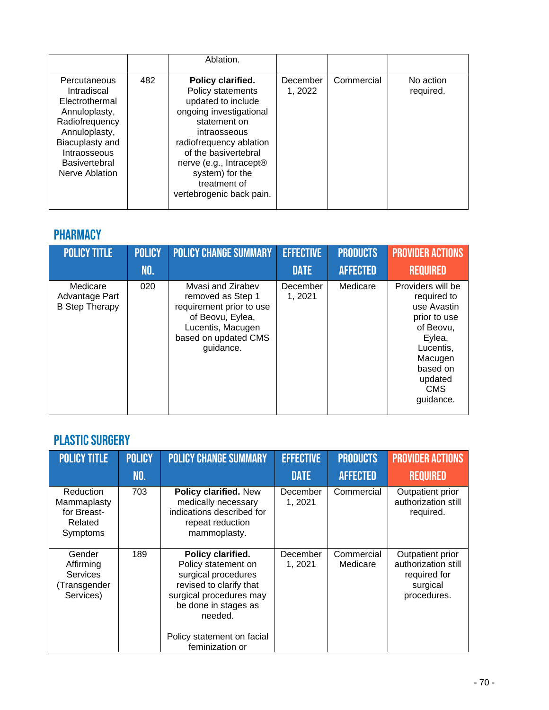|                                                                                                                                                                                |     | Ablation.                                                                                                                                                                                                                                                            |                    |            |                        |
|--------------------------------------------------------------------------------------------------------------------------------------------------------------------------------|-----|----------------------------------------------------------------------------------------------------------------------------------------------------------------------------------------------------------------------------------------------------------------------|--------------------|------------|------------------------|
| Percutaneous<br>Intradiscal<br>Electrothermal<br>Annuloplasty,<br>Radiofrequency<br>Annuloplasty,<br>Biacuplasty and<br>Intraosseous<br><b>Basivertebral</b><br>Nerve Ablation | 482 | Policy clarified.<br>Policy statements<br>updated to include<br>ongoing investigational<br>statement on<br>intraosseous<br>radiofrequency ablation<br>of the basivertebral<br>nerve (e.g., Intracept®<br>system) for the<br>treatment of<br>vertebrogenic back pain. | December<br>1.2022 | Commercial | No action<br>required. |

### **PHARMACY**

| <b>POLICY TITLE</b>                                 | <b>POLICY</b> | <b>POLICY CHANGE SUMMARY</b>                                                                                                                     | <b>EFFECTIVE</b>   | <b>PRODUCTS</b> | <b>PROVIDER ACTIONS</b>                                                                                                                                          |
|-----------------------------------------------------|---------------|--------------------------------------------------------------------------------------------------------------------------------------------------|--------------------|-----------------|------------------------------------------------------------------------------------------------------------------------------------------------------------------|
|                                                     | NO.           |                                                                                                                                                  | <b>DATE</b>        | <b>AFFECTED</b> | <b>REQUIRED</b>                                                                                                                                                  |
| Medicare<br>Advantage Part<br><b>B Step Therapy</b> | 020           | Myasi and Zirabev<br>removed as Step 1<br>requirement prior to use<br>of Beovu, Eylea,<br>Lucentis, Macugen<br>based on updated CMS<br>guidance. | December<br>1,2021 | Medicare        | Providers will be<br>required to<br>use Avastin<br>prior to use<br>of Beovu,<br>Eylea,<br>Lucentis,<br>Macugen<br>based on<br>updated<br><b>CMS</b><br>guidance. |

### PLASTIC SURGERY

| <b>POLICY TITLE</b>                                                 | <b>POLICY</b><br><b>NO.</b> | <b>POLICY CHANGE SUMMARY</b>                                                                                                                                                                              | <b>EFFECTIVE</b><br><b>DATE</b> | <b>PRODUCTS</b><br><b>AFFECTED</b> | <b>PROVIDER ACTIONS</b><br><b>REQUIRED</b>                                         |
|---------------------------------------------------------------------|-----------------------------|-----------------------------------------------------------------------------------------------------------------------------------------------------------------------------------------------------------|---------------------------------|------------------------------------|------------------------------------------------------------------------------------|
| Reduction<br>Mammaplasty<br>for Breast-<br>Related<br>Symptoms      | 703                         | Policy clarified. New<br>medically necessary<br>indications described for<br>repeat reduction<br>mammoplasty.                                                                                             | December<br>1, 2021             | Commercial                         | Outpatient prior<br>authorization still<br>required.                               |
| Gender<br>Affirming<br><b>Services</b><br>(Transgender<br>Services) | 189                         | Policy clarified.<br>Policy statement on<br>surgical procedures<br>revised to clarify that<br>surgical procedures may<br>be done in stages as<br>needed.<br>Policy statement on facial<br>feminization or | December<br>1, 2021             | Commercial<br>Medicare             | Outpatient prior<br>authorization still<br>required for<br>surgical<br>procedures. |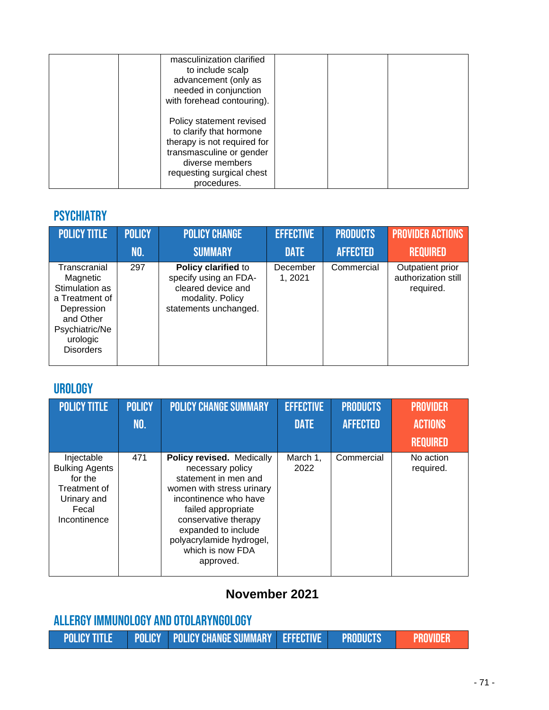| masculinization clarified<br>to include scalp<br>advancement (only as<br>needed in conjunction<br>with forehead contouring).                                                  |  |
|-------------------------------------------------------------------------------------------------------------------------------------------------------------------------------|--|
| Policy statement revised<br>to clarify that hormone<br>therapy is not required for<br>transmasculine or gender<br>diverse members<br>requesting surgical chest<br>procedures. |  |

#### **PSYCHIATRY**

| <b>POLICY TITLE</b>                                                                                                                       | <b>POLICY</b> | <b>POLICY CHANGE</b>                                                                                            | <b>EFFECTIVE</b>    | <b>PRODUCTS</b> | <b>PROVIDER ACTIONS</b>                              |
|-------------------------------------------------------------------------------------------------------------------------------------------|---------------|-----------------------------------------------------------------------------------------------------------------|---------------------|-----------------|------------------------------------------------------|
|                                                                                                                                           | NO.           | <b>SUMMARY</b>                                                                                                  | <b>DATE</b>         | <b>AFFECTED</b> | <b>REQUIRED</b>                                      |
| Transcranial<br>Magnetic<br>Stimulation as<br>a Treatment of<br>Depression<br>and Other<br>Psychiatric/Ne<br>urologic<br><b>Disorders</b> | 297           | Policy clarified to<br>specify using an FDA-<br>cleared device and<br>modality. Policy<br>statements unchanged. | December<br>1, 2021 | Commercial      | Outpatient prior<br>authorization still<br>required. |

#### **UROLOGY**

| <b>POLICY TITLE</b>                                                                                    | <b>POLICY</b><br><b>NO.</b> | <b>POLICY CHANGE SUMMARY</b>                                                                                                                                                                                                                                  | <b>EFFECTIVE</b><br><b>DATE</b> | <b>PRODUCTS</b><br><b>AFFECTED</b> | <b>PROVIDER</b><br><b>ACTIONS</b><br><b>REQUIRED</b> |
|--------------------------------------------------------------------------------------------------------|-----------------------------|---------------------------------------------------------------------------------------------------------------------------------------------------------------------------------------------------------------------------------------------------------------|---------------------------------|------------------------------------|------------------------------------------------------|
| Injectable<br><b>Bulking Agents</b><br>for the<br>Treatment of<br>Urinary and<br>Fecal<br>Incontinence | 471                         | Policy revised. Medically<br>necessary policy<br>statement in men and<br>women with stress urinary<br>incontinence who have<br>failed appropriate<br>conservative therapy<br>expanded to include<br>polyacrylamide hydrogel,<br>which is now FDA<br>approved. | March 1,<br>2022                | Commercial                         | No action<br>required.                               |

# **November 2021**

| ALLERGY IMMUNOLOGY AND OTOLARYNGOLOGY |  |                                                              |  |  |                 |
|---------------------------------------|--|--------------------------------------------------------------|--|--|-----------------|
|                                       |  | POLICY TITLE POLICY POLICY CHANGE SUMMARY EFFECTIVE PRODUCTS |  |  | <b>PROVIDER</b> |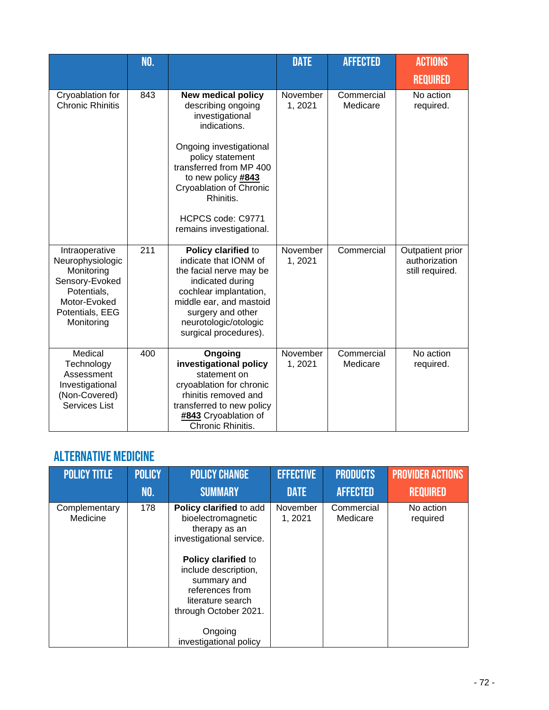|                                                                                                                                    | NO. |                                                                                                                                                                                                                                                                             | <b>DATE</b>        | <b>AFFECTED</b>        | <b>ACTIONS</b><br><b>REQUIRED</b>                    |
|------------------------------------------------------------------------------------------------------------------------------------|-----|-----------------------------------------------------------------------------------------------------------------------------------------------------------------------------------------------------------------------------------------------------------------------------|--------------------|------------------------|------------------------------------------------------|
| Cryoablation for<br><b>Chronic Rhinitis</b>                                                                                        | 843 | <b>New medical policy</b><br>describing ongoing<br>investigational<br>indications.<br>Ongoing investigational<br>policy statement<br>transferred from MP 400<br>to new policy #843<br>Cryoablation of Chronic<br>Rhinitis.<br>HCPCS code: C9771<br>remains investigational. | November<br>1,2021 | Commercial<br>Medicare | No action<br>required.                               |
| Intraoperative<br>Neurophysiologic<br>Monitoring<br>Sensory-Evoked<br>Potentials,<br>Motor-Evoked<br>Potentials, EEG<br>Monitoring | 211 | Policy clarified to<br>indicate that IONM of<br>the facial nerve may be<br>indicated during<br>cochlear implantation,<br>middle ear, and mastoid<br>surgery and other<br>neurotologic/otologic<br>surgical procedures).                                                     | November<br>1,2021 | Commercial             | Outpatient prior<br>authorization<br>still required. |
| Medical<br>Technology<br>Assessment<br>Investigational<br>(Non-Covered)<br>Services List                                           | 400 | Ongoing<br>investigational policy<br>statement on<br>cryoablation for chronic<br>rhinitis removed and<br>transferred to new policy<br>#843 Cryoablation of<br>Chronic Rhinitis.                                                                                             | November<br>1,2021 | Commercial<br>Medicare | No action<br>required.                               |

## Alternative Medicine

| <b>POLICY TITLE</b>       | <b>POLICY</b> | <b>POLICY CHANGE</b>                                                                                                                                                                                                                                           | <b>EFFECTIVE</b>    | <b>PRODUCTS</b>        | <b>PROVIDER ACTIONS</b> |
|---------------------------|---------------|----------------------------------------------------------------------------------------------------------------------------------------------------------------------------------------------------------------------------------------------------------------|---------------------|------------------------|-------------------------|
|                           | NO.           | <b>SUMMARY</b>                                                                                                                                                                                                                                                 | <b>DATE</b>         | <b>AFFECTED</b>        | <b>REQUIRED</b>         |
| Complementary<br>Medicine | 178           | Policy clarified to add<br>bioelectromagnetic<br>therapy as an<br>investigational service.<br>Policy clarified to<br>include description,<br>summary and<br>references from<br>literature search<br>through October 2021.<br>Ongoing<br>investigational policy | November<br>1, 2021 | Commercial<br>Medicare | No action<br>required   |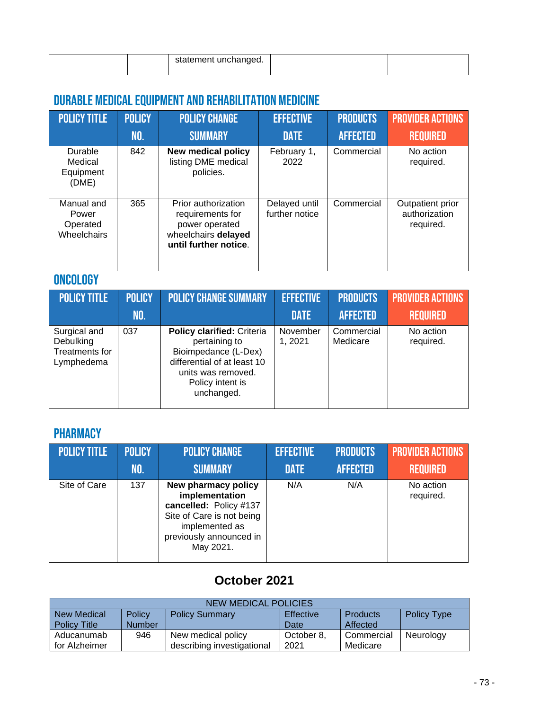|  | tement unchanged.<br>statement |  |  |
|--|--------------------------------|--|--|

## DURABLE MEDICAL EQUIPMENT AND REHABILITATION MEDICINE

| <b>POLICY TITLE</b>                            | <b>POLICY</b><br>NO. | <b>POLICY CHANGE</b><br><b>SUMMARY</b>                                                                    | <b>EFFECTIVE</b><br><b>DATE</b> | <b>PRODUCTS</b><br><b>AFFECTED</b> | <b>PROVIDER ACTIONS</b><br><b>REQUIRED</b>     |
|------------------------------------------------|----------------------|-----------------------------------------------------------------------------------------------------------|---------------------------------|------------------------------------|------------------------------------------------|
| Durable<br>Medical<br>Equipment<br>(DME)       | 842                  | <b>New medical policy</b><br>listing DME medical<br>policies.                                             | February 1,<br>2022             | Commercial                         | No action<br>required.                         |
| Manual and<br>Power<br>Operated<br>Wheelchairs | 365                  | Prior authorization<br>requirements for<br>power operated<br>wheelchairs delayed<br>until further notice. | Delayed until<br>further notice | Commercial                         | Outpatient prior<br>authorization<br>required. |

### **ONCOLOGY**

| <b>POLICY TITLE</b>                                       | <b>POLICY</b> | <b>POLICY CHANGE SUMMARY</b>                                                                                                                                      | <b>EFFECTIVE</b>    | <b>PRODUCTS</b>        | <b>PROVIDER ACTIONS</b> |
|-----------------------------------------------------------|---------------|-------------------------------------------------------------------------------------------------------------------------------------------------------------------|---------------------|------------------------|-------------------------|
|                                                           | <b>NO.</b>    |                                                                                                                                                                   | <b>DATE</b>         | <b>AFFECTED</b>        | <b>REQUIRED</b>         |
| Surgical and<br>Debulking<br>Treatments for<br>Lymphedema | 037           | <b>Policy clarified: Criteria</b><br>pertaining to<br>Bioimpedance (L-Dex)<br>differential of at least 10<br>units was removed.<br>Policy intent is<br>unchanged. | November<br>1, 2021 | Commercial<br>Medicare | No action<br>required.  |

### **PHARMACY**

| <b>POLICY TITLE</b> | <b>POLICY</b> | <b>POLICY CHANGE</b>                                                                                                                                   | <b>EFFECTIVE</b> | <b>PRODUCTS</b> | <b>PROVIDER ACTIONS</b> |
|---------------------|---------------|--------------------------------------------------------------------------------------------------------------------------------------------------------|------------------|-----------------|-------------------------|
|                     | NO.           | <b>SUMMARY</b>                                                                                                                                         | <b>DATE</b>      | <b>AFFECTED</b> | <b>REQUIRED</b>         |
| Site of Care        | 137           | New pharmacy policy<br>implementation<br>cancelled: Policy #137<br>Site of Care is not being<br>implemented as<br>previously announced in<br>May 2021. | N/A              | N/A             | No action<br>required.  |

## **October 2021**

| NEW MEDICAL POLICIES |                                                                                              |                            |            |            |           |  |
|----------------------|----------------------------------------------------------------------------------------------|----------------------------|------------|------------|-----------|--|
| <b>New Medical</b>   | <b>Effective</b><br>Policy<br><b>Products</b><br><b>Policy Summary</b><br><b>Policy Type</b> |                            |            |            |           |  |
| <b>Policy Title</b>  | <b>Number</b>                                                                                |                            | Date       | Affected   |           |  |
| Aducanumab           | 946                                                                                          | New medical policy         | October 8. | Commercial | Neurology |  |
| for Alzheimer        |                                                                                              | describing investigational | 2021       | Medicare   |           |  |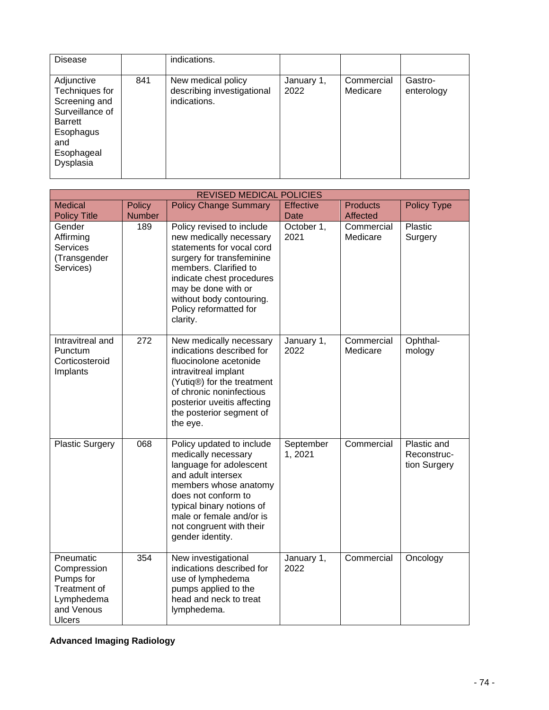| <b>Disease</b>                                                                                                                    |     | indications.                                                     |                    |                        |                       |
|-----------------------------------------------------------------------------------------------------------------------------------|-----|------------------------------------------------------------------|--------------------|------------------------|-----------------------|
| Adjunctive<br>Techniques for<br>Screening and<br>Surveillance of<br><b>Barrett</b><br>Esophagus<br>and<br>Esophageal<br>Dysplasia | 841 | New medical policy<br>describing investigational<br>indications. | January 1,<br>2022 | Commercial<br>Medicare | Gastro-<br>enterology |

| <b>REVISED MEDICAL POLICIES</b>                                                                    |               |                                                                                                                                                                                                                                                               |                     |                        |                                            |
|----------------------------------------------------------------------------------------------------|---------------|---------------------------------------------------------------------------------------------------------------------------------------------------------------------------------------------------------------------------------------------------------------|---------------------|------------------------|--------------------------------------------|
| <b>Medical</b>                                                                                     | <b>Policy</b> | <b>Policy Change Summary</b>                                                                                                                                                                                                                                  | <b>Effective</b>    | <b>Products</b>        | <b>Policy Type</b>                         |
| <b>Policy Title</b>                                                                                | <b>Number</b> |                                                                                                                                                                                                                                                               | <b>Date</b>         | <b>Affected</b>        |                                            |
| Gender<br>Affirming<br><b>Services</b><br>(Transgender<br>Services)                                | 189           | Policy revised to include<br>new medically necessary<br>statements for vocal cord<br>surgery for transfeminine<br>members. Clarified to<br>indicate chest procedures<br>may be done with or<br>without body contouring.<br>Policy reformatted for<br>clarity. | October 1,<br>2021  | Commercial<br>Medicare | Plastic<br>Surgery                         |
| Intravitreal and<br>Punctum<br>Corticosteroid<br>Implants                                          | 272           | New medically necessary<br>indications described for<br>fluocinolone acetonide<br>intravitreal implant<br>(Yutiq®) for the treatment<br>of chronic noninfectious<br>posterior uveitis affecting<br>the posterior segment of<br>the eye.                       | January 1,<br>2022  | Commercial<br>Medicare | Ophthal-<br>mology                         |
| <b>Plastic Surgery</b>                                                                             | 068           | Policy updated to include<br>medically necessary<br>language for adolescent<br>and adult intersex<br>members whose anatomy<br>does not conform to<br>typical binary notions of<br>male or female and/or is<br>not congruent with their<br>gender identity.    | September<br>1,2021 | Commercial             | Plastic and<br>Reconstruc-<br>tion Surgery |
| Pneumatic<br>Compression<br>Pumps for<br>Treatment of<br>Lymphedema<br>and Venous<br><b>Ulcers</b> | 354           | New investigational<br>indications described for<br>use of lymphedema<br>pumps applied to the<br>head and neck to treat<br>lymphedema.                                                                                                                        | January 1,<br>2022  | Commercial             | Oncology                                   |

### **Advanced Imaging Radiology**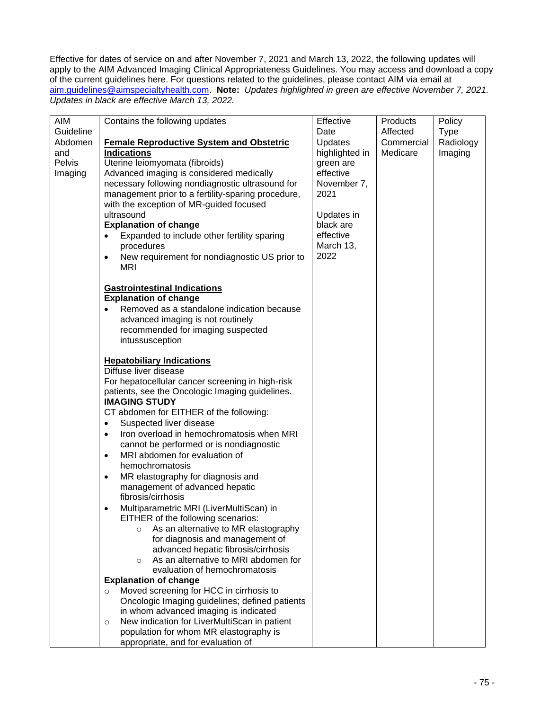Effective for dates of service on and after November 7, 2021 and March 13, 2022, the following updates will apply to the AIM Advanced Imaging Clinical Appropriateness Guidelines. You may access and download a copy of the current guidelines here. For questions related to the guidelines, please contact AIM via email at [aim.guidelines@aimspecialtyhealth.com.](mailto:aim.guidelines@aimspecialtyhealth.com) **Note:** *Updates highlighted in green are effective November 7, 2021. Updates in black are effective March 13, 2022.*

| AIM       | Contains the following updates                                                          | Effective      | Products   | Policy      |
|-----------|-----------------------------------------------------------------------------------------|----------------|------------|-------------|
| Guideline |                                                                                         | Date           | Affected   | <b>Type</b> |
| Abdomen   | <b>Female Reproductive System and Obstetric</b>                                         | <b>Updates</b> | Commercial | Radiology   |
| and       | <b>Indications</b>                                                                      | highlighted in | Medicare   | Imaging     |
| Pelvis    | Uterine leiomyomata (fibroids)                                                          | green are      |            |             |
| Imaging   | Advanced imaging is considered medically                                                | effective      |            |             |
|           | necessary following nondiagnostic ultrasound for                                        | November 7,    |            |             |
|           | management prior to a fertility-sparing procedure,                                      | 2021           |            |             |
|           | with the exception of MR-guided focused                                                 |                |            |             |
|           | ultrasound                                                                              | Updates in     |            |             |
|           | <b>Explanation of change</b>                                                            | black are      |            |             |
|           | Expanded to include other fertility sparing<br>$\bullet$                                | effective      |            |             |
|           | procedures                                                                              | March 13,      |            |             |
|           | New requirement for nondiagnostic US prior to<br>$\bullet$                              | 2022           |            |             |
|           | <b>MRI</b>                                                                              |                |            |             |
|           |                                                                                         |                |            |             |
|           | <b>Gastrointestinal Indications</b>                                                     |                |            |             |
|           | <b>Explanation of change</b>                                                            |                |            |             |
|           | Removed as a standalone indication because                                              |                |            |             |
|           | advanced imaging is not routinely<br>recommended for imaging suspected                  |                |            |             |
|           | intussusception                                                                         |                |            |             |
|           |                                                                                         |                |            |             |
|           | <b>Hepatobiliary Indications</b>                                                        |                |            |             |
|           | Diffuse liver disease                                                                   |                |            |             |
|           | For hepatocellular cancer screening in high-risk                                        |                |            |             |
|           | patients, see the Oncologic Imaging guidelines.                                         |                |            |             |
|           | <b>IMAGING STUDY</b>                                                                    |                |            |             |
|           | CT abdomen for EITHER of the following:                                                 |                |            |             |
|           | Suspected liver disease<br>٠                                                            |                |            |             |
|           | Iron overload in hemochromatosis when MRI<br>$\bullet$                                  |                |            |             |
|           | cannot be performed or is nondiagnostic                                                 |                |            |             |
|           | MRI abdomen for evaluation of<br>$\bullet$                                              |                |            |             |
|           | hemochromatosis                                                                         |                |            |             |
|           | MR elastography for diagnosis and<br>٠                                                  |                |            |             |
|           | management of advanced hepatic                                                          |                |            |             |
|           | fibrosis/cirrhosis                                                                      |                |            |             |
|           | Multiparametric MRI (LiverMultiScan) in<br>٠                                            |                |            |             |
|           | EITHER of the following scenarios:                                                      |                |            |             |
|           | As an alternative to MR elastography<br>$\circ$                                         |                |            |             |
|           | for diagnosis and management of                                                         |                |            |             |
|           | advanced hepatic fibrosis/cirrhosis                                                     |                |            |             |
|           | As an alternative to MRI abdomen for<br>$\circ$                                         |                |            |             |
|           | evaluation of hemochromatosis                                                           |                |            |             |
|           | <b>Explanation of change</b>                                                            |                |            |             |
|           | Moved screening for HCC in cirrhosis to<br>$\circ$                                      |                |            |             |
|           | Oncologic Imaging guidelines; defined patients<br>in whom advanced imaging is indicated |                |            |             |
|           | New indication for LiverMultiScan in patient                                            |                |            |             |
|           | $\circ$<br>population for whom MR elastography is                                       |                |            |             |
|           | appropriate, and for evaluation of                                                      |                |            |             |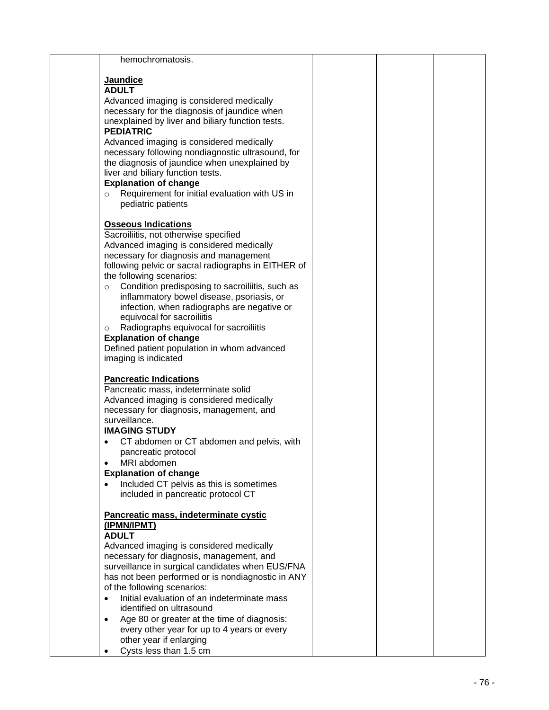| hemochromatosis.                                                                                      |  |  |
|-------------------------------------------------------------------------------------------------------|--|--|
|                                                                                                       |  |  |
| <b>Jaundice</b><br><b>ADULT</b>                                                                       |  |  |
| Advanced imaging is considered medically                                                              |  |  |
| necessary for the diagnosis of jaundice when                                                          |  |  |
| unexplained by liver and biliary function tests.                                                      |  |  |
| <b>PEDIATRIC</b>                                                                                      |  |  |
| Advanced imaging is considered medically                                                              |  |  |
| necessary following nondiagnostic ultrasound, for<br>the diagnosis of jaundice when unexplained by    |  |  |
| liver and biliary function tests.                                                                     |  |  |
| <b>Explanation of change</b>                                                                          |  |  |
| Requirement for initial evaluation with US in<br>$\circ$                                              |  |  |
| pediatric patients                                                                                    |  |  |
| <b>Osseous Indications</b>                                                                            |  |  |
| Sacroiliitis, not otherwise specified                                                                 |  |  |
| Advanced imaging is considered medically                                                              |  |  |
| necessary for diagnosis and management                                                                |  |  |
| following pelvic or sacral radiographs in EITHER of                                                   |  |  |
| the following scenarios:<br>Condition predisposing to sacroiliitis, such as<br>$\circ$                |  |  |
| inflammatory bowel disease, psoriasis, or                                                             |  |  |
| infection, when radiographs are negative or                                                           |  |  |
| equivocal for sacroiliitis                                                                            |  |  |
| Radiographs equivocal for sacroiliitis<br>$\circ$                                                     |  |  |
| <b>Explanation of change</b><br>Defined patient population in whom advanced                           |  |  |
| imaging is indicated                                                                                  |  |  |
|                                                                                                       |  |  |
| <b>Pancreatic Indications</b><br>Pancreatic mass, indeterminate solid                                 |  |  |
| Advanced imaging is considered medically                                                              |  |  |
| necessary for diagnosis, management, and                                                              |  |  |
| surveillance.                                                                                         |  |  |
| <b>IMAGING STUDY</b>                                                                                  |  |  |
| CT abdomen or CT abdomen and pelvis, with                                                             |  |  |
| pancreatic protocol<br>MRI abdomen                                                                    |  |  |
| <b>Explanation of change</b>                                                                          |  |  |
| Included CT pelvis as this is sometimes                                                               |  |  |
| included in pancreatic protocol CT                                                                    |  |  |
| Pancreatic mass, indeterminate cystic                                                                 |  |  |
| (IPMN/IPMT)                                                                                           |  |  |
| <b>ADULT</b>                                                                                          |  |  |
| Advanced imaging is considered medically                                                              |  |  |
| necessary for diagnosis, management, and                                                              |  |  |
| surveillance in surgical candidates when EUS/FNA<br>has not been performed or is nondiagnostic in ANY |  |  |
| of the following scenarios:                                                                           |  |  |
| Initial evaluation of an indeterminate mass<br>$\bullet$                                              |  |  |
| identified on ultrasound                                                                              |  |  |
| Age 80 or greater at the time of diagnosis:<br>$\bullet$                                              |  |  |
| every other year for up to 4 years or every                                                           |  |  |
| other year if enlarging<br>Cysts less than 1.5 cm                                                     |  |  |
|                                                                                                       |  |  |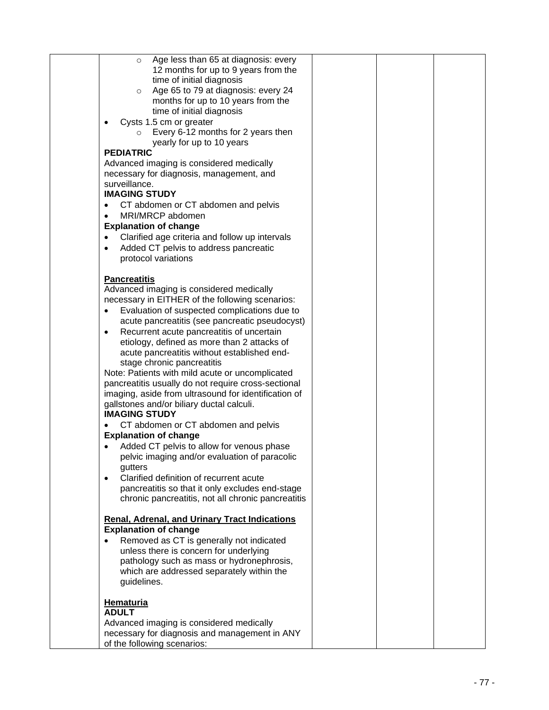| Age less than 65 at diagnosis: every<br>$\circ$             |  |  |
|-------------------------------------------------------------|--|--|
| 12 months for up to 9 years from the                        |  |  |
|                                                             |  |  |
| time of initial diagnosis                                   |  |  |
| Age 65 to 79 at diagnosis: every 24<br>$\circ$              |  |  |
| months for up to 10 years from the                          |  |  |
|                                                             |  |  |
| time of initial diagnosis                                   |  |  |
| Cysts 1.5 cm or greater<br>$\bullet$                        |  |  |
| Every 6-12 months for 2 years then<br>$\circ$               |  |  |
|                                                             |  |  |
| yearly for up to 10 years                                   |  |  |
| <b>PEDIATRIC</b>                                            |  |  |
| Advanced imaging is considered medically                    |  |  |
| necessary for diagnosis, management, and                    |  |  |
|                                                             |  |  |
| surveillance.                                               |  |  |
| <b>IMAGING STUDY</b>                                        |  |  |
| CT abdomen or CT abdomen and pelvis<br>$\bullet$            |  |  |
|                                                             |  |  |
| MRI/MRCP abdomen<br>$\bullet$                               |  |  |
| <b>Explanation of change</b>                                |  |  |
| Clarified age criteria and follow up intervals<br>$\bullet$ |  |  |
| Added CT pelvis to address pancreatic<br>$\bullet$          |  |  |
|                                                             |  |  |
| protocol variations                                         |  |  |
|                                                             |  |  |
| <b>Pancreatitis</b>                                         |  |  |
|                                                             |  |  |
| Advanced imaging is considered medically                    |  |  |
| necessary in EITHER of the following scenarios:             |  |  |
| Evaluation of suspected complications due to<br>٠           |  |  |
| acute pancreatitis (see pancreatic pseudocyst)              |  |  |
|                                                             |  |  |
| Recurrent acute pancreatitis of uncertain<br>٠              |  |  |
| etiology, defined as more than 2 attacks of                 |  |  |
| acute pancreatitis without established end-                 |  |  |
| stage chronic pancreatitis                                  |  |  |
|                                                             |  |  |
| Note: Patients with mild acute or uncomplicated             |  |  |
| pancreatitis usually do not require cross-sectional         |  |  |
| imaging, aside from ultrasound for identification of        |  |  |
|                                                             |  |  |
| gallstones and/or biliary ductal calculi.                   |  |  |
| <b>IMAGING STUDY</b>                                        |  |  |
| CT abdomen or CT abdomen and pelvis                         |  |  |
| <b>Explanation of change</b>                                |  |  |
|                                                             |  |  |
| Added CT pelvis to allow for venous phase<br>$\bullet$      |  |  |
| pelvic imaging and/or evaluation of paracolic               |  |  |
| gutters                                                     |  |  |
| Clarified definition of recurrent acute<br>$\bullet$        |  |  |
|                                                             |  |  |
| pancreatitis so that it only excludes end-stage             |  |  |
| chronic pancreatitis, not all chronic pancreatitis          |  |  |
|                                                             |  |  |
| <b>Renal, Adrenal, and Urinary Tract Indications</b>        |  |  |
|                                                             |  |  |
| <b>Explanation of change</b>                                |  |  |
| Removed as CT is generally not indicated                    |  |  |
| unless there is concern for underlying                      |  |  |
| pathology such as mass or hydronephrosis,                   |  |  |
|                                                             |  |  |
| which are addressed separately within the                   |  |  |
| guidelines.                                                 |  |  |
|                                                             |  |  |
|                                                             |  |  |
| <b>Hematuria</b>                                            |  |  |
| <b>ADULT</b>                                                |  |  |
| Advanced imaging is considered medically                    |  |  |
| necessary for diagnosis and management in ANY               |  |  |
| of the following scenarios:                                 |  |  |
|                                                             |  |  |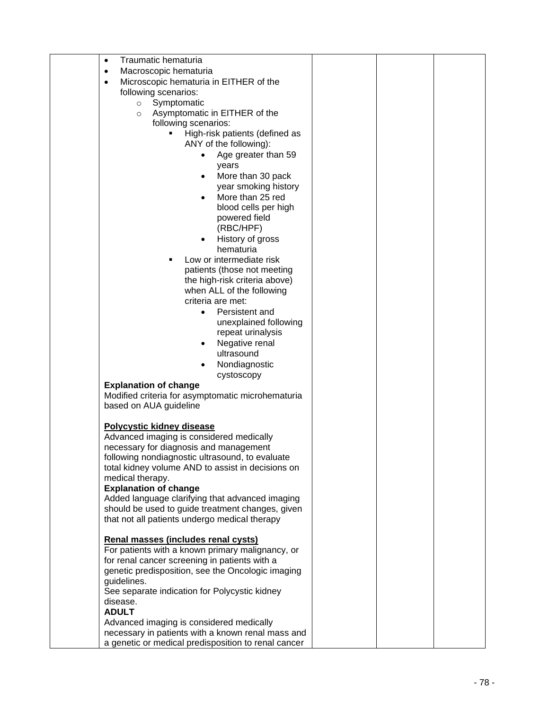| Traumatic hematuria<br>$\bullet$                    |  |  |
|-----------------------------------------------------|--|--|
| Macroscopic hematuria<br>$\bullet$                  |  |  |
| Microscopic hematuria in EITHER of the<br>$\bullet$ |  |  |
| following scenarios:                                |  |  |
| Symptomatic<br>$\circ$                              |  |  |
| Asymptomatic in EITHER of the<br>$\circ$            |  |  |
| following scenarios:                                |  |  |
|                                                     |  |  |
| High-risk patients (defined as                      |  |  |
| ANY of the following):                              |  |  |
| Age greater than 59                                 |  |  |
| years                                               |  |  |
| More than 30 pack                                   |  |  |
| year smoking history                                |  |  |
| More than 25 red                                    |  |  |
| blood cells per high                                |  |  |
| powered field                                       |  |  |
| (RBC/HPF)                                           |  |  |
| History of gross<br>٠                               |  |  |
| hematuria                                           |  |  |
| Low or intermediate risk                            |  |  |
| patients (those not meeting                         |  |  |
| the high-risk criteria above)                       |  |  |
| when ALL of the following                           |  |  |
| criteria are met:                                   |  |  |
| Persistent and<br>$\bullet$                         |  |  |
| unexplained following                               |  |  |
| repeat urinalysis                                   |  |  |
| Negative renal                                      |  |  |
| ultrasound                                          |  |  |
| Nondiagnostic                                       |  |  |
| cystoscopy                                          |  |  |
| <b>Explanation of change</b>                        |  |  |
| Modified criteria for asymptomatic microhematuria   |  |  |
| based on AUA guideline                              |  |  |
|                                                     |  |  |
| <b>Polycystic kidney disease</b>                    |  |  |
| Advanced imaging is considered medically            |  |  |
| necessary for diagnosis and management              |  |  |
| following nondiagnostic ultrasound, to evaluate     |  |  |
| total kidney volume AND to assist in decisions on   |  |  |
| medical therapy.                                    |  |  |
| <b>Explanation of change</b>                        |  |  |
| Added language clarifying that advanced imaging     |  |  |
| should be used to guide treatment changes, given    |  |  |
| that not all patients undergo medical therapy       |  |  |
|                                                     |  |  |
| Renal masses (includes renal cysts)                 |  |  |
| For patients with a known primary malignancy, or    |  |  |
| for renal cancer screening in patients with a       |  |  |
| genetic predisposition, see the Oncologic imaging   |  |  |
| guidelines.                                         |  |  |
| See separate indication for Polycystic kidney       |  |  |
| disease.                                            |  |  |
| <b>ADULT</b>                                        |  |  |
| Advanced imaging is considered medically            |  |  |
| necessary in patients with a known renal mass and   |  |  |
| a genetic or medical predisposition to renal cancer |  |  |
|                                                     |  |  |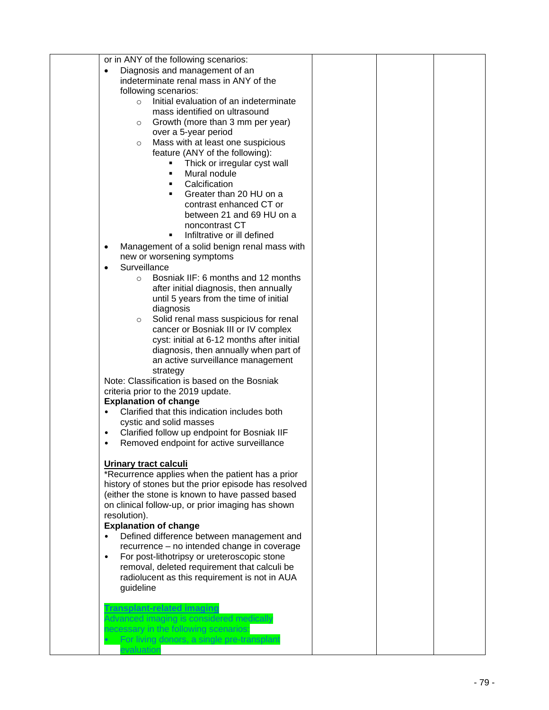| or in ANY of the following scenarios:                                               |  |  |
|-------------------------------------------------------------------------------------|--|--|
| Diagnosis and management of an<br>٠                                                 |  |  |
| indeterminate renal mass in ANY of the                                              |  |  |
| following scenarios:                                                                |  |  |
| Initial evaluation of an indeterminate<br>$\circ$                                   |  |  |
| mass identified on ultrasound                                                       |  |  |
| Growth (more than 3 mm per year)<br>$\circ$                                         |  |  |
| over a 5-year period                                                                |  |  |
| Mass with at least one suspicious<br>$\circ$                                        |  |  |
| feature (ANY of the following):                                                     |  |  |
| Thick or irregular cyst wall<br>٠                                                   |  |  |
| Mural nodule<br>٠                                                                   |  |  |
| Calcification<br>٠                                                                  |  |  |
| Greater than 20 HU on a<br>٠                                                        |  |  |
| contrast enhanced CT or                                                             |  |  |
| between 21 and 69 HU on a                                                           |  |  |
| noncontrast CT                                                                      |  |  |
| Infiltrative or ill defined<br>$\blacksquare$                                       |  |  |
| Management of a solid benign renal mass with<br>$\bullet$                           |  |  |
| new or worsening symptoms                                                           |  |  |
| Surveillance<br>$\bullet$                                                           |  |  |
| Bosniak IIF: 6 months and 12 months<br>$\circ$                                      |  |  |
| after initial diagnosis, then annually                                              |  |  |
| until 5 years from the time of initial                                              |  |  |
| diagnosis                                                                           |  |  |
| Solid renal mass suspicious for renal<br>$\circ$                                    |  |  |
| cancer or Bosniak III or IV complex                                                 |  |  |
| cyst: initial at 6-12 months after initial                                          |  |  |
| diagnosis, then annually when part of                                               |  |  |
| an active surveillance management                                                   |  |  |
| strategy                                                                            |  |  |
| Note: Classification is based on the Bosniak                                        |  |  |
| criteria prior to the 2019 update.                                                  |  |  |
| <b>Explanation of change</b>                                                        |  |  |
| Clarified that this indication includes both<br>$\bullet$                           |  |  |
| cystic and solid masses                                                             |  |  |
| Clarified follow up endpoint for Bosniak IIF<br>$\bullet$                           |  |  |
| Removed endpoint for active surveillance<br>$\bullet$                               |  |  |
|                                                                                     |  |  |
| <b>Urinary tract calculi</b>                                                        |  |  |
| *Recurrence applies when the patient has a prior                                    |  |  |
| history of stones but the prior episode has resolved                                |  |  |
| (either the stone is known to have passed based                                     |  |  |
| on clinical follow-up, or prior imaging has shown                                   |  |  |
| resolution).                                                                        |  |  |
| <b>Explanation of change</b>                                                        |  |  |
| Defined difference between management and                                           |  |  |
| recurrence - no intended change in coverage                                         |  |  |
| For post-lithotripsy or ureteroscopic stone<br>$\bullet$                            |  |  |
| removal, deleted requirement that calculi be                                        |  |  |
| radiolucent as this requirement is not in AUA                                       |  |  |
| guideline                                                                           |  |  |
|                                                                                     |  |  |
| <b>Transplant-related imaging</b>                                                   |  |  |
| Advanced imaging is considered medically                                            |  |  |
| necessary in the following scenarios:<br>For living donors, a single pre-transplant |  |  |
| evaluation                                                                          |  |  |
|                                                                                     |  |  |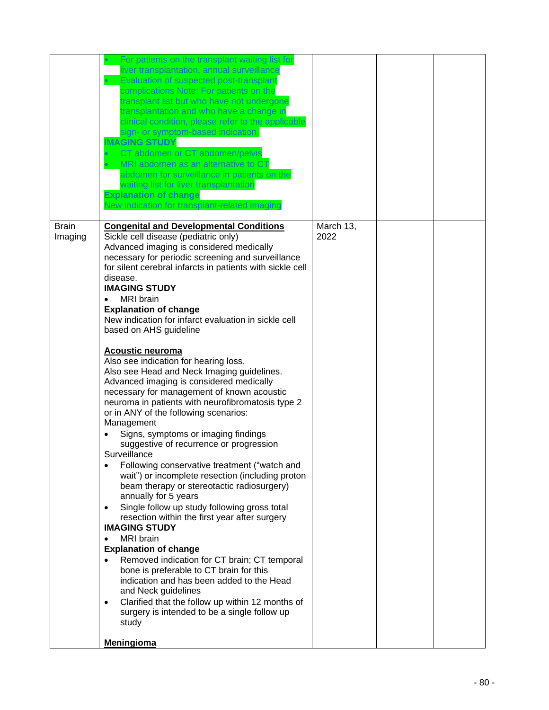|                         | liver transplantation, annual surveillance<br>Evaluation of suspected post-transplant<br>complications Note: For patients on the<br>transplant list but who have not undergone<br>ransplantation and who have a change in<br>clinical condition, please refer to the applicable<br>sign- or symptom-based indication.<br><b>MAGING STUDY</b><br>CT abdomen or CT abdomen/pelvis<br>MRI abdomen as an alternative to CT<br>abdomen for surveillance in patients on the<br>waiting list for liver transplantation<br><b>Explanation of change</b><br>New indication for transplant-related imaging                                                                                                                                                                                                                                                                                                                                                                                                                                                                                                                                                                                                                                                                                                                                                                                                                                                                                                                                                                           |                   |  |
|-------------------------|----------------------------------------------------------------------------------------------------------------------------------------------------------------------------------------------------------------------------------------------------------------------------------------------------------------------------------------------------------------------------------------------------------------------------------------------------------------------------------------------------------------------------------------------------------------------------------------------------------------------------------------------------------------------------------------------------------------------------------------------------------------------------------------------------------------------------------------------------------------------------------------------------------------------------------------------------------------------------------------------------------------------------------------------------------------------------------------------------------------------------------------------------------------------------------------------------------------------------------------------------------------------------------------------------------------------------------------------------------------------------------------------------------------------------------------------------------------------------------------------------------------------------------------------------------------------------|-------------------|--|
| <b>Brain</b><br>Imaging | <b>Congenital and Developmental Conditions</b><br>Sickle cell disease (pediatric only)<br>Advanced imaging is considered medically<br>necessary for periodic screening and surveillance<br>for silent cerebral infarcts in patients with sickle cell<br>disease.<br><b>IMAGING STUDY</b><br><b>MRI</b> brain<br>$\bullet$<br><b>Explanation of change</b><br>New indication for infarct evaluation in sickle cell<br>based on AHS guideline<br><b>Acoustic neuroma</b><br>Also see indication for hearing loss.<br>Also see Head and Neck Imaging guidelines.<br>Advanced imaging is considered medically<br>necessary for management of known acoustic<br>neuroma in patients with neurofibromatosis type 2<br>or in ANY of the following scenarios:<br>Management<br>Signs, symptoms or imaging findings<br>suggestive of recurrence or progression<br>Surveillance<br>Following conservative treatment ("watch and<br>wait") or incomplete resection (including proton<br>beam therapy or stereotactic radiosurgery)<br>annually for 5 years<br>Single follow up study following gross total<br>$\bullet$<br>resection within the first year after surgery<br><b>IMAGING STUDY</b><br><b>MRI</b> brain<br>$\bullet$<br><b>Explanation of change</b><br>Removed indication for CT brain; CT temporal<br>$\bullet$<br>bone is preferable to CT brain for this<br>indication and has been added to the Head<br>and Neck guidelines<br>Clarified that the follow up within 12 months of<br>$\bullet$<br>surgery is intended to be a single follow up<br>study<br>Meningioma | March 13,<br>2022 |  |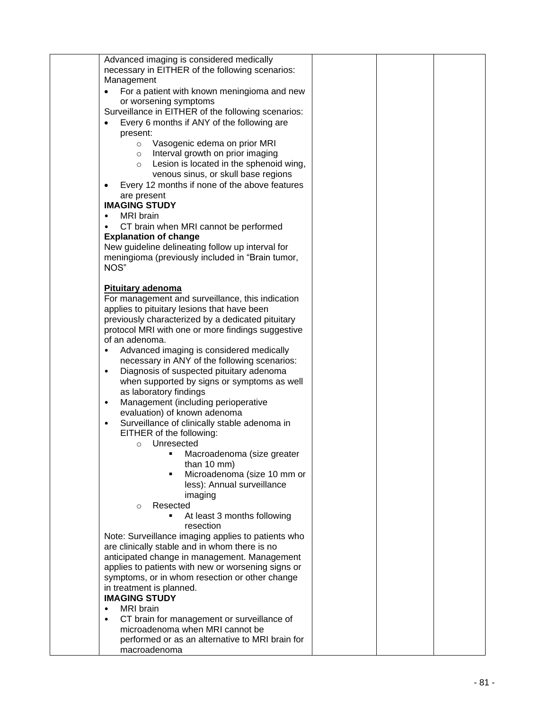| Advanced imaging is considered medically                  |  |  |
|-----------------------------------------------------------|--|--|
| necessary in EITHER of the following scenarios:           |  |  |
| Management                                                |  |  |
| For a patient with known meningioma and new<br>$\bullet$  |  |  |
| or worsening symptoms                                     |  |  |
|                                                           |  |  |
| Surveillance in EITHER of the following scenarios:        |  |  |
| Every 6 months if ANY of the following are                |  |  |
| present:                                                  |  |  |
| Vasogenic edema on prior MRI<br>$\circ$                   |  |  |
| Interval growth on prior imaging<br>$\circ$               |  |  |
| Lesion is located in the sphenoid wing,<br>$\circ$        |  |  |
| venous sinus, or skull base regions                       |  |  |
|                                                           |  |  |
| Every 12 months if none of the above features             |  |  |
| are present                                               |  |  |
| <b>IMAGING STUDY</b>                                      |  |  |
| <b>MRI</b> brain<br>$\bullet$                             |  |  |
| CT brain when MRI cannot be performed<br>$\bullet$        |  |  |
| <b>Explanation of change</b>                              |  |  |
| New guideline delineating follow up interval for          |  |  |
| meningioma (previously included in "Brain tumor,          |  |  |
| NOS"                                                      |  |  |
|                                                           |  |  |
|                                                           |  |  |
| Pituitary adenoma                                         |  |  |
| For management and surveillance, this indication          |  |  |
| applies to pituitary lesions that have been               |  |  |
| previously characterized by a dedicated pituitary         |  |  |
| protocol MRI with one or more findings suggestive         |  |  |
| of an adenoma.                                            |  |  |
| Advanced imaging is considered medically<br>$\bullet$     |  |  |
| necessary in ANY of the following scenarios:              |  |  |
| Diagnosis of suspected pituitary adenoma<br>$\bullet$     |  |  |
|                                                           |  |  |
| when supported by signs or symptoms as well               |  |  |
| as laboratory findings                                    |  |  |
| Management (including perioperative<br>$\bullet$          |  |  |
| evaluation) of known adenoma                              |  |  |
| Surveillance of clinically stable adenoma in<br>$\bullet$ |  |  |
| EITHER of the following:                                  |  |  |
| Unresected<br>$\circ$                                     |  |  |
| Macroadenoma (size greater                                |  |  |
| than $10 \text{ mm}$ )                                    |  |  |
| Microadenoma (size 10 mm or<br>٠                          |  |  |
| less): Annual surveillance                                |  |  |
|                                                           |  |  |
| imaging                                                   |  |  |
| Resected<br>$\circ$                                       |  |  |
| At least 3 months following<br>٠                          |  |  |
| resection                                                 |  |  |
| Note: Surveillance imaging applies to patients who        |  |  |
| are clinically stable and in whom there is no             |  |  |
| anticipated change in management. Management              |  |  |
| applies to patients with new or worsening signs or        |  |  |
| symptoms, or in whom resection or other change            |  |  |
| in treatment is planned.                                  |  |  |
| <b>IMAGING STUDY</b>                                      |  |  |
|                                                           |  |  |
| <b>MRI</b> brain<br>$\bullet$                             |  |  |
| CT brain for management or surveillance of<br>$\bullet$   |  |  |
| microadenoma when MRI cannot be                           |  |  |
| performed or as an alternative to MRI brain for           |  |  |
| macroadenoma                                              |  |  |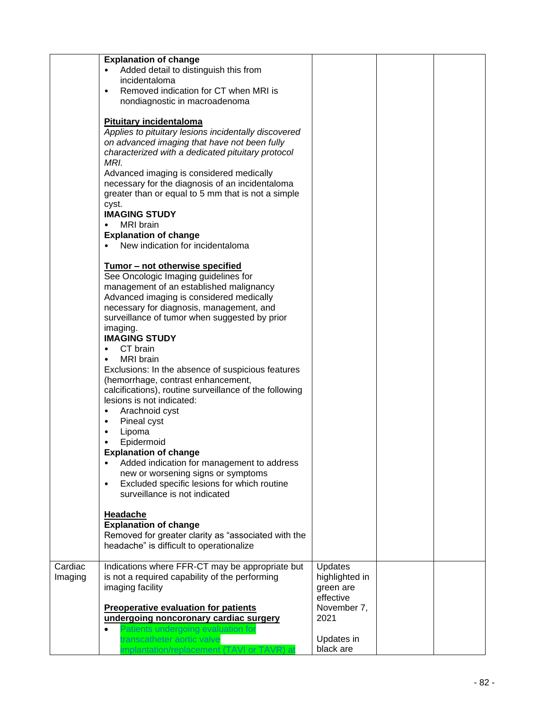|                    | <b>Explanation of change</b><br>Added detail to distinguish this from<br>incidentaloma<br>Removed indication for CT when MRI is<br>$\bullet$<br>nondiagnostic in macroadenoma                                                                                        |                                                                    |  |
|--------------------|----------------------------------------------------------------------------------------------------------------------------------------------------------------------------------------------------------------------------------------------------------------------|--------------------------------------------------------------------|--|
|                    | <b>Pituitary incidentaloma</b><br>Applies to pituitary lesions incidentally discovered<br>on advanced imaging that have not been fully<br>characterized with a dedicated pituitary protocol                                                                          |                                                                    |  |
|                    | MRI.<br>Advanced imaging is considered medically<br>necessary for the diagnosis of an incidentaloma<br>greater than or equal to 5 mm that is not a simple                                                                                                            |                                                                    |  |
|                    | cyst.<br><b>IMAGING STUDY</b><br><b>MRI</b> brain                                                                                                                                                                                                                    |                                                                    |  |
|                    | <b>Explanation of change</b><br>New indication for incidentaloma                                                                                                                                                                                                     |                                                                    |  |
|                    | Tumor - not otherwise specified<br>See Oncologic Imaging guidelines for<br>management of an established malignancy<br>Advanced imaging is considered medically<br>necessary for diagnosis, management, and<br>surveillance of tumor when suggested by prior          |                                                                    |  |
|                    | imaging.<br><b>IMAGING STUDY</b><br>CT brain                                                                                                                                                                                                                         |                                                                    |  |
|                    | <b>MRI</b> brain<br>Exclusions: In the absence of suspicious features<br>(hemorrhage, contrast enhancement,<br>calcifications), routine surveillance of the following<br>lesions is not indicated:<br>Arachnoid cyst<br>$\bullet$<br>Pineal cyst<br>٠<br>Lipoma<br>٠ |                                                                    |  |
|                    | Epidermoid<br><b>Explanation of change</b><br>Added indication for management to address<br>٠<br>new or worsening signs or symptoms<br>Excluded specific lesions for which routine<br>$\bullet$<br>surveillance is not indicated                                     |                                                                    |  |
|                    | <b>Headache</b><br><b>Explanation of change</b><br>Removed for greater clarity as "associated with the<br>headache" is difficult to operationalize                                                                                                                   |                                                                    |  |
| Cardiac<br>Imaging | Indications where FFR-CT may be appropriate but<br>is not a required capability of the performing<br>imaging facility<br><b>Preoperative evaluation for patients</b>                                                                                                 | Updates<br>highlighted in<br>green are<br>effective<br>November 7, |  |
|                    | undergoing noncoronary cardiac surgery<br>Patients undergoing evaluation for<br>ranscatheter aortic valve<br>mplantation/replacement (TAVI or TAVR) at                                                                                                               | 2021<br>Updates in<br>black are                                    |  |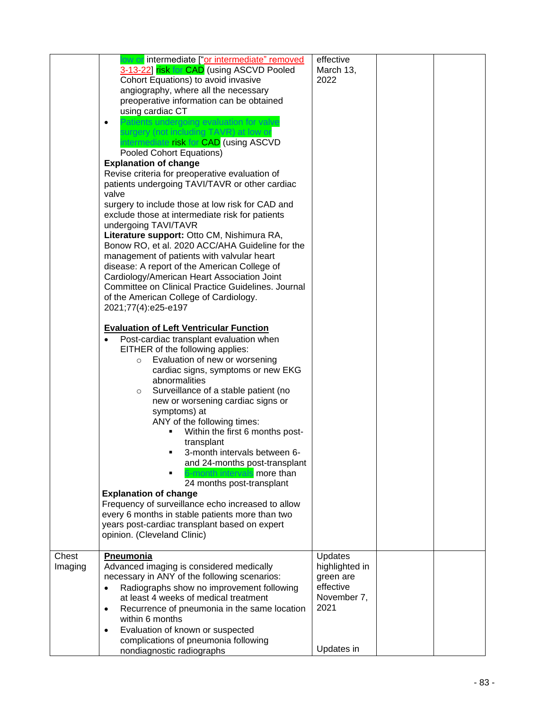|                  | low or intermediate ["or intermediate" removed<br>3-13-22] risk for CAD (using ASCVD Pooled<br>Cohort Equations) to avoid invasive<br>angiography, where all the necessary<br>preoperative information can be obtained<br>using cardiac CT<br>Patients undergoing evaluation for valve<br>٠<br>surgery (not including TAVR) at low or<br>intermediate risk for CAD (using ASCVD<br>Pooled Cohort Equations)<br><b>Explanation of change</b><br>Revise criteria for preoperative evaluation of<br>patients undergoing TAVI/TAVR or other cardiac<br>valve<br>surgery to include those at low risk for CAD and<br>exclude those at intermediate risk for patients<br>undergoing TAVI/TAVR<br>Literature support: Otto CM, Nishimura RA,<br>Bonow RO, et al. 2020 ACC/AHA Guideline for the<br>management of patients with valvular heart<br>disease: A report of the American College of<br>Cardiology/American Heart Association Joint<br><b>Committee on Clinical Practice Guidelines. Journal</b><br>of the American College of Cardiology.<br>2021;77(4):e25-e197<br><b>Evaluation of Left Ventricular Function</b><br>Post-cardiac transplant evaluation when<br>$\bullet$<br>EITHER of the following applies:<br>Evaluation of new or worsening<br>$\circ$<br>cardiac signs, symptoms or new EKG<br>abnormalities<br>Surveillance of a stable patient (no<br>$\circ$<br>new or worsening cardiac signs or<br>symptoms) at<br>ANY of the following times:<br>Within the first 6 months post-<br>transplant<br>3-month intervals between 6-<br>and 24-months post-transplant<br>S-month intervals more than<br>24 months post-transplant<br><b>Explanation of change</b><br>Frequency of surveillance echo increased to allow<br>every 6 months in stable patients more than two<br>years post-cardiac transplant based on expert<br>opinion. (Cleveland Clinic) | effective<br>March 13,<br>2022                                                           |  |
|------------------|--------------------------------------------------------------------------------------------------------------------------------------------------------------------------------------------------------------------------------------------------------------------------------------------------------------------------------------------------------------------------------------------------------------------------------------------------------------------------------------------------------------------------------------------------------------------------------------------------------------------------------------------------------------------------------------------------------------------------------------------------------------------------------------------------------------------------------------------------------------------------------------------------------------------------------------------------------------------------------------------------------------------------------------------------------------------------------------------------------------------------------------------------------------------------------------------------------------------------------------------------------------------------------------------------------------------------------------------------------------------------------------------------------------------------------------------------------------------------------------------------------------------------------------------------------------------------------------------------------------------------------------------------------------------------------------------------------------------------------------------------------------------------------------------------------------------------------------------------------------------|------------------------------------------------------------------------------------------|--|
| Chest<br>Imaging | Pneumonia<br>Advanced imaging is considered medically<br>necessary in ANY of the following scenarios:<br>Radiographs show no improvement following<br>$\bullet$<br>at least 4 weeks of medical treatment<br>Recurrence of pneumonia in the same location<br>$\bullet$<br>within 6 months<br>Evaluation of known or suspected<br>$\bullet$<br>complications of pneumonia following<br>nondiagnostic radiographs                                                                                                                                                                                                                                                                                                                                                                                                                                                                                                                                                                                                                                                                                                                                                                                                                                                                                                                                                                                                                                                                                                                                                                                                                                                                                                                                                                                                                                                     | Updates<br>highlighted in<br>green are<br>effective<br>November 7,<br>2021<br>Updates in |  |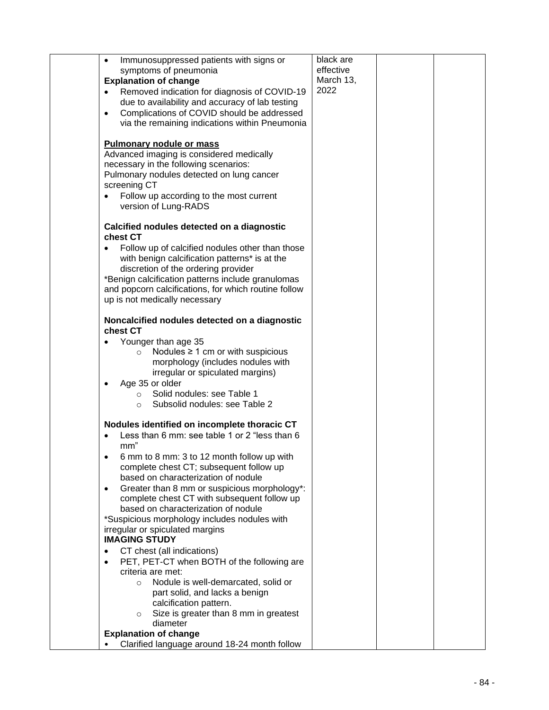| Immunosuppressed patients with signs or<br>$\bullet$    | black are |  |
|---------------------------------------------------------|-----------|--|
| symptoms of pneumonia                                   | effective |  |
| <b>Explanation of change</b>                            | March 13, |  |
| Removed indication for diagnosis of COVID-19            | 2022      |  |
|                                                         |           |  |
| due to availability and accuracy of lab testing         |           |  |
| Complications of COVID should be addressed<br>$\bullet$ |           |  |
| via the remaining indications within Pneumonia          |           |  |
|                                                         |           |  |
| <b>Pulmonary nodule or mass</b>                         |           |  |
|                                                         |           |  |
| Advanced imaging is considered medically                |           |  |
| necessary in the following scenarios:                   |           |  |
| Pulmonary nodules detected on lung cancer               |           |  |
| screening CT                                            |           |  |
| Follow up according to the most current                 |           |  |
| version of Lung-RADS                                    |           |  |
|                                                         |           |  |
|                                                         |           |  |
| Calcified nodules detected on a diagnostic              |           |  |
| chest CT                                                |           |  |
| Follow up of calcified nodules other than those         |           |  |
| with benign calcification patterns* is at the           |           |  |
| discretion of the ordering provider                     |           |  |
|                                                         |           |  |
| *Benign calcification patterns include granulomas       |           |  |
| and popcorn calcifications, for which routine follow    |           |  |
| up is not medically necessary                           |           |  |
|                                                         |           |  |
| Noncalcified nodules detected on a diagnostic           |           |  |
| chest CT                                                |           |  |
|                                                         |           |  |
| Younger than age 35                                     |           |  |
| Nodules $\geq 1$ cm or with suspicious<br>$\circ$       |           |  |
| morphology (includes nodules with                       |           |  |
| irregular or spiculated margins)                        |           |  |
| Age 35 or older                                         |           |  |
| Solid nodules: see Table 1<br>$\circ$                   |           |  |
| Subsolid nodules: see Table 2<br>$\circ$                |           |  |
|                                                         |           |  |
|                                                         |           |  |
| Nodules identified on incomplete thoracic CT            |           |  |
| Less than 6 mm: see table 1 or 2 "less than 6           |           |  |
| mm"                                                     |           |  |
| 6 mm to 8 mm: 3 to 12 month follow up with              |           |  |
| complete chest CT; subsequent follow up                 |           |  |
| based on characterization of nodule                     |           |  |
|                                                         |           |  |
| Greater than 8 mm or suspicious morphology*:<br>٠       |           |  |
| complete chest CT with subsequent follow up             |           |  |
| based on characterization of nodule                     |           |  |
| *Suspicious morphology includes nodules with            |           |  |
| irregular or spiculated margins                         |           |  |
| <b>IMAGING STUDY</b>                                    |           |  |
| CT chest (all indications)<br>$\bullet$                 |           |  |
|                                                         |           |  |
| PET, PET-CT when BOTH of the following are<br>$\bullet$ |           |  |
| criteria are met:                                       |           |  |
| Nodule is well-demarcated, solid or<br>$\circ$          |           |  |
| part solid, and lacks a benign                          |           |  |
| calcification pattern.                                  |           |  |
| Size is greater than 8 mm in greatest<br>$\circ$        |           |  |
| diameter                                                |           |  |
| <b>Explanation of change</b>                            |           |  |
|                                                         |           |  |
| Clarified language around 18-24 month follow            |           |  |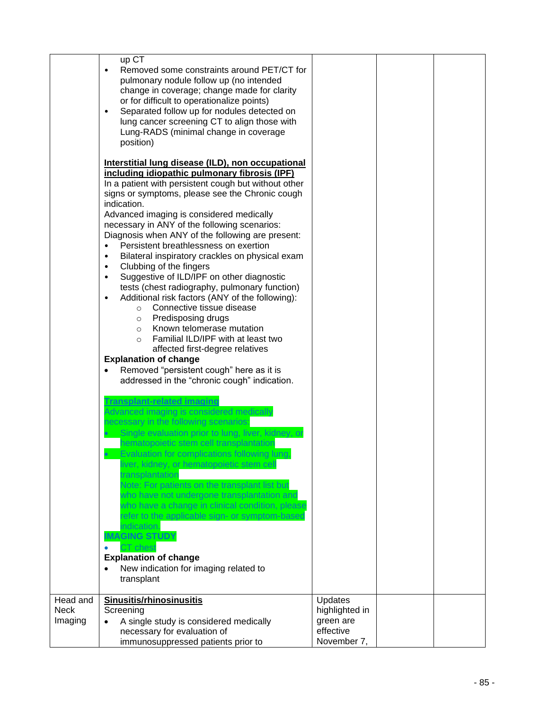|                        | up CT<br>Removed some constraints around PET/CT for<br>pulmonary nodule follow up (no intended<br>change in coverage; change made for clarity<br>or for difficult to operationalize points)<br>Separated follow up for nodules detected on<br>$\bullet$<br>lung cancer screening CT to align those with<br>Lung-RADS (minimal change in coverage<br>position)<br>Interstitial lung disease (ILD), non occupational<br>including idiopathic pulmonary fibrosis (IPF)<br>In a patient with persistent cough but without other<br>signs or symptoms, please see the Chronic cough<br>indication.<br>Advanced imaging is considered medically<br>necessary in ANY of the following scenarios:<br>Diagnosis when ANY of the following are present:<br>Persistent breathlessness on exertion<br>$\bullet$<br>Bilateral inspiratory crackles on physical exam<br>$\bullet$<br>Clubbing of the fingers<br>$\bullet$<br>Suggestive of ILD/IPF on other diagnostic<br>$\bullet$<br>tests (chest radiography, pulmonary function)<br>Additional risk factors (ANY of the following):<br>$\bullet$<br>Connective tissue disease<br>$\circ$<br>Predisposing drugs<br>$\circ$<br>Known telomerase mutation<br>$\circ$<br>Familial ILD/IPF with at least two<br>$\circ$<br>affected first-degree relatives<br><b>Explanation of change</b><br>Removed "persistent cough" here as it is<br>addressed in the "chronic cough" indication.<br><b>Fransplant-related imaging</b><br>Advanced imaging is considered medically<br>necessary in the following scenarios:<br>Single evaluation prior to lung, liver, kidney, or<br>hematopoietic stem cell transplantation<br><b>Evaluation for complications following lung</b><br>liver, kidney, or hematopoietic stem cell<br>transplantation<br>Note: For patients on the transplant list but<br>who have not undergone transplantation and<br>who have a change in clinical condition, please<br>refer to the applicable sign- or symptom-based<br>indication.<br><b>IMAGING STUDY</b><br>CT chest<br><b>Explanation of change</b><br>New indication for imaging related to |                                                         |  |
|------------------------|----------------------------------------------------------------------------------------------------------------------------------------------------------------------------------------------------------------------------------------------------------------------------------------------------------------------------------------------------------------------------------------------------------------------------------------------------------------------------------------------------------------------------------------------------------------------------------------------------------------------------------------------------------------------------------------------------------------------------------------------------------------------------------------------------------------------------------------------------------------------------------------------------------------------------------------------------------------------------------------------------------------------------------------------------------------------------------------------------------------------------------------------------------------------------------------------------------------------------------------------------------------------------------------------------------------------------------------------------------------------------------------------------------------------------------------------------------------------------------------------------------------------------------------------------------------------------------------------------------------------------------------------------------------------------------------------------------------------------------------------------------------------------------------------------------------------------------------------------------------------------------------------------------------------------------------------------------------------------------------------------------------------------------------------------------------------------------------------------------|---------------------------------------------------------|--|
| Head and               | transplant<br><b>Sinusitis/rhinosinusitis</b>                                                                                                                                                                                                                                                                                                                                                                                                                                                                                                                                                                                                                                                                                                                                                                                                                                                                                                                                                                                                                                                                                                                                                                                                                                                                                                                                                                                                                                                                                                                                                                                                                                                                                                                                                                                                                                                                                                                                                                                                                                                            | Updates                                                 |  |
| <b>Neck</b><br>Imaging | Screening<br>A single study is considered medically<br>necessary for evaluation of<br>immunosuppressed patients prior to                                                                                                                                                                                                                                                                                                                                                                                                                                                                                                                                                                                                                                                                                                                                                                                                                                                                                                                                                                                                                                                                                                                                                                                                                                                                                                                                                                                                                                                                                                                                                                                                                                                                                                                                                                                                                                                                                                                                                                                 | highlighted in<br>green are<br>effective<br>November 7, |  |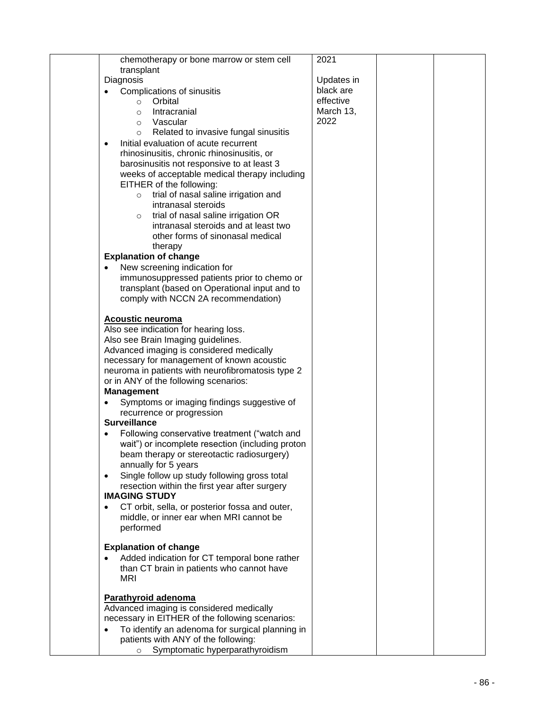| chemotherapy or bone marrow or stem cell                     | 2021       |  |
|--------------------------------------------------------------|------------|--|
| transplant                                                   |            |  |
|                                                              |            |  |
| Diagnosis                                                    | Updates in |  |
| Complications of sinusitis                                   | black are  |  |
| Orbital<br>$\circ$                                           | effective  |  |
| Intracranial<br>$\circ$                                      | March 13,  |  |
| Vascular<br>O                                                | 2022       |  |
|                                                              |            |  |
| Related to invasive fungal sinusitis<br>O                    |            |  |
| Initial evaluation of acute recurrent<br>$\bullet$           |            |  |
| rhinosinusitis, chronic rhinosinusitis, or                   |            |  |
| barosinusitis not responsive to at least 3                   |            |  |
| weeks of acceptable medical therapy including                |            |  |
| EITHER of the following:                                     |            |  |
| trial of nasal saline irrigation and<br>$\circ$              |            |  |
| intranasal steroids                                          |            |  |
|                                                              |            |  |
| trial of nasal saline irrigation OR<br>$\circ$               |            |  |
| intranasal steroids and at least two                         |            |  |
| other forms of sinonasal medical                             |            |  |
| therapy                                                      |            |  |
| <b>Explanation of change</b>                                 |            |  |
| New screening indication for                                 |            |  |
|                                                              |            |  |
| immunosuppressed patients prior to chemo or                  |            |  |
| transplant (based on Operational input and to                |            |  |
| comply with NCCN 2A recommendation)                          |            |  |
|                                                              |            |  |
| Acoustic neuroma                                             |            |  |
| Also see indication for hearing loss.                        |            |  |
| Also see Brain Imaging guidelines.                           |            |  |
| Advanced imaging is considered medically                     |            |  |
|                                                              |            |  |
| necessary for management of known acoustic                   |            |  |
| neuroma in patients with neurofibromatosis type 2            |            |  |
| or in ANY of the following scenarios:                        |            |  |
| <b>Management</b>                                            |            |  |
| Symptoms or imaging findings suggestive of                   |            |  |
| recurrence or progression                                    |            |  |
| <b>Surveillance</b>                                          |            |  |
|                                                              |            |  |
| Following conservative treatment ("watch and                 |            |  |
| wait") or incomplete resection (including proton             |            |  |
| beam therapy or stereotactic radiosurgery)                   |            |  |
| annually for 5 years                                         |            |  |
| Single follow up study following gross total<br>$\bullet$    |            |  |
| resection within the first year after surgery                |            |  |
| <b>IMAGING STUDY</b>                                         |            |  |
|                                                              |            |  |
| CT orbit, sella, or posterior fossa and outer,               |            |  |
| middle, or inner ear when MRI cannot be                      |            |  |
| performed                                                    |            |  |
|                                                              |            |  |
| <b>Explanation of change</b>                                 |            |  |
| Added indication for CT temporal bone rather                 |            |  |
| than CT brain in patients who cannot have                    |            |  |
| <b>MRI</b>                                                   |            |  |
|                                                              |            |  |
| Parathyroid adenoma                                          |            |  |
| Advanced imaging is considered medically                     |            |  |
|                                                              |            |  |
| necessary in EITHER of the following scenarios:              |            |  |
| To identify an adenoma for surgical planning in<br>$\bullet$ |            |  |
| patients with ANY of the following:                          |            |  |
| Symptomatic hyperparathyroidism<br>$\circ$                   |            |  |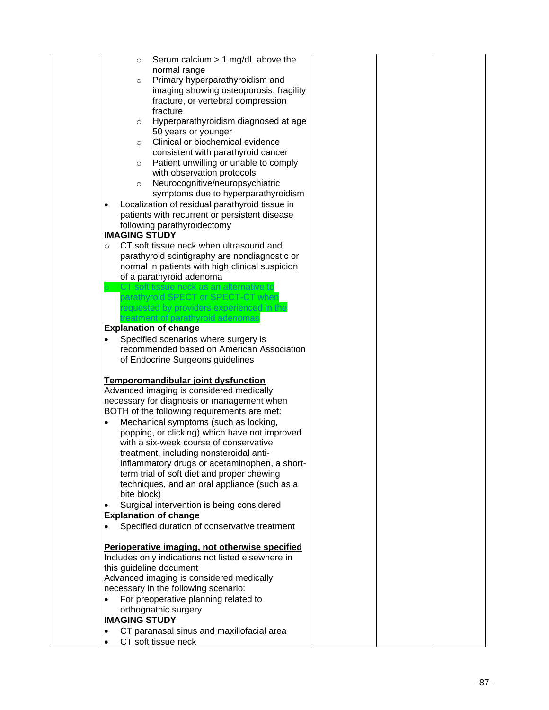| Serum calcium $> 1$ mg/dL above the<br>$\circ$              |  |  |
|-------------------------------------------------------------|--|--|
| normal range                                                |  |  |
|                                                             |  |  |
| Primary hyperparathyroidism and<br>$\circ$                  |  |  |
| imaging showing osteoporosis, fragility                     |  |  |
| fracture, or vertebral compression                          |  |  |
| fracture                                                    |  |  |
| Hyperparathyroidism diagnosed at age<br>$\circ$             |  |  |
| 50 years or younger                                         |  |  |
| Clinical or biochemical evidence<br>$\circ$                 |  |  |
| consistent with parathyroid cancer                          |  |  |
| Patient unwilling or unable to comply<br>$\circ$            |  |  |
| with observation protocols                                  |  |  |
| Neurocognitive/neuropsychiatric<br>$\circ$                  |  |  |
| symptoms due to hyperparathyroidism                         |  |  |
| Localization of residual parathyroid tissue in<br>$\bullet$ |  |  |
| patients with recurrent or persistent disease               |  |  |
|                                                             |  |  |
| following parathyroidectomy                                 |  |  |
| <b>IMAGING STUDY</b>                                        |  |  |
| CT soft tissue neck when ultrasound and<br>$\circ$          |  |  |
| parathyroid scintigraphy are nondiagnostic or               |  |  |
| normal in patients with high clinical suspicion             |  |  |
| of a parathyroid adenoma                                    |  |  |
| CT soft tissue neck as an alternative to                    |  |  |
| parathyroid SPECT or SPECT-CT when                          |  |  |
| requested by providers experienced in the                   |  |  |
| treatment of parathyroid adenomas                           |  |  |
| <b>Explanation of change</b>                                |  |  |
| Specified scenarios where surgery is                        |  |  |
| recommended based on American Association                   |  |  |
| of Endocrine Surgeons guidelines                            |  |  |
|                                                             |  |  |
| Temporomandibular joint dysfunction                         |  |  |
| Advanced imaging is considered medically                    |  |  |
| necessary for diagnosis or management when                  |  |  |
|                                                             |  |  |
| BOTH of the following requirements are met:                 |  |  |
| Mechanical symptoms (such as locking,                       |  |  |
| popping, or clicking) which have not improved               |  |  |
| with a six-week course of conservative                      |  |  |
| treatment, including nonsteroidal anti-                     |  |  |
| inflammatory drugs or acetaminophen, a short-               |  |  |
| term trial of soft diet and proper chewing                  |  |  |
| techniques, and an oral appliance (such as a                |  |  |
| bite block)                                                 |  |  |
| Surgical intervention is being considered<br>٠              |  |  |
| <b>Explanation of change</b>                                |  |  |
| Specified duration of conservative treatment                |  |  |
|                                                             |  |  |
| Perioperative imaging, not otherwise specified              |  |  |
| Includes only indications not listed elsewhere in           |  |  |
| this guideline document                                     |  |  |
| Advanced imaging is considered medically                    |  |  |
| necessary in the following scenario:                        |  |  |
| For preoperative planning related to                        |  |  |
| $\bullet$                                                   |  |  |
| orthognathic surgery                                        |  |  |
| <b>IMAGING STUDY</b>                                        |  |  |
| CT paranasal sinus and maxillofacial area<br>$\bullet$      |  |  |
| CT soft tissue neck                                         |  |  |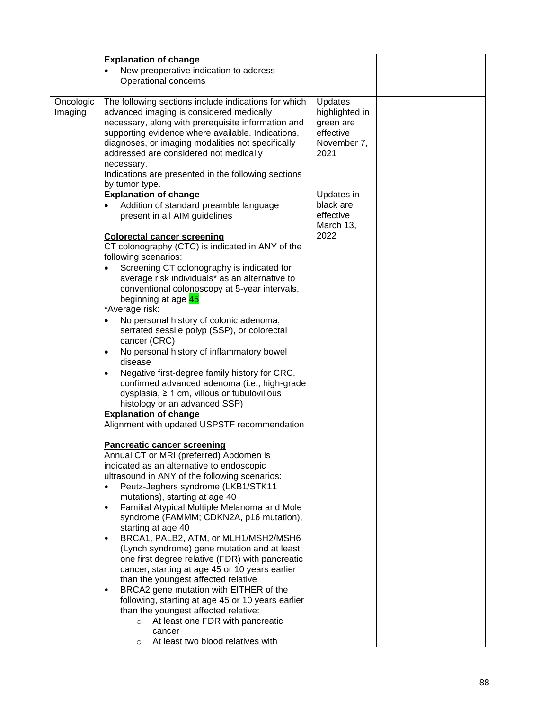|           | <b>Explanation of change</b>                               |                |  |
|-----------|------------------------------------------------------------|----------------|--|
|           | New preoperative indication to address                     |                |  |
|           | Operational concerns                                       |                |  |
|           |                                                            |                |  |
| Oncologic | The following sections include indications for which       | Updates        |  |
|           |                                                            |                |  |
| Imaging   | advanced imaging is considered medically                   | highlighted in |  |
|           | necessary, along with prerequisite information and         | green are      |  |
|           | supporting evidence where available. Indications,          | effective      |  |
|           | diagnoses, or imaging modalities not specifically          | November 7,    |  |
|           | addressed are considered not medically                     | 2021           |  |
|           | necessary.                                                 |                |  |
|           | Indications are presented in the following sections        |                |  |
|           | by tumor type.                                             |                |  |
|           | <b>Explanation of change</b>                               | Updates in     |  |
|           | Addition of standard preamble language<br>$\bullet$        | black are      |  |
|           | present in all AIM guidelines                              | effective      |  |
|           |                                                            | March 13,      |  |
|           | <b>Colorectal cancer screening</b>                         | 2022           |  |
|           |                                                            |                |  |
|           | CT colonography (CTC) is indicated in ANY of the           |                |  |
|           | following scenarios:                                       |                |  |
|           | Screening CT colonography is indicated for                 |                |  |
|           | average risk individuals* as an alternative to             |                |  |
|           | conventional colonoscopy at 5-year intervals,              |                |  |
|           | beginning at age 45                                        |                |  |
|           | *Average risk:                                             |                |  |
|           | No personal history of colonic adenoma,<br>$\bullet$       |                |  |
|           | serrated sessile polyp (SSP), or colorectal                |                |  |
|           | cancer (CRC)                                               |                |  |
|           | No personal history of inflammatory bowel<br>$\bullet$     |                |  |
|           | disease                                                    |                |  |
|           | Negative first-degree family history for CRC,<br>$\bullet$ |                |  |
|           | confirmed advanced adenoma (i.e., high-grade               |                |  |
|           |                                                            |                |  |
|           | dysplasia, $\geq 1$ cm, villous or tubulovillous           |                |  |
|           | histology or an advanced SSP)                              |                |  |
|           | <b>Explanation of change</b>                               |                |  |
|           | Alignment with updated USPSTF recommendation               |                |  |
|           |                                                            |                |  |
|           | <b>Pancreatic cancer screening</b>                         |                |  |
|           | Annual CT or MRI (preferred) Abdomen is                    |                |  |
|           | indicated as an alternative to endoscopic                  |                |  |
|           | ultrasound in ANY of the following scenarios:              |                |  |
|           | Peutz-Jeghers syndrome (LKB1/STK11<br>$\bullet$            |                |  |
|           | mutations), starting at age 40                             |                |  |
|           | Familial Atypical Multiple Melanoma and Mole<br>$\bullet$  |                |  |
|           | syndrome (FAMMM; CDKN2A, p16 mutation),                    |                |  |
|           | starting at age 40                                         |                |  |
|           | BRCA1, PALB2, ATM, or MLH1/MSH2/MSH6                       |                |  |
|           | (Lynch syndrome) gene mutation and at least                |                |  |
|           | one first degree relative (FDR) with pancreatic            |                |  |
|           | cancer, starting at age 45 or 10 years earlier             |                |  |
|           | than the youngest affected relative                        |                |  |
|           | BRCA2 gene mutation with EITHER of the<br>$\bullet$        |                |  |
|           |                                                            |                |  |
|           | following, starting at age 45 or 10 years earlier          |                |  |
|           | than the youngest affected relative:                       |                |  |
|           | At least one FDR with pancreatic<br>$\circ$                |                |  |
|           | cancer                                                     |                |  |
|           | At least two blood relatives with<br>$\circ$               |                |  |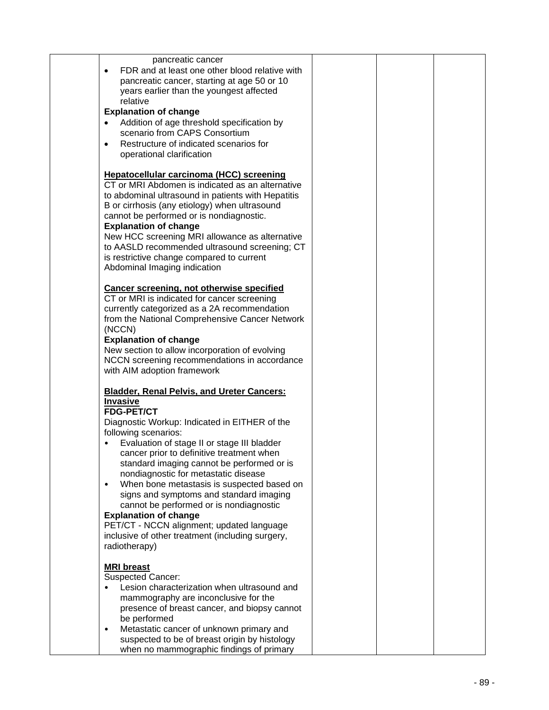| pancreatic cancer                                                                                                                                                                                                                                                               |  |  |
|---------------------------------------------------------------------------------------------------------------------------------------------------------------------------------------------------------------------------------------------------------------------------------|--|--|
| FDR and at least one other blood relative with<br>pancreatic cancer, starting at age 50 or 10<br>years earlier than the youngest affected                                                                                                                                       |  |  |
| relative                                                                                                                                                                                                                                                                        |  |  |
| <b>Explanation of change</b>                                                                                                                                                                                                                                                    |  |  |
| Addition of age threshold specification by                                                                                                                                                                                                                                      |  |  |
| scenario from CAPS Consortium                                                                                                                                                                                                                                                   |  |  |
| Restructure of indicated scenarios for                                                                                                                                                                                                                                          |  |  |
| operational clarification                                                                                                                                                                                                                                                       |  |  |
| Hepatocellular carcinoma (HCC) screening<br>CT or MRI Abdomen is indicated as an alternative<br>to abdominal ultrasound in patients with Hepatitis<br>B or cirrhosis (any etiology) when ultrasound<br>cannot be performed or is nondiagnostic.<br><b>Explanation of change</b> |  |  |
| New HCC screening MRI allowance as alternative                                                                                                                                                                                                                                  |  |  |
| to AASLD recommended ultrasound screening; CT                                                                                                                                                                                                                                   |  |  |
| is restrictive change compared to current                                                                                                                                                                                                                                       |  |  |
| Abdominal Imaging indication                                                                                                                                                                                                                                                    |  |  |
| <b>Cancer screening, not otherwise specified</b><br>CT or MRI is indicated for cancer screening                                                                                                                                                                                 |  |  |
| currently categorized as a 2A recommendation                                                                                                                                                                                                                                    |  |  |
| from the National Comprehensive Cancer Network                                                                                                                                                                                                                                  |  |  |
| (NCCN)                                                                                                                                                                                                                                                                          |  |  |
| <b>Explanation of change</b>                                                                                                                                                                                                                                                    |  |  |
| New section to allow incorporation of evolving                                                                                                                                                                                                                                  |  |  |
| NCCN screening recommendations in accordance                                                                                                                                                                                                                                    |  |  |
| with AIM adoption framework                                                                                                                                                                                                                                                     |  |  |
| <b>Bladder, Renal Pelvis, and Ureter Cancers:</b>                                                                                                                                                                                                                               |  |  |
| <b>Invasive</b>                                                                                                                                                                                                                                                                 |  |  |
| <b>FDG-PET/CT</b>                                                                                                                                                                                                                                                               |  |  |
| Diagnostic Workup: Indicated in EITHER of the                                                                                                                                                                                                                                   |  |  |
| following scenarios:                                                                                                                                                                                                                                                            |  |  |
| Evaluation of stage II or stage III bladder                                                                                                                                                                                                                                     |  |  |
| cancer prior to definitive treatment when                                                                                                                                                                                                                                       |  |  |
| standard imaging cannot be performed or is                                                                                                                                                                                                                                      |  |  |
| nondiagnostic for metastatic disease                                                                                                                                                                                                                                            |  |  |
| When bone metastasis is suspected based on<br>$\bullet$                                                                                                                                                                                                                         |  |  |
| signs and symptoms and standard imaging                                                                                                                                                                                                                                         |  |  |
| cannot be performed or is nondiagnostic<br><b>Explanation of change</b>                                                                                                                                                                                                         |  |  |
| PET/CT - NCCN alignment; updated language                                                                                                                                                                                                                                       |  |  |
| inclusive of other treatment (including surgery,                                                                                                                                                                                                                                |  |  |
| radiotherapy)                                                                                                                                                                                                                                                                   |  |  |
|                                                                                                                                                                                                                                                                                 |  |  |
| <b>MRI</b> breast                                                                                                                                                                                                                                                               |  |  |
| Suspected Cancer:                                                                                                                                                                                                                                                               |  |  |
| Lesion characterization when ultrasound and                                                                                                                                                                                                                                     |  |  |
| mammography are inconclusive for the                                                                                                                                                                                                                                            |  |  |
| presence of breast cancer, and biopsy cannot                                                                                                                                                                                                                                    |  |  |
| be performed                                                                                                                                                                                                                                                                    |  |  |
| Metastatic cancer of unknown primary and<br>$\bullet$                                                                                                                                                                                                                           |  |  |
| suspected to be of breast origin by histology                                                                                                                                                                                                                                   |  |  |
| when no mammographic findings of primary                                                                                                                                                                                                                                        |  |  |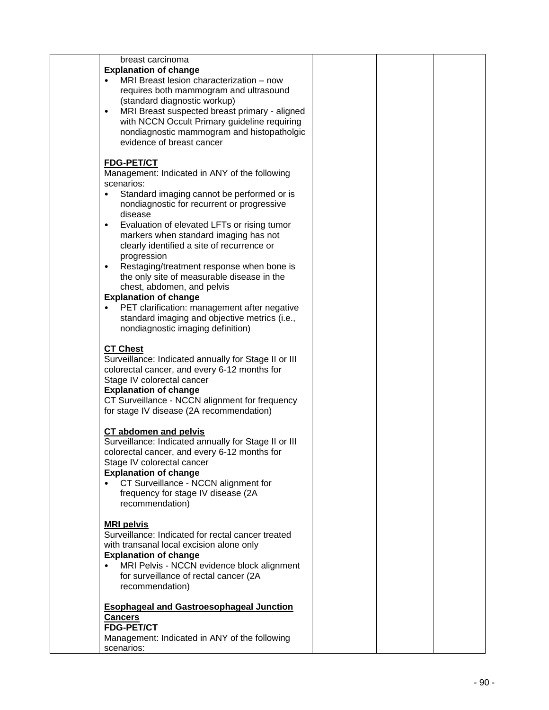| breast carcinoma                                                                              |  |  |
|-----------------------------------------------------------------------------------------------|--|--|
| <b>Explanation of change</b>                                                                  |  |  |
| MRI Breast lesion characterization - now                                                      |  |  |
| requires both mammogram and ultrasound                                                        |  |  |
| (standard diagnostic workup)                                                                  |  |  |
| MRI Breast suspected breast primary - aligned<br>$\bullet$                                    |  |  |
| with NCCN Occult Primary guideline requiring                                                  |  |  |
| nondiagnostic mammogram and histopatholgic                                                    |  |  |
| evidence of breast cancer                                                                     |  |  |
|                                                                                               |  |  |
| <b>FDG-PET/CT</b>                                                                             |  |  |
| Management: Indicated in ANY of the following                                                 |  |  |
| scenarios:                                                                                    |  |  |
| Standard imaging cannot be performed or is                                                    |  |  |
| nondiagnostic for recurrent or progressive                                                    |  |  |
| disease                                                                                       |  |  |
| Evaluation of elevated LFTs or rising tumor<br>$\bullet$                                      |  |  |
| markers when standard imaging has not                                                         |  |  |
| clearly identified a site of recurrence or                                                    |  |  |
| progression                                                                                   |  |  |
| Restaging/treatment response when bone is<br>$\bullet$                                        |  |  |
| the only site of measurable disease in the                                                    |  |  |
| chest, abdomen, and pelvis                                                                    |  |  |
| <b>Explanation of change</b>                                                                  |  |  |
| PET clarification: management after negative<br>standard imaging and objective metrics (i.e., |  |  |
| nondiagnostic imaging definition)                                                             |  |  |
|                                                                                               |  |  |
| <b>CT Chest</b>                                                                               |  |  |
| Surveillance: Indicated annually for Stage II or III                                          |  |  |
| colorectal cancer, and every 6-12 months for                                                  |  |  |
| Stage IV colorectal cancer                                                                    |  |  |
| <b>Explanation of change</b>                                                                  |  |  |
| CT Surveillance - NCCN alignment for frequency                                                |  |  |
| for stage IV disease (2A recommendation)                                                      |  |  |
|                                                                                               |  |  |
| CT abdomen and pelvis                                                                         |  |  |
| Surveillance: Indicated annually for Stage II or III                                          |  |  |
| colorectal cancer, and every 6-12 months for                                                  |  |  |
| Stage IV colorectal cancer                                                                    |  |  |
| <b>Explanation of change</b>                                                                  |  |  |
| CT Surveillance - NCCN alignment for                                                          |  |  |
| frequency for stage IV disease (2A                                                            |  |  |
| recommendation)                                                                               |  |  |
|                                                                                               |  |  |
| <b>MRI pelvis</b>                                                                             |  |  |
| Surveillance: Indicated for rectal cancer treated                                             |  |  |
| with transanal local excision alone only                                                      |  |  |
| <b>Explanation of change</b>                                                                  |  |  |
| MRI Pelvis - NCCN evidence block alignment<br>٠                                               |  |  |
| for surveillance of rectal cancer (2A                                                         |  |  |
| recommendation)                                                                               |  |  |
|                                                                                               |  |  |
| <b>Esophageal and Gastroesophageal Junction</b>                                               |  |  |
| <b>Cancers</b><br><b>FDG-PET/CT</b>                                                           |  |  |
| Management: Indicated in ANY of the following                                                 |  |  |
| scenarios:                                                                                    |  |  |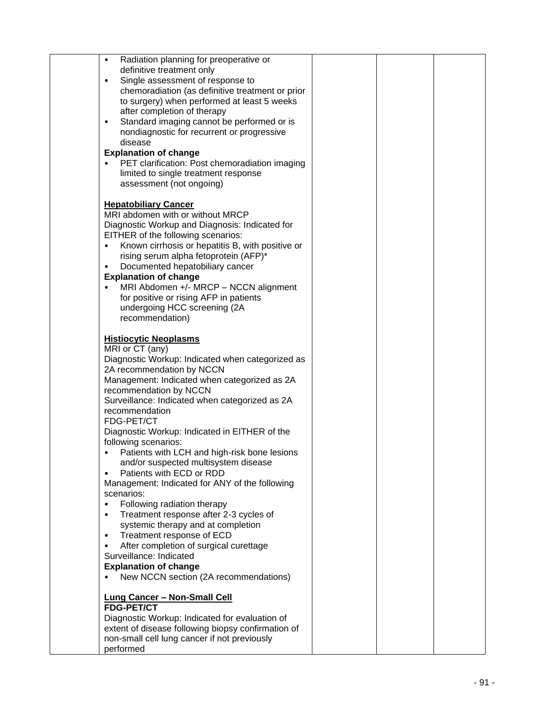| Radiation planning for preoperative or<br>$\bullet$<br>definitive treatment only<br>Single assessment of response to<br>$\bullet$<br>chemoradiation (as definitive treatment or prior<br>to surgery) when performed at least 5 weeks<br>after completion of therapy<br>Standard imaging cannot be performed or is<br>$\bullet$<br>nondiagnostic for recurrent or progressive<br>disease<br><b>Explanation of change</b><br>PET clarification: Post chemoradiation imaging<br>limited to single treatment response<br>assessment (not ongoing)                                                                                                                                                                                                                                                                                                                                                                        |  |  |
|----------------------------------------------------------------------------------------------------------------------------------------------------------------------------------------------------------------------------------------------------------------------------------------------------------------------------------------------------------------------------------------------------------------------------------------------------------------------------------------------------------------------------------------------------------------------------------------------------------------------------------------------------------------------------------------------------------------------------------------------------------------------------------------------------------------------------------------------------------------------------------------------------------------------|--|--|
| <b>Hepatobiliary Cancer</b><br>MRI abdomen with or without MRCP<br>Diagnostic Workup and Diagnosis: Indicated for<br>EITHER of the following scenarios:<br>Known cirrhosis or hepatitis B, with positive or<br>$\bullet$<br>rising serum alpha fetoprotein (AFP)*<br>Documented hepatobiliary cancer<br>$\bullet$<br><b>Explanation of change</b><br>MRI Abdomen +/- MRCP - NCCN alignment<br>for positive or rising AFP in patients<br>undergoing HCC screening (2A<br>recommendation)                                                                                                                                                                                                                                                                                                                                                                                                                              |  |  |
| <b>Histiocytic Neoplasms</b><br>MRI or CT (any)<br>Diagnostic Workup: Indicated when categorized as<br>2A recommendation by NCCN<br>Management: Indicated when categorized as 2A<br>recommendation by NCCN<br>Surveillance: Indicated when categorized as 2A<br>recommendation<br>FDG-PET/CT<br>Diagnostic Workup: Indicated in EITHER of the<br>following scenarios:<br>Patients with LCH and high-risk bone lesions<br>and/or suspected multisystem disease<br>Patients with ECD or RDD<br>$\bullet$<br>Management: Indicated for ANY of the following<br>scenarios:<br>Following radiation therapy<br>$\bullet$<br>Treatment response after 2-3 cycles of<br>$\bullet$<br>systemic therapy and at completion<br>Treatment response of ECD<br>$\bullet$<br>After completion of surgical curettage<br>$\bullet$<br>Surveillance: Indicated<br><b>Explanation of change</b><br>New NCCN section (2A recommendations) |  |  |
| <b>Lung Cancer - Non-Small Cell</b><br><b>FDG-PET/CT</b><br>Diagnostic Workup: Indicated for evaluation of<br>extent of disease following biopsy confirmation of<br>non-small cell lung cancer if not previously<br>performed                                                                                                                                                                                                                                                                                                                                                                                                                                                                                                                                                                                                                                                                                        |  |  |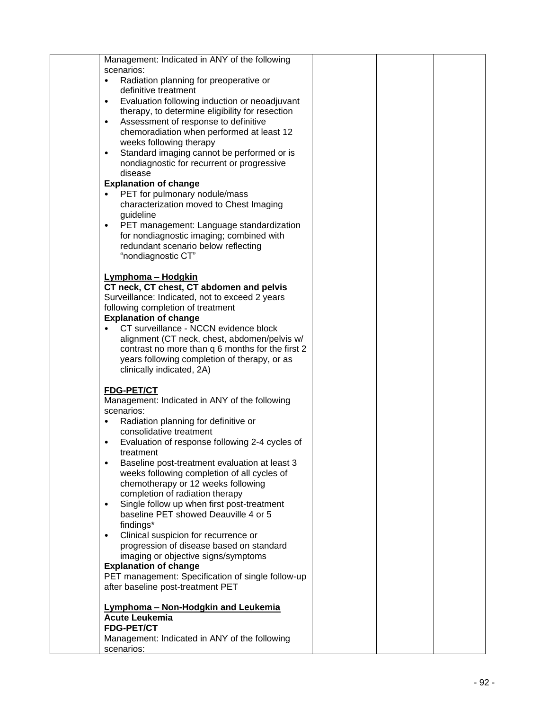| Management: Indicated in ANY of the following                                                    |  |  |
|--------------------------------------------------------------------------------------------------|--|--|
| scenarios:                                                                                       |  |  |
| Radiation planning for preoperative or                                                           |  |  |
| definitive treatment                                                                             |  |  |
| Evaluation following induction or neoadjuvant<br>٠                                               |  |  |
| therapy, to determine eligibility for resection                                                  |  |  |
| Assessment of response to definitive<br>$\bullet$                                                |  |  |
| chemoradiation when performed at least 12                                                        |  |  |
| weeks following therapy                                                                          |  |  |
| Standard imaging cannot be performed or is<br>$\bullet$                                          |  |  |
| nondiagnostic for recurrent or progressive                                                       |  |  |
| disease                                                                                          |  |  |
| <b>Explanation of change</b><br>PET for pulmonary nodule/mass                                    |  |  |
| characterization moved to Chest Imaging                                                          |  |  |
| guideline                                                                                        |  |  |
| PET management: Language standardization<br>$\bullet$                                            |  |  |
| for nondiagnostic imaging; combined with                                                         |  |  |
| redundant scenario below reflecting                                                              |  |  |
| "nondiagnostic CT"                                                                               |  |  |
|                                                                                                  |  |  |
| Lymphoma - Hodgkin                                                                               |  |  |
| CT neck, CT chest, CT abdomen and pelvis                                                         |  |  |
| Surveillance: Indicated, not to exceed 2 years                                                   |  |  |
| following completion of treatment                                                                |  |  |
| <b>Explanation of change</b>                                                                     |  |  |
| CT surveillance - NCCN evidence block                                                            |  |  |
| alignment (CT neck, chest, abdomen/pelvis w/<br>contrast no more than q 6 months for the first 2 |  |  |
| years following completion of therapy, or as                                                     |  |  |
| clinically indicated, 2A)                                                                        |  |  |
|                                                                                                  |  |  |
| <b>FDG-PET/CT</b>                                                                                |  |  |
| Management: Indicated in ANY of the following                                                    |  |  |
| scenarios:                                                                                       |  |  |
| Radiation planning for definitive or<br>$\bullet$                                                |  |  |
| consolidative treatment                                                                          |  |  |
| Evaluation of response following 2-4 cycles of<br>٠                                              |  |  |
| treatment                                                                                        |  |  |
| Baseline post-treatment evaluation at least 3                                                    |  |  |
| weeks following completion of all cycles of                                                      |  |  |
| chemotherapy or 12 weeks following                                                               |  |  |
| completion of radiation therapy<br>Single follow up when first post-treatment<br>$\bullet$       |  |  |
| baseline PET showed Deauville 4 or 5                                                             |  |  |
| findings*                                                                                        |  |  |
| Clinical suspicion for recurrence or<br>$\bullet$                                                |  |  |
| progression of disease based on standard                                                         |  |  |
| imaging or objective signs/symptoms                                                              |  |  |
| <b>Explanation of change</b>                                                                     |  |  |
| PET management: Specification of single follow-up                                                |  |  |
| after baseline post-treatment PET                                                                |  |  |
|                                                                                                  |  |  |
| Lymphoma - Non-Hodgkin and Leukemia                                                              |  |  |
| <b>Acute Leukemia</b>                                                                            |  |  |
| <b>FDG-PET/CT</b>                                                                                |  |  |
| Management: Indicated in ANY of the following<br>scenarios:                                      |  |  |
|                                                                                                  |  |  |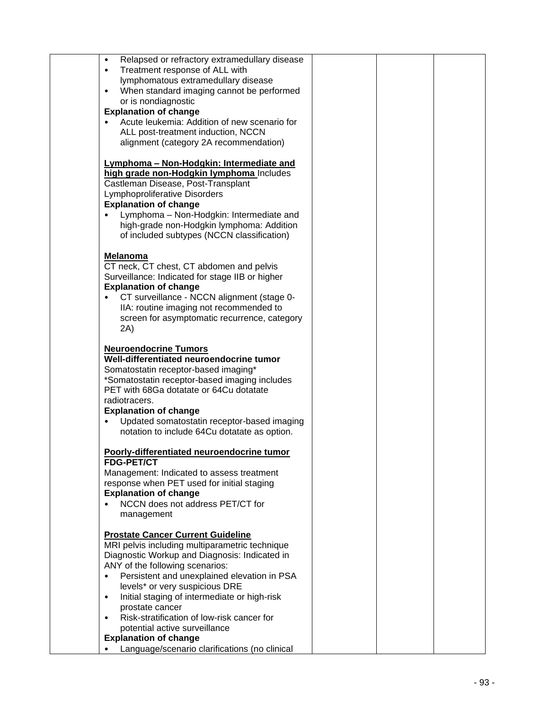| Relapsed or refractory extramedullary disease<br>$\bullet$ |  |
|------------------------------------------------------------|--|
|                                                            |  |
| Treatment response of ALL with<br>$\bullet$                |  |
| lymphomatous extramedullary disease                        |  |
| When standard imaging cannot be performed<br>$\bullet$     |  |
| or is nondiagnostic                                        |  |
| <b>Explanation of change</b>                               |  |
| Acute leukemia: Addition of new scenario for               |  |
|                                                            |  |
| ALL post-treatment induction, NCCN                         |  |
| alignment (category 2A recommendation)                     |  |
|                                                            |  |
| Lymphoma - Non-Hodgkin: Intermediate and                   |  |
| high grade non-Hodgkin lymphoma Includes                   |  |
| Castleman Disease, Post-Transplant                         |  |
|                                                            |  |
| Lymphoproliferative Disorders                              |  |
| <b>Explanation of change</b>                               |  |
| Lymphoma - Non-Hodgkin: Intermediate and<br>$\bullet$      |  |
| high-grade non-Hodgkin lymphoma: Addition                  |  |
| of included subtypes (NCCN classification)                 |  |
|                                                            |  |
| <b>Melanoma</b>                                            |  |
| CT neck, CT chest, CT abdomen and pelvis                   |  |
|                                                            |  |
| Surveillance: Indicated for stage IIB or higher            |  |
| <b>Explanation of change</b>                               |  |
| CT surveillance - NCCN alignment (stage 0-                 |  |
| IIA: routine imaging not recommended to                    |  |
| screen for asymptomatic recurrence, category               |  |
| 2A)                                                        |  |
|                                                            |  |
| <b>Neuroendocrine Tumors</b>                               |  |
| Well-differentiated neuroendocrine tumor                   |  |
|                                                            |  |
| Somatostatin receptor-based imaging*                       |  |
| *Somatostatin receptor-based imaging includes              |  |
| PET with 68Ga dotatate or 64Cu dotatate                    |  |
| radiotracers.                                              |  |
| <b>Explanation of change</b>                               |  |
| Updated somatostatin receptor-based imaging<br>$\bullet$   |  |
| notation to include 64Cu dotatate as option.               |  |
|                                                            |  |
|                                                            |  |
| Poorly-differentiated neuroendocrine tumor                 |  |
| <b>FDG-PET/CT</b>                                          |  |
| Management: Indicated to assess treatment                  |  |
| response when PET used for initial staging                 |  |
| <b>Explanation of change</b>                               |  |
| NCCN does not address PET/CT for                           |  |
| management                                                 |  |
|                                                            |  |
| <b>Prostate Cancer Current Guideline</b>                   |  |
|                                                            |  |
| MRI pelvis including multiparametric technique             |  |
| Diagnostic Workup and Diagnosis: Indicated in              |  |
| ANY of the following scenarios:                            |  |
| Persistent and unexplained elevation in PSA<br>$\bullet$   |  |
| levels* or very suspicious DRE                             |  |
| Initial staging of intermediate or high-risk<br>$\bullet$  |  |
| prostate cancer                                            |  |
| Risk-stratification of low-risk cancer for<br>$\bullet$    |  |
| potential active surveillance                              |  |
|                                                            |  |
| <b>Explanation of change</b>                               |  |
| Language/scenario clarifications (no clinical              |  |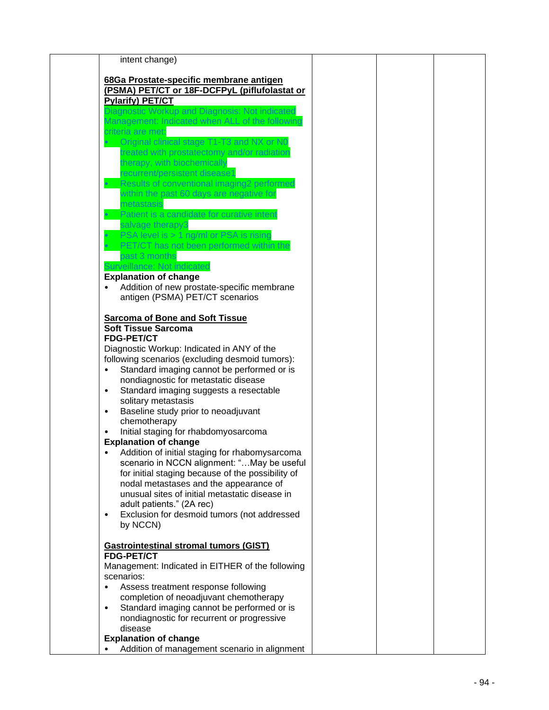|            | intent change)                                    |  |  |
|------------|---------------------------------------------------|--|--|
|            |                                                   |  |  |
|            | 68Ga Prostate-specific membrane antigen           |  |  |
|            | (PSMA) PET/CT or 18F-DCFPyL (piflufolastat or     |  |  |
|            | <b>Pylarify) PET/CT</b>                           |  |  |
|            | Diagnostic Workup and Diagnosis: Not indicated    |  |  |
|            | Management: Indicated when ALL of the following   |  |  |
|            |                                                   |  |  |
|            | criteria are met:                                 |  |  |
|            | Original clinical stage T1-T3 and NX or N0        |  |  |
|            | treated with prostatectomy and/or radiation       |  |  |
|            | therapy, with biochemically                       |  |  |
|            | recurrent/persistent disease1                     |  |  |
|            | Results of conventional imaging2 performed        |  |  |
|            | within the past 60 days are negative for          |  |  |
|            | metastasis                                        |  |  |
|            | Patient is a candidate for curative intent        |  |  |
|            | salvage therapy3                                  |  |  |
|            | PSA level is > 1 ng/ml or PSA is rising           |  |  |
|            |                                                   |  |  |
|            | PET/CT has not been performed within the          |  |  |
|            | past 3 months                                     |  |  |
|            | Surveillance: Not indicated                       |  |  |
|            | <b>Explanation of change</b>                      |  |  |
|            | Addition of new prostate-specific membrane        |  |  |
|            | antigen (PSMA) PET/CT scenarios                   |  |  |
|            |                                                   |  |  |
|            | <b>Sarcoma of Bone and Soft Tissue</b>            |  |  |
|            | <b>Soft Tissue Sarcoma</b>                        |  |  |
|            | <b>FDG-PET/CT</b>                                 |  |  |
|            | Diagnostic Workup: Indicated in ANY of the        |  |  |
|            | following scenarios (excluding desmoid tumors):   |  |  |
|            | Standard imaging cannot be performed or is        |  |  |
|            | nondiagnostic for metastatic disease              |  |  |
|            |                                                   |  |  |
| $\bullet$  | Standard imaging suggests a resectable            |  |  |
|            | solitary metastasis                               |  |  |
|            | Baseline study prior to neoadjuvant               |  |  |
|            | chemotherapy                                      |  |  |
|            | Initial staging for rhabdomyosarcoma              |  |  |
|            | <b>Explanation of change</b>                      |  |  |
|            | Addition of initial staging for rhabomysarcoma    |  |  |
|            | scenario in NCCN alignment: "May be useful        |  |  |
|            | for initial staging because of the possibility of |  |  |
|            | nodal metastases and the appearance of            |  |  |
|            | unusual sites of initial metastatic disease in    |  |  |
|            | adult patients." (2A rec)                         |  |  |
| ٠          | Exclusion for desmoid tumors (not addressed       |  |  |
|            | by NCCN)                                          |  |  |
|            |                                                   |  |  |
|            | <b>Gastrointestinal stromal tumors (GIST)</b>     |  |  |
|            | <b>FDG-PET/CT</b>                                 |  |  |
|            |                                                   |  |  |
|            | Management: Indicated in EITHER of the following  |  |  |
| scenarios: |                                                   |  |  |
| $\bullet$  | Assess treatment response following               |  |  |
|            | completion of neoadjuvant chemotherapy            |  |  |
| $\bullet$  | Standard imaging cannot be performed or is        |  |  |
|            | nondiagnostic for recurrent or progressive        |  |  |
|            | disease                                           |  |  |
|            | <b>Explanation of change</b>                      |  |  |
|            | Addition of management scenario in alignment      |  |  |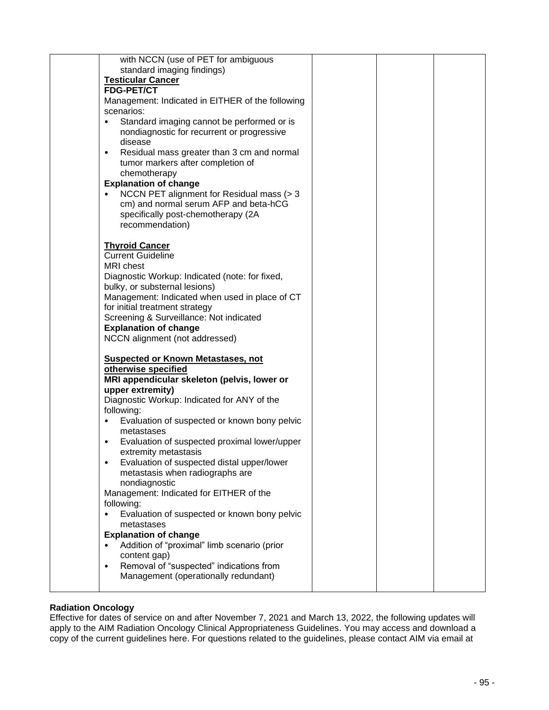| with NCCN (use of PET for ambiguous                                         |  |  |
|-----------------------------------------------------------------------------|--|--|
| standard imaging findings)                                                  |  |  |
| <b>Testicular Cancer</b>                                                    |  |  |
| <b>FDG-PET/CT</b>                                                           |  |  |
| Management: Indicated in EITHER of the following                            |  |  |
| scenarios:                                                                  |  |  |
| Standard imaging cannot be performed or is                                  |  |  |
| nondiagnostic for recurrent or progressive                                  |  |  |
| disease                                                                     |  |  |
| Residual mass greater than 3 cm and normal<br>$\bullet$                     |  |  |
| tumor markers after completion of                                           |  |  |
| chemotherapy                                                                |  |  |
| <b>Explanation of change</b>                                                |  |  |
| NCCN PET alignment for Residual mass (> 3<br>$\bullet$                      |  |  |
| cm) and normal serum AFP and beta-hCG                                       |  |  |
| specifically post-chemotherapy (2A                                          |  |  |
| recommendation)                                                             |  |  |
|                                                                             |  |  |
| <b>Thyroid Cancer</b>                                                       |  |  |
| <b>Current Guideline</b>                                                    |  |  |
| <b>MRI</b> chest                                                            |  |  |
| Diagnostic Workup: Indicated (note: for fixed,                              |  |  |
| bulky, or substernal lesions)                                               |  |  |
| Management: Indicated when used in place of CT                              |  |  |
| for initial treatment strategy                                              |  |  |
| Screening & Surveillance: Not indicated                                     |  |  |
| <b>Explanation of change</b>                                                |  |  |
| NCCN alignment (not addressed)                                              |  |  |
|                                                                             |  |  |
| <b>Suspected or Known Metastases, not</b>                                   |  |  |
| otherwise specified                                                         |  |  |
| MRI appendicular skeleton (pelvis, lower or                                 |  |  |
| upper extremity)                                                            |  |  |
| Diagnostic Workup: Indicated for ANY of the                                 |  |  |
| following:                                                                  |  |  |
| Evaluation of suspected or known bony pelvic<br>$\bullet$                   |  |  |
| metastases                                                                  |  |  |
| Evaluation of suspected proximal lower/upper<br>٠                           |  |  |
| extremity metastasis                                                        |  |  |
| Evaluation of suspected distal upper/lower<br>٠                             |  |  |
| metastasis when radiographs are                                             |  |  |
| nondiagnostic                                                               |  |  |
| Management: Indicated for EITHER of the                                     |  |  |
| following:                                                                  |  |  |
| Evaluation of suspected or known bony pelvic                                |  |  |
| metastases                                                                  |  |  |
| <b>Explanation of change</b><br>Addition of "proximal" limb scenario (prior |  |  |
|                                                                             |  |  |
| content gap)<br>Removal of "suspected" indications from<br>$\bullet$        |  |  |
| Management (operationally redundant)                                        |  |  |
|                                                                             |  |  |
|                                                                             |  |  |

#### **Radiation Oncology**

Effective for dates of service on and after November 7, 2021 and March 13, 2022, the following updates will apply to the AIM Radiation Oncology Clinical Appropriateness Guidelines. You may access and download a copy of the current guidelines here. For questions related to the guidelines, please contact AIM via email at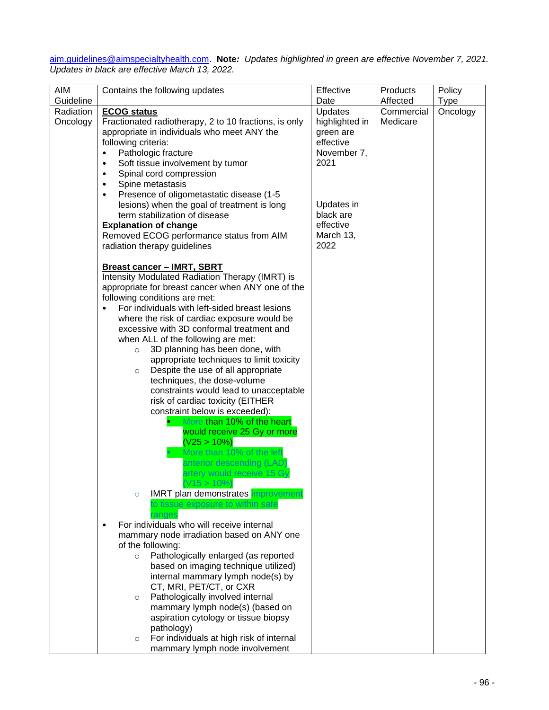#### [aim.guidelines@aimspecialtyhealth.com.](mailto:aim.guidelines@aimspecialtyhealth.com) **Note***: Updates highlighted in green are effective November 7, 2021. Updates in black are effective March 13, 2022.*

| <b>AIM</b> | Contains the following updates                                                                                                                                                                                                                                                                                                                                                                                                                                                                                                                                                                                                                                                                                                                                                                                                                | Effective                                                                                                                    | Products   | Policy      |
|------------|-----------------------------------------------------------------------------------------------------------------------------------------------------------------------------------------------------------------------------------------------------------------------------------------------------------------------------------------------------------------------------------------------------------------------------------------------------------------------------------------------------------------------------------------------------------------------------------------------------------------------------------------------------------------------------------------------------------------------------------------------------------------------------------------------------------------------------------------------|------------------------------------------------------------------------------------------------------------------------------|------------|-------------|
| Guideline  |                                                                                                                                                                                                                                                                                                                                                                                                                                                                                                                                                                                                                                                                                                                                                                                                                                               | Date                                                                                                                         | Affected   | <b>Type</b> |
| Radiation  | <b>ECOG status</b>                                                                                                                                                                                                                                                                                                                                                                                                                                                                                                                                                                                                                                                                                                                                                                                                                            | <b>Updates</b>                                                                                                               | Commercial | Oncology    |
| Oncology   | Fractionated radiotherapy, 2 to 10 fractions, is only<br>appropriate in individuals who meet ANY the<br>following criteria:<br>Pathologic fracture<br>Soft tissue involvement by tumor<br>$\bullet$<br>Spinal cord compression<br>$\bullet$<br>Spine metastasis<br>$\bullet$<br>Presence of oligometastatic disease (1-5<br>$\bullet$<br>lesions) when the goal of treatment is long<br>term stabilization of disease<br><b>Explanation of change</b><br>Removed ECOG performance status from AIM<br>radiation therapy guidelines                                                                                                                                                                                                                                                                                                             | highlighted in<br>green are<br>effective<br>November 7,<br>2021<br>Updates in<br>black are<br>effective<br>March 13,<br>2022 | Medicare   |             |
|            | <b>Breast cancer - IMRT, SBRT</b><br>Intensity Modulated Radiation Therapy (IMRT) is<br>appropriate for breast cancer when ANY one of the<br>following conditions are met:<br>For individuals with left-sided breast lesions<br>where the risk of cardiac exposure would be<br>excessive with 3D conformal treatment and<br>when ALL of the following are met:<br>3D planning has been done, with<br>$\circ$<br>appropriate techniques to limit toxicity<br>Despite the use of all appropriate<br>$\circ$<br>techniques, the dose-volume<br>constraints would lead to unacceptable<br>risk of cardiac toxicity (EITHER<br>constraint below is exceeded):<br>More than 10% of the heart<br>would receive 25 Gy or more<br>(V25 > 10%)<br>More than 10% of the left<br>anterior descending (LAD)<br>artery would receive 15 Gy<br>$V15 > 10\%)$ |                                                                                                                              |            |             |
|            | <b>IMRT</b> plan demonstrates improvement<br>$\circ$<br>sue exposure to within safe<br>For individuals who will receive internal<br>$\bullet$<br>mammary node irradiation based on ANY one<br>of the following:<br>Pathologically enlarged (as reported<br>$\circ$<br>based on imaging technique utilized)<br>internal mammary lymph node(s) by<br>CT, MRI, PET/CT, or CXR<br>Pathologically involved internal<br>$\circ$<br>mammary lymph node(s) (based on<br>aspiration cytology or tissue biopsy<br>pathology)<br>For individuals at high risk of internal<br>$\circ$<br>mammary lymph node involvement                                                                                                                                                                                                                                   |                                                                                                                              |            |             |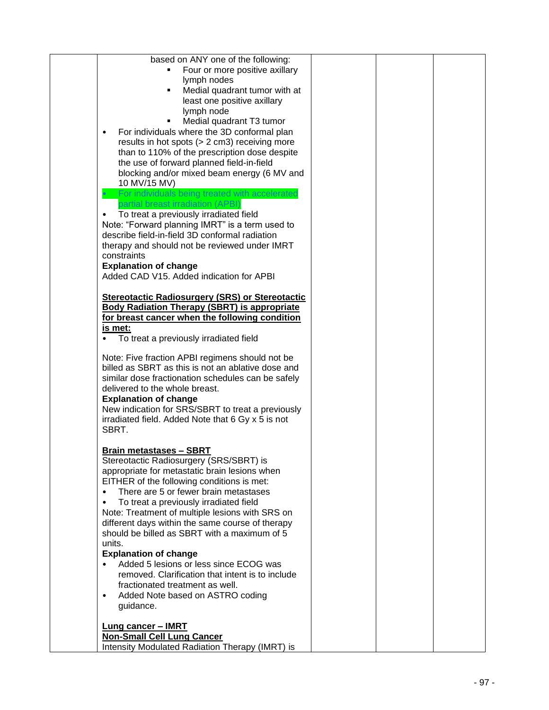| based on ANY one of the following:<br>Four or more positive axillary<br>lymph nodes<br>Medial quadrant tumor with at<br>$\blacksquare$<br>least one positive axillary<br>lymph node<br>Medial quadrant T3 tumor<br>For individuals where the 3D conformal plan<br>$\bullet$<br>results in hot spots (> 2 cm3) receiving more<br>than to 110% of the prescription dose despite<br>the use of forward planned field-in-field<br>blocking and/or mixed beam energy (6 MV and<br>10 MV/15 MV)<br>For individuals being treated with accelerated                |  |  |
|------------------------------------------------------------------------------------------------------------------------------------------------------------------------------------------------------------------------------------------------------------------------------------------------------------------------------------------------------------------------------------------------------------------------------------------------------------------------------------------------------------------------------------------------------------|--|--|
| partial breast irradiation (APBI)<br>To treat a previously irradiated field<br>$\bullet$<br>Note: "Forward planning IMRT" is a term used to<br>describe field-in-field 3D conformal radiation<br>therapy and should not be reviewed under IMRT<br>constraints<br><b>Explanation of change</b><br>Added CAD V15. Added indication for APBI                                                                                                                                                                                                                  |  |  |
| <b>Stereotactic Radiosurgery (SRS) or Stereotactic</b><br><b>Body Radiation Therapy (SBRT) is appropriate</b><br>for breast cancer when the following condition<br>is met:<br>To treat a previously irradiated field                                                                                                                                                                                                                                                                                                                                       |  |  |
| Note: Five fraction APBI regimens should not be<br>billed as SBRT as this is not an ablative dose and<br>similar dose fractionation schedules can be safely<br>delivered to the whole breast.<br><b>Explanation of change</b><br>New indication for SRS/SBRT to treat a previously<br>irradiated field. Added Note that 6 Gy x 5 is not<br>SBRT.                                                                                                                                                                                                           |  |  |
| <b>Brain metastases - SBRT</b><br>Stereotactic Radiosurgery (SRS/SBRT) is<br>appropriate for metastatic brain lesions when<br>EITHER of the following conditions is met:<br>There are 5 or fewer brain metastases<br>To treat a previously irradiated field<br>Note: Treatment of multiple lesions with SRS on<br>different days within the same course of therapy<br>should be billed as SBRT with a maximum of 5<br>units.<br><b>Explanation of change</b><br>Added 5 lesions or less since ECOG was<br>removed. Clarification that intent is to include |  |  |
| fractionated treatment as well.<br>Added Note based on ASTRO coding<br>$\bullet$<br>guidance.<br><b>Lung cancer - IMRT</b><br><b>Non-Small Cell Lung Cancer</b><br>Intensity Modulated Radiation Therapy (IMRT) is                                                                                                                                                                                                                                                                                                                                         |  |  |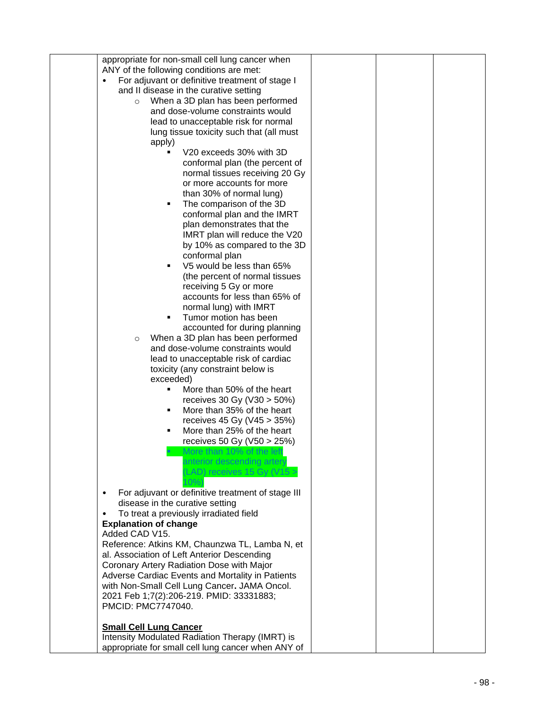| appropriate for non-small cell lung cancer when                                        |  |  |
|----------------------------------------------------------------------------------------|--|--|
| ANY of the following conditions are met:                                               |  |  |
| For adjuvant or definitive treatment of stage I                                        |  |  |
| and II disease in the curative setting                                                 |  |  |
| When a 3D plan has been performed<br>$\circ$                                           |  |  |
| and dose-volume constraints would                                                      |  |  |
| lead to unacceptable risk for normal                                                   |  |  |
| lung tissue toxicity such that (all must                                               |  |  |
| apply)                                                                                 |  |  |
| V20 exceeds 30% with 3D                                                                |  |  |
| conformal plan (the percent of                                                         |  |  |
| normal tissues receiving 20 Gy                                                         |  |  |
| or more accounts for more                                                              |  |  |
| than 30% of normal lung)                                                               |  |  |
| The comparison of the 3D                                                               |  |  |
| conformal plan and the IMRT                                                            |  |  |
| plan demonstrates that the                                                             |  |  |
| IMRT plan will reduce the V20                                                          |  |  |
| by 10% as compared to the 3D                                                           |  |  |
| conformal plan                                                                         |  |  |
| V5 would be less than 65%                                                              |  |  |
| (the percent of normal tissues                                                         |  |  |
| receiving 5 Gy or more                                                                 |  |  |
| accounts for less than 65% of                                                          |  |  |
| normal lung) with IMRT                                                                 |  |  |
| Tumor motion has been                                                                  |  |  |
| accounted for during planning                                                          |  |  |
| When a 3D plan has been performed<br>$\circ$                                           |  |  |
| and dose-volume constraints would                                                      |  |  |
| lead to unacceptable risk of cardiac                                                   |  |  |
| toxicity (any constraint below is                                                      |  |  |
| exceeded)                                                                              |  |  |
| More than 50% of the heart<br>٠                                                        |  |  |
| receives 30 Gy ( $V30 > 50\%)$                                                         |  |  |
| More than 35% of the heart<br>٠                                                        |  |  |
|                                                                                        |  |  |
| receives 45 Gy ( $V45 > 35\%)$<br>٠                                                    |  |  |
| More than 25% of the heart                                                             |  |  |
| receives 50 Gy (V50 > 25%)                                                             |  |  |
| More than 10% of the lef                                                               |  |  |
| anterior descending artery                                                             |  |  |
| LAD) receives 15 Gy (V15 >                                                             |  |  |
| For adjuvant or definitive treatment of stage III                                      |  |  |
| $\bullet$                                                                              |  |  |
| disease in the curative setting<br>To treat a previously irradiated field<br>$\bullet$ |  |  |
| <b>Explanation of change</b>                                                           |  |  |
| Added CAD V15.                                                                         |  |  |
| Reference: Atkins KM, Chaunzwa TL, Lamba N, et                                         |  |  |
| al. Association of Left Anterior Descending                                            |  |  |
| Coronary Artery Radiation Dose with Major                                              |  |  |
| Adverse Cardiac Events and Mortality in Patients                                       |  |  |
| with Non-Small Cell Lung Cancer. JAMA Oncol.                                           |  |  |
| 2021 Feb 1;7(2):206-219. PMID: 33331883;                                               |  |  |
| PMCID: PMC7747040.                                                                     |  |  |
|                                                                                        |  |  |
| <b>Small Cell Lung Cancer</b>                                                          |  |  |
| Intensity Modulated Radiation Therapy (IMRT) is                                        |  |  |
| appropriate for small cell lung cancer when ANY of                                     |  |  |
|                                                                                        |  |  |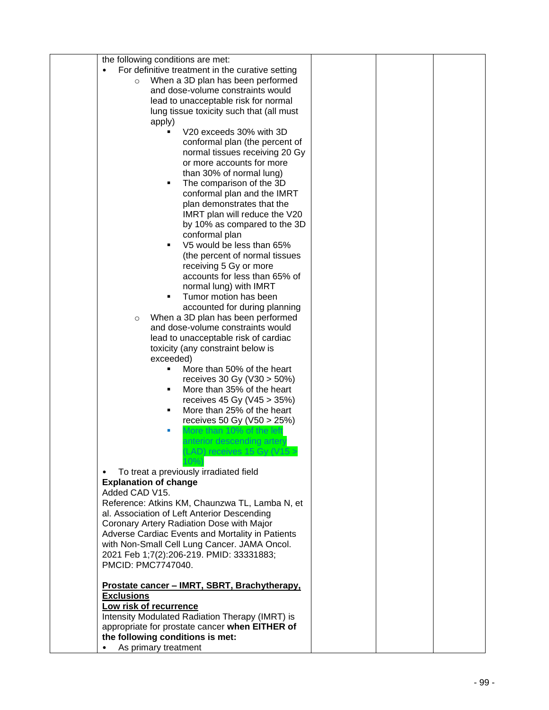| the following conditions are met:                                                        |  |  |
|------------------------------------------------------------------------------------------|--|--|
| For definitive treatment in the curative setting                                         |  |  |
| When a 3D plan has been performed<br>$\circ$                                             |  |  |
| and dose-volume constraints would                                                        |  |  |
|                                                                                          |  |  |
| lead to unacceptable risk for normal                                                     |  |  |
| lung tissue toxicity such that (all must                                                 |  |  |
| apply)                                                                                   |  |  |
| V20 exceeds 30% with 3D                                                                  |  |  |
| conformal plan (the percent of                                                           |  |  |
| normal tissues receiving 20 Gy                                                           |  |  |
| or more accounts for more                                                                |  |  |
| than 30% of normal lung)                                                                 |  |  |
| The comparison of the 3D<br>٠                                                            |  |  |
| conformal plan and the IMRT                                                              |  |  |
| plan demonstrates that the                                                               |  |  |
| IMRT plan will reduce the V20                                                            |  |  |
|                                                                                          |  |  |
| by 10% as compared to the 3D                                                             |  |  |
| conformal plan                                                                           |  |  |
| V5 would be less than 65%<br>٠                                                           |  |  |
| (the percent of normal tissues                                                           |  |  |
| receiving 5 Gy or more                                                                   |  |  |
| accounts for less than 65% of                                                            |  |  |
| normal lung) with IMRT                                                                   |  |  |
| Tumor motion has been<br>٠                                                               |  |  |
| accounted for during planning                                                            |  |  |
| When a 3D plan has been performed<br>$\circ$                                             |  |  |
| and dose-volume constraints would                                                        |  |  |
| lead to unacceptable risk of cardiac                                                     |  |  |
| toxicity (any constraint below is                                                        |  |  |
| exceeded)                                                                                |  |  |
| More than 50% of the heart<br>٠                                                          |  |  |
|                                                                                          |  |  |
| receives 30 Gy (V30 > 50%)                                                               |  |  |
| More than 35% of the heart<br>٠                                                          |  |  |
| receives 45 Gy ( $V45 > 35\%)$                                                           |  |  |
| More than 25% of the heart<br>٠                                                          |  |  |
| receives 50 Gy (V50 > 25%)                                                               |  |  |
| More than 10% of the left<br>п                                                           |  |  |
| anterior descending artery                                                               |  |  |
| (LAD) receives 15 Gy (V15 >                                                              |  |  |
| $10\%$                                                                                   |  |  |
| To treat a previously irradiated field                                                   |  |  |
| <b>Explanation of change</b>                                                             |  |  |
| Added CAD V15.                                                                           |  |  |
| Reference: Atkins KM, Chaunzwa TL, Lamba N, et                                           |  |  |
| al. Association of Left Anterior Descending                                              |  |  |
| Coronary Artery Radiation Dose with Major                                                |  |  |
| Adverse Cardiac Events and Mortality in Patients                                         |  |  |
|                                                                                          |  |  |
| with Non-Small Cell Lung Cancer. JAMA Oncol.<br>2021 Feb 1;7(2):206-219. PMID: 33331883; |  |  |
|                                                                                          |  |  |
| PMCID: PMC7747040.                                                                       |  |  |
|                                                                                          |  |  |
| Prostate cancer - IMRT, SBRT, Brachytherapy,                                             |  |  |
| <b>Exclusions</b>                                                                        |  |  |
| Low risk of recurrence                                                                   |  |  |
| Intensity Modulated Radiation Therapy (IMRT) is                                          |  |  |
| appropriate for prostate cancer when EITHER of                                           |  |  |
| the following conditions is met:                                                         |  |  |
| As primary treatment                                                                     |  |  |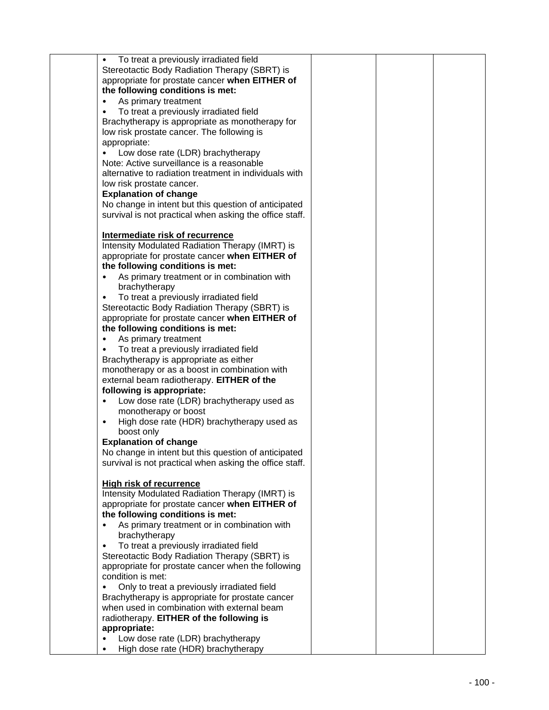| To treat a previously irradiated field                  |  |  |
|---------------------------------------------------------|--|--|
| Stereotactic Body Radiation Therapy (SBRT) is           |  |  |
| appropriate for prostate cancer when EITHER of          |  |  |
|                                                         |  |  |
| the following conditions is met:                        |  |  |
| As primary treatment                                    |  |  |
| To treat a previously irradiated field                  |  |  |
|                                                         |  |  |
| Brachytherapy is appropriate as monotherapy for         |  |  |
| low risk prostate cancer. The following is              |  |  |
| appropriate:                                            |  |  |
| Low dose rate (LDR) brachytherapy                       |  |  |
| Note: Active surveillance is a reasonable               |  |  |
|                                                         |  |  |
| alternative to radiation treatment in individuals with  |  |  |
| low risk prostate cancer.                               |  |  |
| <b>Explanation of change</b>                            |  |  |
|                                                         |  |  |
| No change in intent but this question of anticipated    |  |  |
| survival is not practical when asking the office staff. |  |  |
|                                                         |  |  |
| Intermediate risk of recurrence                         |  |  |
|                                                         |  |  |
| Intensity Modulated Radiation Therapy (IMRT) is         |  |  |
| appropriate for prostate cancer when EITHER of          |  |  |
| the following conditions is met:                        |  |  |
| As primary treatment or in combination with             |  |  |
|                                                         |  |  |
| brachytherapy                                           |  |  |
| To treat a previously irradiated field                  |  |  |
| Stereotactic Body Radiation Therapy (SBRT) is           |  |  |
| appropriate for prostate cancer when EITHER of          |  |  |
|                                                         |  |  |
| the following conditions is met:                        |  |  |
| As primary treatment                                    |  |  |
| To treat a previously irradiated field                  |  |  |
| Brachytherapy is appropriate as either                  |  |  |
|                                                         |  |  |
| monotherapy or as a boost in combination with           |  |  |
| external beam radiotherapy. EITHER of the               |  |  |
| following is appropriate:                               |  |  |
| Low dose rate (LDR) brachytherapy used as               |  |  |
|                                                         |  |  |
| monotherapy or boost                                    |  |  |
| High dose rate (HDR) brachytherapy used as<br>$\bullet$ |  |  |
| boost only                                              |  |  |
| <b>Explanation of change</b>                            |  |  |
| No change in intent but this question of anticipated    |  |  |
|                                                         |  |  |
| survival is not practical when asking the office staff. |  |  |
|                                                         |  |  |
| <b>High risk of recurrence</b>                          |  |  |
| Intensity Modulated Radiation Therapy (IMRT) is         |  |  |
|                                                         |  |  |
| appropriate for prostate cancer when EITHER of          |  |  |
| the following conditions is met:                        |  |  |
| As primary treatment or in combination with             |  |  |
| brachytherapy                                           |  |  |
| To treat a previously irradiated field                  |  |  |
| $\bullet$                                               |  |  |
| Stereotactic Body Radiation Therapy (SBRT) is           |  |  |
| appropriate for prostate cancer when the following      |  |  |
| condition is met:                                       |  |  |
| Only to treat a previously irradiated field             |  |  |
|                                                         |  |  |
| Brachytherapy is appropriate for prostate cancer        |  |  |
| when used in combination with external beam             |  |  |
| radiotherapy. EITHER of the following is                |  |  |
| appropriate:                                            |  |  |
|                                                         |  |  |
| Low dose rate (LDR) brachytherapy                       |  |  |
| High dose rate (HDR) brachytherapy                      |  |  |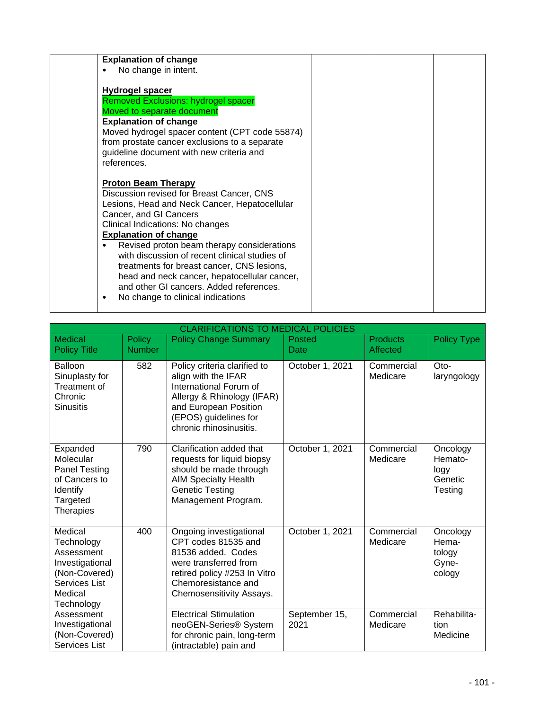| <b>Explanation of change</b>                                                                                                                                                                                                                                                                                                                                                                                                                                                                                     |  |  |
|------------------------------------------------------------------------------------------------------------------------------------------------------------------------------------------------------------------------------------------------------------------------------------------------------------------------------------------------------------------------------------------------------------------------------------------------------------------------------------------------------------------|--|--|
| No change in intent.<br>$\bullet$                                                                                                                                                                                                                                                                                                                                                                                                                                                                                |  |  |
| <b>Hydrogel spacer</b><br><b>Removed Exclusions: hydrogel spacer</b><br>Moved to separate document<br><b>Explanation of change</b><br>Moved hydrogel spacer content (CPT code 55874)<br>from prostate cancer exclusions to a separate<br>guideline document with new criteria and<br>references.                                                                                                                                                                                                                 |  |  |
| <b>Proton Beam Therapy</b><br>Discussion revised for Breast Cancer, CNS<br>Lesions, Head and Neck Cancer, Hepatocellular<br>Cancer, and GI Cancers<br>Clinical Indications: No changes<br><b>Explanation of change</b><br>Revised proton beam therapy considerations<br>with discussion of recent clinical studies of<br>treatments for breast cancer, CNS lesions,<br>head and neck cancer, hepatocellular cancer,<br>and other GI cancers. Added references.<br>No change to clinical indications<br>$\bullet$ |  |  |

|                                                                                                                   | <b>CLARIFICATIONS TO MEDICAL POLICIES</b> |                                                                                                                                                                                          |                       |                             |                                                   |  |  |
|-------------------------------------------------------------------------------------------------------------------|-------------------------------------------|------------------------------------------------------------------------------------------------------------------------------------------------------------------------------------------|-----------------------|-----------------------------|---------------------------------------------------|--|--|
| <b>Medical</b><br><b>Policy Title</b>                                                                             | Policy<br><b>Number</b>                   | <b>Policy Change Summary</b>                                                                                                                                                             | Posted<br>Date        | <b>Products</b><br>Affected | <b>Policy Type</b>                                |  |  |
| Balloon<br>Sinuplasty for<br>Treatment of<br>Chronic<br><b>Sinusitis</b>                                          | 582                                       | Policy criteria clarified to<br>align with the IFAR<br>International Forum of<br>Allergy & Rhinology (IFAR)<br>and European Position<br>(EPOS) guidelines for<br>chronic rhinosinusitis. | October 1, 2021       | Commercial<br>Medicare      | Oto-<br>laryngology                               |  |  |
| Expanded<br>Molecular<br><b>Panel Testing</b><br>of Cancers to<br>Identify<br>Targeted<br><b>Therapies</b>        | 790                                       | Clarification added that<br>requests for liquid biopsy<br>should be made through<br><b>AIM Specialty Health</b><br><b>Genetic Testing</b><br>Management Program.                         | October 1, 2021       | Commercial<br>Medicare      | Oncology<br>Hemato-<br>logy<br>Genetic<br>Testing |  |  |
| Medical<br>Technology<br>Assessment<br>Investigational<br>(Non-Covered)<br>Services List<br>Medical<br>Technology | 400                                       | Ongoing investigational<br>CPT codes 81535 and<br>81536 added. Codes<br>were transferred from<br>retired policy #253 In Vitro<br>Chemoresistance and<br>Chemosensitivity Assays.         | October 1, 2021       | Commercial<br>Medicare      | Oncology<br>Hema-<br>tology<br>Gyne-<br>cology    |  |  |
| Assessment<br>Investigational<br>(Non-Covered)<br>Services List                                                   |                                           | <b>Electrical Stimulation</b><br>neoGEN-Series® System<br>for chronic pain, long-term<br>(intractable) pain and                                                                          | September 15,<br>2021 | Commercial<br>Medicare      | Rehabilita-<br>tion<br>Medicine                   |  |  |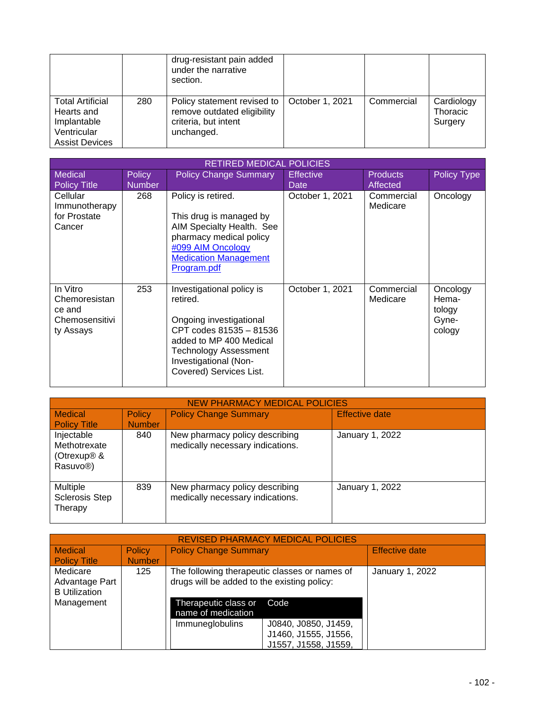|                                                                                              |     | drug-resistant pain added<br>under the narrative<br>section.                                     |                 |            |                                   |
|----------------------------------------------------------------------------------------------|-----|--------------------------------------------------------------------------------------------------|-----------------|------------|-----------------------------------|
| <b>Total Artificial</b><br>Hearts and<br>Implantable<br>Ventricular<br><b>Assist Devices</b> | 280 | Policy statement revised to<br>remove outdated eligibility<br>criteria, but intent<br>unchanged. | October 1, 2021 | Commercial | Cardiology<br>Thoracic<br>Surgery |

|                                                                    | <b>RETIRED MEDICAL POLICIES</b> |                                                                                                                                                                                                            |                          |                             |                                                |  |  |
|--------------------------------------------------------------------|---------------------------------|------------------------------------------------------------------------------------------------------------------------------------------------------------------------------------------------------------|--------------------------|-----------------------------|------------------------------------------------|--|--|
| <b>Medical</b><br><b>Policy Title</b>                              | <b>Policy</b><br><b>Number</b>  | <b>Policy Change Summary</b>                                                                                                                                                                               | <b>Effective</b><br>Date | <b>Products</b><br>Affected | <b>Policy Type</b>                             |  |  |
| Cellular<br>Immunotherapy<br>for Prostate<br>Cancer                | 268                             | Policy is retired.<br>This drug is managed by<br>AIM Specialty Health. See<br>pharmacy medical policy<br>#099 AIM Oncology<br><b>Medication Management</b><br>Program.pdf                                  | October 1, 2021          | Commercial<br>Medicare      | Oncology                                       |  |  |
| In Vitro<br>Chemoresistan<br>ce and<br>Chemosensitivi<br>ty Assays | 253                             | Investigational policy is<br>retired.<br>Ongoing investigational<br>CPT codes 81535 - 81536<br>added to MP 400 Medical<br><b>Technology Assessment</b><br>Investigational (Non-<br>Covered) Services List. | October 1, 2021          | Commercial<br>Medicare      | Oncology<br>Hema-<br>tology<br>Gyne-<br>cology |  |  |

| <b>NEW PHARMACY MEDICAL POLICIES</b>                                           |                                |                                                                    |                       |  |  |  |  |
|--------------------------------------------------------------------------------|--------------------------------|--------------------------------------------------------------------|-----------------------|--|--|--|--|
| <b>Medical</b><br><b>Policy Title</b>                                          | <b>Policy</b><br><b>Number</b> | <b>Policy Change Summary</b>                                       | <b>Effective date</b> |  |  |  |  |
| Injectable<br>Methotrexate<br>(Otrexup <sup>®</sup> &<br>Rasuvo <sup>®</sup> ) | 840                            | New pharmacy policy describing<br>medically necessary indications. | January 1, 2022       |  |  |  |  |
| Multiple<br><b>Sclerosis Step</b><br>Therapy                                   | 839                            | New pharmacy policy describing<br>medically necessary indications. | January 1, 2022       |  |  |  |  |

| <b>REVISED PHARMACY MEDICAL POLICIES</b>           |               |                                                                                              |                                                                      |                       |  |  |
|----------------------------------------------------|---------------|----------------------------------------------------------------------------------------------|----------------------------------------------------------------------|-----------------------|--|--|
| <b>Medical</b>                                     | Policy        | <b>Policy Change Summary</b>                                                                 |                                                                      | <b>Effective date</b> |  |  |
| <b>Policy Title</b>                                | <b>Number</b> |                                                                                              |                                                                      |                       |  |  |
| Medicare<br>Advantage Part<br><b>B</b> Utilization | 125           | The following therapeutic classes or names of<br>drugs will be added to the existing policy: | January 1, 2022                                                      |                       |  |  |
| Management                                         |               | Therapeutic class or<br>Code<br>name of medication                                           |                                                                      |                       |  |  |
|                                                    |               | Immuneglobulins                                                                              | J0840, J0850, J1459,<br>J1460, J1555, J1556,<br>J1557, J1558, J1559, |                       |  |  |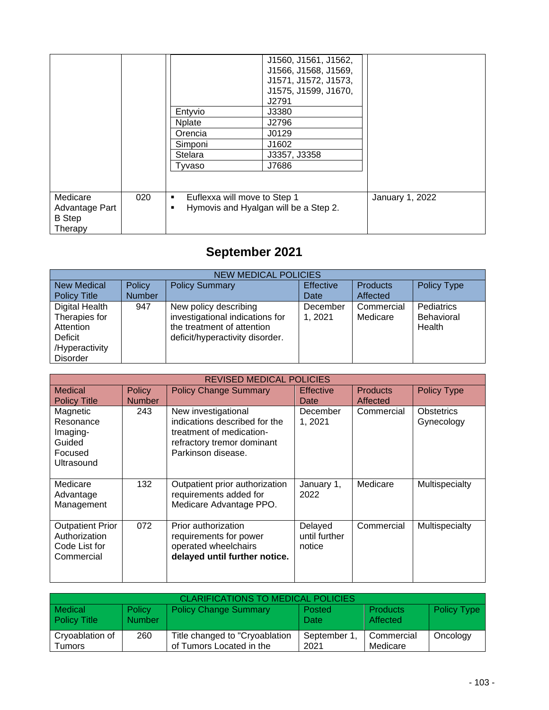|                                                        |     | Entyvio<br><b>Nplate</b><br>Orencia<br>Simponi<br>Stelara<br>Tyvaso | J1560, J1561, J1562,<br>J1566, J1568, J1569,<br>J1571, J1572, J1573,<br>J1575, J1599, J1670,<br>J2791<br>J3380<br>J2796<br>J0129<br>J1602<br>J3357, J3358<br>J7686 |                 |
|--------------------------------------------------------|-----|---------------------------------------------------------------------|--------------------------------------------------------------------------------------------------------------------------------------------------------------------|-----------------|
| Medicare<br>Advantage Part<br><b>B</b> Step<br>Therapy | 020 | Euflexxa will move to Step 1<br>٠<br>٠                              | Hymovis and Hyalgan will be a Step 2.                                                                                                                              | January 1, 2022 |

# **September 2021**

| <b>NEW MEDICAL POLICIES</b>                             |               |                                                                                                                           |                     |                        |                                    |  |  |
|---------------------------------------------------------|---------------|---------------------------------------------------------------------------------------------------------------------------|---------------------|------------------------|------------------------------------|--|--|
| <b>New Medical</b>                                      | <b>Policy</b> | <b>Policy Summary</b>                                                                                                     | <b>Effective</b>    | <b>Products</b>        | <b>Policy Type</b>                 |  |  |
| <b>Policy Title</b>                                     | <b>Number</b> |                                                                                                                           | Date                | Affected               |                                    |  |  |
| Digital Health<br>Therapies for<br>Attention<br>Deficit | 947           | New policy describing<br>investigational indications for<br>the treatment of attention<br>deficit/hyperactivity disorder. | December<br>1, 2021 | Commercial<br>Medicare | Pediatrics<br>Behavioral<br>Health |  |  |
| /Hyperactivity<br><b>Disorder</b>                       |               |                                                                                                                           |                     |                        |                                    |  |  |

|                                                                         |               | <b>REVISED MEDICAL POLICIES</b>                                                                                                      |                                    |                 |                                 |
|-------------------------------------------------------------------------|---------------|--------------------------------------------------------------------------------------------------------------------------------------|------------------------------------|-----------------|---------------------------------|
| Medical                                                                 | <b>Policy</b> | <b>Policy Change Summary</b>                                                                                                         | <b>Effective</b>                   | <b>Products</b> | <b>Policy Type</b>              |
| <b>Policy Title</b>                                                     | <b>Number</b> |                                                                                                                                      | Date                               | Affected        |                                 |
| Magnetic<br>Resonance<br>Imaging-<br>Guided<br>Focused<br>Ultrasound    | 243           | New investigational<br>indications described for the<br>treatment of medication-<br>refractory tremor dominant<br>Parkinson disease. | December<br>1, 2021                | Commercial      | <b>Obstetrics</b><br>Gynecology |
| Medicare<br>Advantage<br>Management                                     | 132           | Outpatient prior authorization<br>requirements added for<br>Medicare Advantage PPO.                                                  | January 1,<br>2022                 | Medicare        | Multispecialty                  |
| <b>Outpatient Prior</b><br>Authorization<br>Code List for<br>Commercial | 072           | Prior authorization<br>requirements for power<br>operated wheelchairs<br>delayed until further notice.                               | Delayed<br>until further<br>notice | Commercial      | Multispecialty                  |

| CLARIFICATIONS TO MEDICAL POLICIES |                         |                                                             |                     |                             |                    |  |
|------------------------------------|-------------------------|-------------------------------------------------------------|---------------------|-----------------------------|--------------------|--|
| Medical<br><b>Policy Title</b>     | Policy<br><b>Number</b> | <b>Policy Change Summary</b>                                | Posted<br>Date      | <b>Products</b><br>Affected | <b>Policy Type</b> |  |
| Cryoablation of<br>Tumors          | 260                     | Title changed to "Cryoablation"<br>of Tumors Located in the | September 1<br>2021 | Commercial<br>Medicare      | Oncology           |  |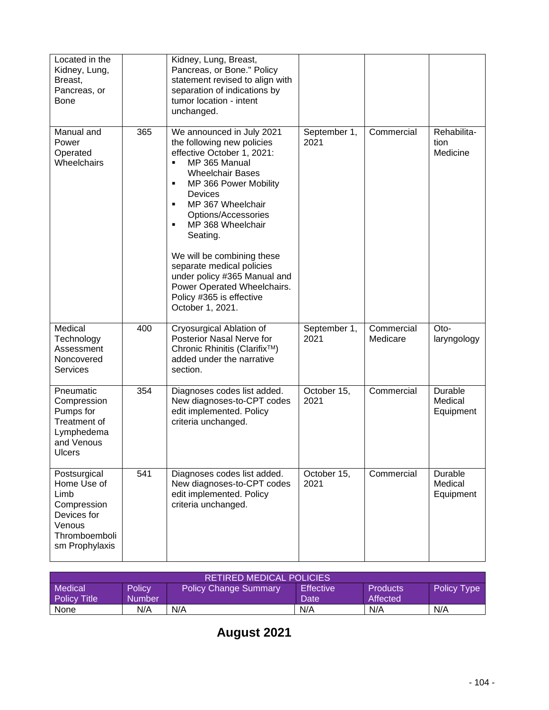| Located in the<br>Kidney, Lung,<br>Breast,<br>Pancreas, or<br><b>Bone</b>                                      |     | Kidney, Lung, Breast,<br>Pancreas, or Bone." Policy<br>statement revised to align with<br>separation of indications by<br>tumor location - intent<br>unchanged.                                                                                                                                                                                                                                                                                         |                      |                        |                                 |
|----------------------------------------------------------------------------------------------------------------|-----|---------------------------------------------------------------------------------------------------------------------------------------------------------------------------------------------------------------------------------------------------------------------------------------------------------------------------------------------------------------------------------------------------------------------------------------------------------|----------------------|------------------------|---------------------------------|
| Manual and<br>Power<br>Operated<br>Wheelchairs                                                                 | 365 | We announced in July 2021<br>the following new policies<br>effective October 1, 2021:<br>MP 365 Manual<br>٠<br><b>Wheelchair Bases</b><br>MP 366 Power Mobility<br>٠<br><b>Devices</b><br>MP 367 Wheelchair<br>٠<br>Options/Accessories<br>MP 368 Wheelchair<br>٠<br>Seating.<br>We will be combining these<br>separate medical policies<br>under policy #365 Manual and<br>Power Operated Wheelchairs.<br>Policy #365 is effective<br>October 1, 2021. | September 1,<br>2021 | Commercial             | Rehabilita-<br>tion<br>Medicine |
| Medical<br>Technology<br>Assessment<br>Noncovered<br><b>Services</b>                                           | 400 | Cryosurgical Ablation of<br>Posterior Nasal Nerve for<br>Chronic Rhinitis (Clarifix™)<br>added under the narrative<br>section.                                                                                                                                                                                                                                                                                                                          | September 1,<br>2021 | Commercial<br>Medicare | Oto-<br>laryngology             |
| Pneumatic<br>Compression<br>Pumps for<br>Treatment of<br>Lymphedema<br>and Venous<br><b>Ulcers</b>             | 354 | Diagnoses codes list added.<br>New diagnoses-to-CPT codes<br>edit implemented. Policy<br>criteria unchanged.                                                                                                                                                                                                                                                                                                                                            | October 15,<br>2021  | Commercial             | Durable<br>Medical<br>Equipment |
| Postsurgical<br>Home Use of<br>Limb<br>Compression<br>Devices for<br>Venous<br>Thromboemboli<br>sm Prophylaxis | 541 | Diagnoses codes list added.<br>New diagnoses-to-CPT codes<br>edit implemented. Policy<br>criteria unchanged.                                                                                                                                                                                                                                                                                                                                            | October 15,<br>2021  | Commercial             | Durable<br>Medical<br>Equipment |

| <b>RETIRED MEDICAL POLICIES</b> |               |                              |                  |                 |             |  |
|---------------------------------|---------------|------------------------------|------------------|-----------------|-------------|--|
| Medical                         | <b>Policy</b> | <b>Policy Change Summary</b> | <b>Effective</b> | <b>Products</b> | Policy Type |  |
| <b>Policy Title</b>             | Number        |                              | Date             | Affected        |             |  |
| None                            | N/A           | N/A                          | N/A              | N/A             | N/A         |  |

# **August 2021**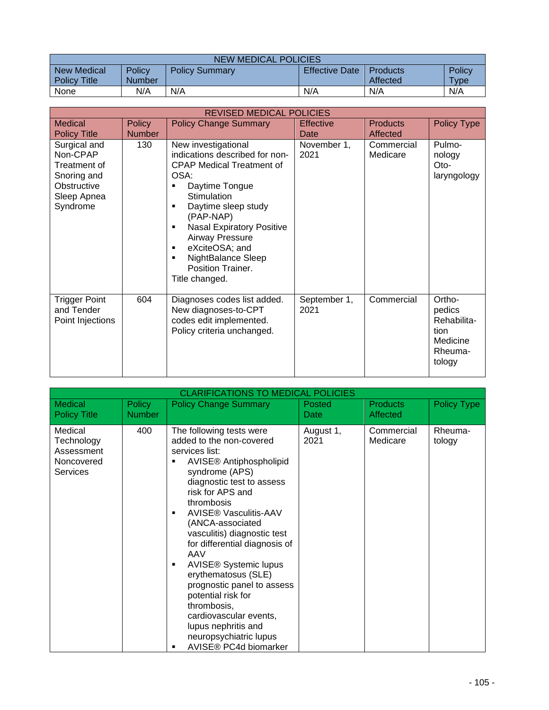| <b>NEW MEDICAL POLICIES</b> |               |                       |                       |                 |             |  |
|-----------------------------|---------------|-----------------------|-----------------------|-----------------|-------------|--|
| New Medical                 | Policy        | <b>Policy Summary</b> | <b>Effective Date</b> | <b>Products</b> | Policy      |  |
| <b>Policy Title</b>         | <b>Number</b> |                       |                       | Affected        | <b>Type</b> |  |
| None                        | N/A           | N/A                   | N/A                   | N/A             | N/A         |  |

|                                                                                                   | <b>REVISED MEDICAL POLICIES</b> |                                                                                                                                                                                                                                                                                                                                              |                      |                        |                                                                          |  |
|---------------------------------------------------------------------------------------------------|---------------------------------|----------------------------------------------------------------------------------------------------------------------------------------------------------------------------------------------------------------------------------------------------------------------------------------------------------------------------------------------|----------------------|------------------------|--------------------------------------------------------------------------|--|
| <b>Medical</b>                                                                                    | <b>Policy</b>                   | <b>Policy Change Summary</b>                                                                                                                                                                                                                                                                                                                 | <b>Effective</b>     | <b>Products</b>        | <b>Policy Type</b>                                                       |  |
| <b>Policy Title</b>                                                                               | <b>Number</b>                   |                                                                                                                                                                                                                                                                                                                                              | Date                 | Affected               |                                                                          |  |
| Surgical and<br>Non-CPAP<br>Treatment of<br>Snoring and<br>Obstructive<br>Sleep Apnea<br>Syndrome | 130                             | New investigational<br>indications described for non-<br><b>CPAP Medical Treatment of</b><br>OSA:<br>Daytime Tongue<br>٠<br>Stimulation<br>Daytime sleep study<br>٠<br>(PAP-NAP)<br><b>Nasal Expiratory Positive</b><br>٠<br><b>Airway Pressure</b><br>eXciteOSA; and<br>٠<br>NightBalance Sleep<br>٠<br>Position Trainer.<br>Title changed. | November 1,<br>2021  | Commercial<br>Medicare | Pulmo-<br>nology<br>$Oto-$<br>laryngology                                |  |
| <b>Trigger Point</b><br>and Tender<br>Point Injections                                            | 604                             | Diagnoses codes list added.<br>New diagnoses-to-CPT<br>codes edit implemented.<br>Policy criteria unchanged.                                                                                                                                                                                                                                 | September 1,<br>2021 | Commercial             | Ortho-<br>pedics<br>Rehabilita-<br>tion<br>Medicine<br>Rheuma-<br>tology |  |

| <b>CLARIFICATIONS TO MEDICAL POLICIES</b>                     |                         |                                                                                                                                                                                                                                                                                                                                                                                                                                                                                                                                                            |                       |                                    |                    |
|---------------------------------------------------------------|-------------------------|------------------------------------------------------------------------------------------------------------------------------------------------------------------------------------------------------------------------------------------------------------------------------------------------------------------------------------------------------------------------------------------------------------------------------------------------------------------------------------------------------------------------------------------------------------|-----------------------|------------------------------------|--------------------|
| Medical<br><b>Policy Title</b>                                | Policy<br><b>Number</b> | <b>Policy Change Summary</b>                                                                                                                                                                                                                                                                                                                                                                                                                                                                                                                               | <b>Posted</b><br>Date | <b>Products</b><br><b>Affected</b> | <b>Policy Type</b> |
| Medical<br>Technology<br>Assessment<br>Noncovered<br>Services | 400                     | The following tests were<br>added to the non-covered<br>services list:<br>AVISE® Antiphospholipid<br>syndrome (APS)<br>diagnostic test to assess<br>risk for APS and<br>thrombosis<br><b>AVISE® Vasculitis-AAV</b><br>٠<br>(ANCA-associated<br>vasculitis) diagnostic test<br>for differential diagnosis of<br>AAV<br><b>AVISE® Systemic lupus</b><br>٠<br>erythematosus (SLE)<br>prognostic panel to assess<br>potential risk for<br>thrombosis,<br>cardiovascular events,<br>lupus nephritis and<br>neuropsychiatric lupus<br>AVISE® PC4d biomarker<br>٠ | August 1,<br>2021     | Commercial<br>Medicare             | Rheuma-<br>tology  |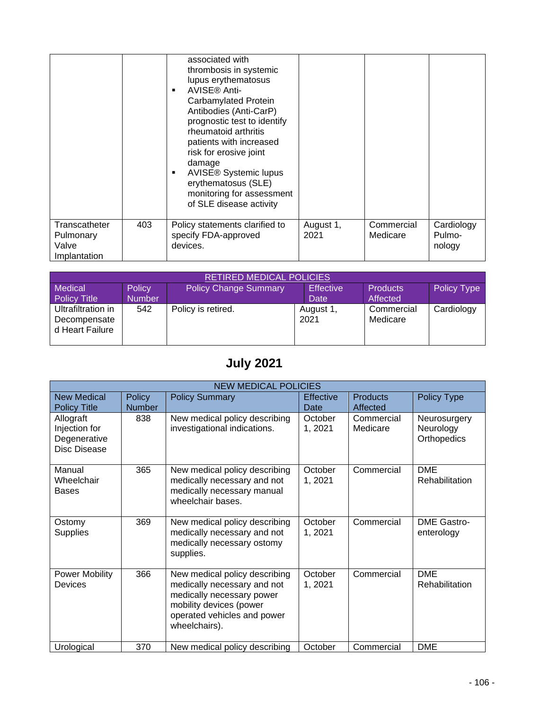|                                                     |     | associated with<br>thrombosis in systemic<br>lupus erythematosus<br>AVISE® Anti-<br>٠<br>Carbamylated Protein<br>Antibodies (Anti-CarP)<br>prognostic test to identify<br>rheumatoid arthritis<br>patients with increased<br>risk for erosive joint<br>damage<br><b>AVISE® Systemic lupus</b><br>٠<br>erythematosus (SLE)<br>monitoring for assessment<br>of SLE disease activity |                   |                        |                                |
|-----------------------------------------------------|-----|-----------------------------------------------------------------------------------------------------------------------------------------------------------------------------------------------------------------------------------------------------------------------------------------------------------------------------------------------------------------------------------|-------------------|------------------------|--------------------------------|
| Transcatheter<br>Pulmonary<br>Valve<br>Implantation | 403 | Policy statements clarified to<br>specify FDA-approved<br>devices.                                                                                                                                                                                                                                                                                                                | August 1,<br>2021 | Commercial<br>Medicare | Cardiology<br>Pulmo-<br>nology |

| <b>RETIRED MEDICAL POLICIES</b>                       |               |                              |                   |                        |                    |  |  |
|-------------------------------------------------------|---------------|------------------------------|-------------------|------------------------|--------------------|--|--|
| Medical                                               | Policy        | <b>Policy Change Summary</b> | <b>Effective</b>  | <b>Products</b>        | <b>Policy Type</b> |  |  |
| <b>Policy Title</b>                                   | <b>Number</b> |                              | <b>Date</b>       | Affected               |                    |  |  |
| Ultrafiltration in<br>Decompensate<br>d Heart Failure | 542           | Policy is retired.           | August 1,<br>2021 | Commercial<br>Medicare | Cardiology         |  |  |

# **July 2021**

|                                                            | <b>NEW MEDICAL POLICIES</b>    |                                                                                                                                                                      |                          |                             |                                          |  |  |
|------------------------------------------------------------|--------------------------------|----------------------------------------------------------------------------------------------------------------------------------------------------------------------|--------------------------|-----------------------------|------------------------------------------|--|--|
| <b>New Medical</b><br><b>Policy Title</b>                  | <b>Policy</b><br><b>Number</b> | <b>Policy Summary</b>                                                                                                                                                | <b>Effective</b><br>Date | <b>Products</b><br>Affected | Policy Type                              |  |  |
| Allograft<br>Injection for<br>Degenerative<br>Disc Disease | 838                            | New medical policy describing<br>investigational indications.                                                                                                        | October<br>1,2021        | Commercial<br>Medicare      | Neurosurgery<br>Neurology<br>Orthopedics |  |  |
| Manual<br>Wheelchair<br><b>Bases</b>                       | 365                            | New medical policy describing<br>medically necessary and not<br>medically necessary manual<br>wheelchair bases.                                                      | October<br>1,2021        | Commercial                  | <b>DME</b><br>Rehabilitation             |  |  |
| Ostomy<br><b>Supplies</b>                                  | 369                            | New medical policy describing<br>medically necessary and not<br>medically necessary ostomy<br>supplies.                                                              | October<br>1,2021        | Commercial                  | <b>DME Gastro-</b><br>enterology         |  |  |
| Power Mobility<br>Devices                                  | 366                            | New medical policy describing<br>medically necessary and not<br>medically necessary power<br>mobility devices (power<br>operated vehicles and power<br>wheelchairs). | October<br>1, 2021       | Commercial                  | <b>DME</b><br>Rehabilitation             |  |  |
| Urological                                                 | 370                            | New medical policy describing                                                                                                                                        | October                  | Commercial                  | <b>DME</b>                               |  |  |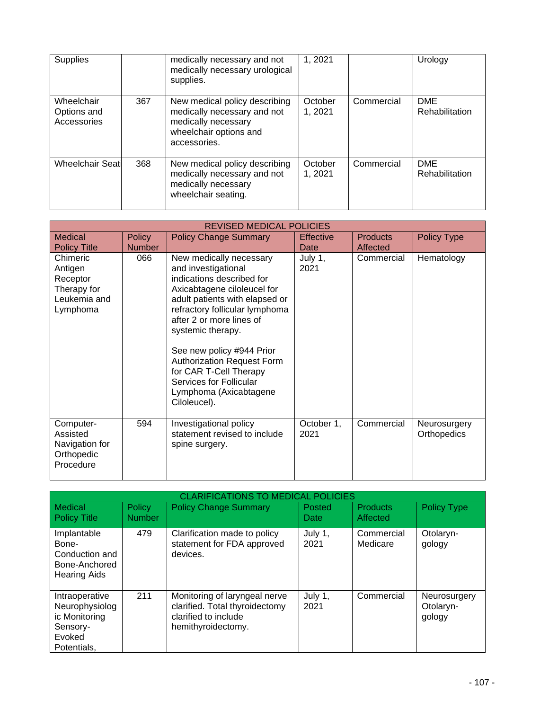| <b>Supplies</b>                          |     | medically necessary and not<br>medically necessary urological<br>supplies.                                                    | 1, 2021            |            | Urology                      |
|------------------------------------------|-----|-------------------------------------------------------------------------------------------------------------------------------|--------------------|------------|------------------------------|
| Wheelchair<br>Options and<br>Accessories | 367 | New medical policy describing<br>medically necessary and not<br>medically necessary<br>wheelchair options and<br>accessories. | October<br>1, 2021 | Commercial | <b>DME</b><br>Rehabilitation |
| <b>Wheelchair Seatl</b>                  | 368 | New medical policy describing<br>medically necessary and not<br>medically necessary<br>wheelchair seating.                    | October<br>1,2021  | Commercial | <b>DME</b><br>Rehabilitation |

|                                                                            | <b>REVISED MEDICAL POLICIES</b> |                                                                                                                                                                                                                                                                                                                                                                                                  |                          |                             |                             |
|----------------------------------------------------------------------------|---------------------------------|--------------------------------------------------------------------------------------------------------------------------------------------------------------------------------------------------------------------------------------------------------------------------------------------------------------------------------------------------------------------------------------------------|--------------------------|-----------------------------|-----------------------------|
| <b>Medical</b><br><b>Policy Title</b>                                      | <b>Policy</b><br><b>Number</b>  | <b>Policy Change Summary</b>                                                                                                                                                                                                                                                                                                                                                                     | <b>Effective</b><br>Date | <b>Products</b><br>Affected | <b>Policy Type</b>          |
| Chimeric<br>Antigen<br>Receptor<br>Therapy for<br>Leukemia and<br>Lymphoma | 066                             | New medically necessary<br>and investigational<br>indications described for<br>Axicabtagene ciloleucel for<br>adult patients with elapsed or<br>refractory follicular lymphoma<br>after 2 or more lines of<br>systemic therapy.<br>See new policy #944 Prior<br><b>Authorization Request Form</b><br>for CAR T-Cell Therapy<br>Services for Follicular<br>Lymphoma (Axicabtagene<br>Ciloleucel). | July 1,<br>2021          | Commercial                  | Hematology                  |
| Computer-<br>Assisted<br>Navigation for<br>Orthopedic<br>Procedure         | 594                             | Investigational policy<br>statement revised to include<br>spine surgery.                                                                                                                                                                                                                                                                                                                         | October 1,<br>2021       | Commercial                  | Neurosurgery<br>Orthopedics |

|                                                                                        | <b>CLARIFICATIONS TO MEDICAL POLICIES</b> |                                                                                                               |                 |                             |                                     |  |  |
|----------------------------------------------------------------------------------------|-------------------------------------------|---------------------------------------------------------------------------------------------------------------|-----------------|-----------------------------|-------------------------------------|--|--|
| Medical<br><b>Policy Title</b>                                                         | Policy<br><b>Number</b>                   | <b>Policy Change Summary</b>                                                                                  | Posted<br>Date  | <b>Products</b><br>Affected | <b>Policy Type</b>                  |  |  |
| Implantable<br>Bone-<br>Conduction and<br>Bone-Anchored<br><b>Hearing Aids</b>         | 479                                       | Clarification made to policy<br>statement for FDA approved<br>devices.                                        | July 1,<br>2021 | Commercial<br>Medicare      | Otolaryn-<br>gology                 |  |  |
| Intraoperative<br>Neurophysiolog<br>ic Monitoring<br>Sensory-<br>Evoked<br>Potentials. | 211                                       | Monitoring of laryngeal nerve<br>clarified. Total thyroidectomy<br>clarified to include<br>hemithyroidectomy. | July 1,<br>2021 | Commercial                  | Neurosurgery<br>Otolaryn-<br>gology |  |  |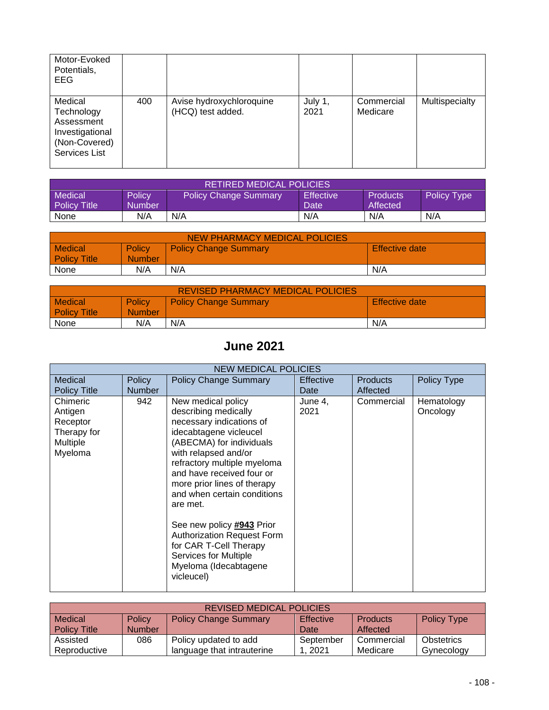| Motor-Evoked<br>Potentials,<br><b>EEG</b>                                                       |     |                                               |                 |                        |                |
|-------------------------------------------------------------------------------------------------|-----|-----------------------------------------------|-----------------|------------------------|----------------|
| Medical<br>Technology<br>Assessment<br>Investigational<br>(Non-Covered)<br><b>Services List</b> | 400 | Avise hydroxychloroquine<br>(HCQ) test added. | July 1,<br>2021 | Commercial<br>Medicare | Multispecialty |

| <b>RETIRED MEDICAL POLICIES</b> |        |                              |                        |                 |                    |  |
|---------------------------------|--------|------------------------------|------------------------|-----------------|--------------------|--|
| <b>Medical</b>                  | Policy | <b>Policy Change Summary</b> | Effective <sup>1</sup> | <b>Products</b> | <b>Policy Type</b> |  |
| Policy Title                    | Number |                              | <b>Date</b>            | Affected        |                    |  |
| None                            | N/A    | N/A                          | N/A                    | N/A             | N/A                |  |

| NEW PHARMACY MEDICAL POLICIES |               |                              |                |  |  |  |
|-------------------------------|---------------|------------------------------|----------------|--|--|--|
| <b>Medical</b>                | <b>Policy</b> | <b>Policy Change Summary</b> | Effective date |  |  |  |
| <b>Policy Title</b>           | <b>Number</b> |                              |                |  |  |  |
| None                          | N/A           | N/A                          | N/A            |  |  |  |

| <b>REVISED PHARMACY MEDICAL POLICIES</b> |                                |                              |                       |  |  |  |
|------------------------------------------|--------------------------------|------------------------------|-----------------------|--|--|--|
| <b>Medical</b><br><b>Policy Title</b>    | <b>Policy</b><br><b>Number</b> | <b>Policy Change Summary</b> | <b>Effective date</b> |  |  |  |
| None                                     | N/A                            | N/A                          | N/A                   |  |  |  |

### **June 2021**

|                                                                       | <b>NEW MEDICAL POLICIES</b> |                                                                                                                                                                                                                                                                                                                                                                                                                                                        |                  |                 |                        |  |
|-----------------------------------------------------------------------|-----------------------------|--------------------------------------------------------------------------------------------------------------------------------------------------------------------------------------------------------------------------------------------------------------------------------------------------------------------------------------------------------------------------------------------------------------------------------------------------------|------------------|-----------------|------------------------|--|
| Medical                                                               | <b>Policy</b>               | <b>Policy Change Summary</b>                                                                                                                                                                                                                                                                                                                                                                                                                           | <b>Effective</b> | <b>Products</b> | Policy Type            |  |
| <b>Policy Title</b>                                                   | <b>Number</b>               |                                                                                                                                                                                                                                                                                                                                                                                                                                                        | Date             | Affected        |                        |  |
| Chimeric<br>Antigen<br>Receptor<br>Therapy for<br>Multiple<br>Myeloma | 942                         | New medical policy<br>describing medically<br>necessary indications of<br>idecabtagene vicleucel<br>(ABECMA) for individuals<br>with relapsed and/or<br>refractory multiple myeloma<br>and have received four or<br>more prior lines of therapy<br>and when certain conditions<br>are met.<br>See new policy #943 Prior<br>Authorization Request Form<br>for CAR T-Cell Therapy<br><b>Services for Multiple</b><br>Myeloma (Idecabtagene<br>vicleucel) | June 4,<br>2021  | Commercial      | Hematology<br>Oncology |  |
|                                                                       |                             |                                                                                                                                                                                                                                                                                                                                                                                                                                                        |                  |                 |                        |  |

| <b>REVISED MEDICAL POLICIES</b> |               |                              |                  |                 |                    |  |  |
|---------------------------------|---------------|------------------------------|------------------|-----------------|--------------------|--|--|
| Medical                         | <b>Policy</b> | <b>Policy Change Summary</b> | <b>Effective</b> | <b>Products</b> | <b>Policy Type</b> |  |  |
| <b>Policy Title</b>             | <b>Number</b> |                              | Date             | Affected        |                    |  |  |
| Assisted                        | 086           | Policy updated to add        | September        | Commercial      | Obstetrics         |  |  |
| Reproductive                    |               | language that intrauterine   | 2021             | Medicare        | Gynecology         |  |  |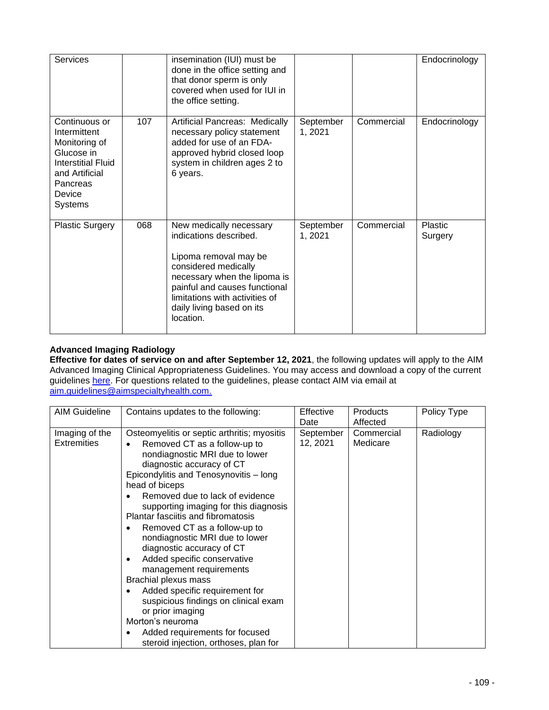| Services                                                                                                                                            |     | insemination (IUI) must be<br>done in the office setting and<br>that donor sperm is only<br>covered when used for IUI in<br>the office setting.                                                                                                 |                      |            | Endocrinology      |
|-----------------------------------------------------------------------------------------------------------------------------------------------------|-----|-------------------------------------------------------------------------------------------------------------------------------------------------------------------------------------------------------------------------------------------------|----------------------|------------|--------------------|
| Continuous or<br>Intermittent<br>Monitoring of<br>Glucose in<br><b>Interstitial Fluid</b><br>and Artificial<br>Pancreas<br>Device<br><b>Systems</b> | 107 | Artificial Pancreas: Medically<br>necessary policy statement<br>added for use of an FDA-<br>approved hybrid closed loop<br>system in children ages 2 to<br>6 years.                                                                             | September<br>1, 2021 | Commercial | Endocrinology      |
| <b>Plastic Surgery</b>                                                                                                                              | 068 | New medically necessary<br>indications described.<br>Lipoma removal may be<br>considered medically<br>necessary when the lipoma is<br>painful and causes functional<br>limitations with activities of<br>daily living based on its<br>location. | September<br>1, 2021 | Commercial | Plastic<br>Surgery |

## **Advanced Imaging Radiology**

**Effective for dates of service on and after September 12, 2021**, the following updates will apply to the AIM Advanced Imaging Clinical Appropriateness Guidelines. You may access and download a copy of the current guidelines [here.](https://aimspecialtyhealth.com/resources/clinical-guidelines/radiology/) For questions related to the guidelines, please contact AIM via email at [aim.guidelines@aimspecialtyhealth.com.](mailto:aim.guidelines@aimspecialtyhealth.com)

| <b>AIM Guideline</b>                 | Contains updates to the following:                                                                                                                                                                                                                                                                                                                                                                                                                                                                                                                                                                                                                                                                                                    | Effective<br>Date     | <b>Products</b><br>Affected | Policy Type |
|--------------------------------------|---------------------------------------------------------------------------------------------------------------------------------------------------------------------------------------------------------------------------------------------------------------------------------------------------------------------------------------------------------------------------------------------------------------------------------------------------------------------------------------------------------------------------------------------------------------------------------------------------------------------------------------------------------------------------------------------------------------------------------------|-----------------------|-----------------------------|-------------|
| Imaging of the<br><b>Extremities</b> | Osteomyelitis or septic arthritis; myositis<br>Removed CT as a follow-up to<br>$\bullet$<br>nondiagnostic MRI due to lower<br>diagnostic accuracy of CT<br>Epicondylitis and Tenosynovitis - long<br>head of biceps<br>Removed due to lack of evidence<br>supporting imaging for this diagnosis<br>Plantar fasciitis and fibromatosis<br>Removed CT as a follow-up to<br>٠<br>nondiagnostic MRI due to lower<br>diagnostic accuracy of CT<br>Added specific conservative<br>$\bullet$<br>management requirements<br>Brachial plexus mass<br>Added specific requirement for<br>suspicious findings on clinical exam<br>or prior imaging<br>Morton's neuroma<br>Added requirements for focused<br>steroid injection, orthoses, plan for | September<br>12, 2021 | Commercial<br>Medicare      | Radiology   |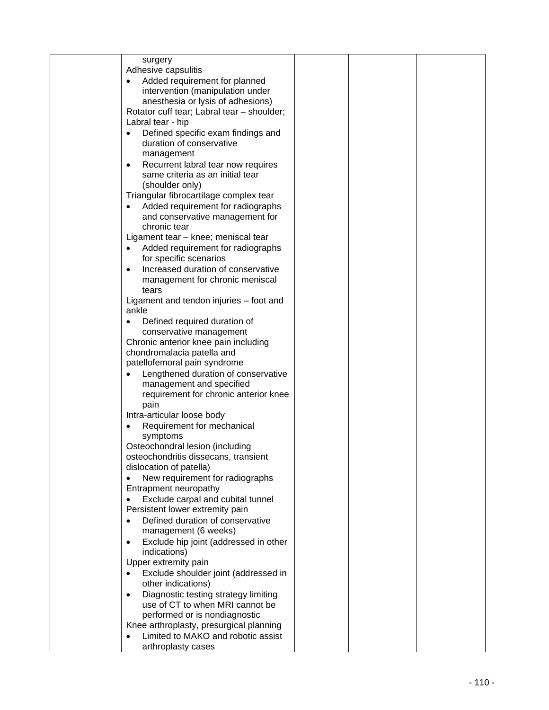| surgery                                            |  |  |
|----------------------------------------------------|--|--|
| Adhesive capsulitis                                |  |  |
| Added requirement for planned                      |  |  |
| intervention (manipulation under                   |  |  |
| anesthesia or lysis of adhesions)                  |  |  |
| Rotator cuff tear; Labral tear - shoulder;         |  |  |
| Labral tear - hip                                  |  |  |
| Defined specific exam findings and                 |  |  |
| duration of conservative                           |  |  |
| management                                         |  |  |
| Recurrent labral tear now requires<br>$\bullet$    |  |  |
| same criteria as an initial tear                   |  |  |
| (shoulder only)                                    |  |  |
| Triangular fibrocartilage complex tear             |  |  |
| Added requirement for radiographs                  |  |  |
| and conservative management for                    |  |  |
| chronic tear                                       |  |  |
| Ligament tear - knee; meniscal tear                |  |  |
| Added requirement for radiographs<br>٠             |  |  |
| for specific scenarios                             |  |  |
| Increased duration of conservative<br>$\bullet$    |  |  |
| management for chronic meniscal                    |  |  |
| tears                                              |  |  |
| Ligament and tendon injuries – foot and<br>ankle   |  |  |
| Defined required duration of                       |  |  |
| conservative management                            |  |  |
| Chronic anterior knee pain including               |  |  |
| chondromalacia patella and                         |  |  |
| patellofemoral pain syndrome                       |  |  |
| Lengthened duration of conservative                |  |  |
| management and specified                           |  |  |
| requirement for chronic anterior knee              |  |  |
| pain                                               |  |  |
| Intra-articular loose body                         |  |  |
| Requirement for mechanical<br>$\bullet$            |  |  |
| symptoms                                           |  |  |
| Osteochondral lesion (including                    |  |  |
| osteochondritis dissecans, transient               |  |  |
| dislocation of patella)                            |  |  |
| New requirement for radiographs                    |  |  |
| Entrapment neuropathy                              |  |  |
| Exclude carpal and cubital tunnel                  |  |  |
| Persistent lower extremity pain                    |  |  |
| Defined duration of conservative                   |  |  |
| management (6 weeks)                               |  |  |
| Exclude hip joint (addressed in other<br>$\bullet$ |  |  |
| indications)                                       |  |  |
| Upper extremity pain                               |  |  |
| Exclude shoulder joint (addressed in<br>$\bullet$  |  |  |
| other indications)                                 |  |  |
| Diagnostic testing strategy limiting<br>$\bullet$  |  |  |
| use of CT to when MRI cannot be                    |  |  |
| performed or is nondiagnostic                      |  |  |
| Knee arthroplasty, presurgical planning            |  |  |
| Limited to MAKO and robotic assist                 |  |  |
| arthroplasty cases                                 |  |  |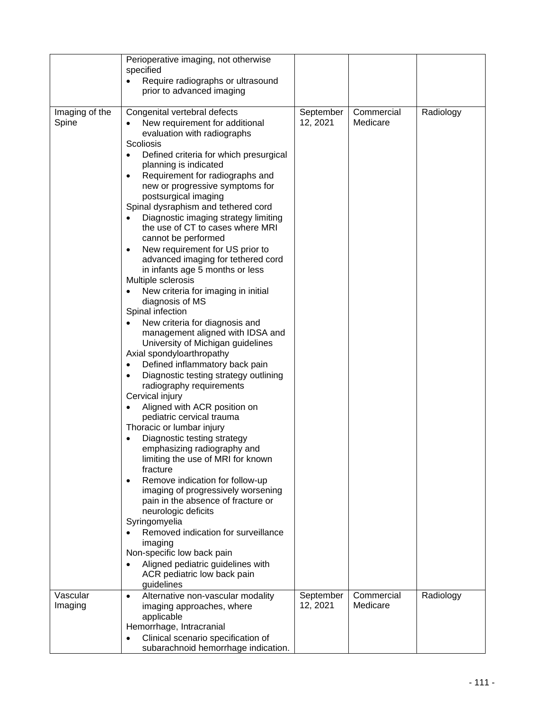|                         | Perioperative imaging, not otherwise<br>specified<br>Require radiographs or ultrasound<br>prior to advanced imaging                                                                                                                                                                                                                                                                                                                                                                                                                                                                                                                                                                                                                                                                                                                                                                                                                                                                                                                                                                                                                                                                                                                                                                                                                                                                                                                                                                                                                               |                       |                        |           |
|-------------------------|---------------------------------------------------------------------------------------------------------------------------------------------------------------------------------------------------------------------------------------------------------------------------------------------------------------------------------------------------------------------------------------------------------------------------------------------------------------------------------------------------------------------------------------------------------------------------------------------------------------------------------------------------------------------------------------------------------------------------------------------------------------------------------------------------------------------------------------------------------------------------------------------------------------------------------------------------------------------------------------------------------------------------------------------------------------------------------------------------------------------------------------------------------------------------------------------------------------------------------------------------------------------------------------------------------------------------------------------------------------------------------------------------------------------------------------------------------------------------------------------------------------------------------------------------|-----------------------|------------------------|-----------|
| Imaging of the<br>Spine | Congenital vertebral defects<br>New requirement for additional<br>evaluation with radiographs<br>Scoliosis<br>Defined criteria for which presurgical<br>$\bullet$<br>planning is indicated<br>Requirement for radiographs and<br>$\bullet$<br>new or progressive symptoms for<br>postsurgical imaging<br>Spinal dysraphism and tethered cord<br>Diagnostic imaging strategy limiting<br>$\bullet$<br>the use of CT to cases where MRI<br>cannot be performed<br>New requirement for US prior to<br>$\bullet$<br>advanced imaging for tethered cord<br>in infants age 5 months or less<br>Multiple sclerosis<br>New criteria for imaging in initial<br>diagnosis of MS<br>Spinal infection<br>New criteria for diagnosis and<br>$\bullet$<br>management aligned with IDSA and<br>University of Michigan guidelines<br>Axial spondyloarthropathy<br>Defined inflammatory back pain<br>$\bullet$<br>Diagnostic testing strategy outlining<br>radiography requirements<br>Cervical injury<br>Aligned with ACR position on<br>pediatric cervical trauma<br>Thoracic or lumbar injury<br>Diagnostic testing strategy<br>emphasizing radiography and<br>limiting the use of MRI for known<br>fracture<br>Remove indication for follow-up<br>$\bullet$<br>imaging of progressively worsening<br>pain in the absence of fracture or<br>neurologic deficits<br>Syringomyelia<br>Removed indication for surveillance<br>imaging<br>Non-specific low back pain<br>Aligned pediatric guidelines with<br>$\bullet$<br>ACR pediatric low back pain<br>guidelines | September<br>12, 2021 | Commercial<br>Medicare | Radiology |
| Vascular<br>Imaging     | Alternative non-vascular modality<br>$\bullet$<br>imaging approaches, where<br>applicable<br>Hemorrhage, Intracranial<br>Clinical scenario specification of<br>$\bullet$<br>subarachnoid hemorrhage indication.                                                                                                                                                                                                                                                                                                                                                                                                                                                                                                                                                                                                                                                                                                                                                                                                                                                                                                                                                                                                                                                                                                                                                                                                                                                                                                                                   | September<br>12, 2021 | Commercial<br>Medicare | Radiology |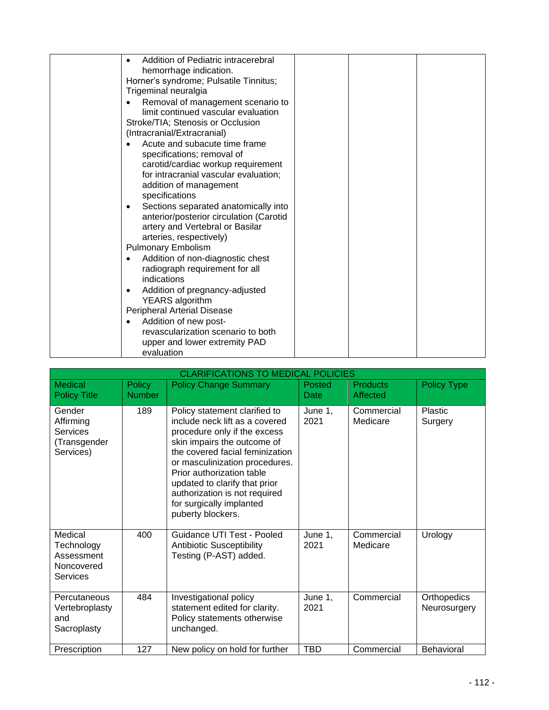| Addition of Pediatric intracerebral                                                                                     |
|-------------------------------------------------------------------------------------------------------------------------|
| hemorrhage indication.                                                                                                  |
| Horner's syndrome; Pulsatile Tinnitus;                                                                                  |
| Trigeminal neuralgia                                                                                                    |
| Removal of management scenario to                                                                                       |
| limit continued vascular evaluation                                                                                     |
| Stroke/TIA; Stenosis or Occlusion                                                                                       |
| (Intracranial/Extracranial)                                                                                             |
| Acute and subacute time frame                                                                                           |
| specifications; removal of                                                                                              |
| carotid/cardiac workup requirement                                                                                      |
| for intracranial vascular evaluation;                                                                                   |
| addition of management                                                                                                  |
| specifications                                                                                                          |
| Sections separated anatomically into<br>$\bullet$                                                                       |
| anterior/posterior circulation (Carotid                                                                                 |
| artery and Vertebral or Basilar                                                                                         |
| arteries, respectively)                                                                                                 |
| <b>Pulmonary Embolism</b>                                                                                               |
| Addition of non-diagnostic chest<br>٠                                                                                   |
| radiograph requirement for all                                                                                          |
| indications                                                                                                             |
| Addition of pregnancy-adjusted<br>٠                                                                                     |
| YEARS algorithm                                                                                                         |
| Peripheral Arterial Disease                                                                                             |
|                                                                                                                         |
|                                                                                                                         |
|                                                                                                                         |
| Addition of new post-<br>$\bullet$<br>revascularization scenario to both<br>upper and lower extremity PAD<br>evaluation |

| <b>CLARIFICATIONS TO MEDICAL POLICIES</b>                            |                                |                                                                                                                                                                                                                                                                                                                                                     |                 |                             |                             |  |
|----------------------------------------------------------------------|--------------------------------|-----------------------------------------------------------------------------------------------------------------------------------------------------------------------------------------------------------------------------------------------------------------------------------------------------------------------------------------------------|-----------------|-----------------------------|-----------------------------|--|
| Medical<br><b>Policy Title</b>                                       | <b>Policy</b><br><b>Number</b> | <b>Policy Change Summary</b>                                                                                                                                                                                                                                                                                                                        | Posted<br>Date  | <b>Products</b><br>Affected | <b>Policy Type</b>          |  |
| Gender<br>Affirming<br>Services<br>(Transgender<br>Services)         | 189                            | Policy statement clarified to<br>include neck lift as a covered<br>procedure only if the excess<br>skin impairs the outcome of<br>the covered facial feminization<br>or masculinization procedures.<br>Prior authorization table<br>updated to clarify that prior<br>authorization is not required<br>for surgically implanted<br>puberty blockers. | June 1.<br>2021 | Commercial<br>Medicare      | Plastic<br>Surgery          |  |
| Medical<br>Technology<br>Assessment<br>Noncovered<br><b>Services</b> | 400                            | Guidance UTI Test - Pooled<br><b>Antibiotic Susceptibility</b><br>Testing (P-AST) added.                                                                                                                                                                                                                                                            | June 1,<br>2021 | Commercial<br>Medicare      | Urology                     |  |
| Percutaneous<br>Vertebroplasty<br>and<br>Sacroplasty                 | 484                            | Investigational policy<br>statement edited for clarity.<br>Policy statements otherwise<br>unchanged.                                                                                                                                                                                                                                                | June 1,<br>2021 | Commercial                  | Orthopedics<br>Neurosurgery |  |
| Prescription                                                         | 127                            | New policy on hold for further                                                                                                                                                                                                                                                                                                                      | <b>TBD</b>      | Commercial                  | <b>Behavioral</b>           |  |